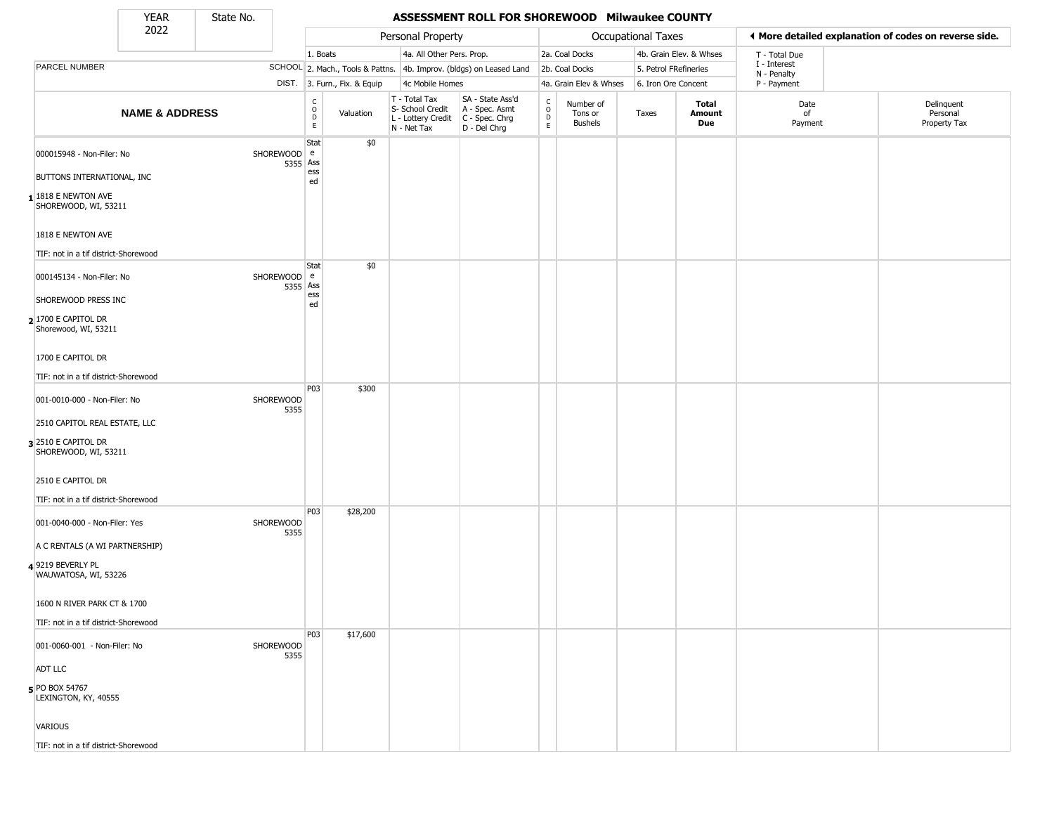State No.

Г

## YEAR **ASSESSMENT ROLL FOR SHOREWOOD Milwaukee COUNTY**

|                                                           | 2022                      |                          |                                            |                              | Personal Property                                                      |                                                                      |                  |                                        | Occupational Taxes    |                         |                             | ♦ More detailed explanation of codes on reverse side. |
|-----------------------------------------------------------|---------------------------|--------------------------|--------------------------------------------|------------------------------|------------------------------------------------------------------------|----------------------------------------------------------------------|------------------|----------------------------------------|-----------------------|-------------------------|-----------------------------|-------------------------------------------------------|
|                                                           |                           |                          | 1. Boats                                   |                              | 4a. All Other Pers. Prop.                                              |                                                                      |                  | 2a. Coal Docks                         |                       | 4b. Grain Elev. & Whses | T - Total Due               |                                                       |
| PARCEL NUMBER                                             |                           |                          |                                            |                              |                                                                        | SCHOOL 2. Mach., Tools & Pattns. 4b. Improv. (bldgs) on Leased Land  |                  | 2b. Coal Docks                         | 5. Petrol FRefineries |                         | I - Interest<br>N - Penalty |                                                       |
|                                                           |                           |                          |                                            | DIST. 3. Furn., Fix. & Equip | 4c Mobile Homes                                                        |                                                                      |                  | 4a. Grain Elev & Whses                 | 6. Iron Ore Concent   |                         | P - Payment                 |                                                       |
|                                                           | <b>NAME &amp; ADDRESS</b> |                          | C<br>$\circ$<br>$\mathsf D$<br>$\mathsf E$ | Valuation                    | T - Total Tax<br>S- School Credit<br>L - Lottery Credit<br>N - Net Tax | SA - State Ass'd<br>A - Spec. Asmt<br>C - Spec. Chrg<br>D - Del Chrg | C<br>D<br>E<br>E | Number of<br>Tons or<br><b>Bushels</b> | Taxes                 | Total<br>Amount<br>Due  | Date<br>of<br>Payment       | Delinquent<br>Personal<br>Property Tax                |
| 000015948 - Non-Filer: No                                 |                           | SHOREWOOD e              | Stat<br>5355 Ass<br>ess                    | \$0                          |                                                                        |                                                                      |                  |                                        |                       |                         |                             |                                                       |
| BUTTONS INTERNATIONAL, INC                                |                           |                          | ed                                         |                              |                                                                        |                                                                      |                  |                                        |                       |                         |                             |                                                       |
| $11818$ E NEWTON AVE<br>SHOREWOOD, WI, 53211              |                           |                          |                                            |                              |                                                                        |                                                                      |                  |                                        |                       |                         |                             |                                                       |
| 1818 E NEWTON AVE<br>TIF: not in a tif district-Shorewood |                           |                          |                                            |                              |                                                                        |                                                                      |                  |                                        |                       |                         |                             |                                                       |
| 000145134 - Non-Filer: No                                 |                           | SHOREWOOD e<br>5355 Ass  | Stat                                       | \$0                          |                                                                        |                                                                      |                  |                                        |                       |                         |                             |                                                       |
| SHOREWOOD PRESS INC                                       |                           |                          | ess<br>ed                                  |                              |                                                                        |                                                                      |                  |                                        |                       |                         |                             |                                                       |
| 2 1700 E CAPITOL DR<br>Shorewood, WI, 53211               |                           |                          |                                            |                              |                                                                        |                                                                      |                  |                                        |                       |                         |                             |                                                       |
| 1700 E CAPITOL DR                                         |                           |                          |                                            |                              |                                                                        |                                                                      |                  |                                        |                       |                         |                             |                                                       |
| TIF: not in a tif district-Shorewood                      |                           |                          | P03                                        | \$300                        |                                                                        |                                                                      |                  |                                        |                       |                         |                             |                                                       |
| 001-0010-000 - Non-Filer: No                              |                           | SHOREWOOD<br>5355        |                                            |                              |                                                                        |                                                                      |                  |                                        |                       |                         |                             |                                                       |
| 2510 CAPITOL REAL ESTATE, LLC                             |                           |                          |                                            |                              |                                                                        |                                                                      |                  |                                        |                       |                         |                             |                                                       |
| 3 2510 E CAPITOL DR<br>SHOREWOOD, WI, 53211               |                           |                          |                                            |                              |                                                                        |                                                                      |                  |                                        |                       |                         |                             |                                                       |
| 2510 E CAPITOL DR                                         |                           |                          |                                            |                              |                                                                        |                                                                      |                  |                                        |                       |                         |                             |                                                       |
| TIF: not in a tif district-Shorewood                      |                           |                          |                                            |                              |                                                                        |                                                                      |                  |                                        |                       |                         |                             |                                                       |
| 001-0040-000 - Non-Filer: Yes                             |                           | <b>SHOREWOOD</b><br>5355 | P03                                        | \$28,200                     |                                                                        |                                                                      |                  |                                        |                       |                         |                             |                                                       |
| A C RENTALS (A WI PARTNERSHIP)                            |                           |                          |                                            |                              |                                                                        |                                                                      |                  |                                        |                       |                         |                             |                                                       |
| 49219 BEVERLY PL<br>WAUWATOSA, WI, 53226                  |                           |                          |                                            |                              |                                                                        |                                                                      |                  |                                        |                       |                         |                             |                                                       |
| 1600 N RIVER PARK CT & 1700                               |                           |                          |                                            |                              |                                                                        |                                                                      |                  |                                        |                       |                         |                             |                                                       |
| TIF: not in a tif district-Shorewood                      |                           |                          | P <sub>0</sub> 3                           | \$17,600                     |                                                                        |                                                                      |                  |                                        |                       |                         |                             |                                                       |
| 001-0060-001 - Non-Filer: No                              |                           | SHOREWOOD<br>5355        |                                            |                              |                                                                        |                                                                      |                  |                                        |                       |                         |                             |                                                       |
| <b>ADT LLC</b>                                            |                           |                          |                                            |                              |                                                                        |                                                                      |                  |                                        |                       |                         |                             |                                                       |
| 5 PO BOX 54767<br>LEXINGTON, KY, 40555                    |                           |                          |                                            |                              |                                                                        |                                                                      |                  |                                        |                       |                         |                             |                                                       |
| VARIOUS                                                   |                           |                          |                                            |                              |                                                                        |                                                                      |                  |                                        |                       |                         |                             |                                                       |
| TIF: not in a tif district-Shorewood                      |                           |                          |                                            |                              |                                                                        |                                                                      |                  |                                        |                       |                         |                             |                                                       |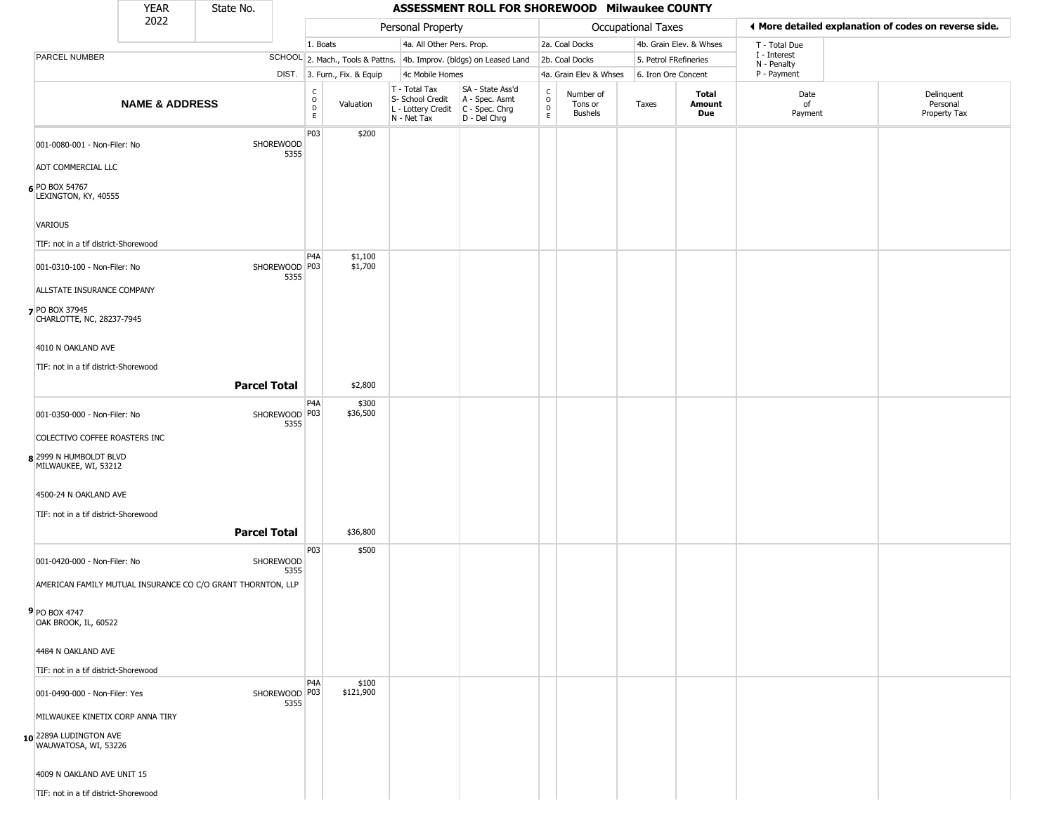## YEAR **ASSESSMENT ROLL FOR SHOREWOOD Milwaukee COUNTY** 2022 DIST. 3. Furn., Fix. & Equip PARCEL NUMBER **NAME & ADDRESS** State No. C O D E Valuation T - Total Tax S- School Credit A - Spec. Asmt L - Lottery Credit C - Spec. Chrg N - Net Tax SA - State Ass'd D - Del Chrg C O D E Number of Tons or Bushels Taxes **Total Amount Due** Date of Payment Delinquent Personal Property Tax Personal Property **Department Controller Service Controller** Occupational Taxes 1. Boats **4a. All Other Pers. Prop.** 2a. Coal Docks 4b. Grain Elev. & Whses SCHOOL 2. Mach., Tools & Pattns. 4b. Improv. (bldgs) on Leased Land 2b. Coal Docks 5. Petrol FRefineries 4c Mobile Homes 4a. Grain Elev & Whses 6. Iron Ore Concent T - Total Due I - Interest N - Penalty P - Payment 3**More detailed explanation of codes on reverse side. 6** PO BOX 54767 001-0080-001 - Non-Filer: No SHOREWOOD 5355 ADT COMMERCIAL LLC LEXINGTON, KY, 40555 VARIOUS TIF: not in a tif district-Shorewood P03 \$200 **7** PO BOX 37945 001-0310-100 - Non-Filer: No 5355 ALLSTATE INSURANCE COMPANY CHARLOTTE, NC, 28237-7945 4010 N OAKLAND AVE TIF: not in a tif district-Shorewood P4A SHOREWOOD P03 \$1,100 \$1,700 **Parcel Total** 1 \$2,800 **8** 2999 N HUMBOLDT BLVD 001-0350-000 - Non-Filer: No 5355 COLECTIVO COFFEE ROASTERS INC MILWAUKEE, WI, 53212 4500-24 N OAKLAND AVE TIF: not in a tif district-Shorewood P4A SHOREWOOD P03 \$300 \$36,500 **Parcel Total 1 \$36,800 9** PO BOX 4747 001-0420-000 - Non-Filer: No SHOREWOOD 5355 AMERICAN FAMILY MUTUAL INSURANCE CO C/O GRANT THORNTON, LLP OAK BROOK, IL, 60522 4484 N OAKLAND AVE TIF: not in a tif district-Shorewood P03 \$500 **10** 2289A LUDINGTON AVE 001-0490-000 - Non-Filer: Yes 5355 MILWAUKEE KINETIX CORP ANNA TIRY WAUWATOSA, WI, 53226 4009 N OAKLAND AVE UNIT 15  $PA<sub>A</sub>$ SHOREWOOD P03 \$100 \$121,900

TIF: not in a tif district-Shorewood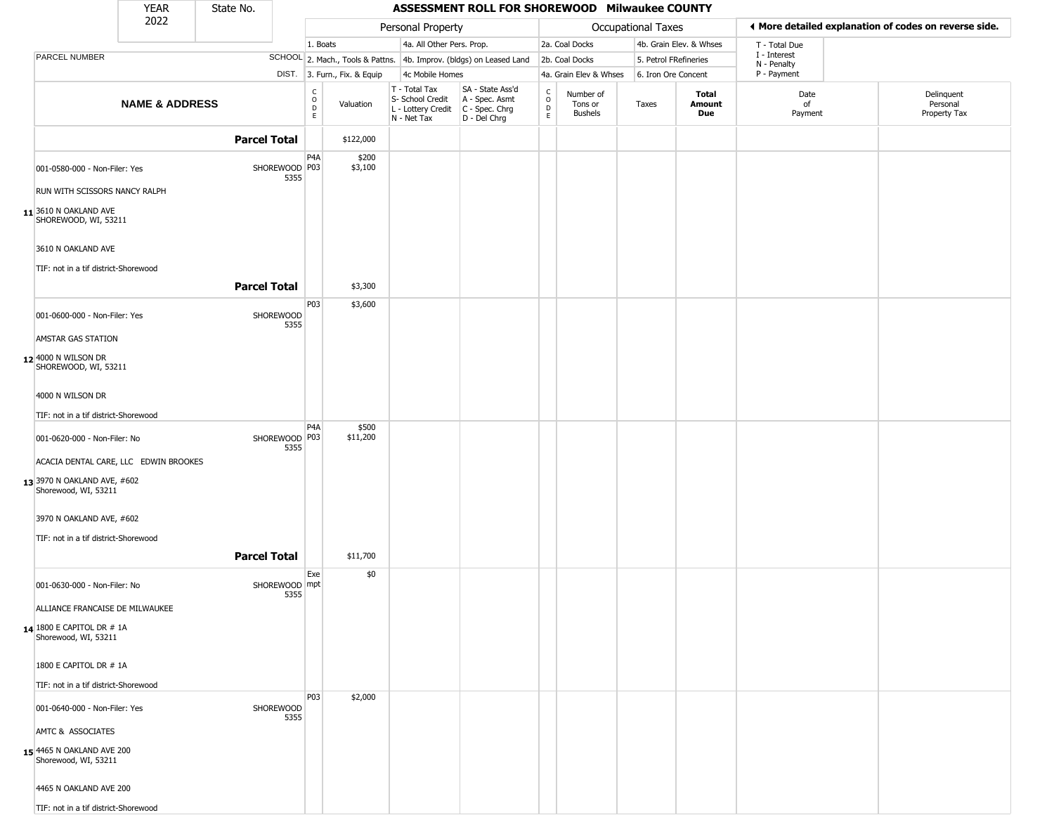|                                                            | <b>YEAR</b>               | State No.           |                       |                                                |                              |                                                                                         | ASSESSMENT ROLL FOR SHOREWOOD Milwaukee COUNTY                      |                          |                                 |                       |                         |                             |                                                       |
|------------------------------------------------------------|---------------------------|---------------------|-----------------------|------------------------------------------------|------------------------------|-----------------------------------------------------------------------------------------|---------------------------------------------------------------------|--------------------------|---------------------------------|-----------------------|-------------------------|-----------------------------|-------------------------------------------------------|
|                                                            | 2022                      |                     |                       |                                                |                              | Personal Property                                                                       |                                                                     |                          |                                 | Occupational Taxes    |                         |                             | ◀ More detailed explanation of codes on reverse side. |
|                                                            |                           |                     |                       | 1. Boats                                       |                              | 4a. All Other Pers. Prop.                                                               |                                                                     |                          | 2a. Coal Docks                  |                       | 4b. Grain Elev. & Whses | T - Total Due               |                                                       |
| PARCEL NUMBER                                              |                           |                     |                       |                                                |                              |                                                                                         | SCHOOL 2. Mach., Tools & Pattns. 4b. Improv. (bldgs) on Leased Land |                          | 2b. Coal Docks                  | 5. Petrol FRefineries |                         | I - Interest<br>N - Penalty |                                                       |
|                                                            |                           |                     |                       |                                                | DIST. 3. Furn., Fix. & Equip | 4c Mobile Homes                                                                         |                                                                     |                          | 4a. Grain Elev & Whses          | 6. Iron Ore Concent   |                         | P - Payment                 |                                                       |
|                                                            | <b>NAME &amp; ADDRESS</b> |                     |                       | $\begin{matrix} C \\ O \\ D \end{matrix}$<br>E | Valuation                    | T - Total Tax<br>S- School Credit<br>L - Lottery Credit   C - Spec. Chrg<br>N - Net Tax | SA - State Ass'd<br>A - Spec. Asmt<br>$D - Del Chrg$                | $\int_{0}^{c}$<br>D<br>E | Number of<br>Tons or<br>Bushels | Taxes                 | Total<br>Amount<br>Due  | Date<br>of<br>Payment       | Delinquent<br>Personal<br>Property Tax                |
|                                                            |                           | <b>Parcel Total</b> |                       |                                                | \$122,000                    |                                                                                         |                                                                     |                          |                                 |                       |                         |                             |                                                       |
| 001-0580-000 - Non-Filer: Yes                              |                           |                     | SHOREWOOD P03<br>5355 | P <sub>4</sub> A                               | \$200<br>\$3,100             |                                                                                         |                                                                     |                          |                                 |                       |                         |                             |                                                       |
| RUN WITH SCISSORS NANCY RALPH                              |                           |                     |                       |                                                |                              |                                                                                         |                                                                     |                          |                                 |                       |                         |                             |                                                       |
| $11$ <sup>3610</sup> N OAKLAND AVE<br>SHOREWOOD, WI, 53211 |                           |                     |                       |                                                |                              |                                                                                         |                                                                     |                          |                                 |                       |                         |                             |                                                       |
| 3610 N OAKLAND AVE<br>TIF: not in a tif district-Shorewood |                           |                     |                       |                                                |                              |                                                                                         |                                                                     |                          |                                 |                       |                         |                             |                                                       |
|                                                            |                           | <b>Parcel Total</b> |                       |                                                | \$3,300                      |                                                                                         |                                                                     |                          |                                 |                       |                         |                             |                                                       |
| 001-0600-000 - Non-Filer: Yes                              |                           |                     | SHOREWOOD<br>5355     | P03                                            | \$3,600                      |                                                                                         |                                                                     |                          |                                 |                       |                         |                             |                                                       |
| AMSTAR GAS STATION                                         |                           |                     |                       |                                                |                              |                                                                                         |                                                                     |                          |                                 |                       |                         |                             |                                                       |
| 12 4000 N WILSON DR<br>SHOREWOOD, WI, 53211                |                           |                     |                       |                                                |                              |                                                                                         |                                                                     |                          |                                 |                       |                         |                             |                                                       |
| 4000 N WILSON DR                                           |                           |                     |                       |                                                |                              |                                                                                         |                                                                     |                          |                                 |                       |                         |                             |                                                       |
| TIF: not in a tif district-Shorewood                       |                           |                     |                       | P <sub>4</sub> A                               |                              |                                                                                         |                                                                     |                          |                                 |                       |                         |                             |                                                       |
| 001-0620-000 - Non-Filer: No                               |                           |                     | SHOREWOOD P03<br>5355 |                                                | \$500<br>\$11,200            |                                                                                         |                                                                     |                          |                                 |                       |                         |                             |                                                       |
| ACACIA DENTAL CARE, LLC EDWIN BROOKES                      |                           |                     |                       |                                                |                              |                                                                                         |                                                                     |                          |                                 |                       |                         |                             |                                                       |
| 13 3970 N OAKLAND AVE, #602<br>Shorewood, WI, 53211        |                           |                     |                       |                                                |                              |                                                                                         |                                                                     |                          |                                 |                       |                         |                             |                                                       |
| 3970 N OAKLAND AVE, #602                                   |                           |                     |                       |                                                |                              |                                                                                         |                                                                     |                          |                                 |                       |                         |                             |                                                       |
| TIF: not in a tif district-Shorewood                       |                           | <b>Parcel Total</b> |                       |                                                | \$11,700                     |                                                                                         |                                                                     |                          |                                 |                       |                         |                             |                                                       |
| 001-0630-000 - Non-Filer: No                               |                           |                     | SHOREWOOD mpt<br>5355 | Exe                                            | \$0                          |                                                                                         |                                                                     |                          |                                 |                       |                         |                             |                                                       |
| ALLIANCE FRANCAISE DE MILWAUKEE                            |                           |                     |                       |                                                |                              |                                                                                         |                                                                     |                          |                                 |                       |                         |                             |                                                       |
| 14 1800 E CAPITOL DR # 1A<br>Shorewood, WI, 53211          |                           |                     |                       |                                                |                              |                                                                                         |                                                                     |                          |                                 |                       |                         |                             |                                                       |
| 1800 E CAPITOL DR # 1A                                     |                           |                     |                       |                                                |                              |                                                                                         |                                                                     |                          |                                 |                       |                         |                             |                                                       |
| TIF: not in a tif district-Shorewood                       |                           |                     |                       |                                                |                              |                                                                                         |                                                                     |                          |                                 |                       |                         |                             |                                                       |
| 001-0640-000 - Non-Filer: Yes                              |                           |                     | SHOREWOOD<br>5355     | P03                                            | \$2,000                      |                                                                                         |                                                                     |                          |                                 |                       |                         |                             |                                                       |
| AMTC & ASSOCIATES                                          |                           |                     |                       |                                                |                              |                                                                                         |                                                                     |                          |                                 |                       |                         |                             |                                                       |
| 15 4465 N OAKLAND AVE 200<br>Shorewood, WI, 53211          |                           |                     |                       |                                                |                              |                                                                                         |                                                                     |                          |                                 |                       |                         |                             |                                                       |
| 4465 N OAKLAND AVE 200                                     |                           |                     |                       |                                                |                              |                                                                                         |                                                                     |                          |                                 |                       |                         |                             |                                                       |
| TIF: not in a tif district-Shorewood                       |                           |                     |                       |                                                |                              |                                                                                         |                                                                     |                          |                                 |                       |                         |                             |                                                       |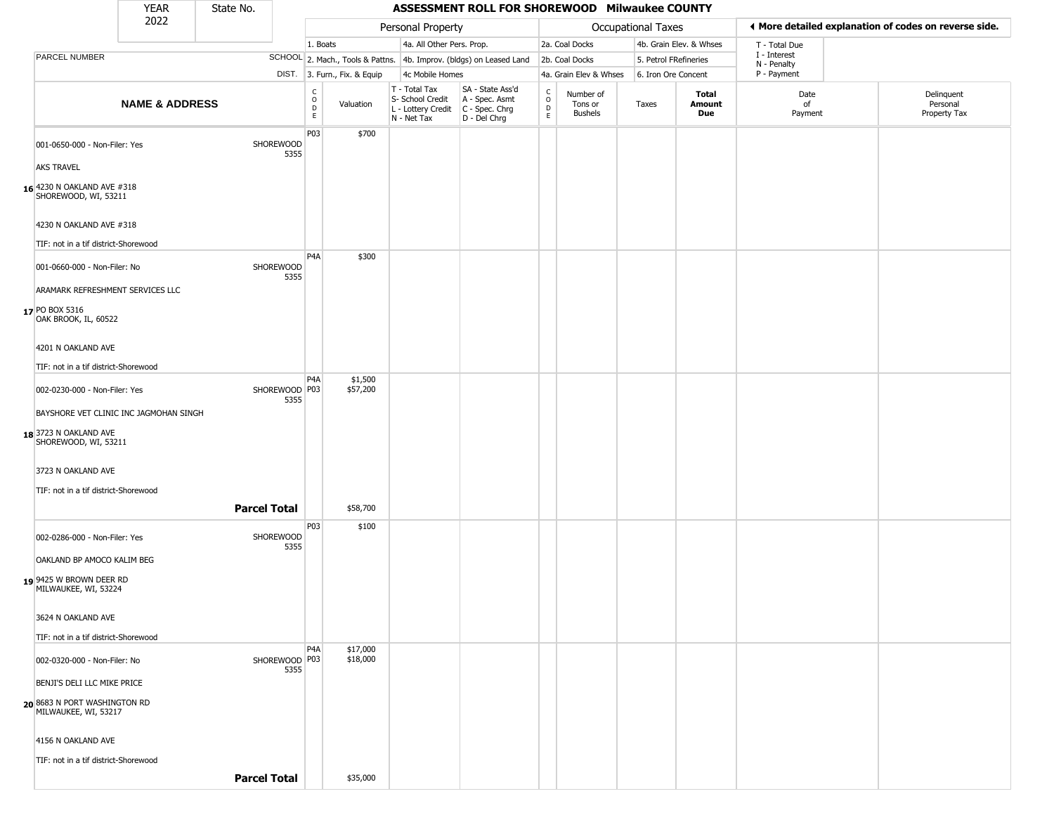|                                                                               | <b>YEAR</b>               | State No.           |                                             |                              |                                                                        |                           | ASSESSMENT ROLL FOR SHOREWOOD Milwaukee COUNTY                       |                                   |                                        |                           |                         |                             |                                                       |
|-------------------------------------------------------------------------------|---------------------------|---------------------|---------------------------------------------|------------------------------|------------------------------------------------------------------------|---------------------------|----------------------------------------------------------------------|-----------------------------------|----------------------------------------|---------------------------|-------------------------|-----------------------------|-------------------------------------------------------|
|                                                                               | 2022                      |                     |                                             |                              | Personal Property                                                      |                           |                                                                      |                                   |                                        | <b>Occupational Taxes</b> |                         |                             | ◀ More detailed explanation of codes on reverse side. |
|                                                                               |                           |                     |                                             | 1. Boats                     |                                                                        | 4a. All Other Pers. Prop. |                                                                      |                                   | 2a. Coal Docks                         |                           | 4b. Grain Elev. & Whses | T - Total Due               |                                                       |
| PARCEL NUMBER                                                                 |                           |                     |                                             |                              |                                                                        |                           | SCHOOL 2. Mach., Tools & Pattns. 4b. Improv. (bldgs) on Leased Land  |                                   | 2b. Coal Docks                         |                           | 5. Petrol FRefineries   | I - Interest<br>N - Penalty |                                                       |
|                                                                               |                           |                     |                                             | DIST. 3. Furn., Fix. & Equip |                                                                        | 4c Mobile Homes           |                                                                      |                                   | 4a. Grain Elev & Whses                 |                           | 6. Iron Ore Concent     | P - Payment                 |                                                       |
|                                                                               | <b>NAME &amp; ADDRESS</b> |                     | $\frac{c}{0}$<br>$\mathsf D$<br>$\mathsf E$ | Valuation                    | T - Total Tax<br>S- School Credit<br>L - Lottery Credit<br>N - Net Tax |                           | SA - State Ass'd<br>A - Spec. Asmt<br>C - Spec. Chrg<br>D - Del Chrg | C<br>$\circ$<br>$\mathsf{D}$<br>E | Number of<br>Tons or<br><b>Bushels</b> | Taxes                     | Total<br>Amount<br>Due  | Date<br>of<br>Payment       | Delinquent<br>Personal<br>Property Tax                |
| 001-0650-000 - Non-Filer: Yes                                                 |                           | SHOREWOOD           | P03<br>5355                                 | \$700                        |                                                                        |                           |                                                                      |                                   |                                        |                           |                         |                             |                                                       |
| <b>AKS TRAVEL</b>                                                             |                           |                     |                                             |                              |                                                                        |                           |                                                                      |                                   |                                        |                           |                         |                             |                                                       |
| 16 4230 N OAKLAND AVE #318<br>SHOREWOOD, WI, 53211                            |                           |                     |                                             |                              |                                                                        |                           |                                                                      |                                   |                                        |                           |                         |                             |                                                       |
| 4230 N OAKLAND AVE #318                                                       |                           |                     |                                             |                              |                                                                        |                           |                                                                      |                                   |                                        |                           |                         |                             |                                                       |
| TIF: not in a tif district-Shorewood                                          |                           |                     |                                             |                              |                                                                        |                           |                                                                      |                                   |                                        |                           |                         |                             |                                                       |
| 001-0660-000 - Non-Filer: No                                                  |                           | SHOREWOOD           | P4A<br>5355                                 | \$300                        |                                                                        |                           |                                                                      |                                   |                                        |                           |                         |                             |                                                       |
| ARAMARK REFRESHMENT SERVICES LLC                                              |                           |                     |                                             |                              |                                                                        |                           |                                                                      |                                   |                                        |                           |                         |                             |                                                       |
| 17 PO BOX 5316<br>OAK BROOK, IL, 60522                                        |                           |                     |                                             |                              |                                                                        |                           |                                                                      |                                   |                                        |                           |                         |                             |                                                       |
| 4201 N OAKLAND AVE                                                            |                           |                     |                                             |                              |                                                                        |                           |                                                                      |                                   |                                        |                           |                         |                             |                                                       |
| TIF: not in a tif district-Shorewood                                          |                           |                     |                                             |                              |                                                                        |                           |                                                                      |                                   |                                        |                           |                         |                             |                                                       |
| 002-0230-000 - Non-Filer: Yes                                                 |                           |                     | P <sub>4</sub> A<br>SHOREWOOD   P03<br>5355 | \$1,500<br>\$57,200          |                                                                        |                           |                                                                      |                                   |                                        |                           |                         |                             |                                                       |
| BAYSHORE VET CLINIC INC JAGMOHAN SINGH                                        |                           |                     |                                             |                              |                                                                        |                           |                                                                      |                                   |                                        |                           |                         |                             |                                                       |
| 18 3723 N OAKLAND AVE<br>SHOREWOOD, WI, 53211                                 |                           |                     |                                             |                              |                                                                        |                           |                                                                      |                                   |                                        |                           |                         |                             |                                                       |
| 3723 N OAKLAND AVE                                                            |                           |                     |                                             |                              |                                                                        |                           |                                                                      |                                   |                                        |                           |                         |                             |                                                       |
| TIF: not in a tif district-Shorewood                                          |                           | <b>Parcel Total</b> |                                             | \$58,700                     |                                                                        |                           |                                                                      |                                   |                                        |                           |                         |                             |                                                       |
|                                                                               |                           |                     | P03                                         |                              |                                                                        |                           |                                                                      |                                   |                                        |                           |                         |                             |                                                       |
| 002-0286-000 - Non-Filer: Yes                                                 |                           | SHOREWOOD           | 5355                                        | \$100                        |                                                                        |                           |                                                                      |                                   |                                        |                           |                         |                             |                                                       |
| OAKLAND BP AMOCO KALIM BEG<br>19 9425 W BROWN DEER RD<br>MILWAUKEE, WI, 53224 |                           |                     |                                             |                              |                                                                        |                           |                                                                      |                                   |                                        |                           |                         |                             |                                                       |
| 3624 N OAKLAND AVE                                                            |                           |                     |                                             |                              |                                                                        |                           |                                                                      |                                   |                                        |                           |                         |                             |                                                       |
| TIF: not in a tif district-Shorewood                                          |                           |                     | P <sub>4</sub> A                            |                              |                                                                        |                           |                                                                      |                                   |                                        |                           |                         |                             |                                                       |
| 002-0320-000 - Non-Filer: No                                                  |                           |                     | SHOREWOOD P03<br>5355                       | \$17,000<br>\$18,000         |                                                                        |                           |                                                                      |                                   |                                        |                           |                         |                             |                                                       |
| BENJI'S DELI LLC MIKE PRICE                                                   |                           |                     |                                             |                              |                                                                        |                           |                                                                      |                                   |                                        |                           |                         |                             |                                                       |
| 20 8683 N PORT WASHINGTON RD<br>MILWAUKEE, WI, 53217                          |                           |                     |                                             |                              |                                                                        |                           |                                                                      |                                   |                                        |                           |                         |                             |                                                       |
| 4156 N OAKLAND AVE                                                            |                           |                     |                                             |                              |                                                                        |                           |                                                                      |                                   |                                        |                           |                         |                             |                                                       |
| TIF: not in a tif district-Shorewood                                          |                           |                     |                                             |                              |                                                                        |                           |                                                                      |                                   |                                        |                           |                         |                             |                                                       |

**Parcel Total | \$35,000**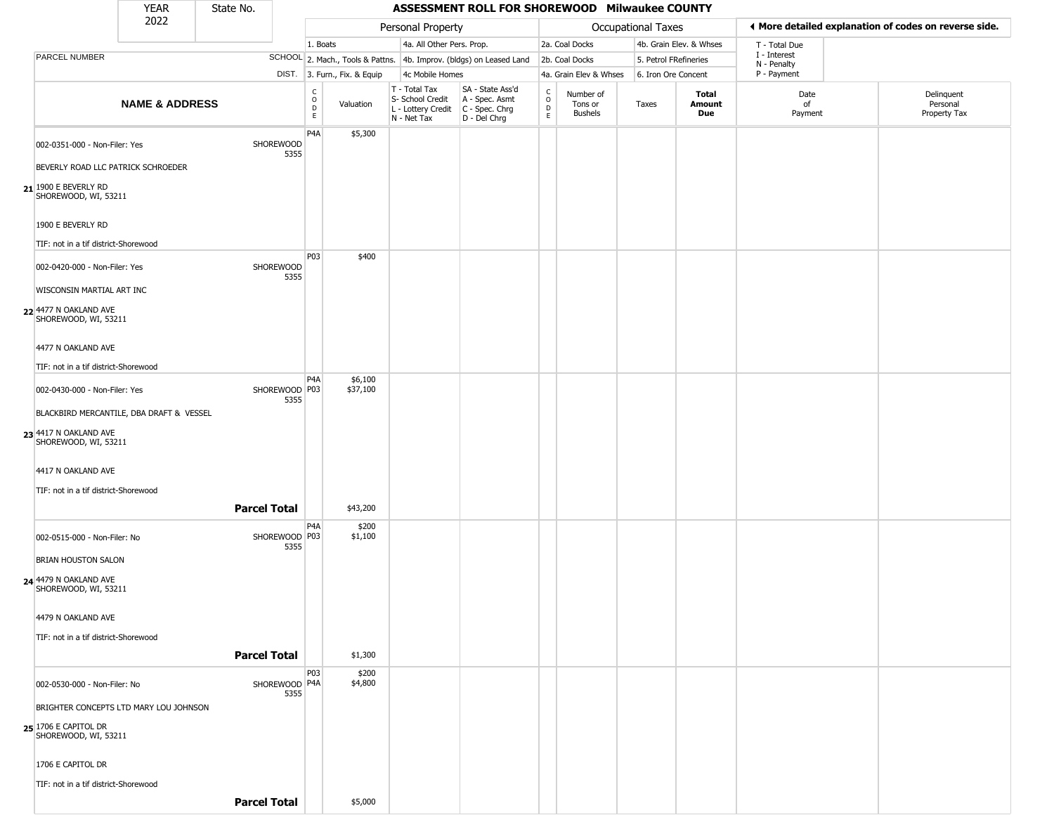|                                                           | <b>YEAR</b>               | State No.           |                         |                                      |                              |                                                                        | ASSESSMENT ROLL FOR SHOREWOOD Milwaukee COUNTY                       |                                              |                                        |                           |                         |                             |                                                       |
|-----------------------------------------------------------|---------------------------|---------------------|-------------------------|--------------------------------------|------------------------------|------------------------------------------------------------------------|----------------------------------------------------------------------|----------------------------------------------|----------------------------------------|---------------------------|-------------------------|-----------------------------|-------------------------------------------------------|
|                                                           | 2022                      |                     |                         |                                      |                              | Personal Property                                                      |                                                                      |                                              |                                        | <b>Occupational Taxes</b> |                         |                             | ♦ More detailed explanation of codes on reverse side. |
|                                                           |                           |                     |                         | 1. Boats                             |                              | 4a. All Other Pers. Prop.                                              |                                                                      |                                              | 2a. Coal Docks                         |                           | 4b. Grain Elev. & Whses | T - Total Due               |                                                       |
| PARCEL NUMBER                                             |                           |                     |                         |                                      |                              |                                                                        | SCHOOL 2. Mach., Tools & Pattns. 4b. Improv. (bldgs) on Leased Land  |                                              | 2b. Coal Docks                         | 5. Petrol FRefineries     |                         | I - Interest<br>N - Penalty |                                                       |
|                                                           |                           |                     |                         |                                      | DIST. 3. Furn., Fix. & Equip | 4c Mobile Homes                                                        |                                                                      |                                              | 4a. Grain Elev & Whses                 | 6. Iron Ore Concent       |                         | P - Payment                 |                                                       |
|                                                           | <b>NAME &amp; ADDRESS</b> |                     |                         | C<br>$\mathsf O$<br>D<br>$\mathsf E$ | Valuation                    | T - Total Tax<br>S- School Credit<br>L - Lottery Credit<br>N - Net Tax | SA - State Ass'd<br>A - Spec. Asmt<br>C - Spec. Chrg<br>D - Del Chrg | $\begin{array}{c}\nC \\ D \\ E\n\end{array}$ | Number of<br>Tons or<br><b>Bushels</b> | Taxes                     | Total<br>Amount<br>Due  | Date<br>of<br>Payment       | Delinquent<br>Personal<br>Property Tax                |
| 002-0351-000 - Non-Filer: Yes                             |                           |                     | SHOREWOOD<br>5355       | P4A                                  | \$5,300                      |                                                                        |                                                                      |                                              |                                        |                           |                         |                             |                                                       |
| BEVERLY ROAD LLC PATRICK SCHROEDER                        |                           |                     |                         |                                      |                              |                                                                        |                                                                      |                                              |                                        |                           |                         |                             |                                                       |
| $21$ <sup>1900</sup> E BEVERLY RD<br>SHOREWOOD, WI, 53211 |                           |                     |                         |                                      |                              |                                                                        |                                                                      |                                              |                                        |                           |                         |                             |                                                       |
| 1900 E BEVERLY RD                                         |                           |                     |                         |                                      |                              |                                                                        |                                                                      |                                              |                                        |                           |                         |                             |                                                       |
| TIF: not in a tif district-Shorewood                      |                           |                     |                         | P03                                  | \$400                        |                                                                        |                                                                      |                                              |                                        |                           |                         |                             |                                                       |
| 002-0420-000 - Non-Filer: Yes                             |                           |                     | SHOREWOOD<br>5355       |                                      |                              |                                                                        |                                                                      |                                              |                                        |                           |                         |                             |                                                       |
| WISCONSIN MARTIAL ART INC                                 |                           |                     |                         |                                      |                              |                                                                        |                                                                      |                                              |                                        |                           |                         |                             |                                                       |
| 22 4477 N OAKLAND AVE<br>SHOREWOOD, WI, 53211             |                           |                     |                         |                                      |                              |                                                                        |                                                                      |                                              |                                        |                           |                         |                             |                                                       |
| 4477 N OAKLAND AVE                                        |                           |                     |                         |                                      |                              |                                                                        |                                                                      |                                              |                                        |                           |                         |                             |                                                       |
| TIF: not in a tif district-Shorewood                      |                           |                     |                         |                                      |                              |                                                                        |                                                                      |                                              |                                        |                           |                         |                             |                                                       |
| 002-0430-000 - Non-Filer: Yes                             |                           |                     | SHOREWOOD P03<br>5355   | P <sub>4</sub> A                     | \$6,100<br>\$37,100          |                                                                        |                                                                      |                                              |                                        |                           |                         |                             |                                                       |
| BLACKBIRD MERCANTILE, DBA DRAFT & VESSEL                  |                           |                     |                         |                                      |                              |                                                                        |                                                                      |                                              |                                        |                           |                         |                             |                                                       |
| 23 4417 N OAKLAND AVE<br>SHOREWOOD, WI, 53211             |                           |                     |                         |                                      |                              |                                                                        |                                                                      |                                              |                                        |                           |                         |                             |                                                       |
| 4417 N OAKLAND AVE                                        |                           |                     |                         |                                      |                              |                                                                        |                                                                      |                                              |                                        |                           |                         |                             |                                                       |
| TIF: not in a tif district-Shorewood                      |                           |                     |                         |                                      |                              |                                                                        |                                                                      |                                              |                                        |                           |                         |                             |                                                       |
|                                                           |                           | <b>Parcel Total</b> |                         |                                      | \$43,200                     |                                                                        |                                                                      |                                              |                                        |                           |                         |                             |                                                       |
| 002-0515-000 - Non-Filer: No                              |                           |                     | SHOREWOOD   P03<br>5355 | P4A                                  | \$200<br>\$1,100             |                                                                        |                                                                      |                                              |                                        |                           |                         |                             |                                                       |
| <b>BRIAN HOUSTON SALON</b>                                |                           |                     |                         |                                      |                              |                                                                        |                                                                      |                                              |                                        |                           |                         |                             |                                                       |
| <b>24 4479 N OAKLAND AVE</b><br>SHOREWOOD, WI, 53211      |                           |                     |                         |                                      |                              |                                                                        |                                                                      |                                              |                                        |                           |                         |                             |                                                       |
| 4479 N OAKLAND AVE                                        |                           |                     |                         |                                      |                              |                                                                        |                                                                      |                                              |                                        |                           |                         |                             |                                                       |
| TIF: not in a tif district-Shorewood                      |                           |                     |                         |                                      |                              |                                                                        |                                                                      |                                              |                                        |                           |                         |                             |                                                       |
|                                                           |                           | <b>Parcel Total</b> |                         |                                      | \$1,300                      |                                                                        |                                                                      |                                              |                                        |                           |                         |                             |                                                       |
| 002-0530-000 - Non-Filer: No                              |                           |                     | SHOREWOOD P4A<br>5355   | <b>P03</b>                           | \$200<br>\$4,800             |                                                                        |                                                                      |                                              |                                        |                           |                         |                             |                                                       |
| BRIGHTER CONCEPTS LTD MARY LOU JOHNSON                    |                           |                     |                         |                                      |                              |                                                                        |                                                                      |                                              |                                        |                           |                         |                             |                                                       |
| 25 1706 E CAPITOL DR<br>SHOREWOOD, WI, 53211              |                           |                     |                         |                                      |                              |                                                                        |                                                                      |                                              |                                        |                           |                         |                             |                                                       |
| 1706 E CAPITOL DR                                         |                           |                     |                         |                                      |                              |                                                                        |                                                                      |                                              |                                        |                           |                         |                             |                                                       |
| TIF: not in a tif district-Shorewood                      |                           |                     |                         |                                      |                              |                                                                        |                                                                      |                                              |                                        |                           |                         |                             |                                                       |
|                                                           |                           | <b>Parcel Total</b> |                         |                                      | \$5,000                      |                                                                        |                                                                      |                                              |                                        |                           |                         |                             |                                                       |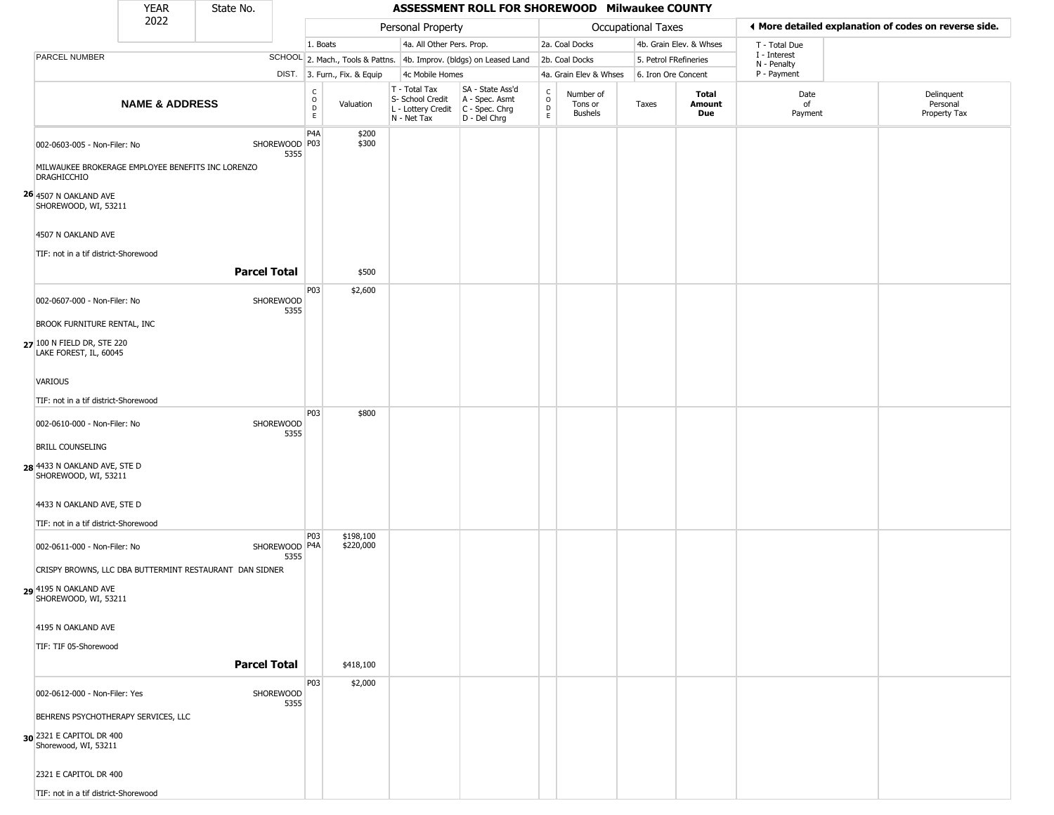|                                                                                                                                                                                                                                                        | <b>YEAR</b>               | State No.                                                                      |                                                   |                                             |                                     |                                                                                         | ASSESSMENT ROLL FOR SHOREWOOD Milwaukee COUNTY                      |                         |                                 |                           |                         |                             |                                                       |
|--------------------------------------------------------------------------------------------------------------------------------------------------------------------------------------------------------------------------------------------------------|---------------------------|--------------------------------------------------------------------------------|---------------------------------------------------|---------------------------------------------|-------------------------------------|-----------------------------------------------------------------------------------------|---------------------------------------------------------------------|-------------------------|---------------------------------|---------------------------|-------------------------|-----------------------------|-------------------------------------------------------|
|                                                                                                                                                                                                                                                        | 2022                      |                                                                                |                                                   |                                             |                                     | Personal Property                                                                       |                                                                     |                         |                                 | <b>Occupational Taxes</b> |                         |                             | ♦ More detailed explanation of codes on reverse side. |
|                                                                                                                                                                                                                                                        |                           |                                                                                |                                                   | 1. Boats                                    |                                     | 4a. All Other Pers. Prop.                                                               |                                                                     |                         | 2a. Coal Docks                  |                           | 4b. Grain Elev. & Whses | T - Total Due               |                                                       |
| PARCEL NUMBER                                                                                                                                                                                                                                          |                           |                                                                                |                                                   |                                             |                                     |                                                                                         | SCHOOL 2. Mach., Tools & Pattns. 4b. Improv. (bldgs) on Leased Land |                         | 2b. Coal Docks                  | 5. Petrol FRefineries     |                         | I - Interest<br>N - Penalty |                                                       |
|                                                                                                                                                                                                                                                        |                           |                                                                                |                                                   |                                             | DIST. 3. Furn., Fix. & Equip        | 4c Mobile Homes                                                                         |                                                                     |                         | 4a. Grain Elev & Whses          | 6. Iron Ore Concent       |                         | P - Payment                 |                                                       |
|                                                                                                                                                                                                                                                        | <b>NAME &amp; ADDRESS</b> |                                                                                |                                                   | $\frac{C}{O}$<br>$\mathsf D$<br>$\mathsf E$ | Valuation                           | T - Total Tax<br>S- School Credit<br>L - Lottery Credit   C - Spec. Chrg<br>N - Net Tax | SA - State Ass'd<br>A - Spec. Asmt<br>D - Del Chrg                  | C<br>$\circ$<br>D<br>E. | Number of<br>Tons or<br>Bushels | Taxes                     | Total<br>Amount<br>Due  | Date<br>of<br>Payment       | Delinquent<br>Personal<br>Property Tax                |
| 002-0603-005 - Non-Filer: No<br>MILWAUKEE BROKERAGE EMPLOYEE BENEFITS INC LORENZO<br><b>DRAGHICCHIO</b><br>26 4507 N OAKLAND AVE<br>SHOREWOOD, WI, 53211<br>4507 N OAKLAND AVE<br>TIF: not in a tif district-Shorewood<br>002-0607-000 - Non-Filer: No |                           | <b>Parcel Total</b>                                                            | SHOREWOOD P03<br>5355<br><b>SHOREWOOD</b><br>5355 | P <sub>4</sub> A<br>P03                     | \$200<br>\$300<br>\$500<br>\$2,600  |                                                                                         |                                                                     |                         |                                 |                           |                         |                             |                                                       |
| BROOK FURNITURE RENTAL, INC<br>27 100 N FIELD DR, STE 220<br>LAKE FOREST, IL, 60045<br>VARIOUS<br>TIF: not in a tif district-Shorewood                                                                                                                 |                           |                                                                                |                                                   |                                             |                                     |                                                                                         |                                                                     |                         |                                 |                           |                         |                             |                                                       |
| 002-0610-000 - Non-Filer: No<br><b>BRILL COUNSELING</b><br>28 4433 N OAKLAND AVE, STE D<br>SHOREWOOD, WI, 53211<br>4433 N OAKLAND AVE, STE D<br>TIF: not in a tif district-Shorewood                                                                   |                           |                                                                                | SHOREWOOD<br>5355                                 | <b>P03</b>                                  | \$800                               |                                                                                         |                                                                     |                         |                                 |                           |                         |                             |                                                       |
| 002-0611-000 - Non-Filer: No<br>29 4195 N OAKLAND AVE<br>SHOREWOOD, WI, 53211<br>4195 N OAKLAND AVE<br>TIF: TIF 05-Shorewood                                                                                                                           |                           | CRISPY BROWNS, LLC DBA BUTTERMINT RESTAURANT DAN SIDNER<br><b>Parcel Total</b> | SHOREWOOD   P4A<br>5355                           | <b>P03</b>                                  | \$198,100<br>\$220,000<br>\$418,100 |                                                                                         |                                                                     |                         |                                 |                           |                         |                             |                                                       |
| 002-0612-000 - Non-Filer: Yes<br>BEHRENS PSYCHOTHERAPY SERVICES, LLC<br>30 2321 E CAPITOL DR 400<br>Shorewood, WI, 53211<br>2321 E CAPITOL DR 400<br>TIF: not in a tif district-Shorewood                                                              |                           |                                                                                | SHOREWOOD<br>5355                                 | P03                                         | \$2,000                             |                                                                                         |                                                                     |                         |                                 |                           |                         |                             |                                                       |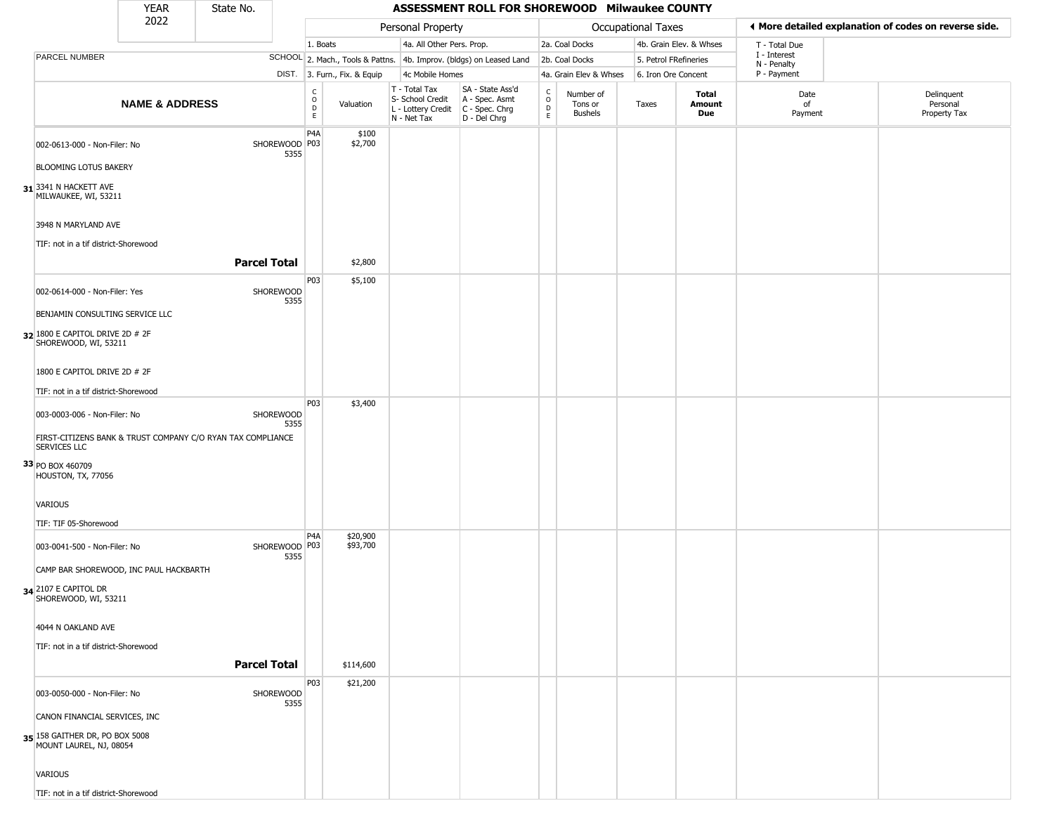|                                                                                                                    | <b>YEAR</b>               | State No.           |                       |                                   |                              |                                                                                         | ASSESSMENT ROLL FOR SHOREWOOD Milwaukee COUNTY                      |                         |                                        |                       |                               |                             |                                                       |
|--------------------------------------------------------------------------------------------------------------------|---------------------------|---------------------|-----------------------|-----------------------------------|------------------------------|-----------------------------------------------------------------------------------------|---------------------------------------------------------------------|-------------------------|----------------------------------------|-----------------------|-------------------------------|-----------------------------|-------------------------------------------------------|
|                                                                                                                    | 2022                      |                     |                       |                                   |                              | Personal Property                                                                       |                                                                     |                         |                                        | Occupational Taxes    |                               |                             | ♦ More detailed explanation of codes on reverse side. |
|                                                                                                                    |                           |                     |                       | 1. Boats                          |                              | 4a. All Other Pers. Prop.                                                               |                                                                     |                         | 2a. Coal Docks                         |                       | 4b. Grain Elev. & Whses       | T - Total Due               |                                                       |
| PARCEL NUMBER                                                                                                      |                           |                     |                       |                                   |                              |                                                                                         | SCHOOL 2. Mach., Tools & Pattns. 4b. Improv. (bldgs) on Leased Land |                         | 2b. Coal Docks                         | 5. Petrol FRefineries |                               | I - Interest<br>N - Penalty |                                                       |
|                                                                                                                    |                           |                     |                       |                                   | DIST. 3. Furn., Fix. & Equip | 4c Mobile Homes                                                                         |                                                                     |                         | 4a. Grain Elev & Whses                 | 6. Iron Ore Concent   |                               | P - Payment                 |                                                       |
|                                                                                                                    | <b>NAME &amp; ADDRESS</b> |                     |                       | $\frac{C}{O}$<br>D<br>$\mathsf E$ | Valuation                    | T - Total Tax<br>S- School Credit<br>L - Lottery Credit   C - Spec. Chrg<br>N - Net Tax | SA - State Ass'd<br>A - Spec. Asmt<br>D - Del Chrg                  | C<br>$\circ$<br>D<br>E. | Number of<br>Tons or<br><b>Bushels</b> | Taxes                 | Total<br><b>Amount</b><br>Due | Date<br>of<br>Payment       | Delinquent<br>Personal<br>Property Tax                |
| 002-0613-000 - Non-Filer: No<br><b>BLOOMING LOTUS BAKERY</b>                                                       |                           |                     | SHOREWOOD P03<br>5355 | P <sub>4</sub> A                  | \$100<br>\$2,700             |                                                                                         |                                                                     |                         |                                        |                       |                               |                             |                                                       |
| 31 3341 N HACKETT AVE<br>MILWAUKEE, WI, 53211<br>3948 N MARYLAND AVE                                               |                           |                     |                       |                                   |                              |                                                                                         |                                                                     |                         |                                        |                       |                               |                             |                                                       |
| TIF: not in a tif district-Shorewood                                                                               |                           | <b>Parcel Total</b> |                       |                                   | \$2,800                      |                                                                                         |                                                                     |                         |                                        |                       |                               |                             |                                                       |
| 002-0614-000 - Non-Filer: Yes<br>BENJAMIN CONSULTING SERVICE LLC<br>32 1800 E CAPITOL DRIVE 2D # 2F                |                           |                     | SHOREWOOD<br>5355     | P03                               | \$5,100                      |                                                                                         |                                                                     |                         |                                        |                       |                               |                             |                                                       |
| SHOREWOOD, WI, 53211<br>1800 E CAPITOL DRIVE 2D # 2F<br>TIF: not in a tif district-Shorewood                       |                           |                     |                       |                                   |                              |                                                                                         |                                                                     |                         |                                        |                       |                               |                             |                                                       |
| 003-0003-006 - Non-Filer: No<br>FIRST-CITIZENS BANK & TRUST COMPANY C/O RYAN TAX COMPLIANCE<br><b>SERVICES LLC</b> |                           |                     | SHOREWOOD<br>5355     | P03                               | \$3,400                      |                                                                                         |                                                                     |                         |                                        |                       |                               |                             |                                                       |
| 33 PO BOX 460709<br>HOUSTON, TX, 77056                                                                             |                           |                     |                       |                                   |                              |                                                                                         |                                                                     |                         |                                        |                       |                               |                             |                                                       |
| VARIOUS                                                                                                            |                           |                     |                       |                                   |                              |                                                                                         |                                                                     |                         |                                        |                       |                               |                             |                                                       |
| TIF: TIF 05-Shorewood                                                                                              |                           |                     |                       | P <sub>4</sub> A                  | \$20,900                     |                                                                                         |                                                                     |                         |                                        |                       |                               |                             |                                                       |
| 003-0041-500 - Non-Filer: No<br>CAMP BAR SHOREWOOD, INC PAUL HACKBARTH                                             |                           |                     | SHOREWOOD P03<br>5355 |                                   | \$93,700                     |                                                                                         |                                                                     |                         |                                        |                       |                               |                             |                                                       |
| 34 2107 E CAPITOL DR<br>SHOREWOOD, WI, 53211                                                                       |                           |                     |                       |                                   |                              |                                                                                         |                                                                     |                         |                                        |                       |                               |                             |                                                       |
| 4044 N OAKLAND AVE                                                                                                 |                           |                     |                       |                                   |                              |                                                                                         |                                                                     |                         |                                        |                       |                               |                             |                                                       |
| TIF: not in a tif district-Shorewood                                                                               |                           | <b>Parcel Total</b> |                       |                                   | \$114,600                    |                                                                                         |                                                                     |                         |                                        |                       |                               |                             |                                                       |
|                                                                                                                    |                           |                     |                       | P03                               | \$21,200                     |                                                                                         |                                                                     |                         |                                        |                       |                               |                             |                                                       |
| 003-0050-000 - Non-Filer: No                                                                                       |                           |                     | SHOREWOOD<br>5355     |                                   |                              |                                                                                         |                                                                     |                         |                                        |                       |                               |                             |                                                       |
| CANON FINANCIAL SERVICES, INC<br>35 158 GAITHER DR, PO BOX 5008<br>MOUNT LAUREL, NJ, 08054                         |                           |                     |                       |                                   |                              |                                                                                         |                                                                     |                         |                                        |                       |                               |                             |                                                       |
| <b>VARIOUS</b>                                                                                                     |                           |                     |                       |                                   |                              |                                                                                         |                                                                     |                         |                                        |                       |                               |                             |                                                       |
| TIF: not in a tif district-Shorewood                                                                               |                           |                     |                       |                                   |                              |                                                                                         |                                                                     |                         |                                        |                       |                               |                             |                                                       |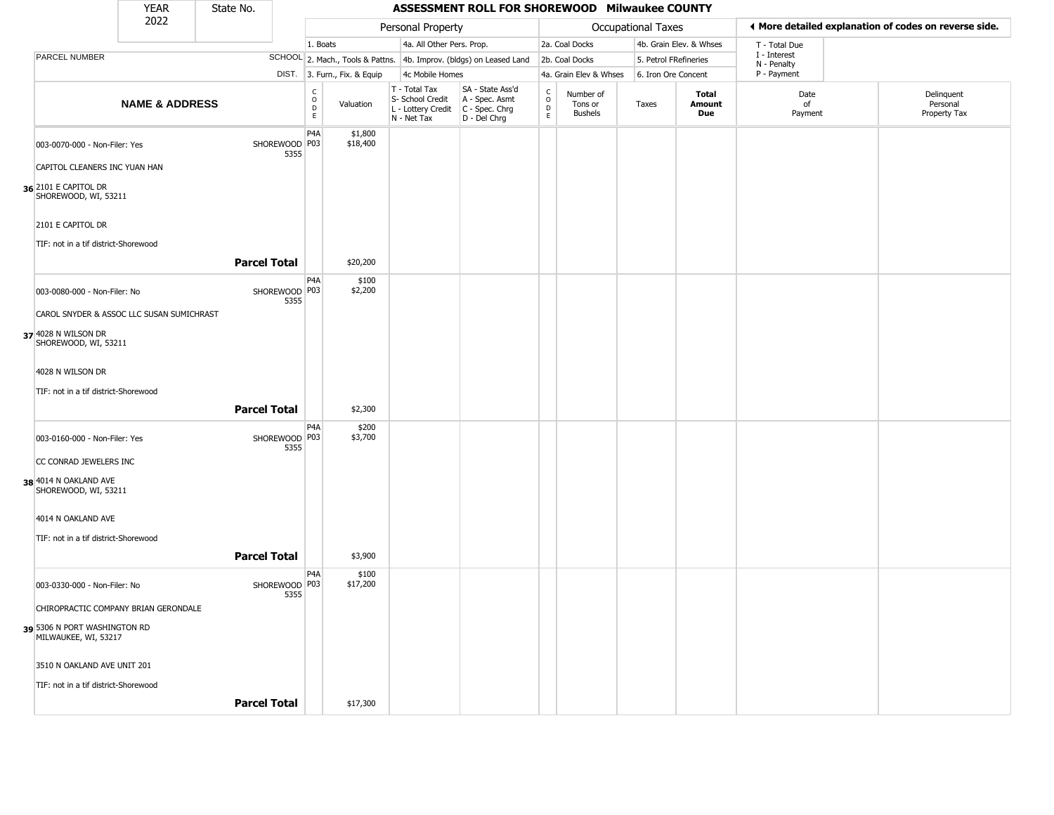|                                                      | <b>YEAR</b>               | State No.           |                         |                                             |                              |                                                                                         | ASSESSMENT ROLL FOR SHOREWOOD Milwaukee COUNTY                      |                                   |                                        |                           |                         |                             |                                                       |  |
|------------------------------------------------------|---------------------------|---------------------|-------------------------|---------------------------------------------|------------------------------|-----------------------------------------------------------------------------------------|---------------------------------------------------------------------|-----------------------------------|----------------------------------------|---------------------------|-------------------------|-----------------------------|-------------------------------------------------------|--|
|                                                      | 2022                      |                     |                         |                                             |                              | Personal Property                                                                       |                                                                     |                                   |                                        | <b>Occupational Taxes</b> |                         |                             | ♦ More detailed explanation of codes on reverse side. |  |
|                                                      |                           |                     |                         | 1. Boats                                    |                              | 4a. All Other Pers. Prop.                                                               |                                                                     |                                   | 2a. Coal Docks                         |                           | 4b. Grain Elev. & Whses | T - Total Due               |                                                       |  |
| PARCEL NUMBER                                        |                           |                     |                         |                                             |                              |                                                                                         | SCHOOL 2. Mach., Tools & Pattns. 4b. Improv. (bldgs) on Leased Land |                                   | 2b. Coal Docks                         | 5. Petrol FRefineries     |                         | I - Interest<br>N - Penalty |                                                       |  |
|                                                      |                           |                     |                         |                                             | DIST. 3. Furn., Fix. & Equip | 4c Mobile Homes                                                                         |                                                                     |                                   | 4a. Grain Elev & Whses                 | 6. Iron Ore Concent       |                         | P - Payment                 |                                                       |  |
|                                                      | <b>NAME &amp; ADDRESS</b> |                     |                         | $\frac{c}{0}$<br>$\mathsf D$<br>$\mathsf E$ | Valuation                    | T - Total Tax<br>S- School Credit<br>L - Lottery Credit   C - Spec. Chrg<br>N - Net Tax | SA - State Ass'd<br>A - Spec. Asmt<br>D - Del Chrg                  | C<br>$\circ$<br>$\mathsf{D}$<br>E | Number of<br>Tons or<br><b>Bushels</b> | Taxes                     | Total<br>Amount<br>Due  | Date<br>of<br>Payment       | Delinquent<br>Personal<br>Property Tax                |  |
| 003-0070-000 - Non-Filer: Yes                        |                           |                     | SHOREWOOD P03<br>5355   | P <sub>4</sub> A                            | \$1,800<br>\$18,400          |                                                                                         |                                                                     |                                   |                                        |                           |                         |                             |                                                       |  |
| CAPITOL CLEANERS INC YUAN HAN                        |                           |                     |                         |                                             |                              |                                                                                         |                                                                     |                                   |                                        |                           |                         |                             |                                                       |  |
| 36 2101 E CAPITOL DR<br>SHOREWOOD, WI, 53211         |                           |                     |                         |                                             |                              |                                                                                         |                                                                     |                                   |                                        |                           |                         |                             |                                                       |  |
| 2101 E CAPITOL DR                                    |                           |                     |                         |                                             |                              |                                                                                         |                                                                     |                                   |                                        |                           |                         |                             |                                                       |  |
| TIF: not in a tif district-Shorewood                 |                           |                     |                         |                                             |                              |                                                                                         |                                                                     |                                   |                                        |                           |                         |                             |                                                       |  |
|                                                      |                           | <b>Parcel Total</b> |                         |                                             | \$20,200                     |                                                                                         |                                                                     |                                   |                                        |                           |                         |                             |                                                       |  |
| 003-0080-000 - Non-Filer: No                         |                           |                     | SHOREWOOD   P03<br>5355 | P <sub>4</sub> A                            | \$100<br>\$2,200             |                                                                                         |                                                                     |                                   |                                        |                           |                         |                             |                                                       |  |
| CAROL SNYDER & ASSOC LLC SUSAN SUMICHRAST            |                           |                     |                         |                                             |                              |                                                                                         |                                                                     |                                   |                                        |                           |                         |                             |                                                       |  |
| 37 4028 N WILSON DR<br>SHOREWOOD, WI, 53211          |                           |                     |                         |                                             |                              |                                                                                         |                                                                     |                                   |                                        |                           |                         |                             |                                                       |  |
| 4028 N WILSON DR                                     |                           |                     |                         |                                             |                              |                                                                                         |                                                                     |                                   |                                        |                           |                         |                             |                                                       |  |
| TIF: not in a tif district-Shorewood                 |                           |                     |                         |                                             |                              |                                                                                         |                                                                     |                                   |                                        |                           |                         |                             |                                                       |  |
|                                                      |                           | <b>Parcel Total</b> |                         |                                             | \$2,300                      |                                                                                         |                                                                     |                                   |                                        |                           |                         |                             |                                                       |  |
| 003-0160-000 - Non-Filer: Yes                        |                           |                     | SHOREWOOD P03<br>5355   | P <sub>4</sub> A                            | \$200<br>\$3,700             |                                                                                         |                                                                     |                                   |                                        |                           |                         |                             |                                                       |  |
| CC CONRAD JEWELERS INC                               |                           |                     |                         |                                             |                              |                                                                                         |                                                                     |                                   |                                        |                           |                         |                             |                                                       |  |
| 38 4014 N OAKLAND AVE<br>SHOREWOOD, WI, 53211        |                           |                     |                         |                                             |                              |                                                                                         |                                                                     |                                   |                                        |                           |                         |                             |                                                       |  |
| 4014 N OAKLAND AVE                                   |                           |                     |                         |                                             |                              |                                                                                         |                                                                     |                                   |                                        |                           |                         |                             |                                                       |  |
| TIF: not in a tif district-Shorewood                 |                           |                     |                         |                                             |                              |                                                                                         |                                                                     |                                   |                                        |                           |                         |                             |                                                       |  |
|                                                      |                           | <b>Parcel Total</b> |                         |                                             | \$3,900                      |                                                                                         |                                                                     |                                   |                                        |                           |                         |                             |                                                       |  |
| 003-0330-000 - Non-Filer: No                         |                           |                     | SHOREWOOD P03<br>5355   | P <sub>4</sub> A                            | \$100<br>\$17,200            |                                                                                         |                                                                     |                                   |                                        |                           |                         |                             |                                                       |  |
| CHIROPRACTIC COMPANY BRIAN GERONDALE                 |                           |                     |                         |                                             |                              |                                                                                         |                                                                     |                                   |                                        |                           |                         |                             |                                                       |  |
| 39 5306 N PORT WASHINGTON RD<br>MILWAUKEE, WI, 53217 |                           |                     |                         |                                             |                              |                                                                                         |                                                                     |                                   |                                        |                           |                         |                             |                                                       |  |
| 3510 N OAKLAND AVE UNIT 201                          |                           |                     |                         |                                             |                              |                                                                                         |                                                                     |                                   |                                        |                           |                         |                             |                                                       |  |
| TIF: not in a tif district-Shorewood                 |                           |                     |                         |                                             |                              |                                                                                         |                                                                     |                                   |                                        |                           |                         |                             |                                                       |  |
|                                                      |                           | <b>Parcel Total</b> |                         |                                             | \$17,300                     |                                                                                         |                                                                     |                                   |                                        |                           |                         |                             |                                                       |  |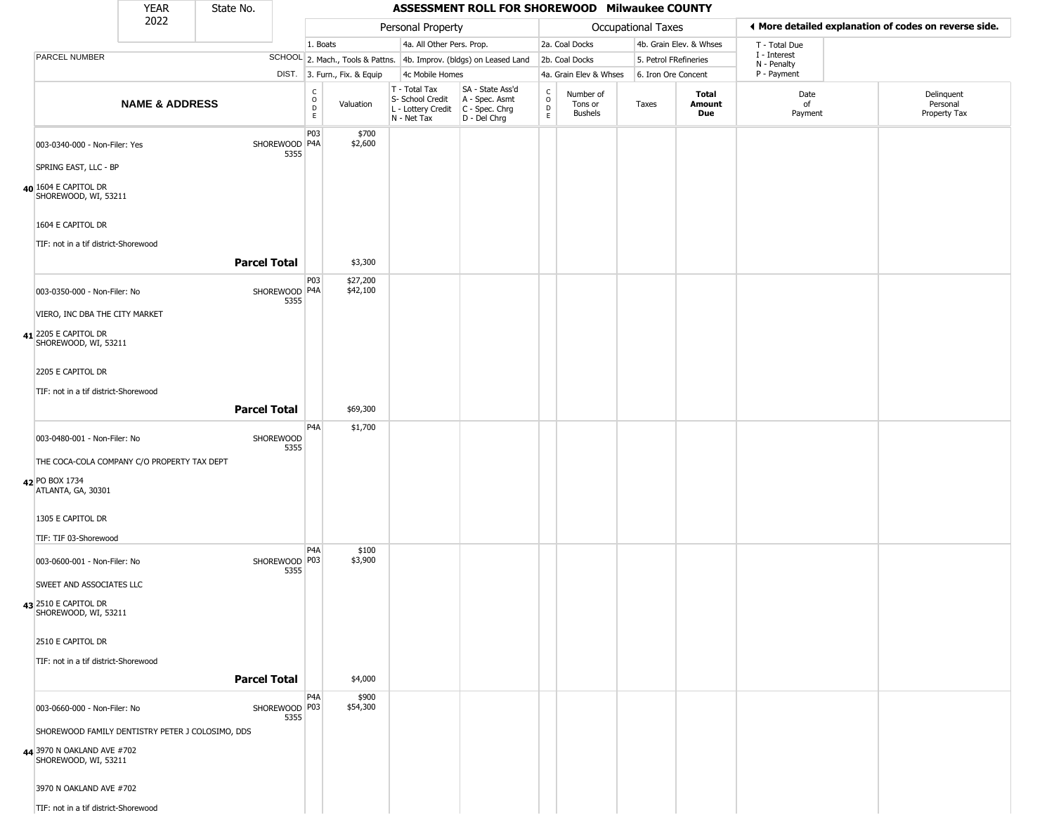|                                                          | <b>YEAR</b>                                      | State No.           |                         |                                                 |                              |                                                                                         | ASSESSMENT ROLL FOR SHOREWOOD Milwaukee COUNTY                      |                        |                                 |                           |                         |                             |                                                       |
|----------------------------------------------------------|--------------------------------------------------|---------------------|-------------------------|-------------------------------------------------|------------------------------|-----------------------------------------------------------------------------------------|---------------------------------------------------------------------|------------------------|---------------------------------|---------------------------|-------------------------|-----------------------------|-------------------------------------------------------|
|                                                          | 2022                                             |                     |                         |                                                 |                              | Personal Property                                                                       |                                                                     |                        |                                 | <b>Occupational Taxes</b> |                         |                             | ◀ More detailed explanation of codes on reverse side. |
|                                                          |                                                  |                     |                         | 1. Boats                                        |                              | 4a. All Other Pers. Prop.                                                               |                                                                     |                        | 2a. Coal Docks                  |                           | 4b. Grain Elev. & Whses | T - Total Due               |                                                       |
| PARCEL NUMBER                                            |                                                  |                     |                         |                                                 |                              |                                                                                         | SCHOOL 2. Mach., Tools & Pattns. 4b. Improv. (bldgs) on Leased Land |                        | 2b. Coal Docks                  | 5. Petrol FRefineries     |                         | I - Interest<br>N - Penalty |                                                       |
|                                                          |                                                  |                     |                         |                                                 | DIST. 3. Furn., Fix. & Equip | 4c Mobile Homes                                                                         |                                                                     |                        | 4a. Grain Elev & Whses          | 6. Iron Ore Concent       |                         | P - Payment                 |                                                       |
|                                                          | <b>NAME &amp; ADDRESS</b>                        |                     |                         | $\begin{array}{c} C \\ O \\ D \\ E \end{array}$ | Valuation                    | T - Total Tax<br>S- School Credit<br>L - Lottery Credit   C - Spec. Chrg<br>N - Net Tax | SA - State Ass'd<br>A - Spec. Asmt<br>D - Del Chrg                  | C<br>$\circ$<br>D<br>E | Number of<br>Tons or<br>Bushels | Taxes                     | Total<br>Amount<br>Due  | Date<br>of<br>Payment       | Delinquent<br>Personal<br>Property Tax                |
| 003-0340-000 - Non-Filer: Yes                            |                                                  |                     | SHOREWOOD P4A<br>5355   | P03                                             | \$700<br>\$2,600             |                                                                                         |                                                                     |                        |                                 |                           |                         |                             |                                                       |
| SPRING EAST, LLC - BP                                    |                                                  |                     |                         |                                                 |                              |                                                                                         |                                                                     |                        |                                 |                           |                         |                             |                                                       |
| 40 1604 E CAPITOL DR<br>SHOREWOOD, WI, 53211             |                                                  |                     |                         |                                                 |                              |                                                                                         |                                                                     |                        |                                 |                           |                         |                             |                                                       |
| 1604 E CAPITOL DR                                        |                                                  |                     |                         |                                                 |                              |                                                                                         |                                                                     |                        |                                 |                           |                         |                             |                                                       |
| TIF: not in a tif district-Shorewood                     |                                                  | <b>Parcel Total</b> |                         |                                                 | \$3,300                      |                                                                                         |                                                                     |                        |                                 |                           |                         |                             |                                                       |
| 003-0350-000 - Non-Filer: No                             |                                                  |                     | SHOREWOOD P4A<br>5355   | P03                                             | \$27,200<br>\$42,100         |                                                                                         |                                                                     |                        |                                 |                           |                         |                             |                                                       |
| VIERO, INC DBA THE CITY MARKET                           |                                                  |                     |                         |                                                 |                              |                                                                                         |                                                                     |                        |                                 |                           |                         |                             |                                                       |
| 41 2205 E CAPITOL DR<br>SHOREWOOD, WI, 53211             |                                                  |                     |                         |                                                 |                              |                                                                                         |                                                                     |                        |                                 |                           |                         |                             |                                                       |
| 2205 E CAPITOL DR                                        |                                                  |                     |                         |                                                 |                              |                                                                                         |                                                                     |                        |                                 |                           |                         |                             |                                                       |
| TIF: not in a tif district-Shorewood                     |                                                  | <b>Parcel Total</b> |                         |                                                 | \$69,300                     |                                                                                         |                                                                     |                        |                                 |                           |                         |                             |                                                       |
| 003-0480-001 - Non-Filer: No                             |                                                  |                     | SHOREWOOD               | P4A                                             | \$1,700                      |                                                                                         |                                                                     |                        |                                 |                           |                         |                             |                                                       |
|                                                          | THE COCA-COLA COMPANY C/O PROPERTY TAX DEPT      |                     | 5355                    |                                                 |                              |                                                                                         |                                                                     |                        |                                 |                           |                         |                             |                                                       |
| 42 PO BOX 1734<br>ATLANTA, GA, 30301                     |                                                  |                     |                         |                                                 |                              |                                                                                         |                                                                     |                        |                                 |                           |                         |                             |                                                       |
| 1305 E CAPITOL DR                                        |                                                  |                     |                         |                                                 |                              |                                                                                         |                                                                     |                        |                                 |                           |                         |                             |                                                       |
| TIF: TIF 03-Shorewood                                    |                                                  |                     |                         | P <sub>4</sub> A                                | \$100                        |                                                                                         |                                                                     |                        |                                 |                           |                         |                             |                                                       |
| 003-0600-001 - Non-Filer: No<br>SWEET AND ASSOCIATES LLC |                                                  |                     | SHOREWOOD   P03<br>5355 |                                                 | \$3,900                      |                                                                                         |                                                                     |                        |                                 |                           |                         |                             |                                                       |
| 43 2510 E CAPITOL DR<br>SHOREWOOD, WI, 53211             |                                                  |                     |                         |                                                 |                              |                                                                                         |                                                                     |                        |                                 |                           |                         |                             |                                                       |
| 2510 E CAPITOL DR                                        |                                                  |                     |                         |                                                 |                              |                                                                                         |                                                                     |                        |                                 |                           |                         |                             |                                                       |
| TIF: not in a tif district-Shorewood                     |                                                  | <b>Parcel Total</b> |                         |                                                 | \$4,000                      |                                                                                         |                                                                     |                        |                                 |                           |                         |                             |                                                       |
|                                                          |                                                  |                     |                         | P <sub>4</sub> A                                | \$900                        |                                                                                         |                                                                     |                        |                                 |                           |                         |                             |                                                       |
| 003-0660-000 - Non-Filer: No                             |                                                  |                     | SHOREWOOD P03<br>5355   |                                                 | \$54,300                     |                                                                                         |                                                                     |                        |                                 |                           |                         |                             |                                                       |
|                                                          | SHOREWOOD FAMILY DENTISTRY PETER J COLOSIMO, DDS |                     |                         |                                                 |                              |                                                                                         |                                                                     |                        |                                 |                           |                         |                             |                                                       |
| 44 3970 N OAKLAND AVE #702<br>SHOREWOOD, WI, 53211       |                                                  |                     |                         |                                                 |                              |                                                                                         |                                                                     |                        |                                 |                           |                         |                             |                                                       |
| 3970 N OAKLAND AVE #702                                  |                                                  |                     |                         |                                                 |                              |                                                                                         |                                                                     |                        |                                 |                           |                         |                             |                                                       |
| TIF: not in a tif district-Shorewood                     |                                                  |                     |                         |                                                 |                              |                                                                                         |                                                                     |                        |                                 |                           |                         |                             |                                                       |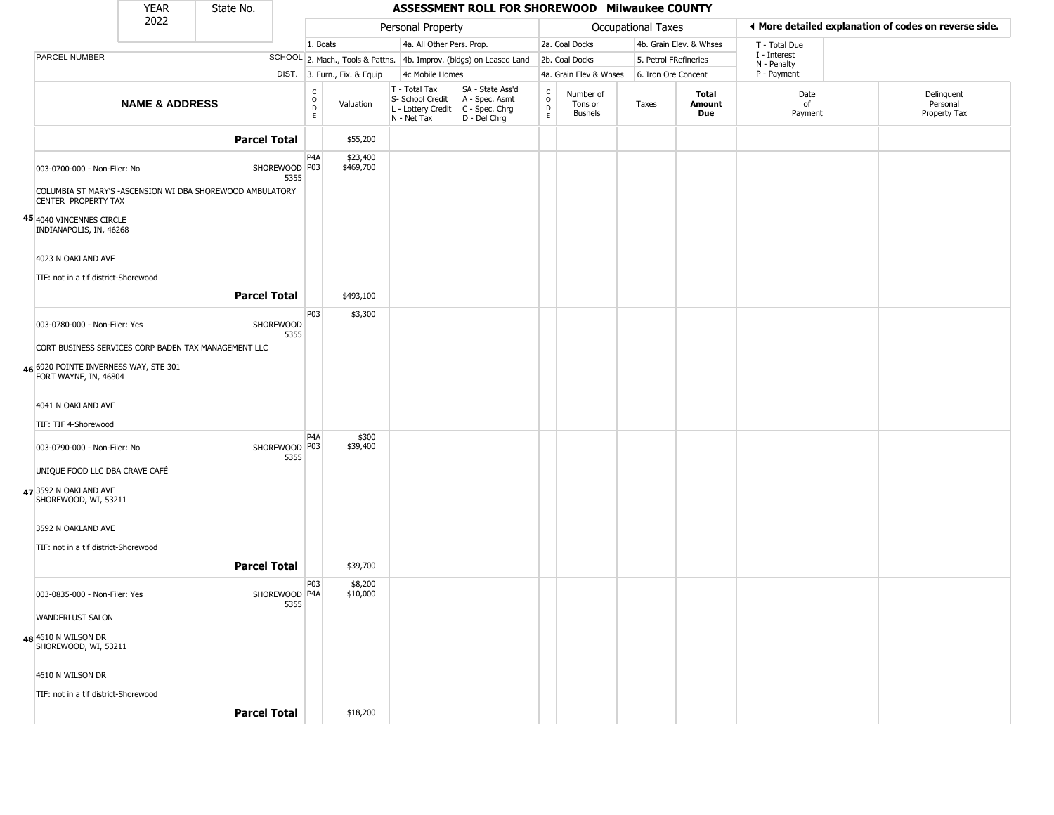|                                                                                 | <b>YEAR</b>               | State No.                                                                  |                                |                              |                                                                        | ASSESSMENT ROLL FOR SHOREWOOD Milwaukee COUNTY                       |                                   |                                        |                       |                         |                                                       |                                        |
|---------------------------------------------------------------------------------|---------------------------|----------------------------------------------------------------------------|--------------------------------|------------------------------|------------------------------------------------------------------------|----------------------------------------------------------------------|-----------------------------------|----------------------------------------|-----------------------|-------------------------|-------------------------------------------------------|----------------------------------------|
|                                                                                 | 2022                      |                                                                            |                                |                              | Personal Property                                                      |                                                                      |                                   |                                        | Occupational Taxes    |                         | ◀ More detailed explanation of codes on reverse side. |                                        |
|                                                                                 |                           |                                                                            |                                | 1. Boats                     | 4a. All Other Pers. Prop.                                              |                                                                      |                                   | 2a. Coal Docks                         |                       | 4b. Grain Elev. & Whses | T - Total Due                                         |                                        |
| PARCEL NUMBER                                                                   |                           |                                                                            |                                |                              |                                                                        | SCHOOL 2. Mach., Tools & Pattns. 4b. Improv. (bldgs) on Leased Land  |                                   | 2b. Coal Docks                         | 5. Petrol FRefineries |                         | I - Interest<br>N - Penalty                           |                                        |
|                                                                                 |                           |                                                                            |                                | DIST. 3. Furn., Fix. & Equip | 4c Mobile Homes                                                        |                                                                      |                                   | 4a. Grain Elev & Whses                 | 6. Iron Ore Concent   |                         | P - Payment                                           |                                        |
|                                                                                 | <b>NAME &amp; ADDRESS</b> |                                                                            | $\rm _o^C$<br>$\mathsf D$<br>E | Valuation                    | T - Total Tax<br>S- School Credit<br>L - Lottery Credit<br>N - Net Tax | SA - State Ass'd<br>A - Spec. Asmt<br>C - Spec. Chrg<br>D - Del Chrg | $\mathsf{C}$<br>$\circ$<br>D<br>E | Number of<br>Tons or<br><b>Bushels</b> | Taxes                 | Total<br>Amount<br>Due  | Date<br>of<br>Payment                                 | Delinquent<br>Personal<br>Property Tax |
|                                                                                 |                           | <b>Parcel Total</b>                                                        |                                | \$55,200                     |                                                                        |                                                                      |                                   |                                        |                       |                         |                                                       |                                        |
| 003-0700-000 - Non-Filer: No                                                    |                           | SHOREWOOD P03<br>COLUMBIA ST MARY'S -ASCENSION WI DBA SHOREWOOD AMBULATORY | P <sub>4</sub> A<br>5355       | \$23,400<br>\$469,700        |                                                                        |                                                                      |                                   |                                        |                       |                         |                                                       |                                        |
| CENTER PROPERTY TAX                                                             |                           |                                                                            |                                |                              |                                                                        |                                                                      |                                   |                                        |                       |                         |                                                       |                                        |
| 45 4040 VINCENNES CIRCLE<br>INDIANAPOLIS, IN, 46268                             |                           |                                                                            |                                |                              |                                                                        |                                                                      |                                   |                                        |                       |                         |                                                       |                                        |
| 4023 N OAKLAND AVE                                                              |                           |                                                                            |                                |                              |                                                                        |                                                                      |                                   |                                        |                       |                         |                                                       |                                        |
| TIF: not in a tif district-Shorewood                                            |                           |                                                                            |                                |                              |                                                                        |                                                                      |                                   |                                        |                       |                         |                                                       |                                        |
|                                                                                 |                           | <b>Parcel Total</b>                                                        |                                | \$493,100                    |                                                                        |                                                                      |                                   |                                        |                       |                         |                                                       |                                        |
| 003-0780-000 - Non-Filer: Yes                                                   |                           | SHOREWOOD                                                                  | P03<br>5355                    | \$3,300                      |                                                                        |                                                                      |                                   |                                        |                       |                         |                                                       |                                        |
|                                                                                 |                           | CORT BUSINESS SERVICES CORP BADEN TAX MANAGEMENT LLC                       |                                |                              |                                                                        |                                                                      |                                   |                                        |                       |                         |                                                       |                                        |
| 46 6920 POINTE INVERNESS WAY, STE 301<br>FORT WAYNE, IN, 46804                  |                           |                                                                            |                                |                              |                                                                        |                                                                      |                                   |                                        |                       |                         |                                                       |                                        |
| 4041 N OAKLAND AVE                                                              |                           |                                                                            |                                |                              |                                                                        |                                                                      |                                   |                                        |                       |                         |                                                       |                                        |
|                                                                                 |                           |                                                                            |                                |                              |                                                                        |                                                                      |                                   |                                        |                       |                         |                                                       |                                        |
| TIF: TIF 4-Shorewood                                                            |                           |                                                                            | P <sub>4</sub> A               | \$300                        |                                                                        |                                                                      |                                   |                                        |                       |                         |                                                       |                                        |
| 003-0790-000 - Non-Filer: No                                                    |                           | SHOREWOOD P03                                                              | 5355                           | \$39,400                     |                                                                        |                                                                      |                                   |                                        |                       |                         |                                                       |                                        |
| UNIQUE FOOD LLC DBA CRAVE CAFÉ<br>47 3592 N OAKLAND AVE<br>SHOREWOOD, WI, 53211 |                           |                                                                            |                                |                              |                                                                        |                                                                      |                                   |                                        |                       |                         |                                                       |                                        |
| 3592 N OAKLAND AVE                                                              |                           |                                                                            |                                |                              |                                                                        |                                                                      |                                   |                                        |                       |                         |                                                       |                                        |
|                                                                                 |                           |                                                                            |                                |                              |                                                                        |                                                                      |                                   |                                        |                       |                         |                                                       |                                        |
| TIF: not in a tif district-Shorewood                                            |                           |                                                                            |                                |                              |                                                                        |                                                                      |                                   |                                        |                       |                         |                                                       |                                        |
|                                                                                 |                           | <b>Parcel Total</b>                                                        |                                | \$39,700                     |                                                                        |                                                                      |                                   |                                        |                       |                         |                                                       |                                        |
| 003-0835-000 - Non-Filer: Yes                                                   |                           | SHOREWOOD P4A                                                              | P03<br>5355                    | \$8,200<br>\$10,000          |                                                                        |                                                                      |                                   |                                        |                       |                         |                                                       |                                        |
| <b>WANDERLUST SALON</b>                                                         |                           |                                                                            |                                |                              |                                                                        |                                                                      |                                   |                                        |                       |                         |                                                       |                                        |
| 48 4610 N WILSON DR<br>SHOREWOOD, WI, 53211                                     |                           |                                                                            |                                |                              |                                                                        |                                                                      |                                   |                                        |                       |                         |                                                       |                                        |
| 4610 N WILSON DR                                                                |                           |                                                                            |                                |                              |                                                                        |                                                                      |                                   |                                        |                       |                         |                                                       |                                        |
| TIF: not in a tif district-Shorewood                                            |                           |                                                                            |                                |                              |                                                                        |                                                                      |                                   |                                        |                       |                         |                                                       |                                        |
|                                                                                 |                           | <b>Parcel Total</b>                                                        |                                | \$18,200                     |                                                                        |                                                                      |                                   |                                        |                       |                         |                                                       |                                        |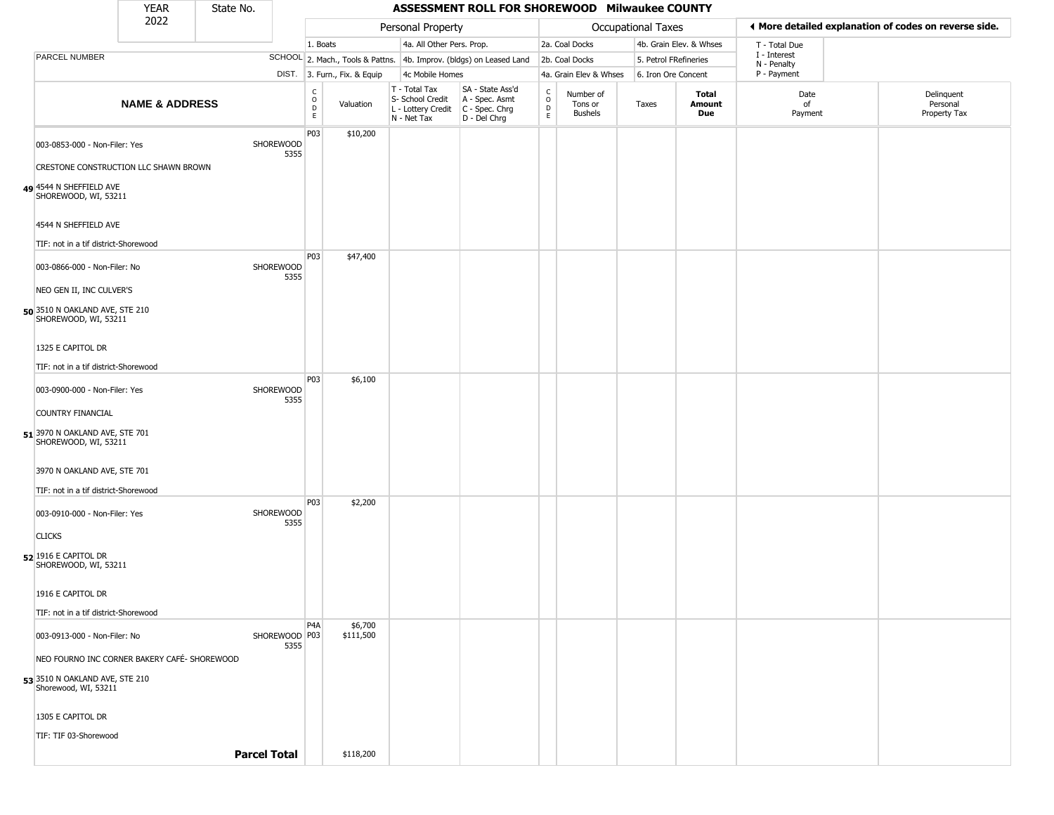|                                                        | <b>YEAR</b>               | State No.           |                       |                        |                              |                                                                        | ASSESSMENT ROLL FOR SHOREWOOD Milwaukee COUNTY                       |                         |                                        |                           |                               |                             |                                                       |  |
|--------------------------------------------------------|---------------------------|---------------------|-----------------------|------------------------|------------------------------|------------------------------------------------------------------------|----------------------------------------------------------------------|-------------------------|----------------------------------------|---------------------------|-------------------------------|-----------------------------|-------------------------------------------------------|--|
|                                                        | 2022                      |                     |                       |                        |                              | Personal Property                                                      |                                                                      |                         |                                        | <b>Occupational Taxes</b> |                               |                             | ♦ More detailed explanation of codes on reverse side. |  |
|                                                        |                           |                     |                       | 1. Boats               |                              | 4a. All Other Pers. Prop.                                              |                                                                      |                         | 2a. Coal Docks                         |                           | 4b. Grain Elev. & Whses       | T - Total Due               |                                                       |  |
| PARCEL NUMBER                                          |                           |                     |                       |                        |                              |                                                                        | SCHOOL 2. Mach., Tools & Pattns. 4b. Improv. (bldgs) on Leased Land  |                         | 2b. Coal Docks                         |                           | 5. Petrol FRefineries         | I - Interest<br>N - Penalty |                                                       |  |
|                                                        |                           |                     |                       |                        | DIST. 3. Furn., Fix. & Equip | 4c Mobile Homes                                                        |                                                                      |                         | 4a. Grain Elev & Whses                 |                           | 6. Iron Ore Concent           | P - Payment                 |                                                       |  |
|                                                        | <b>NAME &amp; ADDRESS</b> |                     |                       | C<br>$\circ$<br>D<br>E | Valuation                    | T - Total Tax<br>S- School Credit<br>L - Lottery Credit<br>N - Net Tax | SA - State Ass'd<br>A - Spec. Asmt<br>C - Spec. Chrg<br>D - Del Chrg | $\frac{c}{0}$<br>D<br>E | Number of<br>Tons or<br><b>Bushels</b> | Taxes                     | Total<br>Amount<br><b>Due</b> | Date<br>of<br>Payment       | Delinquent<br>Personal<br>Property Tax                |  |
| 003-0853-000 - Non-Filer: Yes                          |                           |                     | SHOREWOOD<br>5355     | P03                    | \$10,200                     |                                                                        |                                                                      |                         |                                        |                           |                               |                             |                                                       |  |
| CRESTONE CONSTRUCTION LLC SHAWN BROWN                  |                           |                     |                       |                        |                              |                                                                        |                                                                      |                         |                                        |                           |                               |                             |                                                       |  |
| 49 4544 N SHEFFIELD AVE<br>SHOREWOOD, WI, 53211        |                           |                     |                       |                        |                              |                                                                        |                                                                      |                         |                                        |                           |                               |                             |                                                       |  |
| 4544 N SHEFFIELD AVE                                   |                           |                     |                       |                        |                              |                                                                        |                                                                      |                         |                                        |                           |                               |                             |                                                       |  |
| TIF: not in a tif district-Shorewood                   |                           |                     |                       |                        |                              |                                                                        |                                                                      |                         |                                        |                           |                               |                             |                                                       |  |
| 003-0866-000 - Non-Filer: No                           |                           |                     | SHOREWOOD<br>5355     | P03                    | \$47,400                     |                                                                        |                                                                      |                         |                                        |                           |                               |                             |                                                       |  |
| NEO GEN II, INC CULVER'S                               |                           |                     |                       |                        |                              |                                                                        |                                                                      |                         |                                        |                           |                               |                             |                                                       |  |
| 50 3510 N OAKLAND AVE, STE 210<br>SHOREWOOD, WI, 53211 |                           |                     |                       |                        |                              |                                                                        |                                                                      |                         |                                        |                           |                               |                             |                                                       |  |
| 1325 E CAPITOL DR                                      |                           |                     |                       |                        |                              |                                                                        |                                                                      |                         |                                        |                           |                               |                             |                                                       |  |
| TIF: not in a tif district-Shorewood                   |                           |                     |                       |                        |                              |                                                                        |                                                                      |                         |                                        |                           |                               |                             |                                                       |  |
| 003-0900-000 - Non-Filer: Yes                          |                           |                     | SHOREWOOD<br>5355     | P03                    | \$6,100                      |                                                                        |                                                                      |                         |                                        |                           |                               |                             |                                                       |  |
| <b>COUNTRY FINANCIAL</b>                               |                           |                     |                       |                        |                              |                                                                        |                                                                      |                         |                                        |                           |                               |                             |                                                       |  |
| 51 3970 N OAKLAND AVE, STE 701<br>SHOREWOOD, WI, 53211 |                           |                     |                       |                        |                              |                                                                        |                                                                      |                         |                                        |                           |                               |                             |                                                       |  |
| 3970 N OAKLAND AVE, STE 701                            |                           |                     |                       |                        |                              |                                                                        |                                                                      |                         |                                        |                           |                               |                             |                                                       |  |
| TIF: not in a tif district-Shorewood                   |                           |                     |                       |                        |                              |                                                                        |                                                                      |                         |                                        |                           |                               |                             |                                                       |  |
| 003-0910-000 - Non-Filer: Yes                          |                           |                     | SHOREWOOD<br>5355     | P03                    | \$2,200                      |                                                                        |                                                                      |                         |                                        |                           |                               |                             |                                                       |  |
| <b>CLICKS</b>                                          |                           |                     |                       |                        |                              |                                                                        |                                                                      |                         |                                        |                           |                               |                             |                                                       |  |
| 52 1916 E CAPITOL DR<br>SHOREWOOD, WI, 53211           |                           |                     |                       |                        |                              |                                                                        |                                                                      |                         |                                        |                           |                               |                             |                                                       |  |
| 1916 E CAPITOL DR                                      |                           |                     |                       |                        |                              |                                                                        |                                                                      |                         |                                        |                           |                               |                             |                                                       |  |
| TIF: not in a tif district-Shorewood                   |                           |                     |                       |                        |                              |                                                                        |                                                                      |                         |                                        |                           |                               |                             |                                                       |  |
| 003-0913-000 - Non-Filer: No                           |                           |                     | SHOREWOOD P03<br>5355 | P <sub>4</sub> A       | \$6,700<br>\$111,500         |                                                                        |                                                                      |                         |                                        |                           |                               |                             |                                                       |  |
| NEO FOURNO INC CORNER BAKERY CAFÉ- SHOREWOOD           |                           |                     |                       |                        |                              |                                                                        |                                                                      |                         |                                        |                           |                               |                             |                                                       |  |
| 53 3510 N OAKLAND AVE, STE 210<br>Shorewood, WI, 53211 |                           |                     |                       |                        |                              |                                                                        |                                                                      |                         |                                        |                           |                               |                             |                                                       |  |
| 1305 E CAPITOL DR                                      |                           |                     |                       |                        |                              |                                                                        |                                                                      |                         |                                        |                           |                               |                             |                                                       |  |
| TIF: TIF 03-Shorewood                                  |                           |                     |                       |                        |                              |                                                                        |                                                                      |                         |                                        |                           |                               |                             |                                                       |  |
|                                                        |                           | <b>Parcel Total</b> |                       |                        | \$118,200                    |                                                                        |                                                                      |                         |                                        |                           |                               |                             |                                                       |  |
|                                                        |                           |                     |                       |                        |                              |                                                                        |                                                                      |                         |                                        |                           |                               |                             |                                                       |  |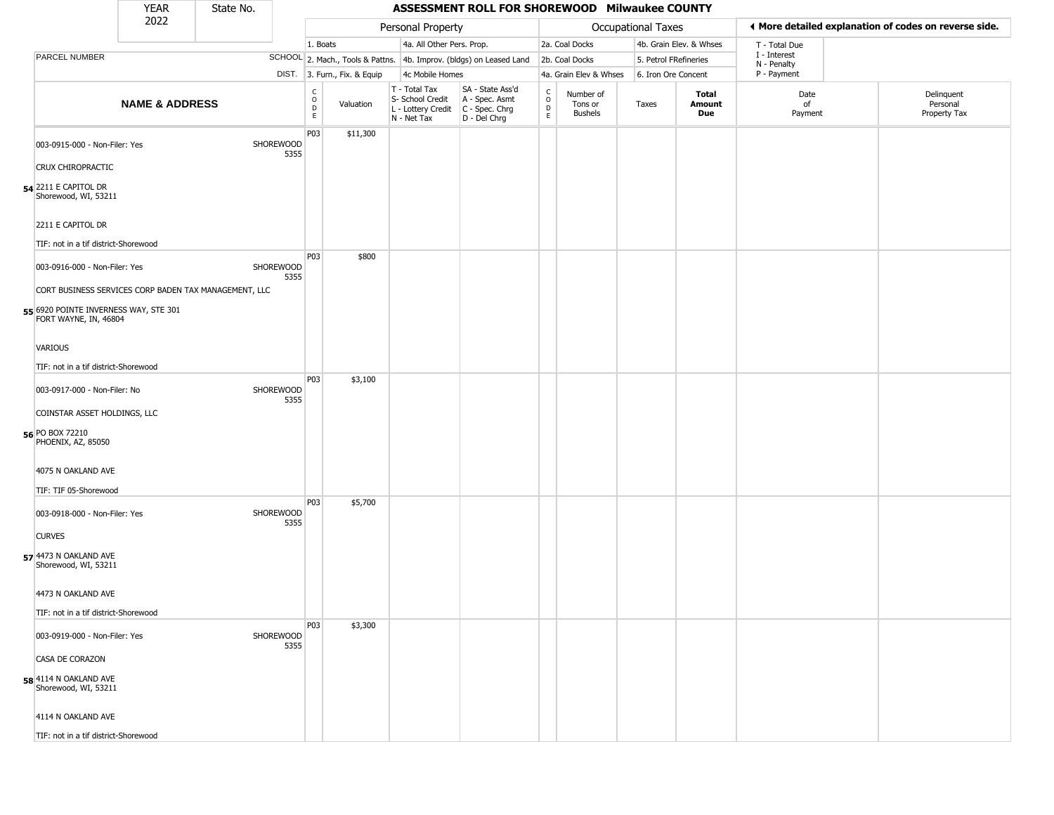|                                                                | <b>YEAR</b>               | State No. |                   |                                                |                              |                                                  | ASSESSMENT ROLL FOR SHOREWOOD Milwaukee COUNTY                                            |                                       |                                        |                       |                         |                             |                                                       |
|----------------------------------------------------------------|---------------------------|-----------|-------------------|------------------------------------------------|------------------------------|--------------------------------------------------|-------------------------------------------------------------------------------------------|---------------------------------------|----------------------------------------|-----------------------|-------------------------|-----------------------------|-------------------------------------------------------|
|                                                                | 2022                      |           |                   |                                                |                              | Personal Property                                |                                                                                           |                                       |                                        | Occupational Taxes    |                         |                             | ♦ More detailed explanation of codes on reverse side. |
|                                                                |                           |           |                   | 1. Boats                                       |                              | 4a. All Other Pers. Prop.                        |                                                                                           |                                       | 2a. Coal Docks                         |                       | 4b. Grain Elev. & Whses | T - Total Due               |                                                       |
| <b>PARCEL NUMBER</b>                                           |                           |           |                   |                                                |                              |                                                  | SCHOOL 2. Mach., Tools & Pattns. 4b. Improv. (bldgs) on Leased Land                       |                                       | 2b. Coal Docks                         | 5. Petrol FRefineries |                         | I - Interest<br>N - Penalty |                                                       |
|                                                                |                           |           |                   |                                                | DIST. 3. Furn., Fix. & Equip | 4c Mobile Homes                                  |                                                                                           |                                       | 4a. Grain Elev & Whses                 | 6. Iron Ore Concent   |                         | P - Payment                 |                                                       |
|                                                                | <b>NAME &amp; ADDRESS</b> |           |                   | $\rm ^c_{\rm o}$<br>$\mathsf D$<br>$\mathsf E$ | Valuation                    | T - Total Tax<br>S- School Credit<br>N - Net Tax | SA - State Ass'd<br>A - Spec. Asmt<br>L - Lottery Credit   C - Spec. Chrg<br>D - Del Chrg | C<br>$\mathsf{o}$<br>D<br>$\mathsf E$ | Number of<br>Tons or<br><b>Bushels</b> | Taxes                 | Total<br>Amount<br>Due  | Date<br>of<br>Payment       | Delinquent<br>Personal<br>Property Tax                |
| 003-0915-000 - Non-Filer: Yes                                  |                           |           | SHOREWOOD<br>5355 | P03                                            | \$11,300                     |                                                  |                                                                                           |                                       |                                        |                       |                         |                             |                                                       |
| CRUX CHIROPRACTIC                                              |                           |           |                   |                                                |                              |                                                  |                                                                                           |                                       |                                        |                       |                         |                             |                                                       |
| <b>54</b> 2211 E CAPITOL DR<br>Shorewood, WI, 53211            |                           |           |                   |                                                |                              |                                                  |                                                                                           |                                       |                                        |                       |                         |                             |                                                       |
| 2211 E CAPITOL DR                                              |                           |           |                   |                                                |                              |                                                  |                                                                                           |                                       |                                        |                       |                         |                             |                                                       |
| TIF: not in a tif district-Shorewood                           |                           |           |                   |                                                |                              |                                                  |                                                                                           |                                       |                                        |                       |                         |                             |                                                       |
| 003-0916-000 - Non-Filer: Yes                                  |                           |           | SHOREWOOD<br>5355 | P03                                            | \$800                        |                                                  |                                                                                           |                                       |                                        |                       |                         |                             |                                                       |
| CORT BUSINESS SERVICES CORP BADEN TAX MANAGEMENT, LLC          |                           |           |                   |                                                |                              |                                                  |                                                                                           |                                       |                                        |                       |                         |                             |                                                       |
| 55 6920 POINTE INVERNESS WAY, STE 301<br>FORT WAYNE, IN, 46804 |                           |           |                   |                                                |                              |                                                  |                                                                                           |                                       |                                        |                       |                         |                             |                                                       |
| VARIOUS                                                        |                           |           |                   |                                                |                              |                                                  |                                                                                           |                                       |                                        |                       |                         |                             |                                                       |
| TIF: not in a tif district-Shorewood                           |                           |           |                   |                                                |                              |                                                  |                                                                                           |                                       |                                        |                       |                         |                             |                                                       |
| 003-0917-000 - Non-Filer: No                                   |                           |           | SHOREWOOD<br>5355 | P03                                            | \$3,100                      |                                                  |                                                                                           |                                       |                                        |                       |                         |                             |                                                       |
| COINSTAR ASSET HOLDINGS, LLC                                   |                           |           |                   |                                                |                              |                                                  |                                                                                           |                                       |                                        |                       |                         |                             |                                                       |
| 56 PO BOX 72210<br>PHOENIX, AZ, 85050                          |                           |           |                   |                                                |                              |                                                  |                                                                                           |                                       |                                        |                       |                         |                             |                                                       |
| 4075 N OAKLAND AVE                                             |                           |           |                   |                                                |                              |                                                  |                                                                                           |                                       |                                        |                       |                         |                             |                                                       |
| TIF: TIF 05-Shorewood                                          |                           |           |                   |                                                |                              |                                                  |                                                                                           |                                       |                                        |                       |                         |                             |                                                       |
| 003-0918-000 - Non-Filer: Yes                                  |                           |           | SHOREWOOD<br>5355 | P03                                            | \$5,700                      |                                                  |                                                                                           |                                       |                                        |                       |                         |                             |                                                       |
| <b>CURVES</b>                                                  |                           |           |                   |                                                |                              |                                                  |                                                                                           |                                       |                                        |                       |                         |                             |                                                       |
| 57 4473 N OAKLAND AVE<br>Shorewood, WI, 53211                  |                           |           |                   |                                                |                              |                                                  |                                                                                           |                                       |                                        |                       |                         |                             |                                                       |
| 4473 N OAKLAND AVE                                             |                           |           |                   |                                                |                              |                                                  |                                                                                           |                                       |                                        |                       |                         |                             |                                                       |
| TIF: not in a tif district-Shorewood                           |                           |           |                   | P03                                            | \$3,300                      |                                                  |                                                                                           |                                       |                                        |                       |                         |                             |                                                       |
| 003-0919-000 - Non-Filer: Yes                                  |                           |           | SHOREWOOD<br>5355 |                                                |                              |                                                  |                                                                                           |                                       |                                        |                       |                         |                             |                                                       |
| CASA DE CORAZON                                                |                           |           |                   |                                                |                              |                                                  |                                                                                           |                                       |                                        |                       |                         |                             |                                                       |
| 58 4114 N OAKLAND AVE<br>Shorewood, WI, 53211                  |                           |           |                   |                                                |                              |                                                  |                                                                                           |                                       |                                        |                       |                         |                             |                                                       |
| 4114 N OAKLAND AVE                                             |                           |           |                   |                                                |                              |                                                  |                                                                                           |                                       |                                        |                       |                         |                             |                                                       |
| TIF: not in a tif district-Shorewood                           |                           |           |                   |                                                |                              |                                                  |                                                                                           |                                       |                                        |                       |                         |                             |                                                       |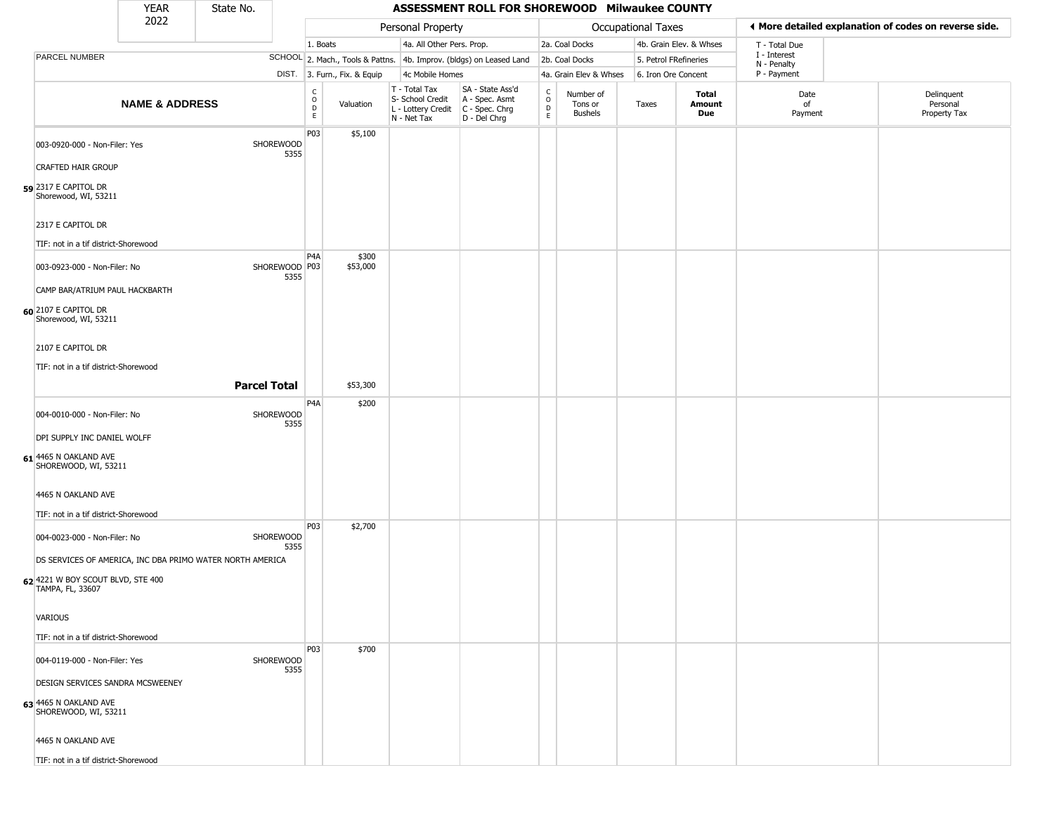|                                                       | <b>YEAR</b>               | State No.                                                 |                                                |                              |                                                                                         | ASSESSMENT ROLL FOR SHOREWOOD Milwaukee COUNTY                      |                                       |                                        |                       |                         |                             |                                                       |
|-------------------------------------------------------|---------------------------|-----------------------------------------------------------|------------------------------------------------|------------------------------|-----------------------------------------------------------------------------------------|---------------------------------------------------------------------|---------------------------------------|----------------------------------------|-----------------------|-------------------------|-----------------------------|-------------------------------------------------------|
|                                                       | 2022                      |                                                           |                                                |                              | Personal Property                                                                       |                                                                     |                                       |                                        | Occupational Taxes    |                         |                             | ◀ More detailed explanation of codes on reverse side. |
|                                                       |                           |                                                           |                                                | 1. Boats                     | 4a. All Other Pers. Prop.                                                               |                                                                     |                                       | 2a. Coal Docks                         |                       | 4b. Grain Elev. & Whses | T - Total Due               |                                                       |
| <b>PARCEL NUMBER</b>                                  |                           |                                                           |                                                |                              |                                                                                         | SCHOOL 2. Mach., Tools & Pattns. 4b. Improv. (bldgs) on Leased Land |                                       | 2b. Coal Docks                         | 5. Petrol FRefineries |                         | I - Interest<br>N - Penalty |                                                       |
|                                                       |                           |                                                           |                                                | DIST. 3. Furn., Fix. & Equip | 4c Mobile Homes                                                                         |                                                                     |                                       | 4a. Grain Elev & Whses                 | 6. Iron Ore Concent   |                         | P - Payment                 |                                                       |
|                                                       | <b>NAME &amp; ADDRESS</b> |                                                           | $\begin{matrix} 0 \\ 0 \\ D \end{matrix}$<br>E | Valuation                    | T - Total Tax<br>S- School Credit<br>L - Lottery Credit   C - Spec. Chrg<br>N - Net Tax | SA - State Ass'd<br>A - Spec. Asmt<br>D - Del Chrg                  | c<br>$\mathsf{o}$<br>D<br>$\mathsf E$ | Number of<br>Tons or<br><b>Bushels</b> | Taxes                 | Total<br>Amount<br>Due  | Date<br>of<br>Payment       | Delinquent<br>Personal<br>Property Tax                |
| 003-0920-000 - Non-Filer: Yes                         |                           | SHOREWOOD                                                 | P03<br>5355                                    | \$5,100                      |                                                                                         |                                                                     |                                       |                                        |                       |                         |                             |                                                       |
| <b>CRAFTED HAIR GROUP</b>                             |                           |                                                           |                                                |                              |                                                                                         |                                                                     |                                       |                                        |                       |                         |                             |                                                       |
| 59 2317 E CAPITOL DR<br>Shorewood, WI, 53211          |                           |                                                           |                                                |                              |                                                                                         |                                                                     |                                       |                                        |                       |                         |                             |                                                       |
| 2317 E CAPITOL DR                                     |                           |                                                           |                                                |                              |                                                                                         |                                                                     |                                       |                                        |                       |                         |                             |                                                       |
| TIF: not in a tif district-Shorewood                  |                           |                                                           |                                                |                              |                                                                                         |                                                                     |                                       |                                        |                       |                         |                             |                                                       |
| 003-0923-000 - Non-Filer: No                          |                           |                                                           | P <sub>4</sub> A<br>SHOREWOOD P03<br>5355      | \$300<br>\$53,000            |                                                                                         |                                                                     |                                       |                                        |                       |                         |                             |                                                       |
| CAMP BAR/ATRIUM PAUL HACKBARTH                        |                           |                                                           |                                                |                              |                                                                                         |                                                                     |                                       |                                        |                       |                         |                             |                                                       |
| 60 2107 E CAPITOL DR<br>Shorewood, WI, 53211          |                           |                                                           |                                                |                              |                                                                                         |                                                                     |                                       |                                        |                       |                         |                             |                                                       |
| 2107 E CAPITOL DR                                     |                           |                                                           |                                                |                              |                                                                                         |                                                                     |                                       |                                        |                       |                         |                             |                                                       |
| TIF: not in a tif district-Shorewood                  |                           |                                                           |                                                |                              |                                                                                         |                                                                     |                                       |                                        |                       |                         |                             |                                                       |
|                                                       |                           | <b>Parcel Total</b>                                       |                                                | \$53,300                     |                                                                                         |                                                                     |                                       |                                        |                       |                         |                             |                                                       |
|                                                       |                           |                                                           | P4A                                            | \$200                        |                                                                                         |                                                                     |                                       |                                        |                       |                         |                             |                                                       |
| 004-0010-000 - Non-Filer: No                          |                           | SHOREWOOD                                                 | 5355                                           |                              |                                                                                         |                                                                     |                                       |                                        |                       |                         |                             |                                                       |
| DPI SUPPLY INC DANIEL WOLFF                           |                           |                                                           |                                                |                              |                                                                                         |                                                                     |                                       |                                        |                       |                         |                             |                                                       |
| 61 4465 N OAKLAND AVE<br>SHOREWOOD, WI, 53211         |                           |                                                           |                                                |                              |                                                                                         |                                                                     |                                       |                                        |                       |                         |                             |                                                       |
| 4465 N OAKLAND AVE                                    |                           |                                                           |                                                |                              |                                                                                         |                                                                     |                                       |                                        |                       |                         |                             |                                                       |
| TIF: not in a tif district-Shorewood                  |                           |                                                           |                                                |                              |                                                                                         |                                                                     |                                       |                                        |                       |                         |                             |                                                       |
| 004-0023-000 - Non-Filer: No                          |                           | SHOREWOOD                                                 | P03<br>5355                                    | \$2,700                      |                                                                                         |                                                                     |                                       |                                        |                       |                         |                             |                                                       |
|                                                       |                           | DS SERVICES OF AMERICA, INC DBA PRIMO WATER NORTH AMERICA |                                                |                              |                                                                                         |                                                                     |                                       |                                        |                       |                         |                             |                                                       |
| 62 4221 W BOY SCOUT BLVD, STE 400<br>TAMPA, FL, 33607 |                           |                                                           |                                                |                              |                                                                                         |                                                                     |                                       |                                        |                       |                         |                             |                                                       |
| <b>VARIOUS</b>                                        |                           |                                                           |                                                |                              |                                                                                         |                                                                     |                                       |                                        |                       |                         |                             |                                                       |
| TIF: not in a tif district-Shorewood                  |                           |                                                           |                                                |                              |                                                                                         |                                                                     |                                       |                                        |                       |                         |                             |                                                       |
| 004-0119-000 - Non-Filer: Yes                         |                           | SHOREWOOD                                                 | <b>P03</b><br>5355                             | \$700                        |                                                                                         |                                                                     |                                       |                                        |                       |                         |                             |                                                       |
| DESIGN SERVICES SANDRA MCSWEENEY                      |                           |                                                           |                                                |                              |                                                                                         |                                                                     |                                       |                                        |                       |                         |                             |                                                       |
| 63 4465 N OAKLAND AVE<br>SHOREWOOD, WI, 53211         |                           |                                                           |                                                |                              |                                                                                         |                                                                     |                                       |                                        |                       |                         |                             |                                                       |
| 4465 N OAKLAND AVE                                    |                           |                                                           |                                                |                              |                                                                                         |                                                                     |                                       |                                        |                       |                         |                             |                                                       |
| TIF: not in a tif district-Shorewood                  |                           |                                                           |                                                |                              |                                                                                         |                                                                     |                                       |                                        |                       |                         |                             |                                                       |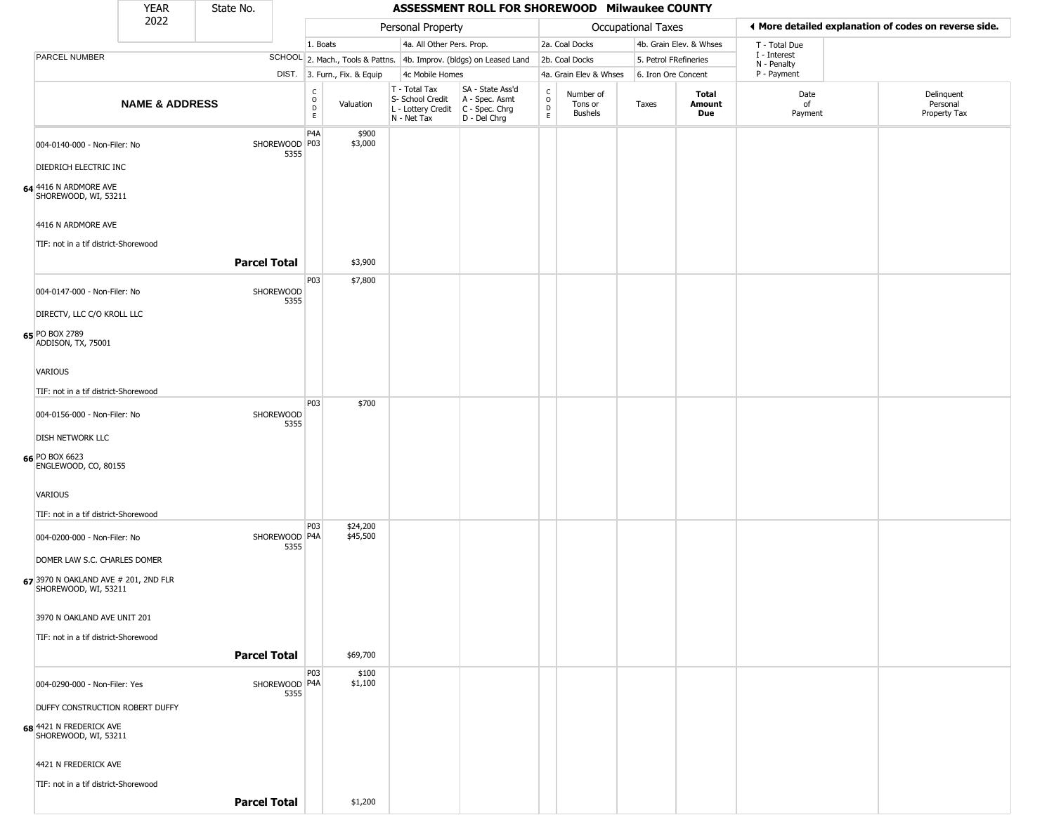|                                                              | YEAR                      | State No.           |                       |                                            |                              |                                                                                         | ASSESSMENT ROLL FOR SHOREWOOD Milwaukee COUNTY                      |                                          |                                        |                       |                         |                             |                                                       |
|--------------------------------------------------------------|---------------------------|---------------------|-----------------------|--------------------------------------------|------------------------------|-----------------------------------------------------------------------------------------|---------------------------------------------------------------------|------------------------------------------|----------------------------------------|-----------------------|-------------------------|-----------------------------|-------------------------------------------------------|
|                                                              | 2022                      |                     |                       |                                            |                              | Personal Property                                                                       |                                                                     |                                          |                                        | Occupational Taxes    |                         |                             | ◀ More detailed explanation of codes on reverse side. |
|                                                              |                           |                     |                       | 1. Boats                                   |                              | 4a. All Other Pers. Prop.                                                               |                                                                     |                                          | 2a. Coal Docks                         |                       | 4b. Grain Elev. & Whses | T - Total Due               |                                                       |
| PARCEL NUMBER                                                |                           |                     |                       |                                            |                              |                                                                                         | SCHOOL 2. Mach., Tools & Pattns. 4b. Improv. (bldgs) on Leased Land |                                          | 2b. Coal Docks                         | 5. Petrol FRefineries |                         | I - Interest<br>N - Penalty |                                                       |
|                                                              |                           |                     |                       |                                            | DIST. 3. Furn., Fix. & Equip | 4c Mobile Homes                                                                         |                                                                     |                                          | 4a. Grain Elev & Whses                 | 6. Iron Ore Concent   |                         | P - Payment                 |                                                       |
|                                                              | <b>NAME &amp; ADDRESS</b> |                     |                       | C<br>$\circ$<br>$\mathsf D$<br>$\mathsf E$ | Valuation                    | T - Total Tax<br>S- School Credit<br>L - Lottery Credit   C - Spec. Chrg<br>N - Net Tax | SA - State Ass'd<br>A - Spec. Asmt<br>D - Del Chrg                  | $\rm _o^c$<br>$\mathsf D$<br>$\mathsf E$ | Number of<br>Tons or<br><b>Bushels</b> | Taxes                 | Total<br>Amount<br>Due  | Date<br>of<br>Payment       | Delinquent<br>Personal<br>Property Tax                |
| 004-0140-000 - Non-Filer: No                                 |                           |                     | SHOREWOOD P03<br>5355 | P <sub>4</sub> A                           | \$900<br>\$3,000             |                                                                                         |                                                                     |                                          |                                        |                       |                         |                             |                                                       |
| DIEDRICH ELECTRIC INC                                        |                           |                     |                       |                                            |                              |                                                                                         |                                                                     |                                          |                                        |                       |                         |                             |                                                       |
| 64 4416 N ARDMORE AVE<br>SHOREWOOD, WI, 53211                |                           |                     |                       |                                            |                              |                                                                                         |                                                                     |                                          |                                        |                       |                         |                             |                                                       |
| 4416 N ARDMORE AVE<br>TIF: not in a tif district-Shorewood   |                           |                     |                       |                                            |                              |                                                                                         |                                                                     |                                          |                                        |                       |                         |                             |                                                       |
|                                                              |                           | <b>Parcel Total</b> |                       |                                            | \$3,900                      |                                                                                         |                                                                     |                                          |                                        |                       |                         |                             |                                                       |
| 004-0147-000 - Non-Filer: No                                 |                           |                     | SHOREWOOD<br>5355     | P03                                        | \$7,800                      |                                                                                         |                                                                     |                                          |                                        |                       |                         |                             |                                                       |
| DIRECTV, LLC C/O KROLL LLC                                   |                           |                     |                       |                                            |                              |                                                                                         |                                                                     |                                          |                                        |                       |                         |                             |                                                       |
| 65 PO BOX 2789<br>ADDISON, TX, 75001                         |                           |                     |                       |                                            |                              |                                                                                         |                                                                     |                                          |                                        |                       |                         |                             |                                                       |
| VARIOUS                                                      |                           |                     |                       |                                            |                              |                                                                                         |                                                                     |                                          |                                        |                       |                         |                             |                                                       |
| TIF: not in a tif district-Shorewood                         |                           |                     |                       |                                            |                              |                                                                                         |                                                                     |                                          |                                        |                       |                         |                             |                                                       |
| 004-0156-000 - Non-Filer: No                                 |                           |                     | SHOREWOOD             | P03                                        | \$700                        |                                                                                         |                                                                     |                                          |                                        |                       |                         |                             |                                                       |
|                                                              |                           |                     | 5355                  |                                            |                              |                                                                                         |                                                                     |                                          |                                        |                       |                         |                             |                                                       |
| <b>DISH NETWORK LLC</b>                                      |                           |                     |                       |                                            |                              |                                                                                         |                                                                     |                                          |                                        |                       |                         |                             |                                                       |
| 66 PO BOX 6623<br>ENGLEWOOD, CO, 80155                       |                           |                     |                       |                                            |                              |                                                                                         |                                                                     |                                          |                                        |                       |                         |                             |                                                       |
| VARIOUS                                                      |                           |                     |                       |                                            |                              |                                                                                         |                                                                     |                                          |                                        |                       |                         |                             |                                                       |
| TIF: not in a tif district-Shorewood                         |                           |                     |                       |                                            |                              |                                                                                         |                                                                     |                                          |                                        |                       |                         |                             |                                                       |
| 004-0200-000 - Non-Filer: No                                 |                           |                     | SHOREWOOD P4A<br>5355 | P03                                        | \$24,200<br>\$45,500         |                                                                                         |                                                                     |                                          |                                        |                       |                         |                             |                                                       |
| DOMER LAW S.C. CHARLES DOMER                                 |                           |                     |                       |                                            |                              |                                                                                         |                                                                     |                                          |                                        |                       |                         |                             |                                                       |
| 67 3970 N OAKLAND AVE # 201, 2ND FLR<br>SHOREWOOD, WI, 53211 |                           |                     |                       |                                            |                              |                                                                                         |                                                                     |                                          |                                        |                       |                         |                             |                                                       |
| 3970 N OAKLAND AVE UNIT 201                                  |                           |                     |                       |                                            |                              |                                                                                         |                                                                     |                                          |                                        |                       |                         |                             |                                                       |
| TIF: not in a tif district-Shorewood                         |                           |                     |                       |                                            |                              |                                                                                         |                                                                     |                                          |                                        |                       |                         |                             |                                                       |
|                                                              |                           | <b>Parcel Total</b> |                       |                                            | \$69,700                     |                                                                                         |                                                                     |                                          |                                        |                       |                         |                             |                                                       |
|                                                              |                           |                     |                       | P03                                        | \$100                        |                                                                                         |                                                                     |                                          |                                        |                       |                         |                             |                                                       |
| 004-0290-000 - Non-Filer: Yes                                |                           |                     | SHOREWOOD P4A<br>5355 |                                            | \$1,100                      |                                                                                         |                                                                     |                                          |                                        |                       |                         |                             |                                                       |
| DUFFY CONSTRUCTION ROBERT DUFFY                              |                           |                     |                       |                                            |                              |                                                                                         |                                                                     |                                          |                                        |                       |                         |                             |                                                       |
| 68 4421 N FREDERICK AVE<br>SHOREWOOD, WI, 53211              |                           |                     |                       |                                            |                              |                                                                                         |                                                                     |                                          |                                        |                       |                         |                             |                                                       |
| 4421 N FREDERICK AVE                                         |                           |                     |                       |                                            |                              |                                                                                         |                                                                     |                                          |                                        |                       |                         |                             |                                                       |
| TIF: not in a tif district-Shorewood                         |                           |                     |                       |                                            |                              |                                                                                         |                                                                     |                                          |                                        |                       |                         |                             |                                                       |
|                                                              |                           | <b>Parcel Total</b> |                       |                                            | \$1,200                      |                                                                                         |                                                                     |                                          |                                        |                       |                         |                             |                                                       |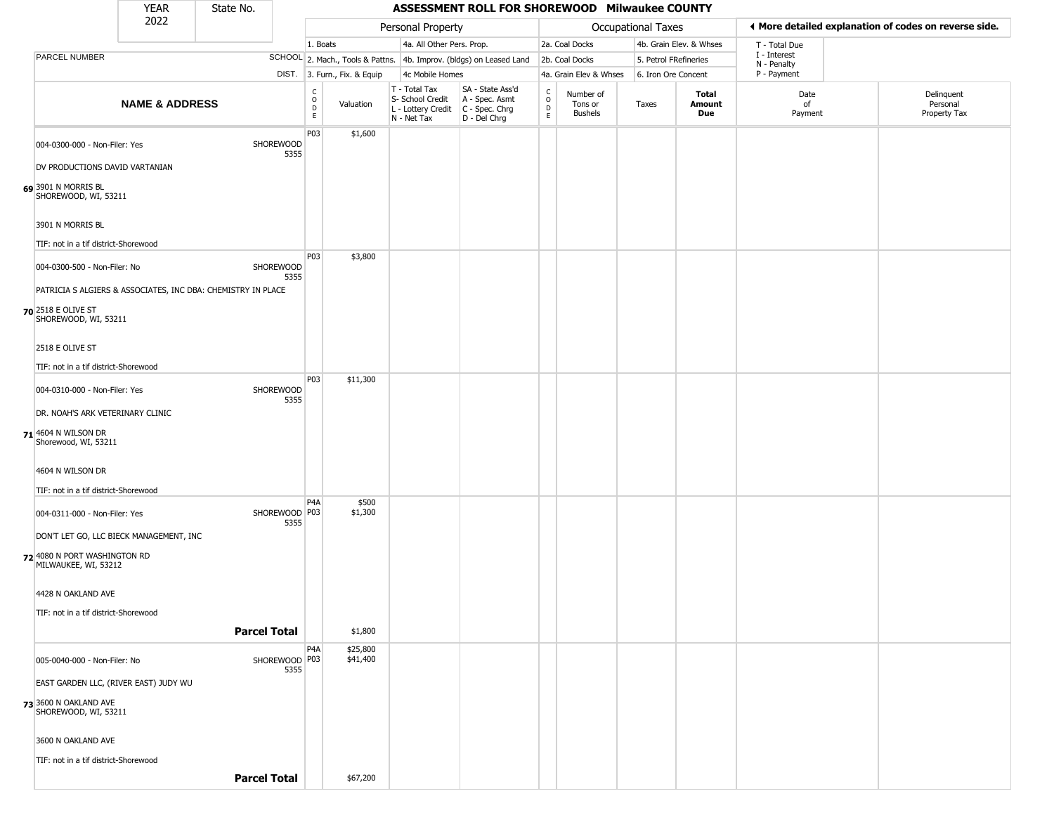|                                                                 | <b>YEAR</b>                             | State No.                                                                 |                                   |                              |                                                                        | ASSESSMENT ROLL FOR SHOREWOOD Milwaukee COUNTY                       |                                      |                                        |                       |                         |                             |                                                       |
|-----------------------------------------------------------------|-----------------------------------------|---------------------------------------------------------------------------|-----------------------------------|------------------------------|------------------------------------------------------------------------|----------------------------------------------------------------------|--------------------------------------|----------------------------------------|-----------------------|-------------------------|-----------------------------|-------------------------------------------------------|
|                                                                 | 2022                                    |                                                                           |                                   |                              | Personal Property                                                      |                                                                      |                                      |                                        | Occupational Taxes    |                         |                             | ◀ More detailed explanation of codes on reverse side. |
|                                                                 |                                         |                                                                           |                                   | 1. Boats                     | 4a. All Other Pers. Prop.                                              |                                                                      |                                      | 2a. Coal Docks                         |                       | 4b. Grain Elev. & Whses | T - Total Due               |                                                       |
| PARCEL NUMBER                                                   |                                         |                                                                           |                                   |                              |                                                                        | SCHOOL 2. Mach., Tools & Pattns. 4b. Improv. (bldgs) on Leased Land  |                                      | 2b. Coal Docks                         | 5. Petrol FRefineries |                         | I - Interest<br>N - Penalty |                                                       |
|                                                                 |                                         |                                                                           |                                   | DIST. 3. Furn., Fix. & Equip | 4c Mobile Homes                                                        |                                                                      |                                      | 4a. Grain Elev & Whses                 | 6. Iron Ore Concent   |                         | P - Payment                 |                                                       |
|                                                                 | <b>NAME &amp; ADDRESS</b>               |                                                                           | $_{\rm o}^{\rm c}$<br>$\mathsf D$ | Valuation<br>E               | T - Total Tax<br>S- School Credit<br>L - Lottery Credit<br>N - Net Tax | SA - State Ass'd<br>A - Spec. Asmt<br>C - Spec. Chrg<br>D - Del Chrg | $\rm\frac{C}{O}$<br>D<br>$\mathsf E$ | Number of<br>Tons or<br><b>Bushels</b> | Taxes                 | Total<br>Amount<br>Due  | Date<br>of<br>Payment       | Delinquent<br>Personal<br>Property Tax                |
| 004-0300-000 - Non-Filer: Yes<br>DV PRODUCTIONS DAVID VARTANIAN |                                         | SHOREWOOD                                                                 | P03<br>5355                       | \$1,600                      |                                                                        |                                                                      |                                      |                                        |                       |                         |                             |                                                       |
| 69 3901 N MORRIS BL<br>SHOREWOOD, WI, 53211                     |                                         |                                                                           |                                   |                              |                                                                        |                                                                      |                                      |                                        |                       |                         |                             |                                                       |
| 3901 N MORRIS BL<br>TIF: not in a tif district-Shorewood        |                                         |                                                                           |                                   |                              |                                                                        |                                                                      |                                      |                                        |                       |                         |                             |                                                       |
|                                                                 |                                         |                                                                           | P03                               | \$3,800                      |                                                                        |                                                                      |                                      |                                        |                       |                         |                             |                                                       |
| 004-0300-500 - Non-Filer: No                                    |                                         | SHOREWOOD<br>PATRICIA S ALGIERS & ASSOCIATES, INC DBA: CHEMISTRY IN PLACE | 5355                              |                              |                                                                        |                                                                      |                                      |                                        |                       |                         |                             |                                                       |
| 70 2518 E OLIVE ST<br>SHOREWOOD, WI, 53211                      |                                         |                                                                           |                                   |                              |                                                                        |                                                                      |                                      |                                        |                       |                         |                             |                                                       |
| 2518 E OLIVE ST                                                 |                                         |                                                                           |                                   |                              |                                                                        |                                                                      |                                      |                                        |                       |                         |                             |                                                       |
| TIF: not in a tif district-Shorewood                            |                                         |                                                                           |                                   |                              |                                                                        |                                                                      |                                      |                                        |                       |                         |                             |                                                       |
| 004-0310-000 - Non-Filer: Yes                                   |                                         | SHOREWOOD                                                                 | P03<br>5355                       | \$11,300                     |                                                                        |                                                                      |                                      |                                        |                       |                         |                             |                                                       |
| DR. NOAH'S ARK VETERINARY CLINIC                                |                                         |                                                                           |                                   |                              |                                                                        |                                                                      |                                      |                                        |                       |                         |                             |                                                       |
| <b>71</b> 4604 N WILSON DR<br>Shorewood, WI, 53211              |                                         |                                                                           |                                   |                              |                                                                        |                                                                      |                                      |                                        |                       |                         |                             |                                                       |
| 4604 N WILSON DR                                                |                                         |                                                                           |                                   |                              |                                                                        |                                                                      |                                      |                                        |                       |                         |                             |                                                       |
| TIF: not in a tif district-Shorewood                            |                                         |                                                                           | P <sub>4</sub> A                  | \$500                        |                                                                        |                                                                      |                                      |                                        |                       |                         |                             |                                                       |
| 004-0311-000 - Non-Filer: Yes                                   |                                         |                                                                           | SHOREWOOD P03<br>5355             | \$1,300                      |                                                                        |                                                                      |                                      |                                        |                       |                         |                             |                                                       |
|                                                                 | DON'T LET GO, LLC BIECK MANAGEMENT, INC |                                                                           |                                   |                              |                                                                        |                                                                      |                                      |                                        |                       |                         |                             |                                                       |
| 72 4080 N PORT WASHINGTON RD<br>MILWAUKEE, WI, 53212            |                                         |                                                                           |                                   |                              |                                                                        |                                                                      |                                      |                                        |                       |                         |                             |                                                       |
| 4428 N OAKLAND AVE                                              |                                         |                                                                           |                                   |                              |                                                                        |                                                                      |                                      |                                        |                       |                         |                             |                                                       |
| TIF: not in a tif district-Shorewood                            |                                         |                                                                           |                                   |                              |                                                                        |                                                                      |                                      |                                        |                       |                         |                             |                                                       |
|                                                                 |                                         | <b>Parcel Total</b>                                                       |                                   | \$1,800                      |                                                                        |                                                                      |                                      |                                        |                       |                         |                             |                                                       |
| 005-0040-000 - Non-Filer: No                                    |                                         |                                                                           | P4A<br>SHOREWOOD P03<br>5355      | \$25,800<br>\$41,400         |                                                                        |                                                                      |                                      |                                        |                       |                         |                             |                                                       |
|                                                                 | EAST GARDEN LLC, (RIVER EAST) JUDY WU   |                                                                           |                                   |                              |                                                                        |                                                                      |                                      |                                        |                       |                         |                             |                                                       |
| 73 3600 N OAKLAND AVE<br>SHOREWOOD, WI, 53211                   |                                         |                                                                           |                                   |                              |                                                                        |                                                                      |                                      |                                        |                       |                         |                             |                                                       |
| 3600 N OAKLAND AVE                                              |                                         |                                                                           |                                   |                              |                                                                        |                                                                      |                                      |                                        |                       |                         |                             |                                                       |
| TIF: not in a tif district-Shorewood                            |                                         | <b>Parcel Total</b>                                                       |                                   | \$67,200                     |                                                                        |                                                                      |                                      |                                        |                       |                         |                             |                                                       |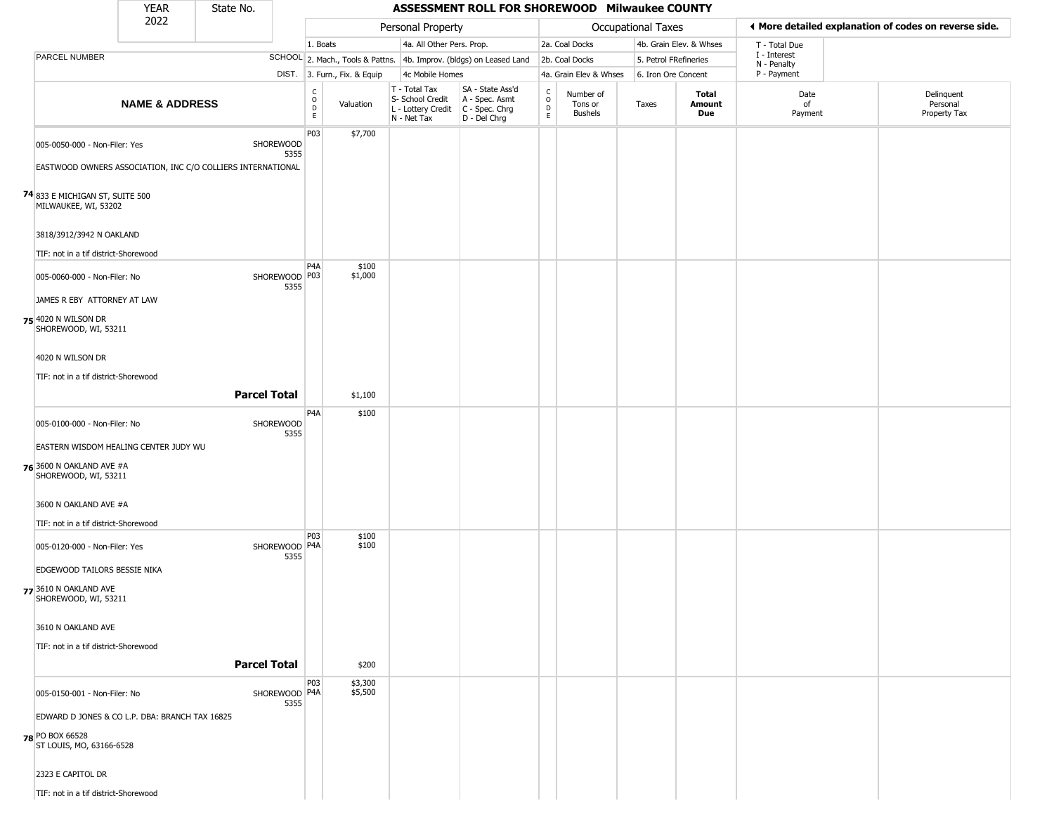|                                                                                                                                                                                     | <b>YEAR</b>               | State No.           |                       |                                                  |                              |                                                                                         | ASSESSMENT ROLL FOR SHOREWOOD Milwaukee COUNTY                      |                                    |                                        |                       |                         |                             |                                                       |
|-------------------------------------------------------------------------------------------------------------------------------------------------------------------------------------|---------------------------|---------------------|-----------------------|--------------------------------------------------|------------------------------|-----------------------------------------------------------------------------------------|---------------------------------------------------------------------|------------------------------------|----------------------------------------|-----------------------|-------------------------|-----------------------------|-------------------------------------------------------|
|                                                                                                                                                                                     | 2022                      |                     |                       |                                                  |                              | Personal Property                                                                       |                                                                     |                                    |                                        | Occupational Taxes    |                         |                             | ♦ More detailed explanation of codes on reverse side. |
|                                                                                                                                                                                     |                           |                     |                       | 1. Boats                                         |                              | 4a. All Other Pers. Prop.                                                               |                                                                     |                                    | 2a. Coal Docks                         |                       | 4b. Grain Elev. & Whses | T - Total Due               |                                                       |
| PARCEL NUMBER                                                                                                                                                                       |                           |                     |                       |                                                  |                              |                                                                                         | SCHOOL 2. Mach., Tools & Pattns. 4b. Improv. (bldgs) on Leased Land |                                    | 2b. Coal Docks                         | 5. Petrol FRefineries |                         | I - Interest<br>N - Penalty |                                                       |
|                                                                                                                                                                                     |                           |                     |                       |                                                  | DIST. 3. Furn., Fix. & Equip | 4c Mobile Homes                                                                         |                                                                     |                                    | 4a. Grain Elev & Whses                 | 6. Iron Ore Concent   |                         | P - Payment                 |                                                       |
|                                                                                                                                                                                     | <b>NAME &amp; ADDRESS</b> |                     |                       | $_{\rm o}^{\rm c}$<br>$\mathsf D$<br>$\mathsf E$ | Valuation                    | T - Total Tax<br>S- School Credit<br>L - Lottery Credit   C - Spec. Chrg<br>N - Net Tax | SA - State Ass'd<br>A - Spec. Asmt<br>D - Del Chrg                  | $\int_{0}^{c}$<br>$\mathsf D$<br>E | Number of<br>Tons or<br><b>Bushels</b> | Taxes                 | Total<br>Amount<br>Due  | Date<br>of<br>Payment       | Delinquent<br>Personal<br>Property Tax                |
| 005-0050-000 - Non-Filer: Yes<br>EASTWOOD OWNERS ASSOCIATION, INC C/O COLLIERS INTERNATIONAL<br>74 833 E MICHIGAN ST, SUITE 500<br>MILWAUKEE, WI, 53202<br>3818/3912/3942 N OAKLAND |                           |                     | SHOREWOOD<br>5355     | P03                                              | \$7,700                      |                                                                                         |                                                                     |                                    |                                        |                       |                         |                             |                                                       |
| TIF: not in a tif district-Shorewood                                                                                                                                                |                           |                     |                       |                                                  |                              |                                                                                         |                                                                     |                                    |                                        |                       |                         |                             |                                                       |
| 005-0060-000 - Non-Filer: No<br>JAMES R EBY ATTORNEY AT LAW<br>75 4020 N WILSON DR<br>SHOREWOOD, WI, 53211                                                                          |                           |                     | SHOREWOOD P03<br>5355 | P <sub>4</sub> A                                 | \$100<br>\$1,000             |                                                                                         |                                                                     |                                    |                                        |                       |                         |                             |                                                       |
| 4020 N WILSON DR<br>TIF: not in a tif district-Shorewood                                                                                                                            |                           | <b>Parcel Total</b> |                       |                                                  | \$1,100                      |                                                                                         |                                                                     |                                    |                                        |                       |                         |                             |                                                       |
| 005-0100-000 - Non-Filer: No                                                                                                                                                        |                           |                     | SHOREWOOD<br>5355     | P <sub>4</sub> A                                 | \$100                        |                                                                                         |                                                                     |                                    |                                        |                       |                         |                             |                                                       |
| EASTERN WISDOM HEALING CENTER JUDY WU                                                                                                                                               |                           |                     |                       |                                                  |                              |                                                                                         |                                                                     |                                    |                                        |                       |                         |                             |                                                       |
| <b>76</b> 3600 N OAKLAND AVE #A<br>SHOREWOOD, WI, 53211                                                                                                                             |                           |                     |                       |                                                  |                              |                                                                                         |                                                                     |                                    |                                        |                       |                         |                             |                                                       |
| 3600 N OAKLAND AVE #A                                                                                                                                                               |                           |                     |                       |                                                  |                              |                                                                                         |                                                                     |                                    |                                        |                       |                         |                             |                                                       |
| TIF: not in a tif district-Shorewood                                                                                                                                                |                           |                     |                       |                                                  |                              |                                                                                         |                                                                     |                                    |                                        |                       |                         |                             |                                                       |
| 005-0120-000 - Non-Filer: Yes<br>EDGEWOOD TAILORS BESSIE NIKA<br>77 3610 N OAKLAND AVE<br>SHOREWOOD, WI, 53211                                                                      |                           |                     | SHOREWOOD P4A<br>5355 | <b>P03</b>                                       | \$100<br>\$100               |                                                                                         |                                                                     |                                    |                                        |                       |                         |                             |                                                       |
| 3610 N OAKLAND AVE<br>TIF: not in a tif district-Shorewood                                                                                                                          |                           |                     |                       |                                                  |                              |                                                                                         |                                                                     |                                    |                                        |                       |                         |                             |                                                       |
|                                                                                                                                                                                     |                           | <b>Parcel Total</b> |                       |                                                  | \$200                        |                                                                                         |                                                                     |                                    |                                        |                       |                         |                             |                                                       |
| 005-0150-001 - Non-Filer: No<br>EDWARD D JONES & CO L.P. DBA: BRANCH TAX 16825                                                                                                      |                           |                     | SHOREWOOD P4A<br>5355 | P03                                              | \$3,300<br>\$5,500           |                                                                                         |                                                                     |                                    |                                        |                       |                         |                             |                                                       |
| 78 PO BOX 66528<br>ST LOUIS, MO, 63166-6528                                                                                                                                         |                           |                     |                       |                                                  |                              |                                                                                         |                                                                     |                                    |                                        |                       |                         |                             |                                                       |
| 2323 E CAPITOL DR<br>TIF: not in a tif district-Shorewood                                                                                                                           |                           |                     |                       |                                                  |                              |                                                                                         |                                                                     |                                    |                                        |                       |                         |                             |                                                       |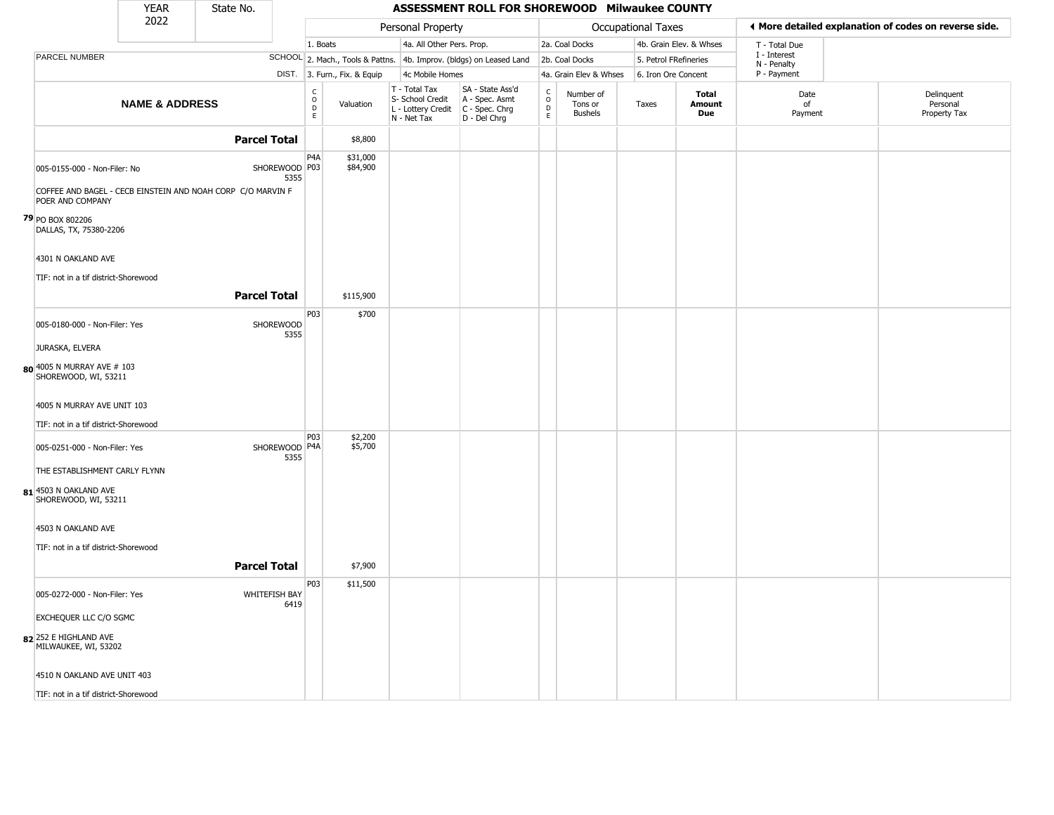|                                                    | <b>YEAR</b>               | State No.                                                   |                                              |                              |                                                                                         | ASSESSMENT ROLL FOR SHOREWOOD Milwaukee COUNTY                      |                                    |                                        |                    |                         |                             |                                                       |  |
|----------------------------------------------------|---------------------------|-------------------------------------------------------------|----------------------------------------------|------------------------------|-----------------------------------------------------------------------------------------|---------------------------------------------------------------------|------------------------------------|----------------------------------------|--------------------|-------------------------|-----------------------------|-------------------------------------------------------|--|
|                                                    | 2022                      |                                                             |                                              |                              | Personal Property                                                                       |                                                                     |                                    |                                        | Occupational Taxes |                         |                             | ◀ More detailed explanation of codes on reverse side. |  |
|                                                    |                           |                                                             | 1. Boats                                     |                              | 4a. All Other Pers. Prop.                                                               |                                                                     |                                    | 2a. Coal Docks                         |                    | 4b. Grain Elev. & Whses | T - Total Due               |                                                       |  |
| PARCEL NUMBER                                      |                           |                                                             |                                              |                              |                                                                                         | SCHOOL 2. Mach., Tools & Pattns. 4b. Improv. (bldgs) on Leased Land |                                    | 2b. Coal Docks                         |                    | 5. Petrol FRefineries   | I - Interest<br>N - Penalty |                                                       |  |
|                                                    |                           |                                                             |                                              | DIST. 3. Furn., Fix. & Equip | 4c Mobile Homes                                                                         |                                                                     |                                    | 4a. Grain Elev & Whses                 |                    | 6. Iron Ore Concent     | P - Payment                 |                                                       |  |
|                                                    | <b>NAME &amp; ADDRESS</b> |                                                             | $\frac{c}{0}$<br>$\mathsf{D}$<br>$\mathsf E$ | Valuation                    | T - Total Tax<br>S- School Credit<br>L - Lottery Credit   C - Spec. Chrg<br>N - Net Tax | SA - State Ass'd<br>A - Spec. Asmt<br>D - Del Chrg                  | $\int_{0}^{c}$<br>D<br>$\mathsf E$ | Number of<br>Tons or<br><b>Bushels</b> | Taxes              | Total<br>Amount<br>Due  | Date<br>of<br>Payment       | Delinquent<br>Personal<br>Property Tax                |  |
|                                                    |                           | <b>Parcel Total</b>                                         |                                              | \$8,800                      |                                                                                         |                                                                     |                                    |                                        |                    |                         |                             |                                                       |  |
| 005-0155-000 - Non-Filer: No                       |                           | SHOREWOOD P03<br>5355                                       | P <sub>4</sub> A                             | \$31,000<br>\$84,900         |                                                                                         |                                                                     |                                    |                                        |                    |                         |                             |                                                       |  |
| POER AND COMPANY                                   |                           | COFFEE AND BAGEL - CECB EINSTEIN AND NOAH CORP C/O MARVIN F |                                              |                              |                                                                                         |                                                                     |                                    |                                        |                    |                         |                             |                                                       |  |
| 79 PO BOX 802206<br>DALLAS, TX, 75380-2206         |                           |                                                             |                                              |                              |                                                                                         |                                                                     |                                    |                                        |                    |                         |                             |                                                       |  |
| 4301 N OAKLAND AVE                                 |                           |                                                             |                                              |                              |                                                                                         |                                                                     |                                    |                                        |                    |                         |                             |                                                       |  |
| TIF: not in a tif district-Shorewood               |                           |                                                             |                                              |                              |                                                                                         |                                                                     |                                    |                                        |                    |                         |                             |                                                       |  |
|                                                    |                           | <b>Parcel Total</b>                                         |                                              | \$115,900                    |                                                                                         |                                                                     |                                    |                                        |                    |                         |                             |                                                       |  |
| 005-0180-000 - Non-Filer: Yes                      |                           | <b>SHOREWOOD</b><br>5355                                    | P03                                          | \$700                        |                                                                                         |                                                                     |                                    |                                        |                    |                         |                             |                                                       |  |
| JURASKA, ELVERA                                    |                           |                                                             |                                              |                              |                                                                                         |                                                                     |                                    |                                        |                    |                         |                             |                                                       |  |
| 80 4005 N MURRAY AVE # 103<br>SHOREWOOD, WI, 53211 |                           |                                                             |                                              |                              |                                                                                         |                                                                     |                                    |                                        |                    |                         |                             |                                                       |  |
| 4005 N MURRAY AVE UNIT 103                         |                           |                                                             |                                              |                              |                                                                                         |                                                                     |                                    |                                        |                    |                         |                             |                                                       |  |
| TIF: not in a tif district-Shorewood               |                           |                                                             |                                              |                              |                                                                                         |                                                                     |                                    |                                        |                    |                         |                             |                                                       |  |
| 005-0251-000 - Non-Filer: Yes                      |                           | SHOREWOOD P4A<br>5355                                       | <b>P03</b>                                   | \$2,200<br>\$5,700           |                                                                                         |                                                                     |                                    |                                        |                    |                         |                             |                                                       |  |
| THE ESTABLISHMENT CARLY FLYNN                      |                           |                                                             |                                              |                              |                                                                                         |                                                                     |                                    |                                        |                    |                         |                             |                                                       |  |
| 81 4503 N OAKLAND AVE<br>SHOREWOOD, WI, 53211      |                           |                                                             |                                              |                              |                                                                                         |                                                                     |                                    |                                        |                    |                         |                             |                                                       |  |
| 4503 N OAKLAND AVE                                 |                           |                                                             |                                              |                              |                                                                                         |                                                                     |                                    |                                        |                    |                         |                             |                                                       |  |
| TIF: not in a tif district-Shorewood               |                           |                                                             |                                              |                              |                                                                                         |                                                                     |                                    |                                        |                    |                         |                             |                                                       |  |
|                                                    |                           | <b>Parcel Total</b>                                         |                                              | \$7,900                      |                                                                                         |                                                                     |                                    |                                        |                    |                         |                             |                                                       |  |
| 005-0272-000 - Non-Filer: Yes                      |                           | WHITEFISH BAY<br>6419                                       | P03                                          | \$11,500                     |                                                                                         |                                                                     |                                    |                                        |                    |                         |                             |                                                       |  |
| EXCHEQUER LLC C/O SGMC                             |                           |                                                             |                                              |                              |                                                                                         |                                                                     |                                    |                                        |                    |                         |                             |                                                       |  |
| 82 252 E HIGHLAND AVE<br>MILWAUKEE, WI, 53202      |                           |                                                             |                                              |                              |                                                                                         |                                                                     |                                    |                                        |                    |                         |                             |                                                       |  |
| 4510 N OAKLAND AVE UNIT 403                        |                           |                                                             |                                              |                              |                                                                                         |                                                                     |                                    |                                        |                    |                         |                             |                                                       |  |
| TIF: not in a tif district-Shorewood               |                           |                                                             |                                              |                              |                                                                                         |                                                                     |                                    |                                        |                    |                         |                             |                                                       |  |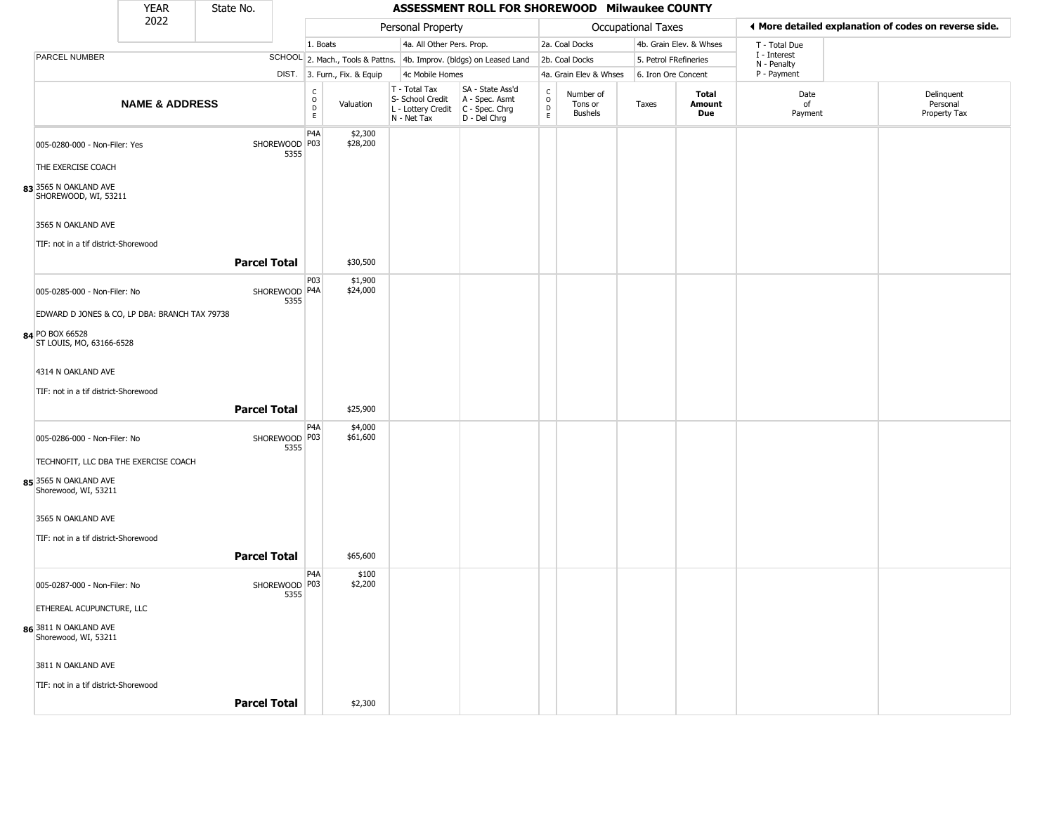|                                               | <b>YEAR</b>               | State No.           |                       |                                             |                              |                                                                        | ASSESSMENT ROLL FOR SHOREWOOD Milwaukee COUNTY                         |                                |                                        |                    |                               |                             |                                                       |
|-----------------------------------------------|---------------------------|---------------------|-----------------------|---------------------------------------------|------------------------------|------------------------------------------------------------------------|------------------------------------------------------------------------|--------------------------------|----------------------------------------|--------------------|-------------------------------|-----------------------------|-------------------------------------------------------|
|                                               | 2022                      |                     |                       |                                             |                              | Personal Property                                                      |                                                                        |                                |                                        | Occupational Taxes |                               |                             | ♦ More detailed explanation of codes on reverse side. |
|                                               |                           |                     |                       | 1. Boats                                    |                              | 4a. All Other Pers. Prop.                                              |                                                                        |                                | 2a. Coal Docks                         |                    | 4b. Grain Elev. & Whses       | T - Total Due               |                                                       |
| PARCEL NUMBER                                 |                           |                     |                       |                                             |                              |                                                                        | SCHOOL 2. Mach., Tools & Pattns. 4b. Improv. (bldgs) on Leased Land    |                                | 2b. Coal Docks                         |                    | 5. Petrol FRefineries         | I - Interest<br>N - Penalty |                                                       |
|                                               |                           |                     |                       |                                             | DIST. 3. Furn., Fix. & Equip | 4c Mobile Homes                                                        |                                                                        |                                | 4a. Grain Elev & Whses                 |                    | 6. Iron Ore Concent           | P - Payment                 |                                                       |
|                                               | <b>NAME &amp; ADDRESS</b> |                     |                       | $\frac{c}{0}$<br>$\mathsf D$<br>$\mathsf E$ | Valuation                    | T - Total Tax<br>S- School Credit<br>L - Lottery Credit<br>N - Net Tax | SA - State Ass'd<br>A - Spec. Asmt<br>$C - Spec. Chrg$<br>D - Del Chrg | $\rm _o^c$<br>D<br>$\mathsf E$ | Number of<br>Tons or<br><b>Bushels</b> | Taxes              | Total<br><b>Amount</b><br>Due | Date<br>of<br>Payment       | Delinquent<br>Personal<br>Property Tax                |
| 005-0280-000 - Non-Filer: Yes                 |                           |                     | SHOREWOOD P03<br>5355 | P <sub>4</sub> A                            | \$2,300<br>\$28,200          |                                                                        |                                                                        |                                |                                        |                    |                               |                             |                                                       |
| THE EXERCISE COACH                            |                           |                     |                       |                                             |                              |                                                                        |                                                                        |                                |                                        |                    |                               |                             |                                                       |
| 83 3565 N OAKLAND AVE<br>SHOREWOOD, WI, 53211 |                           |                     |                       |                                             |                              |                                                                        |                                                                        |                                |                                        |                    |                               |                             |                                                       |
| 3565 N OAKLAND AVE                            |                           |                     |                       |                                             |                              |                                                                        |                                                                        |                                |                                        |                    |                               |                             |                                                       |
| TIF: not in a tif district-Shorewood          |                           | <b>Parcel Total</b> |                       |                                             | \$30,500                     |                                                                        |                                                                        |                                |                                        |                    |                               |                             |                                                       |
| 005-0285-000 - Non-Filer: No                  |                           |                     | SHOREWOOD P4A<br>5355 | P03                                         | \$1,900<br>\$24,000          |                                                                        |                                                                        |                                |                                        |                    |                               |                             |                                                       |
| EDWARD D JONES & CO, LP DBA: BRANCH TAX 79738 |                           |                     |                       |                                             |                              |                                                                        |                                                                        |                                |                                        |                    |                               |                             |                                                       |
| 84 PO BOX 66528<br>ST LOUIS, MO, 63166-6528   |                           |                     |                       |                                             |                              |                                                                        |                                                                        |                                |                                        |                    |                               |                             |                                                       |
| 4314 N OAKLAND AVE                            |                           |                     |                       |                                             |                              |                                                                        |                                                                        |                                |                                        |                    |                               |                             |                                                       |
| TIF: not in a tif district-Shorewood          |                           |                     |                       |                                             |                              |                                                                        |                                                                        |                                |                                        |                    |                               |                             |                                                       |
|                                               |                           | <b>Parcel Total</b> |                       |                                             | \$25,900                     |                                                                        |                                                                        |                                |                                        |                    |                               |                             |                                                       |
| 005-0286-000 - Non-Filer: No                  |                           |                     | SHOREWOOD P03<br>5355 | P <sub>4</sub> A                            | \$4,000<br>\$61,600          |                                                                        |                                                                        |                                |                                        |                    |                               |                             |                                                       |
| TECHNOFIT, LLC DBA THE EXERCISE COACH         |                           |                     |                       |                                             |                              |                                                                        |                                                                        |                                |                                        |                    |                               |                             |                                                       |
| 85 3565 N OAKLAND AVE<br>Shorewood, WI, 53211 |                           |                     |                       |                                             |                              |                                                                        |                                                                        |                                |                                        |                    |                               |                             |                                                       |
| 3565 N OAKLAND AVE                            |                           |                     |                       |                                             |                              |                                                                        |                                                                        |                                |                                        |                    |                               |                             |                                                       |
| TIF: not in a tif district-Shorewood          |                           | <b>Parcel Total</b> |                       |                                             | \$65,600                     |                                                                        |                                                                        |                                |                                        |                    |                               |                             |                                                       |
| 005-0287-000 - Non-Filer: No                  |                           |                     | SHOREWOOD P03<br>5355 | P <sub>4</sub> A                            | \$100<br>\$2,200             |                                                                        |                                                                        |                                |                                        |                    |                               |                             |                                                       |
| ETHEREAL ACUPUNCTURE, LLC                     |                           |                     |                       |                                             |                              |                                                                        |                                                                        |                                |                                        |                    |                               |                             |                                                       |
| 86 3811 N OAKLAND AVE<br>Shorewood, WI, 53211 |                           |                     |                       |                                             |                              |                                                                        |                                                                        |                                |                                        |                    |                               |                             |                                                       |
| 3811 N OAKLAND AVE                            |                           |                     |                       |                                             |                              |                                                                        |                                                                        |                                |                                        |                    |                               |                             |                                                       |
| TIF: not in a tif district-Shorewood          |                           | <b>Parcel Total</b> |                       |                                             | \$2,300                      |                                                                        |                                                                        |                                |                                        |                    |                               |                             |                                                       |
|                                               |                           |                     |                       |                                             |                              |                                                                        |                                                                        |                                |                                        |                    |                               |                             |                                                       |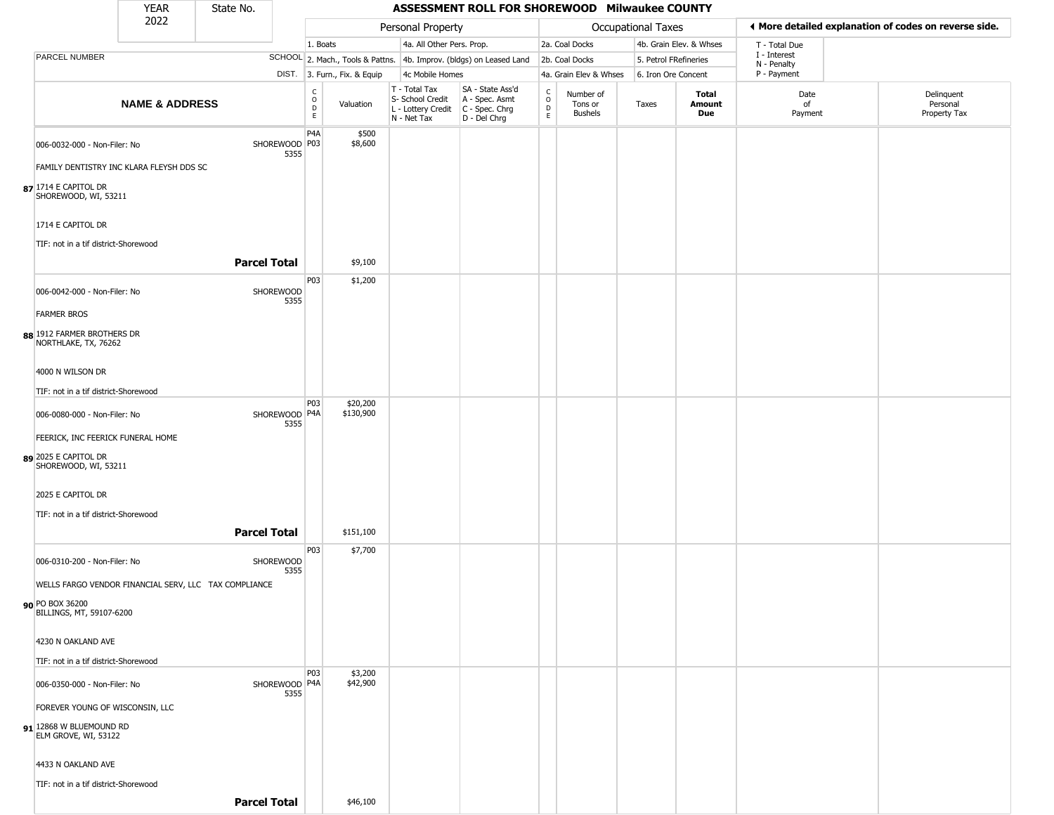|                                                           | <b>YEAR</b>               | State No.                                             |                         |                                   |                              |                                                  | ASSESSMENT ROLL FOR SHOREWOOD Milwaukee COUNTY                                            |                                   |                                        |                       |                               |                             |                                                       |
|-----------------------------------------------------------|---------------------------|-------------------------------------------------------|-------------------------|-----------------------------------|------------------------------|--------------------------------------------------|-------------------------------------------------------------------------------------------|-----------------------------------|----------------------------------------|-----------------------|-------------------------------|-----------------------------|-------------------------------------------------------|
|                                                           | 2022                      |                                                       |                         |                                   |                              | Personal Property                                |                                                                                           |                                   |                                        | Occupational Taxes    |                               |                             | ◀ More detailed explanation of codes on reverse side. |
|                                                           |                           |                                                       |                         | 1. Boats                          |                              | 4a. All Other Pers. Prop.                        |                                                                                           |                                   | 2a. Coal Docks                         |                       | 4b. Grain Elev. & Whses       | T - Total Due               |                                                       |
| <b>PARCEL NUMBER</b>                                      |                           |                                                       |                         |                                   |                              |                                                  | SCHOOL 2. Mach., Tools & Pattns. 4b. Improv. (bldgs) on Leased Land                       |                                   | 2b. Coal Docks                         | 5. Petrol FRefineries |                               | I - Interest<br>N - Penalty |                                                       |
|                                                           |                           |                                                       |                         |                                   | DIST. 3. Furn., Fix. & Equip | 4c Mobile Homes                                  |                                                                                           |                                   | 4a. Grain Elev & Whses                 | 6. Iron Ore Concent   |                               | P - Payment                 |                                                       |
|                                                           | <b>NAME &amp; ADDRESS</b> |                                                       |                         | $\frac{C}{O}$<br>$\mathsf D$<br>E | Valuation                    | T - Total Tax<br>S- School Credit<br>N - Net Tax | SA - State Ass'd<br>A - Spec. Asmt<br>L - Lottery Credit   C - Spec. Chrg<br>D - Del Chrg | $\frac{c}{0}$<br>$\mathsf D$<br>E | Number of<br>Tons or<br><b>Bushels</b> | Taxes                 | <b>Total</b><br>Amount<br>Due | Date<br>of<br>Payment       | Delinquent<br>Personal<br>Property Tax                |
| 006-0032-000 - Non-Filer: No                              |                           |                                                       | SHOREWOOD P03           | P4A                               | \$500<br>\$8,600             |                                                  |                                                                                           |                                   |                                        |                       |                               |                             |                                                       |
| FAMILY DENTISTRY INC KLARA FLEYSH DDS SC                  |                           |                                                       | 5355                    |                                   |                              |                                                  |                                                                                           |                                   |                                        |                       |                               |                             |                                                       |
| $87$ <sup>1714</sup> E CAPITOL DR<br>SHOREWOOD, WI, 53211 |                           |                                                       |                         |                                   |                              |                                                  |                                                                                           |                                   |                                        |                       |                               |                             |                                                       |
| 1714 E CAPITOL DR                                         |                           |                                                       |                         |                                   |                              |                                                  |                                                                                           |                                   |                                        |                       |                               |                             |                                                       |
| TIF: not in a tif district-Shorewood                      |                           | <b>Parcel Total</b>                                   |                         |                                   | \$9,100                      |                                                  |                                                                                           |                                   |                                        |                       |                               |                             |                                                       |
|                                                           |                           |                                                       |                         |                                   |                              |                                                  |                                                                                           |                                   |                                        |                       |                               |                             |                                                       |
| 006-0042-000 - Non-Filer: No                              |                           |                                                       | SHOREWOOD<br>5355       | P03                               | \$1,200                      |                                                  |                                                                                           |                                   |                                        |                       |                               |                             |                                                       |
| <b>FARMER BROS</b>                                        |                           |                                                       |                         |                                   |                              |                                                  |                                                                                           |                                   |                                        |                       |                               |                             |                                                       |
| 88 1912 FARMER BROTHERS DR<br>NORTHLAKE, TX, 76262        |                           |                                                       |                         |                                   |                              |                                                  |                                                                                           |                                   |                                        |                       |                               |                             |                                                       |
| 4000 N WILSON DR                                          |                           |                                                       |                         |                                   |                              |                                                  |                                                                                           |                                   |                                        |                       |                               |                             |                                                       |
| TIF: not in a tif district-Shorewood                      |                           |                                                       |                         |                                   |                              |                                                  |                                                                                           |                                   |                                        |                       |                               |                             |                                                       |
| 006-0080-000 - Non-Filer: No                              |                           |                                                       | SHOREWOOD P4A<br>5355   | P03                               | \$20,200<br>\$130,900        |                                                  |                                                                                           |                                   |                                        |                       |                               |                             |                                                       |
| FEERICK, INC FEERICK FUNERAL HOME                         |                           |                                                       |                         |                                   |                              |                                                  |                                                                                           |                                   |                                        |                       |                               |                             |                                                       |
| 89 2025 E CAPITOL DR<br>SHOREWOOD, WI, 53211              |                           |                                                       |                         |                                   |                              |                                                  |                                                                                           |                                   |                                        |                       |                               |                             |                                                       |
| 2025 E CAPITOL DR                                         |                           |                                                       |                         |                                   |                              |                                                  |                                                                                           |                                   |                                        |                       |                               |                             |                                                       |
| TIF: not in a tif district-Shorewood                      |                           |                                                       |                         |                                   |                              |                                                  |                                                                                           |                                   |                                        |                       |                               |                             |                                                       |
|                                                           |                           | <b>Parcel Total</b>                                   |                         |                                   | \$151,100                    |                                                  |                                                                                           |                                   |                                        |                       |                               |                             |                                                       |
| 006-0310-200 - Non-Filer: No                              |                           |                                                       | SHOREWOOD<br>5355       | P03                               | \$7,700                      |                                                  |                                                                                           |                                   |                                        |                       |                               |                             |                                                       |
|                                                           |                           | WELLS FARGO VENDOR FINANCIAL SERV, LLC TAX COMPLIANCE |                         |                                   |                              |                                                  |                                                                                           |                                   |                                        |                       |                               |                             |                                                       |
| 90 PO BOX 36200<br>BILLINGS, MT, 59107-6200               |                           |                                                       |                         |                                   |                              |                                                  |                                                                                           |                                   |                                        |                       |                               |                             |                                                       |
| 4230 N OAKLAND AVE                                        |                           |                                                       |                         |                                   |                              |                                                  |                                                                                           |                                   |                                        |                       |                               |                             |                                                       |
| TIF: not in a tif district-Shorewood                      |                           |                                                       |                         |                                   |                              |                                                  |                                                                                           |                                   |                                        |                       |                               |                             |                                                       |
| 006-0350-000 - Non-Filer: No                              |                           |                                                       | SHOREWOOD   P4A<br>5355 | <b>P03</b>                        | \$3,200<br>\$42,900          |                                                  |                                                                                           |                                   |                                        |                       |                               |                             |                                                       |
| FOREVER YOUNG OF WISCONSIN, LLC                           |                           |                                                       |                         |                                   |                              |                                                  |                                                                                           |                                   |                                        |                       |                               |                             |                                                       |
| 91 12868 W BLUEMOUND RD<br>ELM GROVE, WI, 53122           |                           |                                                       |                         |                                   |                              |                                                  |                                                                                           |                                   |                                        |                       |                               |                             |                                                       |
| 4433 N OAKLAND AVE                                        |                           |                                                       |                         |                                   |                              |                                                  |                                                                                           |                                   |                                        |                       |                               |                             |                                                       |
| TIF: not in a tif district-Shorewood                      |                           |                                                       |                         |                                   |                              |                                                  |                                                                                           |                                   |                                        |                       |                               |                             |                                                       |
|                                                           |                           | <b>Parcel Total</b>                                   |                         |                                   | \$46,100                     |                                                  |                                                                                           |                                   |                                        |                       |                               |                             |                                                       |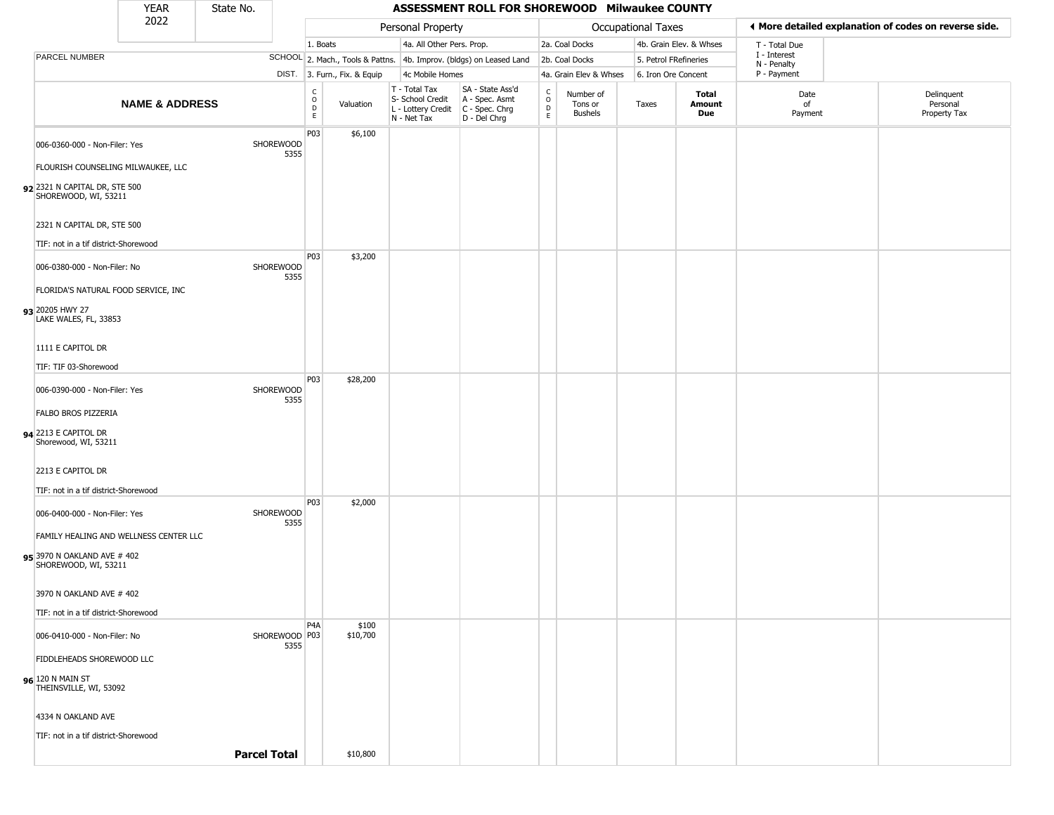|                                                                                               | <b>YEAR</b>               | State No.           |                       |                       |                              |                                                                        | ASSESSMENT ROLL FOR SHOREWOOD Milwaukee COUNTY                       |                                |                                        |                       |                         |                             |                                                       |
|-----------------------------------------------------------------------------------------------|---------------------------|---------------------|-----------------------|-----------------------|------------------------------|------------------------------------------------------------------------|----------------------------------------------------------------------|--------------------------------|----------------------------------------|-----------------------|-------------------------|-----------------------------|-------------------------------------------------------|
|                                                                                               | 2022                      |                     |                       |                       |                              | Personal Property                                                      |                                                                      |                                |                                        | Occupational Taxes    |                         |                             | ◀ More detailed explanation of codes on reverse side. |
|                                                                                               |                           |                     |                       | 1. Boats              |                              | 4a. All Other Pers. Prop.                                              |                                                                      |                                | 2a. Coal Docks                         |                       | 4b. Grain Elev. & Whses | T - Total Due               |                                                       |
| PARCEL NUMBER                                                                                 |                           |                     |                       |                       |                              |                                                                        | SCHOOL 2. Mach., Tools & Pattns. 4b. Improv. (bldgs) on Leased Land  |                                | 2b. Coal Docks                         | 5. Petrol FRefineries |                         | I - Interest<br>N - Penalty |                                                       |
|                                                                                               |                           |                     |                       |                       | DIST. 3. Furn., Fix. & Equip | 4c Mobile Homes                                                        |                                                                      |                                | 4a. Grain Elev & Whses                 | 6. Iron Ore Concent   |                         | P - Payment                 |                                                       |
|                                                                                               | <b>NAME &amp; ADDRESS</b> |                     |                       | $\rm _o^C$<br>D<br>E. | Valuation                    | T - Total Tax<br>S- School Credit<br>L - Lottery Credit<br>N - Net Tax | SA - State Ass'd<br>A - Spec. Asmt<br>C - Spec. Chrg<br>D - Del Chrg | $\frac{c}{0}$<br>$\frac{D}{E}$ | Number of<br>Tons or<br><b>Bushels</b> | Taxes                 | Total<br>Amount<br>Due  | Date<br>of<br>Payment       | Delinquent<br>Personal<br>Property Tax                |
| 006-0360-000 - Non-Filer: Yes<br>FLOURISH COUNSELING MILWAUKEE, LLC                           |                           |                     | SHOREWOOD<br>5355     | P03                   | \$6,100                      |                                                                        |                                                                      |                                |                                        |                       |                         |                             |                                                       |
| 92 2321 N CAPITAL DR, STE 500<br>SHOREWOOD, WI, 53211                                         |                           |                     |                       |                       |                              |                                                                        |                                                                      |                                |                                        |                       |                         |                             |                                                       |
| 2321 N CAPITAL DR, STE 500<br>TIF: not in a tif district-Shorewood                            |                           |                     |                       |                       |                              |                                                                        |                                                                      |                                |                                        |                       |                         |                             |                                                       |
| 006-0380-000 - Non-Filer: No<br>FLORIDA'S NATURAL FOOD SERVICE, INC                           |                           |                     | SHOREWOOD<br>5355     | P <sub>0</sub> 3      | \$3,200                      |                                                                        |                                                                      |                                |                                        |                       |                         |                             |                                                       |
| 93 20205 HWY 27<br>LAKE WALES, FL, 33853                                                      |                           |                     |                       |                       |                              |                                                                        |                                                                      |                                |                                        |                       |                         |                             |                                                       |
| 1111 E CAPITOL DR                                                                             |                           |                     |                       |                       |                              |                                                                        |                                                                      |                                |                                        |                       |                         |                             |                                                       |
| TIF: TIF 03-Shorewood                                                                         |                           |                     |                       | P03                   | \$28,200                     |                                                                        |                                                                      |                                |                                        |                       |                         |                             |                                                       |
| 006-0390-000 - Non-Filer: Yes                                                                 |                           |                     | SHOREWOOD<br>5355     |                       |                              |                                                                        |                                                                      |                                |                                        |                       |                         |                             |                                                       |
| FALBO BROS PIZZERIA                                                                           |                           |                     |                       |                       |                              |                                                                        |                                                                      |                                |                                        |                       |                         |                             |                                                       |
| 94 2213 E CAPITOL DR<br>Shorewood, WI, 53211                                                  |                           |                     |                       |                       |                              |                                                                        |                                                                      |                                |                                        |                       |                         |                             |                                                       |
| 2213 E CAPITOL DR                                                                             |                           |                     |                       |                       |                              |                                                                        |                                                                      |                                |                                        |                       |                         |                             |                                                       |
| TIF: not in a tif district-Shorewood                                                          |                           |                     |                       | P03                   | \$2,000                      |                                                                        |                                                                      |                                |                                        |                       |                         |                             |                                                       |
| 006-0400-000 - Non-Filer: Yes                                                                 |                           |                     | SHOREWOOD<br>5355     |                       |                              |                                                                        |                                                                      |                                |                                        |                       |                         |                             |                                                       |
| FAMILY HEALING AND WELLNESS CENTER LLC<br>95 3970 N OAKLAND AVE # 402<br>SHOREWOOD, WI, 53211 |                           |                     |                       |                       |                              |                                                                        |                                                                      |                                |                                        |                       |                         |                             |                                                       |
| 3970 N OAKLAND AVE # 402<br>TIF: not in a tif district-Shorewood                              |                           |                     |                       |                       |                              |                                                                        |                                                                      |                                |                                        |                       |                         |                             |                                                       |
| 006-0410-000 - Non-Filer: No<br>FIDDLEHEADS SHOREWOOD LLC                                     |                           |                     | SHOREWOOD P03<br>5355 | P4A                   | \$100<br>\$10,700            |                                                                        |                                                                      |                                |                                        |                       |                         |                             |                                                       |
| 96 120 N MAIN ST<br>THEINSVILLE, WI, 53092                                                    |                           |                     |                       |                       |                              |                                                                        |                                                                      |                                |                                        |                       |                         |                             |                                                       |
| 4334 N OAKLAND AVE                                                                            |                           |                     |                       |                       |                              |                                                                        |                                                                      |                                |                                        |                       |                         |                             |                                                       |
| TIF: not in a tif district-Shorewood                                                          |                           | <b>Parcel Total</b> |                       |                       | \$10,800                     |                                                                        |                                                                      |                                |                                        |                       |                         |                             |                                                       |
|                                                                                               |                           |                     |                       |                       |                              |                                                                        |                                                                      |                                |                                        |                       |                         |                             |                                                       |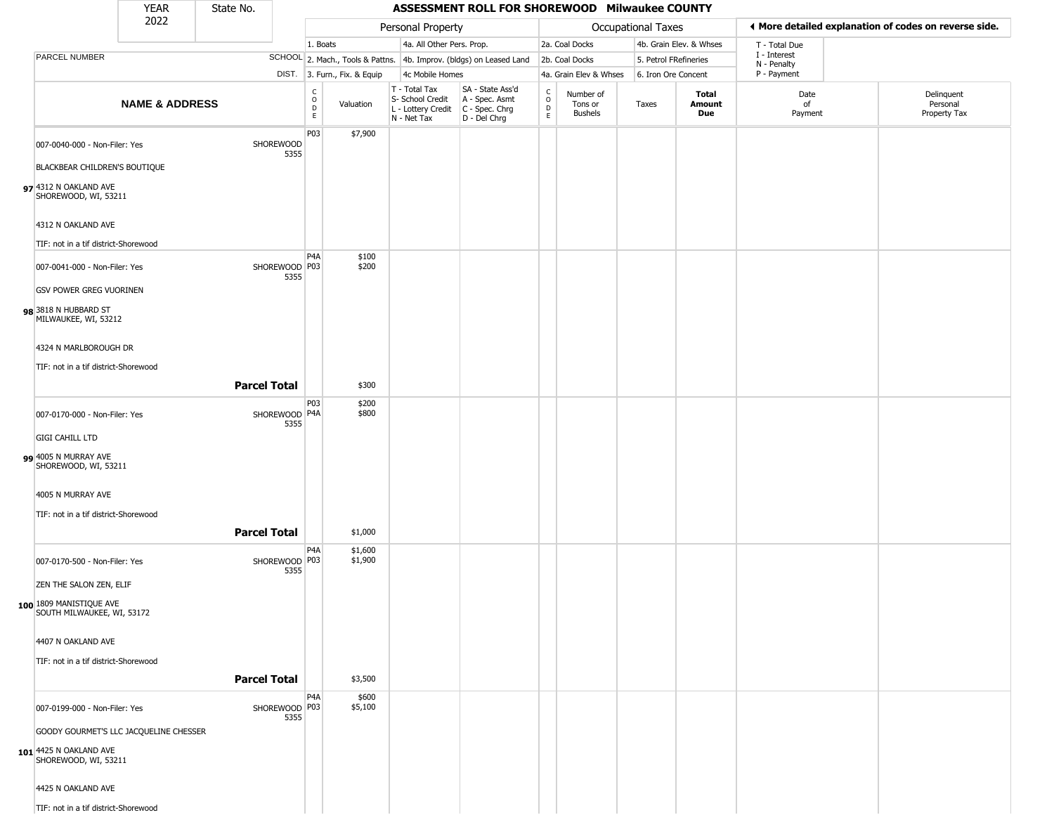|                                                                                          | <b>YEAR</b>               | State No.           |                         |                                     |                              |                                                                        | ASSESSMENT ROLL FOR SHOREWOOD Milwaukee COUNTY                       |                                     |                                        |                       |                         |                             |                                                       |
|------------------------------------------------------------------------------------------|---------------------------|---------------------|-------------------------|-------------------------------------|------------------------------|------------------------------------------------------------------------|----------------------------------------------------------------------|-------------------------------------|----------------------------------------|-----------------------|-------------------------|-----------------------------|-------------------------------------------------------|
|                                                                                          | 2022                      |                     |                         |                                     |                              | Personal Property                                                      |                                                                      |                                     |                                        | Occupational Taxes    |                         |                             | ◀ More detailed explanation of codes on reverse side. |
|                                                                                          |                           |                     |                         | 1. Boats                            |                              | 4a. All Other Pers. Prop.                                              |                                                                      |                                     | 2a. Coal Docks                         |                       | 4b. Grain Elev. & Whses | T - Total Due               |                                                       |
| PARCEL NUMBER                                                                            |                           |                     |                         |                                     |                              |                                                                        | SCHOOL 2. Mach., Tools & Pattns. 4b. Improv. (bldgs) on Leased Land  |                                     | 2b. Coal Docks                         | 5. Petrol FRefineries |                         | I - Interest<br>N - Penalty |                                                       |
|                                                                                          |                           |                     |                         |                                     | DIST. 3. Furn., Fix. & Equip | 4c Mobile Homes                                                        |                                                                      |                                     | 4a. Grain Elev & Whses                 | 6. Iron Ore Concent   |                         | P - Payment                 |                                                       |
|                                                                                          | <b>NAME &amp; ADDRESS</b> |                     |                         | $\frac{c}{0}$<br>$_{\rm E}^{\rm D}$ | Valuation                    | T - Total Tax<br>S- School Credit<br>L - Lottery Credit<br>N - Net Tax | SA - State Ass'd<br>A - Spec. Asmt<br>C - Spec. Chrg<br>D - Del Chrg | $\int_{0}^{c}$<br>$\mathsf{D}$<br>E | Number of<br>Tons or<br><b>Bushels</b> | Taxes                 | Total<br>Amount<br>Due  | Date<br>of<br>Payment       | Delinquent<br>Personal<br>Property Tax                |
| 007-0040-000 - Non-Filer: Yes                                                            |                           |                     | SHOREWOOD<br>5355       | P03                                 | \$7,900                      |                                                                        |                                                                      |                                     |                                        |                       |                         |                             |                                                       |
| BLACKBEAR CHILDREN'S BOUTIQUE                                                            |                           |                     |                         |                                     |                              |                                                                        |                                                                      |                                     |                                        |                       |                         |                             |                                                       |
| 97 4312 N OAKLAND AVE<br>SHOREWOOD, WI, 53211                                            |                           |                     |                         |                                     |                              |                                                                        |                                                                      |                                     |                                        |                       |                         |                             |                                                       |
| 4312 N OAKLAND AVE                                                                       |                           |                     |                         |                                     |                              |                                                                        |                                                                      |                                     |                                        |                       |                         |                             |                                                       |
| TIF: not in a tif district-Shorewood                                                     |                           |                     |                         | P <sub>4</sub> A                    | \$100                        |                                                                        |                                                                      |                                     |                                        |                       |                         |                             |                                                       |
| 007-0041-000 - Non-Filer: Yes                                                            |                           |                     | SHOREWOOD   P03<br>5355 |                                     | \$200                        |                                                                        |                                                                      |                                     |                                        |                       |                         |                             |                                                       |
| <b>GSV POWER GREG VUORINEN</b><br>98 3818 N HUBBARD ST<br>MILWAUKEE, WI, 53212           |                           |                     |                         |                                     |                              |                                                                        |                                                                      |                                     |                                        |                       |                         |                             |                                                       |
| 4324 N MARLBOROUGH DR                                                                    |                           |                     |                         |                                     |                              |                                                                        |                                                                      |                                     |                                        |                       |                         |                             |                                                       |
| TIF: not in a tif district-Shorewood                                                     |                           |                     |                         |                                     |                              |                                                                        |                                                                      |                                     |                                        |                       |                         |                             |                                                       |
|                                                                                          |                           | <b>Parcel Total</b> |                         |                                     | \$300                        |                                                                        |                                                                      |                                     |                                        |                       |                         |                             |                                                       |
|                                                                                          |                           |                     |                         | P03                                 | \$200                        |                                                                        |                                                                      |                                     |                                        |                       |                         |                             |                                                       |
| 007-0170-000 - Non-Filer: Yes                                                            |                           |                     | SHOREWOOD P4A<br>5355   |                                     | \$800                        |                                                                        |                                                                      |                                     |                                        |                       |                         |                             |                                                       |
| <b>GIGI CAHILL LTD</b>                                                                   |                           |                     |                         |                                     |                              |                                                                        |                                                                      |                                     |                                        |                       |                         |                             |                                                       |
| 99 4005 N MURRAY AVE<br>SHOREWOOD, WI, 53211                                             |                           |                     |                         |                                     |                              |                                                                        |                                                                      |                                     |                                        |                       |                         |                             |                                                       |
| 4005 N MURRAY AVE                                                                        |                           |                     |                         |                                     |                              |                                                                        |                                                                      |                                     |                                        |                       |                         |                             |                                                       |
| TIF: not in a tif district-Shorewood                                                     |                           |                     |                         |                                     |                              |                                                                        |                                                                      |                                     |                                        |                       |                         |                             |                                                       |
|                                                                                          |                           | <b>Parcel Total</b> |                         |                                     | \$1,000                      |                                                                        |                                                                      |                                     |                                        |                       |                         |                             |                                                       |
| 007-0170-500 - Non-Filer: Yes                                                            |                           |                     | SHOREWOOD P03<br>5355   | P4A                                 | \$1,600<br>\$1,900           |                                                                        |                                                                      |                                     |                                        |                       |                         |                             |                                                       |
| ZEN THE SALON ZEN, ELIF                                                                  |                           |                     |                         |                                     |                              |                                                                        |                                                                      |                                     |                                        |                       |                         |                             |                                                       |
| 100 1809 MANISTIQUE AVE<br>SOUTH MILWAUKEE, WI, 53172                                    |                           |                     |                         |                                     |                              |                                                                        |                                                                      |                                     |                                        |                       |                         |                             |                                                       |
| 4407 N OAKLAND AVE                                                                       |                           |                     |                         |                                     |                              |                                                                        |                                                                      |                                     |                                        |                       |                         |                             |                                                       |
| TIF: not in a tif district-Shorewood                                                     |                           | <b>Parcel Total</b> |                         |                                     | \$3,500                      |                                                                        |                                                                      |                                     |                                        |                       |                         |                             |                                                       |
| 007-0199-000 - Non-Filer: Yes                                                            |                           |                     | SHOREWOOD P03           | P4A                                 | \$600<br>\$5,100             |                                                                        |                                                                      |                                     |                                        |                       |                         |                             |                                                       |
|                                                                                          |                           |                     | 5355                    |                                     |                              |                                                                        |                                                                      |                                     |                                        |                       |                         |                             |                                                       |
| GOODY GOURMET'S LLC JACQUELINE CHESSER<br>101 4425 N OAKLAND AVE<br>SHOREWOOD, WI, 53211 |                           |                     |                         |                                     |                              |                                                                        |                                                                      |                                     |                                        |                       |                         |                             |                                                       |
| 4425 N OAKLAND AVE                                                                       |                           |                     |                         |                                     |                              |                                                                        |                                                                      |                                     |                                        |                       |                         |                             |                                                       |
| TIF: not in a tif district-Shorewood                                                     |                           |                     |                         |                                     |                              |                                                                        |                                                                      |                                     |                                        |                       |                         |                             |                                                       |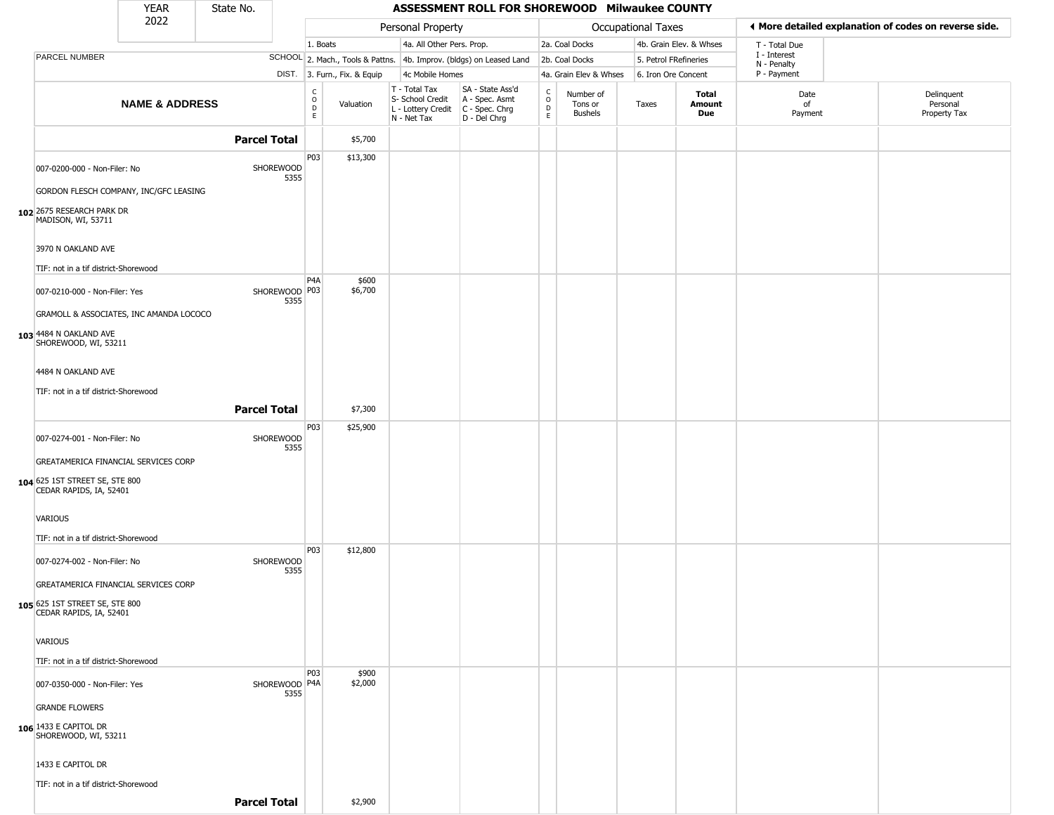|                                                           | <b>YEAR</b>                             | State No.           |                         |                        |                              |                                                                                       | ASSESSMENT ROLL FOR SHOREWOOD Milwaukee COUNTY                      |                         |                                        |                           |                         |                             |                                                       |
|-----------------------------------------------------------|-----------------------------------------|---------------------|-------------------------|------------------------|------------------------------|---------------------------------------------------------------------------------------|---------------------------------------------------------------------|-------------------------|----------------------------------------|---------------------------|-------------------------|-----------------------------|-------------------------------------------------------|
|                                                           | 2022                                    |                     |                         |                        |                              | Personal Property                                                                     |                                                                     |                         |                                        | <b>Occupational Taxes</b> |                         |                             | I More detailed explanation of codes on reverse side. |
|                                                           |                                         |                     |                         | 1. Boats               |                              | 4a. All Other Pers. Prop.                                                             |                                                                     |                         | 2a. Coal Docks                         |                           | 4b. Grain Elev. & Whses | T - Total Due               |                                                       |
| PARCEL NUMBER                                             |                                         |                     |                         |                        |                              |                                                                                       | SCHOOL 2. Mach., Tools & Pattns. 4b. Improv. (bldgs) on Leased Land |                         | 2b. Coal Docks                         | 5. Petrol FRefineries     |                         | I - Interest<br>N - Penalty |                                                       |
|                                                           |                                         |                     |                         |                        | DIST. 3. Furn., Fix. & Equip | 4c Mobile Homes                                                                       |                                                                     |                         | 4a. Grain Elev & Whses                 | 6. Iron Ore Concent       |                         | P - Payment                 |                                                       |
|                                                           | <b>NAME &amp; ADDRESS</b>               |                     |                         | C<br>$\circ$<br>D<br>E | Valuation                    | T - Total Tax<br>S- School Credit<br>L - Lottery Credit C - Spec. Chrg<br>N - Net Tax | SA - State Ass'd<br>A - Spec. Asmt<br>D - Del Chrg                  | $\frac{c}{0}$<br>D<br>E | Number of<br>Tons or<br><b>Bushels</b> | Taxes                     | Total<br>Amount<br>Due  | Date<br>of<br>Payment       | Delinquent<br>Personal<br>Property Tax                |
|                                                           |                                         | <b>Parcel Total</b> |                         |                        | \$5,700                      |                                                                                       |                                                                     |                         |                                        |                           |                         |                             |                                                       |
| 007-0200-000 - Non-Filer: No                              |                                         |                     | SHOREWOOD<br>5355       | P03                    | \$13,300                     |                                                                                       |                                                                     |                         |                                        |                           |                         |                             |                                                       |
|                                                           | GORDON FLESCH COMPANY, INC/GFC LEASING  |                     |                         |                        |                              |                                                                                       |                                                                     |                         |                                        |                           |                         |                             |                                                       |
| 102 2675 RESEARCH PARK DR<br>MADISON, WI, 53711           |                                         |                     |                         |                        |                              |                                                                                       |                                                                     |                         |                                        |                           |                         |                             |                                                       |
| 3970 N OAKLAND AVE                                        |                                         |                     |                         |                        |                              |                                                                                       |                                                                     |                         |                                        |                           |                         |                             |                                                       |
| TIF: not in a tif district-Shorewood                      |                                         |                     |                         |                        |                              |                                                                                       |                                                                     |                         |                                        |                           |                         |                             |                                                       |
| 007-0210-000 - Non-Filer: Yes                             |                                         |                     | SHOREWOOD   P03<br>5355 | P4A                    | \$600<br>\$6,700             |                                                                                       |                                                                     |                         |                                        |                           |                         |                             |                                                       |
|                                                           | GRAMOLL & ASSOCIATES, INC AMANDA LOCOCO |                     |                         |                        |                              |                                                                                       |                                                                     |                         |                                        |                           |                         |                             |                                                       |
| 103 4484 N OAKLAND AVE<br>SHOREWOOD, WI, 53211            |                                         |                     |                         |                        |                              |                                                                                       |                                                                     |                         |                                        |                           |                         |                             |                                                       |
| 4484 N OAKLAND AVE                                        |                                         |                     |                         |                        |                              |                                                                                       |                                                                     |                         |                                        |                           |                         |                             |                                                       |
| TIF: not in a tif district-Shorewood                      |                                         |                     |                         |                        |                              |                                                                                       |                                                                     |                         |                                        |                           |                         |                             |                                                       |
|                                                           |                                         | <b>Parcel Total</b> |                         |                        | \$7,300                      |                                                                                       |                                                                     |                         |                                        |                           |                         |                             |                                                       |
| 007-0274-001 - Non-Filer: No                              |                                         |                     | SHOREWOOD<br>5355       | P03                    | \$25,900                     |                                                                                       |                                                                     |                         |                                        |                           |                         |                             |                                                       |
|                                                           | GREATAMERICA FINANCIAL SERVICES CORP    |                     |                         |                        |                              |                                                                                       |                                                                     |                         |                                        |                           |                         |                             |                                                       |
| 104 625 1ST STREET SE, STE 800<br>CEDAR RAPIDS, IA, 52401 |                                         |                     |                         |                        |                              |                                                                                       |                                                                     |                         |                                        |                           |                         |                             |                                                       |
| <b>VARIOUS</b>                                            |                                         |                     |                         |                        |                              |                                                                                       |                                                                     |                         |                                        |                           |                         |                             |                                                       |
| TIF: not in a tif district-Shorewood                      |                                         |                     |                         |                        |                              |                                                                                       |                                                                     |                         |                                        |                           |                         |                             |                                                       |
| 007-0274-002 - Non-Filer: No                              |                                         |                     | SHOREWOOD<br>5355       | P03                    | \$12,800                     |                                                                                       |                                                                     |                         |                                        |                           |                         |                             |                                                       |
|                                                           | GREATAMERICA FINANCIAL SERVICES CORP    |                     |                         |                        |                              |                                                                                       |                                                                     |                         |                                        |                           |                         |                             |                                                       |
| 105 625 1ST STREET SE, STE 800<br>CEDAR RAPIDS, IA, 52401 |                                         |                     |                         |                        |                              |                                                                                       |                                                                     |                         |                                        |                           |                         |                             |                                                       |
| <b>VARIOUS</b>                                            |                                         |                     |                         |                        |                              |                                                                                       |                                                                     |                         |                                        |                           |                         |                             |                                                       |
| TIF: not in a tif district-Shorewood                      |                                         |                     |                         |                        |                              |                                                                                       |                                                                     |                         |                                        |                           |                         |                             |                                                       |
| 007-0350-000 - Non-Filer: Yes                             |                                         |                     | SHOREWOOD   P4A<br>5355 | <b>P03</b>             | \$900<br>\$2,000             |                                                                                       |                                                                     |                         |                                        |                           |                         |                             |                                                       |
| <b>GRANDE FLOWERS</b>                                     |                                         |                     |                         |                        |                              |                                                                                       |                                                                     |                         |                                        |                           |                         |                             |                                                       |
| 106 1433 E CAPITOL DR<br>SHOREWOOD, WI, 53211             |                                         |                     |                         |                        |                              |                                                                                       |                                                                     |                         |                                        |                           |                         |                             |                                                       |
| 1433 E CAPITOL DR                                         |                                         |                     |                         |                        |                              |                                                                                       |                                                                     |                         |                                        |                           |                         |                             |                                                       |
| TIF: not in a tif district-Shorewood                      |                                         |                     |                         |                        |                              |                                                                                       |                                                                     |                         |                                        |                           |                         |                             |                                                       |
|                                                           |                                         | <b>Parcel Total</b> |                         |                        | \$2,900                      |                                                                                       |                                                                     |                         |                                        |                           |                         |                             |                                                       |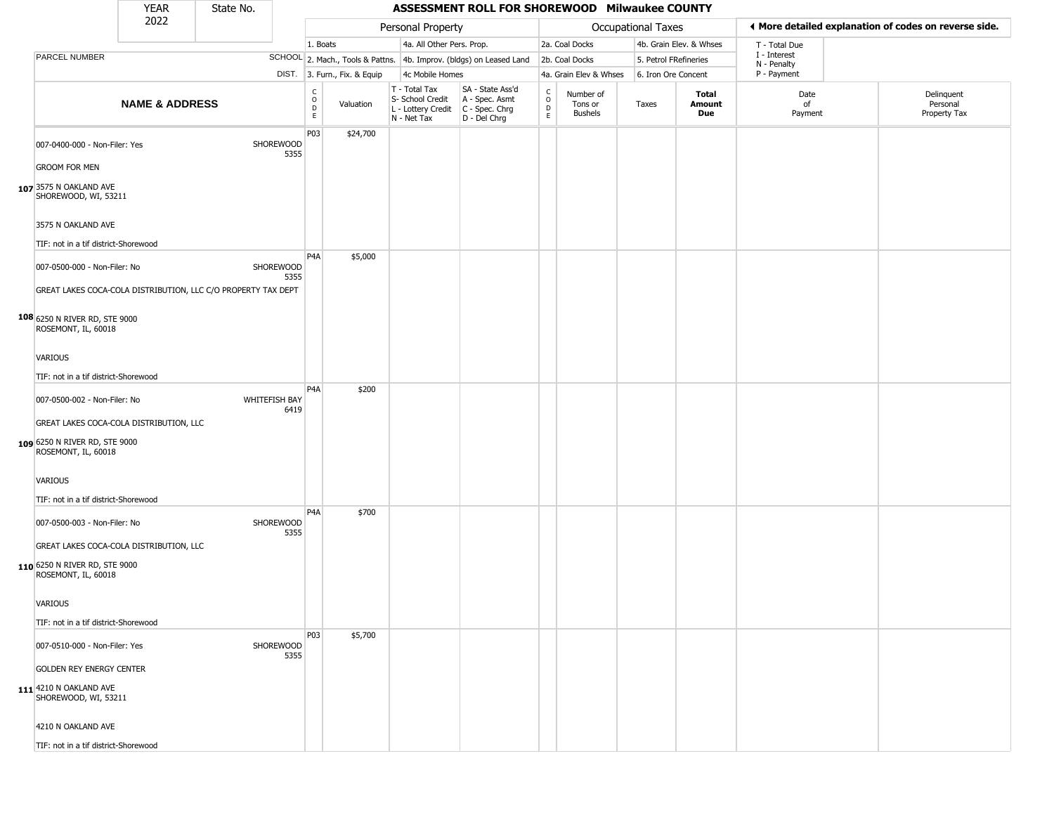|                                                                                                 | <b>YEAR</b>               | State No. |                       |                              |                              |                                                                                         | ASSESSMENT ROLL FOR SHOREWOOD Milwaukee COUNTY                      |                                   |                                        |                       |                         |                             |                                                       |
|-------------------------------------------------------------------------------------------------|---------------------------|-----------|-----------------------|------------------------------|------------------------------|-----------------------------------------------------------------------------------------|---------------------------------------------------------------------|-----------------------------------|----------------------------------------|-----------------------|-------------------------|-----------------------------|-------------------------------------------------------|
|                                                                                                 | 2022                      |           |                       |                              |                              | Personal Property                                                                       |                                                                     |                                   |                                        | Occupational Taxes    |                         |                             | ♦ More detailed explanation of codes on reverse side. |
|                                                                                                 |                           |           |                       | 1. Boats                     |                              | 4a. All Other Pers. Prop.                                                               |                                                                     |                                   | 2a. Coal Docks                         |                       | 4b. Grain Elev. & Whses | T - Total Due               |                                                       |
| <b>PARCEL NUMBER</b>                                                                            |                           |           |                       |                              |                              |                                                                                         | SCHOOL 2. Mach., Tools & Pattns. 4b. Improv. (bldgs) on Leased Land |                                   | 2b. Coal Docks                         | 5. Petrol FRefineries |                         | I - Interest<br>N - Penalty |                                                       |
|                                                                                                 |                           |           |                       |                              | DIST. 3. Furn., Fix. & Equip | 4c Mobile Homes                                                                         |                                                                     |                                   | 4a. Grain Elev & Whses                 | 6. Iron Ore Concent   |                         | P - Payment                 |                                                       |
|                                                                                                 | <b>NAME &amp; ADDRESS</b> |           |                       | $_{\rm o}^{\rm c}$<br>D<br>E | Valuation                    | T - Total Tax<br>S- School Credit<br>L - Lottery Credit   C - Spec. Chrg<br>N - Net Tax | SA - State Ass'd<br>A - Spec. Asmt<br>D - Del Chrg                  | $\mathsf{C}$<br>$\circ$<br>D<br>E | Number of<br>Tons or<br><b>Bushels</b> | Taxes                 | Total<br>Amount<br>Due  | Date<br>of<br>Payment       | Delinquent<br>Personal<br>Property Tax                |
| 007-0400-000 - Non-Filer: Yes                                                                   |                           |           | SHOREWOOD<br>5355     | P03                          | \$24,700                     |                                                                                         |                                                                     |                                   |                                        |                       |                         |                             |                                                       |
| <b>GROOM FOR MEN</b><br>107 3575 N OAKLAND AVE<br>SHOREWOOD, WI, 53211                          |                           |           |                       |                              |                              |                                                                                         |                                                                     |                                   |                                        |                       |                         |                             |                                                       |
| 3575 N OAKLAND AVE                                                                              |                           |           |                       |                              |                              |                                                                                         |                                                                     |                                   |                                        |                       |                         |                             |                                                       |
| TIF: not in a tif district-Shorewood                                                            |                           |           |                       | P4A                          | \$5,000                      |                                                                                         |                                                                     |                                   |                                        |                       |                         |                             |                                                       |
| 007-0500-000 - Non-Filer: No<br>GREAT LAKES COCA-COLA DISTRIBUTION, LLC C/O PROPERTY TAX DEPT   |                           |           | SHOREWOOD<br>5355     |                              |                              |                                                                                         |                                                                     |                                   |                                        |                       |                         |                             |                                                       |
| 108 6250 N RIVER RD, STE 9000<br>ROSEMONT, IL, 60018                                            |                           |           |                       |                              |                              |                                                                                         |                                                                     |                                   |                                        |                       |                         |                             |                                                       |
|                                                                                                 |                           |           |                       |                              |                              |                                                                                         |                                                                     |                                   |                                        |                       |                         |                             |                                                       |
| VARIOUS                                                                                         |                           |           |                       |                              |                              |                                                                                         |                                                                     |                                   |                                        |                       |                         |                             |                                                       |
| TIF: not in a tif district-Shorewood                                                            |                           |           |                       | P4A                          | \$200                        |                                                                                         |                                                                     |                                   |                                        |                       |                         |                             |                                                       |
| 007-0500-002 - Non-Filer: No                                                                    |                           |           | WHITEFISH BAY<br>6419 |                              |                              |                                                                                         |                                                                     |                                   |                                        |                       |                         |                             |                                                       |
| GREAT LAKES COCA-COLA DISTRIBUTION, LLC<br>109 6250 N RIVER RD, STE 9000<br>ROSEMONT, IL, 60018 |                           |           |                       |                              |                              |                                                                                         |                                                                     |                                   |                                        |                       |                         |                             |                                                       |
| VARIOUS                                                                                         |                           |           |                       |                              |                              |                                                                                         |                                                                     |                                   |                                        |                       |                         |                             |                                                       |
| TIF: not in a tif district-Shorewood                                                            |                           |           |                       | P4A                          | \$700                        |                                                                                         |                                                                     |                                   |                                        |                       |                         |                             |                                                       |
| 007-0500-003 - Non-Filer: No                                                                    |                           |           | SHOREWOOD<br>5355     |                              |                              |                                                                                         |                                                                     |                                   |                                        |                       |                         |                             |                                                       |
| GREAT LAKES COCA-COLA DISTRIBUTION, LLC<br>110 6250 N RIVER RD, STE 9000<br>ROSEMONT, IL, 60018 |                           |           |                       |                              |                              |                                                                                         |                                                                     |                                   |                                        |                       |                         |                             |                                                       |
| VARIOUS                                                                                         |                           |           |                       |                              |                              |                                                                                         |                                                                     |                                   |                                        |                       |                         |                             |                                                       |
| TIF: not in a tif district-Shorewood                                                            |                           |           |                       |                              |                              |                                                                                         |                                                                     |                                   |                                        |                       |                         |                             |                                                       |
| 007-0510-000 - Non-Filer: Yes                                                                   |                           |           | SHOREWOOD<br>5355     | P03                          | \$5,700                      |                                                                                         |                                                                     |                                   |                                        |                       |                         |                             |                                                       |
| <b>GOLDEN REY ENERGY CENTER</b>                                                                 |                           |           |                       |                              |                              |                                                                                         |                                                                     |                                   |                                        |                       |                         |                             |                                                       |
| 111 4210 N OAKLAND AVE<br>SHOREWOOD, WI, 53211                                                  |                           |           |                       |                              |                              |                                                                                         |                                                                     |                                   |                                        |                       |                         |                             |                                                       |
| 4210 N OAKLAND AVE                                                                              |                           |           |                       |                              |                              |                                                                                         |                                                                     |                                   |                                        |                       |                         |                             |                                                       |
| TIF: not in a tif district-Shorewood                                                            |                           |           |                       |                              |                              |                                                                                         |                                                                     |                                   |                                        |                       |                         |                             |                                                       |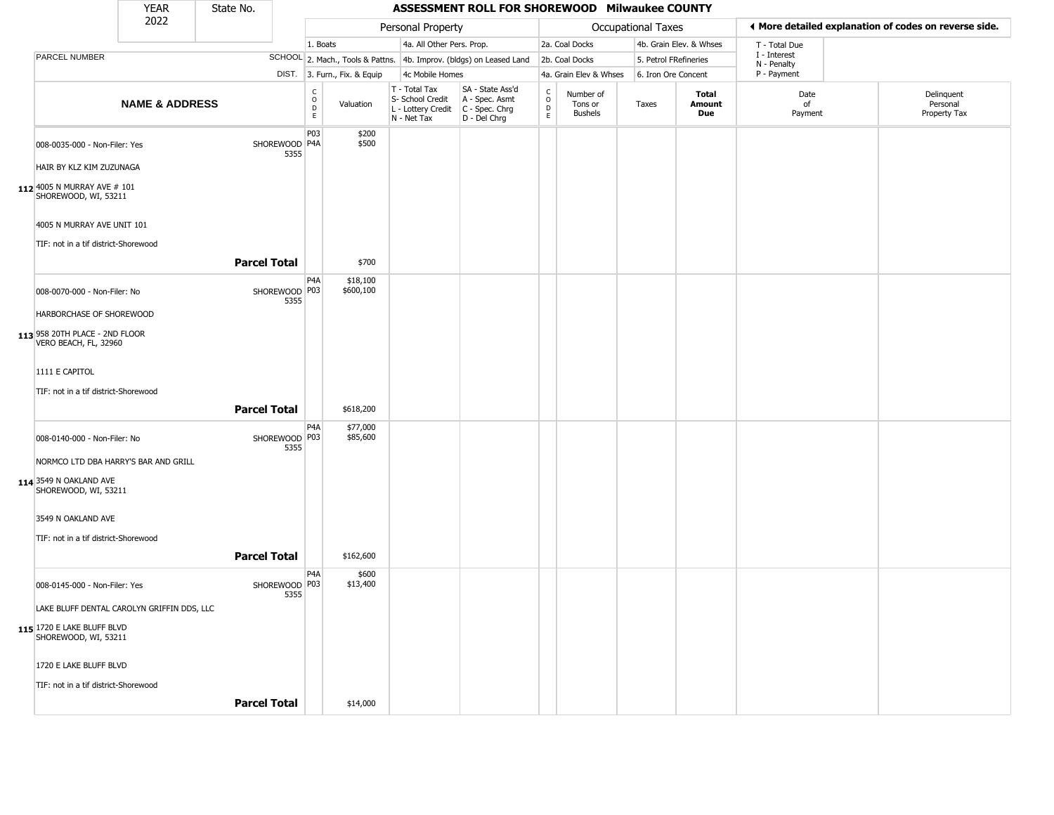|                                                                                        | <b>YEAR</b>               | State No.           |                       |                                        |                              |                                                                                         | ASSESSMENT ROLL FOR SHOREWOOD Milwaukee COUNTY                      |                             |                                        |                       |                         |                             |                                                       |
|----------------------------------------------------------------------------------------|---------------------------|---------------------|-----------------------|----------------------------------------|------------------------------|-----------------------------------------------------------------------------------------|---------------------------------------------------------------------|-----------------------------|----------------------------------------|-----------------------|-------------------------|-----------------------------|-------------------------------------------------------|
|                                                                                        | 2022                      |                     |                       |                                        |                              | Personal Property                                                                       |                                                                     |                             |                                        | Occupational Taxes    |                         |                             | ◀ More detailed explanation of codes on reverse side. |
|                                                                                        |                           |                     |                       | 1. Boats                               |                              | 4a. All Other Pers. Prop.                                                               |                                                                     |                             | 2a. Coal Docks                         |                       | 4b. Grain Elev. & Whses | T - Total Due               |                                                       |
| <b>PARCEL NUMBER</b>                                                                   |                           |                     |                       |                                        |                              |                                                                                         | SCHOOL 2. Mach., Tools & Pattns. 4b. Improv. (bldgs) on Leased Land |                             | 2b. Coal Docks                         | 5. Petrol FRefineries |                         | I - Interest<br>N - Penalty |                                                       |
|                                                                                        |                           |                     |                       |                                        | DIST. 3. Furn., Fix. & Equip | 4c Mobile Homes                                                                         |                                                                     |                             | 4a. Grain Elev & Whses                 | 6. Iron Ore Concent   |                         | P - Payment                 |                                                       |
|                                                                                        | <b>NAME &amp; ADDRESS</b> |                     |                       | $_{\rm o}^{\rm c}$<br>$\mathsf D$<br>E | Valuation                    | T - Total Tax<br>S- School Credit<br>L - Lottery Credit   C - Spec. Chrg<br>N - Net Tax | SA - State Ass'd<br>A - Spec. Asmt<br>D - Del Chrg                  | C<br>$\mathsf{o}$<br>D<br>E | Number of<br>Tons or<br><b>Bushels</b> | Taxes                 | Total<br>Amount<br>Due  | Date<br>of<br>Payment       | Delinquent<br>Personal<br>Property Tax                |
| 008-0035-000 - Non-Filer: Yes                                                          |                           |                     | SHOREWOOD P4A<br>5355 | P03                                    | \$200<br>\$500               |                                                                                         |                                                                     |                             |                                        |                       |                         |                             |                                                       |
| HAIR BY KLZ KIM ZUZUNAGA                                                               |                           |                     |                       |                                        |                              |                                                                                         |                                                                     |                             |                                        |                       |                         |                             |                                                       |
| 112 4005 N MURRAY AVE # 101<br>SHOREWOOD, WI, 53211                                    |                           |                     |                       |                                        |                              |                                                                                         |                                                                     |                             |                                        |                       |                         |                             |                                                       |
| 4005 N MURRAY AVE UNIT 101<br>TIF: not in a tif district-Shorewood                     |                           |                     |                       |                                        |                              |                                                                                         |                                                                     |                             |                                        |                       |                         |                             |                                                       |
|                                                                                        |                           | <b>Parcel Total</b> |                       |                                        | \$700                        |                                                                                         |                                                                     |                             |                                        |                       |                         |                             |                                                       |
| 008-0070-000 - Non-Filer: No                                                           |                           |                     | SHOREWOOD P03<br>5355 | P <sub>4</sub> A                       | \$18,100<br>\$600,100        |                                                                                         |                                                                     |                             |                                        |                       |                         |                             |                                                       |
| HARBORCHASE OF SHOREWOOD                                                               |                           |                     |                       |                                        |                              |                                                                                         |                                                                     |                             |                                        |                       |                         |                             |                                                       |
| 113 958 20TH PLACE - 2ND FLOOR<br>VERO BEACH, FL, 32960                                |                           |                     |                       |                                        |                              |                                                                                         |                                                                     |                             |                                        |                       |                         |                             |                                                       |
| 1111 E CAPITOL                                                                         |                           |                     |                       |                                        |                              |                                                                                         |                                                                     |                             |                                        |                       |                         |                             |                                                       |
| TIF: not in a tif district-Shorewood                                                   |                           |                     |                       |                                        |                              |                                                                                         |                                                                     |                             |                                        |                       |                         |                             |                                                       |
|                                                                                        |                           | <b>Parcel Total</b> |                       |                                        | \$618,200                    |                                                                                         |                                                                     |                             |                                        |                       |                         |                             |                                                       |
| 008-0140-000 - Non-Filer: No                                                           |                           |                     | SHOREWOOD P03<br>5355 | P4A                                    | \$77,000<br>\$85,600         |                                                                                         |                                                                     |                             |                                        |                       |                         |                             |                                                       |
| NORMCO LTD DBA HARRY'S BAR AND GRILL<br>114 3549 N OAKLAND AVE<br>SHOREWOOD, WI, 53211 |                           |                     |                       |                                        |                              |                                                                                         |                                                                     |                             |                                        |                       |                         |                             |                                                       |
|                                                                                        |                           |                     |                       |                                        |                              |                                                                                         |                                                                     |                             |                                        |                       |                         |                             |                                                       |
| 3549 N OAKLAND AVE                                                                     |                           |                     |                       |                                        |                              |                                                                                         |                                                                     |                             |                                        |                       |                         |                             |                                                       |
| TIF: not in a tif district-Shorewood                                                   |                           |                     |                       |                                        |                              |                                                                                         |                                                                     |                             |                                        |                       |                         |                             |                                                       |
|                                                                                        |                           | <b>Parcel Total</b> |                       |                                        | \$162,600                    |                                                                                         |                                                                     |                             |                                        |                       |                         |                             |                                                       |
| 008-0145-000 - Non-Filer: Yes                                                          |                           |                     | SHOREWOOD P03<br>5355 | P <sub>4</sub> A                       | \$600<br>\$13,400            |                                                                                         |                                                                     |                             |                                        |                       |                         |                             |                                                       |
| LAKE BLUFF DENTAL CAROLYN GRIFFIN DDS, LLC                                             |                           |                     |                       |                                        |                              |                                                                                         |                                                                     |                             |                                        |                       |                         |                             |                                                       |
| 115 1720 E LAKE BLUFF BLVD<br>SHOREWOOD, WI, 53211                                     |                           |                     |                       |                                        |                              |                                                                                         |                                                                     |                             |                                        |                       |                         |                             |                                                       |
| 1720 E LAKE BLUFF BLVD                                                                 |                           |                     |                       |                                        |                              |                                                                                         |                                                                     |                             |                                        |                       |                         |                             |                                                       |
| TIF: not in a tif district-Shorewood                                                   |                           |                     |                       |                                        |                              |                                                                                         |                                                                     |                             |                                        |                       |                         |                             |                                                       |
|                                                                                        |                           | <b>Parcel Total</b> |                       |                                        | \$14,000                     |                                                                                         |                                                                     |                             |                                        |                       |                         |                             |                                                       |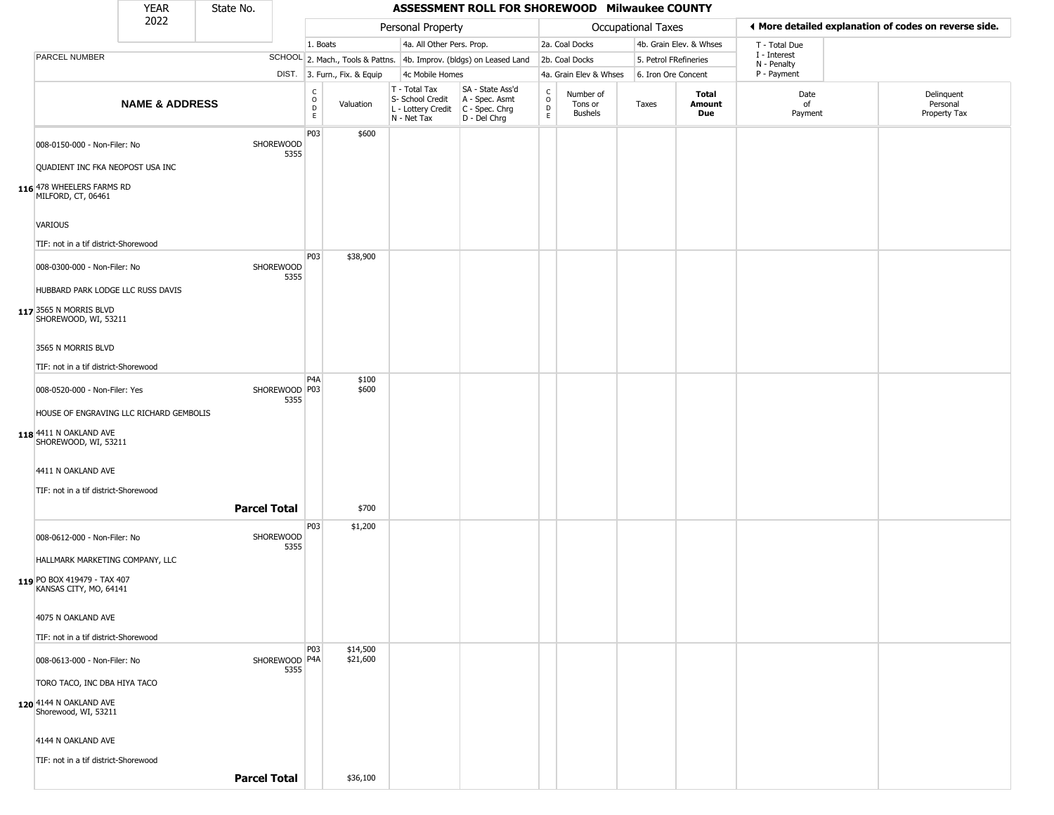|                                                                  | <b>YEAR</b>               | State No.           |                          |                         |                              |                                                                        | ASSESSMENT ROLL FOR SHOREWOOD Milwaukee COUNTY                       |                                   |                                        |                       |                         |                             |                                                       |
|------------------------------------------------------------------|---------------------------|---------------------|--------------------------|-------------------------|------------------------------|------------------------------------------------------------------------|----------------------------------------------------------------------|-----------------------------------|----------------------------------------|-----------------------|-------------------------|-----------------------------|-------------------------------------------------------|
|                                                                  | 2022                      |                     |                          |                         |                              | Personal Property                                                      |                                                                      |                                   |                                        | Occupational Taxes    |                         |                             | ♦ More detailed explanation of codes on reverse side. |
|                                                                  |                           |                     |                          | 1. Boats                |                              | 4a. All Other Pers. Prop.                                              |                                                                      |                                   | 2a. Coal Docks                         |                       | 4b. Grain Elev. & Whses | T - Total Due               |                                                       |
| <b>PARCEL NUMBER</b>                                             |                           |                     |                          |                         |                              |                                                                        | SCHOOL 2. Mach., Tools & Pattns. 4b. Improv. (bldgs) on Leased Land  |                                   | 2b. Coal Docks                         | 5. Petrol FRefineries |                         | I - Interest<br>N - Penalty |                                                       |
|                                                                  |                           |                     |                          |                         | DIST. 3. Furn., Fix. & Equip | 4c Mobile Homes                                                        |                                                                      |                                   | 4a. Grain Elev & Whses                 | 6. Iron Ore Concent   |                         | P - Payment                 |                                                       |
|                                                                  | <b>NAME &amp; ADDRESS</b> |                     |                          | $\frac{C}{O}$<br>D<br>E | Valuation                    | T - Total Tax<br>S- School Credit<br>L - Lottery Credit<br>N - Net Tax | SA - State Ass'd<br>A - Spec. Asmt<br>C - Spec. Chrg<br>D - Del Chrg | $\mathsf{C}$<br>$\circ$<br>D<br>E | Number of<br>Tons or<br><b>Bushels</b> | Taxes                 | Total<br>Amount<br>Due  | Date<br>of<br>Payment       | Delinquent<br>Personal<br>Property Tax                |
| 008-0150-000 - Non-Filer: No<br>QUADIENT INC FKA NEOPOST USA INC |                           |                     | SHOREWOOD<br>5355        | P03                     | \$600                        |                                                                        |                                                                      |                                   |                                        |                       |                         |                             |                                                       |
| 116 478 WHEELERS FARMS RD<br>MILFORD, CT, 06461                  |                           |                     |                          |                         |                              |                                                                        |                                                                      |                                   |                                        |                       |                         |                             |                                                       |
| VARIOUS                                                          |                           |                     |                          |                         |                              |                                                                        |                                                                      |                                   |                                        |                       |                         |                             |                                                       |
| TIF: not in a tif district-Shorewood                             |                           |                     |                          | P03                     | \$38,900                     |                                                                        |                                                                      |                                   |                                        |                       |                         |                             |                                                       |
| 008-0300-000 - Non-Filer: No                                     |                           |                     | <b>SHOREWOOD</b><br>5355 |                         |                              |                                                                        |                                                                      |                                   |                                        |                       |                         |                             |                                                       |
| HUBBARD PARK LODGE LLC RUSS DAVIS                                |                           |                     |                          |                         |                              |                                                                        |                                                                      |                                   |                                        |                       |                         |                             |                                                       |
| 117 3565 N MORRIS BLVD<br>SHOREWOOD, WI, 53211                   |                           |                     |                          |                         |                              |                                                                        |                                                                      |                                   |                                        |                       |                         |                             |                                                       |
| 3565 N MORRIS BLVD                                               |                           |                     |                          |                         |                              |                                                                        |                                                                      |                                   |                                        |                       |                         |                             |                                                       |
| TIF: not in a tif district-Shorewood                             |                           |                     |                          |                         |                              |                                                                        |                                                                      |                                   |                                        |                       |                         |                             |                                                       |
| 008-0520-000 - Non-Filer: Yes                                    |                           |                     | SHOREWOOD   P03<br>5355  | P <sub>4</sub> A        | \$100<br>\$600               |                                                                        |                                                                      |                                   |                                        |                       |                         |                             |                                                       |
| HOUSE OF ENGRAVING LLC RICHARD GEMBOLIS                          |                           |                     |                          |                         |                              |                                                                        |                                                                      |                                   |                                        |                       |                         |                             |                                                       |
| 118 4411 N OAKLAND AVE<br>SHOREWOOD, WI, 53211                   |                           |                     |                          |                         |                              |                                                                        |                                                                      |                                   |                                        |                       |                         |                             |                                                       |
| 4411 N OAKLAND AVE                                               |                           |                     |                          |                         |                              |                                                                        |                                                                      |                                   |                                        |                       |                         |                             |                                                       |
| TIF: not in a tif district-Shorewood                             |                           |                     |                          |                         |                              |                                                                        |                                                                      |                                   |                                        |                       |                         |                             |                                                       |
|                                                                  |                           | <b>Parcel Total</b> |                          | P03                     | \$700<br>\$1,200             |                                                                        |                                                                      |                                   |                                        |                       |                         |                             |                                                       |
| 008-0612-000 - Non-Filer: No                                     |                           |                     | SHOREWOOD<br>5355        |                         |                              |                                                                        |                                                                      |                                   |                                        |                       |                         |                             |                                                       |
| HALLMARK MARKETING COMPANY, LLC                                  |                           |                     |                          |                         |                              |                                                                        |                                                                      |                                   |                                        |                       |                         |                             |                                                       |
| 119 PO BOX 419479 - TAX 407<br>KANSAS CITY, MO, 64141            |                           |                     |                          |                         |                              |                                                                        |                                                                      |                                   |                                        |                       |                         |                             |                                                       |
| 4075 N OAKLAND AVE                                               |                           |                     |                          |                         |                              |                                                                        |                                                                      |                                   |                                        |                       |                         |                             |                                                       |
| TIF: not in a tif district-Shorewood                             |                           |                     |                          |                         |                              |                                                                        |                                                                      |                                   |                                        |                       |                         |                             |                                                       |
| 008-0613-000 - Non-Filer: No                                     |                           |                     | SHOREWOOD P4A<br>5355    | P03                     | \$14,500<br>\$21,600         |                                                                        |                                                                      |                                   |                                        |                       |                         |                             |                                                       |
| TORO TACO, INC DBA HIYA TACO                                     |                           |                     |                          |                         |                              |                                                                        |                                                                      |                                   |                                        |                       |                         |                             |                                                       |
| 120 4144 N OAKLAND AVE<br>Shorewood, WI, 53211                   |                           |                     |                          |                         |                              |                                                                        |                                                                      |                                   |                                        |                       |                         |                             |                                                       |
| 4144 N OAKLAND AVE                                               |                           |                     |                          |                         |                              |                                                                        |                                                                      |                                   |                                        |                       |                         |                             |                                                       |
| TIF: not in a tif district-Shorewood                             |                           |                     |                          |                         |                              |                                                                        |                                                                      |                                   |                                        |                       |                         |                             |                                                       |
|                                                                  |                           | <b>Parcel Total</b> |                          |                         | \$36,100                     |                                                                        |                                                                      |                                   |                                        |                       |                         |                             |                                                       |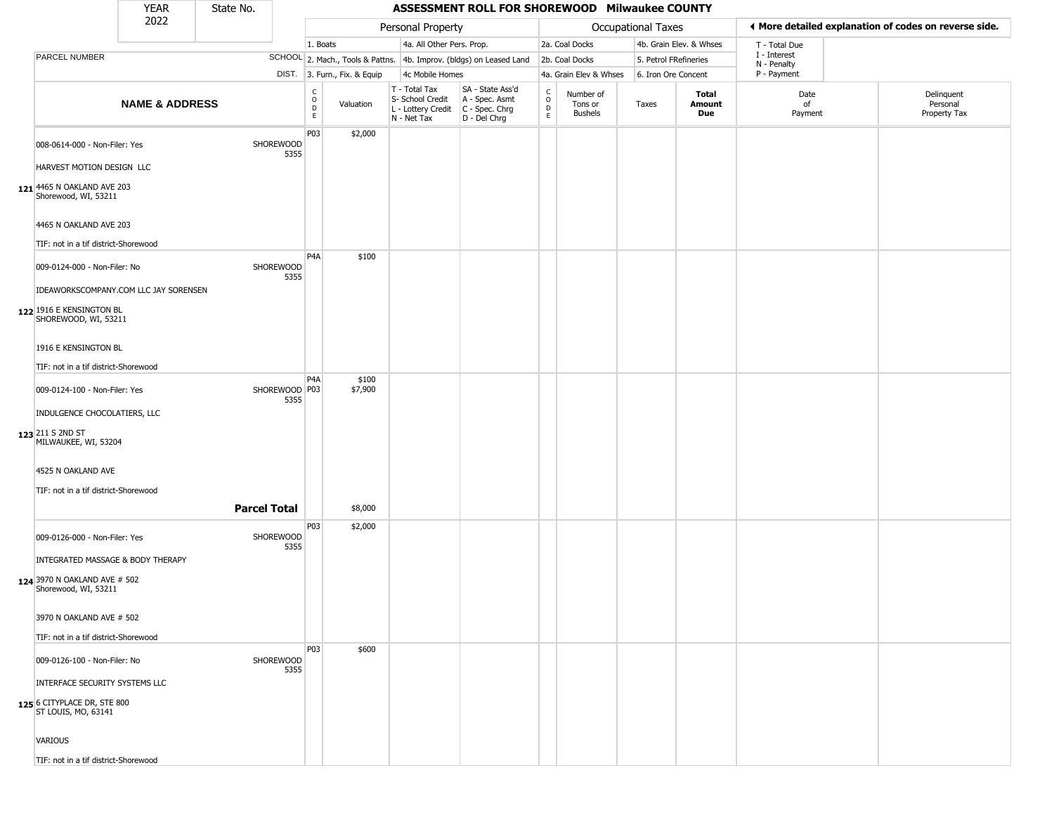|                                                                                                           | YEAR                      | State No.           |                         |                                        |                              |                                                                                         | ASSESSMENT ROLL FOR SHOREWOOD Milwaukee COUNTY                      |                                             |                                        |                       |                         |                             |                                                       |
|-----------------------------------------------------------------------------------------------------------|---------------------------|---------------------|-------------------------|----------------------------------------|------------------------------|-----------------------------------------------------------------------------------------|---------------------------------------------------------------------|---------------------------------------------|----------------------------------------|-----------------------|-------------------------|-----------------------------|-------------------------------------------------------|
|                                                                                                           | 2022                      |                     |                         |                                        |                              | Personal Property                                                                       |                                                                     |                                             |                                        | Occupational Taxes    |                         |                             | ◀ More detailed explanation of codes on reverse side. |
|                                                                                                           |                           |                     |                         | 1. Boats                               |                              | 4a. All Other Pers. Prop.                                                               |                                                                     |                                             | 2a. Coal Docks                         |                       | 4b. Grain Elev. & Whses | T - Total Due               |                                                       |
| PARCEL NUMBER                                                                                             |                           |                     |                         |                                        |                              |                                                                                         | SCHOOL 2. Mach., Tools & Pattns. 4b. Improv. (bldgs) on Leased Land |                                             | 2b. Coal Docks                         | 5. Petrol FRefineries |                         | I - Interest<br>N - Penalty |                                                       |
|                                                                                                           |                           |                     |                         |                                        | DIST. 3. Furn., Fix. & Equip | 4c Mobile Homes                                                                         |                                                                     |                                             | 4a. Grain Elev & Whses                 | 6. Iron Ore Concent   |                         | P - Payment                 |                                                       |
|                                                                                                           | <b>NAME &amp; ADDRESS</b> |                     |                         | $_{\rm o}^{\rm c}$<br>$\mathsf D$<br>E | Valuation                    | T - Total Tax<br>S- School Credit<br>L - Lottery Credit   C - Spec. Chrg<br>N - Net Tax | SA - State Ass'd<br>A - Spec. Asmt<br>D - Del Chrg                  | $\mathsf{C}$<br>$\circ$<br>$\mathsf D$<br>E | Number of<br>Tons or<br><b>Bushels</b> | Taxes                 | Total<br>Amount<br>Due  | Date<br>of<br>Payment       | Delinquent<br>Personal<br>Property Tax                |
| 008-0614-000 - Non-Filer: Yes                                                                             |                           |                     | SHOREWOOD<br>5355       | P03                                    | \$2,000                      |                                                                                         |                                                                     |                                             |                                        |                       |                         |                             |                                                       |
| HARVEST MOTION DESIGN LLC<br>121 4465 N OAKLAND AVE 203<br>Shorewood, WI, 53211                           |                           |                     |                         |                                        |                              |                                                                                         |                                                                     |                                             |                                        |                       |                         |                             |                                                       |
| 4465 N OAKLAND AVE 203<br>TIF: not in a tif district-Shorewood                                            |                           |                     |                         |                                        |                              |                                                                                         |                                                                     |                                             |                                        |                       |                         |                             |                                                       |
| 009-0124-000 - Non-Filer: No<br>IDEAWORKSCOMPANY.COM LLC JAY SORENSEN                                     |                           |                     | SHOREWOOD<br>5355       | P4A                                    | \$100                        |                                                                                         |                                                                     |                                             |                                        |                       |                         |                             |                                                       |
| 122 1916 E KENSINGTON BL<br>SHOREWOOD, WI, 53211                                                          |                           |                     |                         |                                        |                              |                                                                                         |                                                                     |                                             |                                        |                       |                         |                             |                                                       |
| 1916 E KENSINGTON BL<br>TIF: not in a tif district-Shorewood                                              |                           |                     |                         |                                        |                              |                                                                                         |                                                                     |                                             |                                        |                       |                         |                             |                                                       |
|                                                                                                           |                           |                     |                         | P4A                                    | \$100                        |                                                                                         |                                                                     |                                             |                                        |                       |                         |                             |                                                       |
| 009-0124-100 - Non-Filer: Yes<br>INDULGENCE CHOCOLATIERS, LLC<br>123 211 S 2ND ST<br>MILWAUKEE, WI, 53204 |                           |                     | SHOREWOOD   P03<br>5355 |                                        | \$7,900                      |                                                                                         |                                                                     |                                             |                                        |                       |                         |                             |                                                       |
| 4525 N OAKLAND AVE<br>TIF: not in a tif district-Shorewood                                                |                           |                     |                         |                                        |                              |                                                                                         |                                                                     |                                             |                                        |                       |                         |                             |                                                       |
|                                                                                                           |                           | <b>Parcel Total</b> |                         |                                        | \$8,000                      |                                                                                         |                                                                     |                                             |                                        |                       |                         |                             |                                                       |
| 009-0126-000 - Non-Filer: Yes<br>INTEGRATED MASSAGE & BODY THERAPY<br>124 3970 N OAKLAND AVE # 502        |                           |                     | SHOREWOOD<br>5355       | P03                                    | \$2,000                      |                                                                                         |                                                                     |                                             |                                        |                       |                         |                             |                                                       |
| Shorewood, WI, 53211<br>3970 N OAKLAND AVE # 502                                                          |                           |                     |                         |                                        |                              |                                                                                         |                                                                     |                                             |                                        |                       |                         |                             |                                                       |
| TIF: not in a tif district-Shorewood                                                                      |                           |                     |                         |                                        |                              |                                                                                         |                                                                     |                                             |                                        |                       |                         |                             |                                                       |
| 009-0126-100 - Non-Filer: No                                                                              |                           |                     | SHOREWOOD<br>5355       | P03                                    | \$600                        |                                                                                         |                                                                     |                                             |                                        |                       |                         |                             |                                                       |
| INTERFACE SECURITY SYSTEMS LLC<br>125 6 CITYPLACE DR, STE 800<br>ST LOUIS, MO, 63141                      |                           |                     |                         |                                        |                              |                                                                                         |                                                                     |                                             |                                        |                       |                         |                             |                                                       |
| VARIOUS                                                                                                   |                           |                     |                         |                                        |                              |                                                                                         |                                                                     |                                             |                                        |                       |                         |                             |                                                       |
| TIF: not in a tif district-Shorewood                                                                      |                           |                     |                         |                                        |                              |                                                                                         |                                                                     |                                             |                                        |                       |                         |                             |                                                       |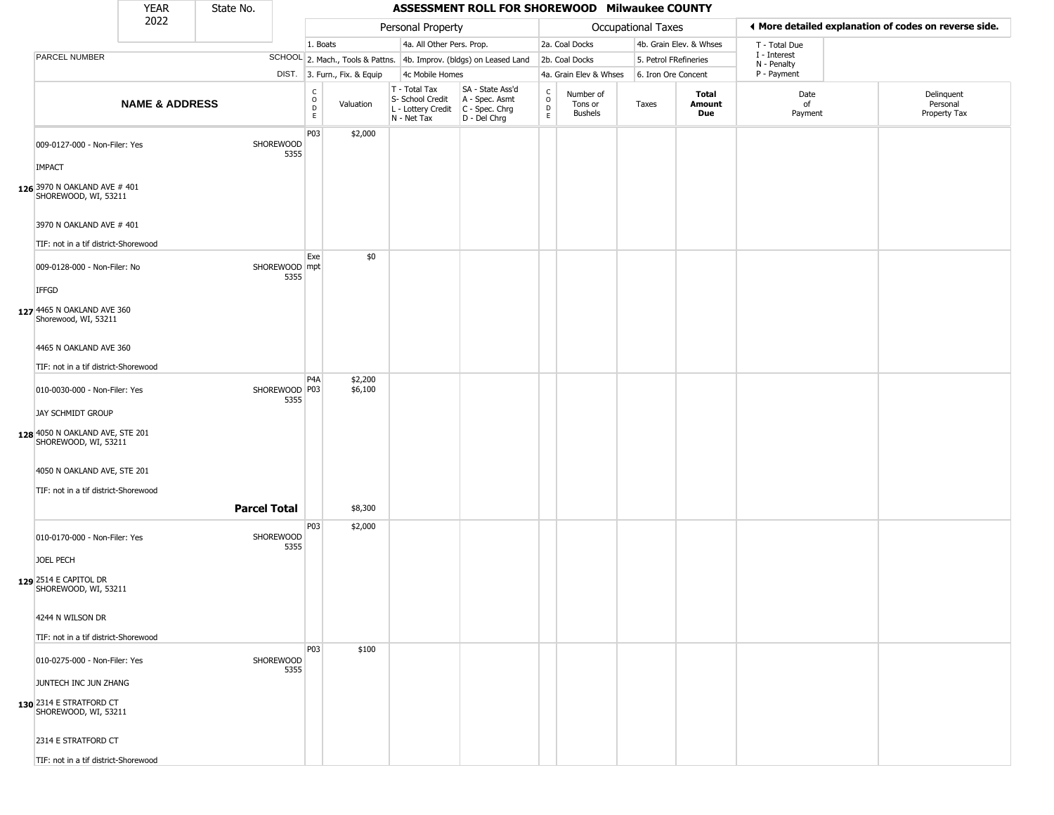|                                                                  | <b>YEAR</b>               | State No.           |                       |                                                  |                              |                                                                        | ASSESSMENT ROLL FOR SHOREWOOD Milwaukee COUNTY                       |                                 |                                        |                           |                         |                             |                                                       |
|------------------------------------------------------------------|---------------------------|---------------------|-----------------------|--------------------------------------------------|------------------------------|------------------------------------------------------------------------|----------------------------------------------------------------------|---------------------------------|----------------------------------------|---------------------------|-------------------------|-----------------------------|-------------------------------------------------------|
|                                                                  | 2022                      |                     |                       |                                                  |                              | Personal Property                                                      |                                                                      |                                 |                                        | <b>Occupational Taxes</b> |                         |                             | ♦ More detailed explanation of codes on reverse side. |
|                                                                  |                           |                     |                       | 1. Boats                                         |                              | 4a. All Other Pers. Prop.                                              |                                                                      |                                 | 2a. Coal Docks                         |                           | 4b. Grain Elev. & Whses | T - Total Due               |                                                       |
| PARCEL NUMBER                                                    |                           |                     |                       |                                                  |                              |                                                                        | SCHOOL 2. Mach., Tools & Pattns. 4b. Improv. (bldgs) on Leased Land  |                                 | 2b. Coal Docks                         | 5. Petrol FRefineries     |                         | I - Interest<br>N - Penalty |                                                       |
|                                                                  |                           |                     |                       |                                                  | DIST. 3. Furn., Fix. & Equip | 4c Mobile Homes                                                        |                                                                      |                                 | 4a. Grain Elev & Whses                 | 6. Iron Ore Concent       |                         | P - Payment                 |                                                       |
|                                                                  | <b>NAME &amp; ADDRESS</b> |                     |                       | $_{\rm o}^{\rm c}$<br>$\mathsf D$<br>$\mathsf E$ | Valuation                    | T - Total Tax<br>S- School Credit<br>L - Lottery Credit<br>N - Net Tax | SA - State Ass'd<br>A - Spec. Asmt<br>C - Spec. Chrg<br>D - Del Chrg | $\rm _o^C$<br>$\mathsf{D}$<br>E | Number of<br>Tons or<br><b>Bushels</b> | Taxes                     | Total<br>Amount<br>Due  | Date<br>of<br>Payment       | Delinquent<br>Personal<br>Property Tax                |
| 009-0127-000 - Non-Filer: Yes<br><b>IMPACT</b>                   |                           |                     | SHOREWOOD<br>5355     | P03                                              | \$2,000                      |                                                                        |                                                                      |                                 |                                        |                           |                         |                             |                                                       |
| 126 3970 N OAKLAND AVE # 401<br>SHOREWOOD, WI, 53211             |                           |                     |                       |                                                  |                              |                                                                        |                                                                      |                                 |                                        |                           |                         |                             |                                                       |
| 3970 N OAKLAND AVE # 401<br>TIF: not in a tif district-Shorewood |                           |                     |                       |                                                  |                              |                                                                        |                                                                      |                                 |                                        |                           |                         |                             |                                                       |
| 009-0128-000 - Non-Filer: No<br><b>IFFGD</b>                     |                           |                     | SHOREWOOD mpt<br>5355 | Exe                                              | \$0                          |                                                                        |                                                                      |                                 |                                        |                           |                         |                             |                                                       |
| 127 4465 N OAKLAND AVE 360<br>Shorewood, WI, 53211               |                           |                     |                       |                                                  |                              |                                                                        |                                                                      |                                 |                                        |                           |                         |                             |                                                       |
| 4465 N OAKLAND AVE 360                                           |                           |                     |                       |                                                  |                              |                                                                        |                                                                      |                                 |                                        |                           |                         |                             |                                                       |
| TIF: not in a tif district-Shorewood                             |                           |                     |                       | P <sub>4</sub> A                                 | \$2,200                      |                                                                        |                                                                      |                                 |                                        |                           |                         |                             |                                                       |
| 010-0030-000 - Non-Filer: Yes<br>JAY SCHMIDT GROUP               |                           |                     | SHOREWOOD P03<br>5355 |                                                  | \$6,100                      |                                                                        |                                                                      |                                 |                                        |                           |                         |                             |                                                       |
| 128 4050 N OAKLAND AVE, STE 201<br>SHOREWOOD, WI, 53211          |                           |                     |                       |                                                  |                              |                                                                        |                                                                      |                                 |                                        |                           |                         |                             |                                                       |
| 4050 N OAKLAND AVE, STE 201                                      |                           |                     |                       |                                                  |                              |                                                                        |                                                                      |                                 |                                        |                           |                         |                             |                                                       |
| TIF: not in a tif district-Shorewood                             |                           | <b>Parcel Total</b> |                       |                                                  | \$8,300                      |                                                                        |                                                                      |                                 |                                        |                           |                         |                             |                                                       |
| 010-0170-000 - Non-Filer: Yes                                    |                           |                     | SHOREWOOD<br>5355     | P03                                              | \$2,000                      |                                                                        |                                                                      |                                 |                                        |                           |                         |                             |                                                       |
| JOEL PECH<br>129 2514 E CAPITOL DR<br>SHOREWOOD, WI, 53211       |                           |                     |                       |                                                  |                              |                                                                        |                                                                      |                                 |                                        |                           |                         |                             |                                                       |
| 4244 N WILSON DR<br>TIF: not in a tif district-Shorewood         |                           |                     |                       |                                                  |                              |                                                                        |                                                                      |                                 |                                        |                           |                         |                             |                                                       |
|                                                                  |                           |                     |                       | P03                                              | \$100                        |                                                                        |                                                                      |                                 |                                        |                           |                         |                             |                                                       |
| 010-0275-000 - Non-Filer: Yes<br>JUNTECH INC JUN ZHANG           |                           |                     | SHOREWOOD<br>5355     |                                                  |                              |                                                                        |                                                                      |                                 |                                        |                           |                         |                             |                                                       |
| 130 2314 E STRATFORD CT<br>SHOREWOOD, WI, 53211                  |                           |                     |                       |                                                  |                              |                                                                        |                                                                      |                                 |                                        |                           |                         |                             |                                                       |
| 2314 E STRATFORD CT                                              |                           |                     |                       |                                                  |                              |                                                                        |                                                                      |                                 |                                        |                           |                         |                             |                                                       |
| TIF: not in a tif district-Shorewood                             |                           |                     |                       |                                                  |                              |                                                                        |                                                                      |                                 |                                        |                           |                         |                             |                                                       |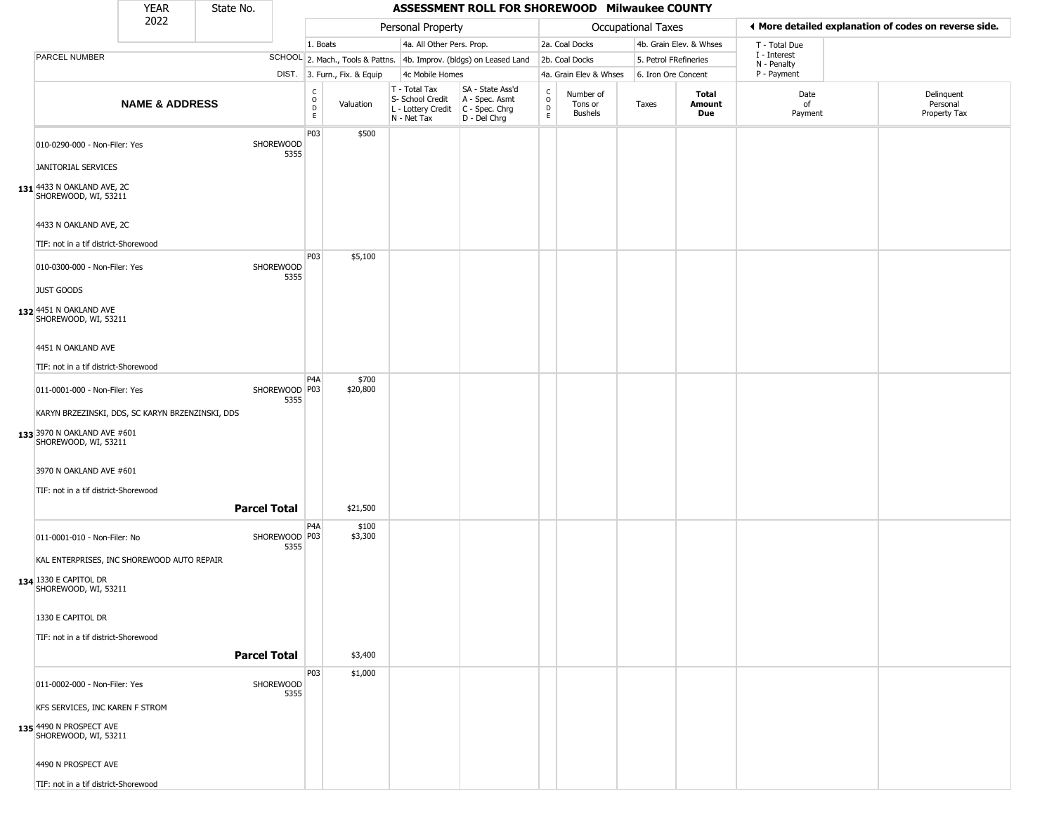|                                                                                                                                                                                                             | <b>YEAR</b>               | State No.           |                         |                            |                               |                                                                        | ASSESSMENT ROLL FOR SHOREWOOD Milwaukee COUNTY                       |                                              |                                        |                           |                         |                             |                                                       |
|-------------------------------------------------------------------------------------------------------------------------------------------------------------------------------------------------------------|---------------------------|---------------------|-------------------------|----------------------------|-------------------------------|------------------------------------------------------------------------|----------------------------------------------------------------------|----------------------------------------------|----------------------------------------|---------------------------|-------------------------|-----------------------------|-------------------------------------------------------|
|                                                                                                                                                                                                             | 2022                      |                     |                         |                            |                               | Personal Property                                                      |                                                                      |                                              |                                        | <b>Occupational Taxes</b> |                         |                             | ◀ More detailed explanation of codes on reverse side. |
|                                                                                                                                                                                                             |                           |                     |                         | 1. Boats                   |                               | 4a. All Other Pers. Prop.                                              |                                                                      |                                              | 2a. Coal Docks                         |                           | 4b. Grain Elev. & Whses | T - Total Due               |                                                       |
| <b>PARCEL NUMBER</b>                                                                                                                                                                                        |                           |                     |                         |                            |                               |                                                                        | SCHOOL 2. Mach., Tools & Pattns. 4b. Improv. (bldgs) on Leased Land  |                                              | 2b. Coal Docks                         | 5. Petrol FRefineries     |                         | I - Interest<br>N - Penalty |                                                       |
|                                                                                                                                                                                                             |                           |                     |                         |                            | DIST. 3. Furn., Fix. & Equip  | 4c Mobile Homes                                                        |                                                                      |                                              | 4a. Grain Elev & Whses                 | 6. Iron Ore Concent       |                         | P - Payment                 |                                                       |
|                                                                                                                                                                                                             | <b>NAME &amp; ADDRESS</b> |                     |                         | $\rm\frac{C}{O}$<br>D<br>E | Valuation                     | T - Total Tax<br>S- School Credit<br>L - Lottery Credit<br>N - Net Tax | SA - State Ass'd<br>A - Spec. Asmt<br>C - Spec. Chrg<br>D - Del Chrg | $\mathsf{C}$<br>$\circ$<br>$\mathsf{D}$<br>E | Number of<br>Tons or<br><b>Bushels</b> | Taxes                     | Total<br>Amount<br>Due  | Date<br>of<br>Payment       | Delinquent<br>Personal<br>Property Tax                |
| 010-0290-000 - Non-Filer: Yes<br>JANITORIAL SERVICES<br>131 4433 N OAKLAND AVE, 2C                                                                                                                          |                           |                     | SHOREWOOD<br>5355       | P03                        | \$500                         |                                                                        |                                                                      |                                              |                                        |                           |                         |                             |                                                       |
| SHOREWOOD, WI, 53211<br>4433 N OAKLAND AVE, 2C<br>TIF: not in a tif district-Shorewood                                                                                                                      |                           |                     |                         |                            |                               |                                                                        |                                                                      |                                              |                                        |                           |                         |                             |                                                       |
| 010-0300-000 - Non-Filer: Yes<br><b>JUST GOODS</b>                                                                                                                                                          |                           |                     | SHOREWOOD<br>5355       | P03                        | \$5,100                       |                                                                        |                                                                      |                                              |                                        |                           |                         |                             |                                                       |
| 132 4451 N OAKLAND AVE<br>SHOREWOOD, WI, 53211<br>4451 N OAKLAND AVE<br>TIF: not in a tif district-Shorewood                                                                                                |                           |                     |                         |                            |                               |                                                                        |                                                                      |                                              |                                        |                           |                         |                             |                                                       |
| 011-0001-000 - Non-Filer: Yes<br>KARYN BRZEZINSKI, DDS, SC KARYN BRZENZINSKI, DDS<br>133 3970 N OAKLAND AVE #601<br>SHOREWOOD, WI, 53211<br>3970 N OAKLAND AVE #601<br>TIF: not in a tif district-Shorewood |                           | <b>Parcel Total</b> | SHOREWOOD   P03<br>5355 | P4A                        | \$700<br>\$20,800<br>\$21,500 |                                                                        |                                                                      |                                              |                                        |                           |                         |                             |                                                       |
| 011-0001-010 - Non-Filer: No<br>KAL ENTERPRISES, INC SHOREWOOD AUTO REPAIR<br>134 1330 E CAPITOL DR<br>SHOREWOOD, WI, 53211<br>1330 E CAPITOL DR                                                            |                           |                     | SHOREWOOD   P03<br>5355 | P4A                        | \$100<br>\$3,300              |                                                                        |                                                                      |                                              |                                        |                           |                         |                             |                                                       |
| TIF: not in a tif district-Shorewood                                                                                                                                                                        |                           | <b>Parcel Total</b> |                         | P03                        | \$3,400<br>\$1,000            |                                                                        |                                                                      |                                              |                                        |                           |                         |                             |                                                       |
| 011-0002-000 - Non-Filer: Yes<br>KFS SERVICES, INC KAREN F STROM<br>135 4490 N PROSPECT AVE<br>SHOREWOOD, WI, 53211<br>4490 N PROSPECT AVE<br>TIF: not in a tif district-Shorewood                          |                           |                     | SHOREWOOD<br>5355       |                            |                               |                                                                        |                                                                      |                                              |                                        |                           |                         |                             |                                                       |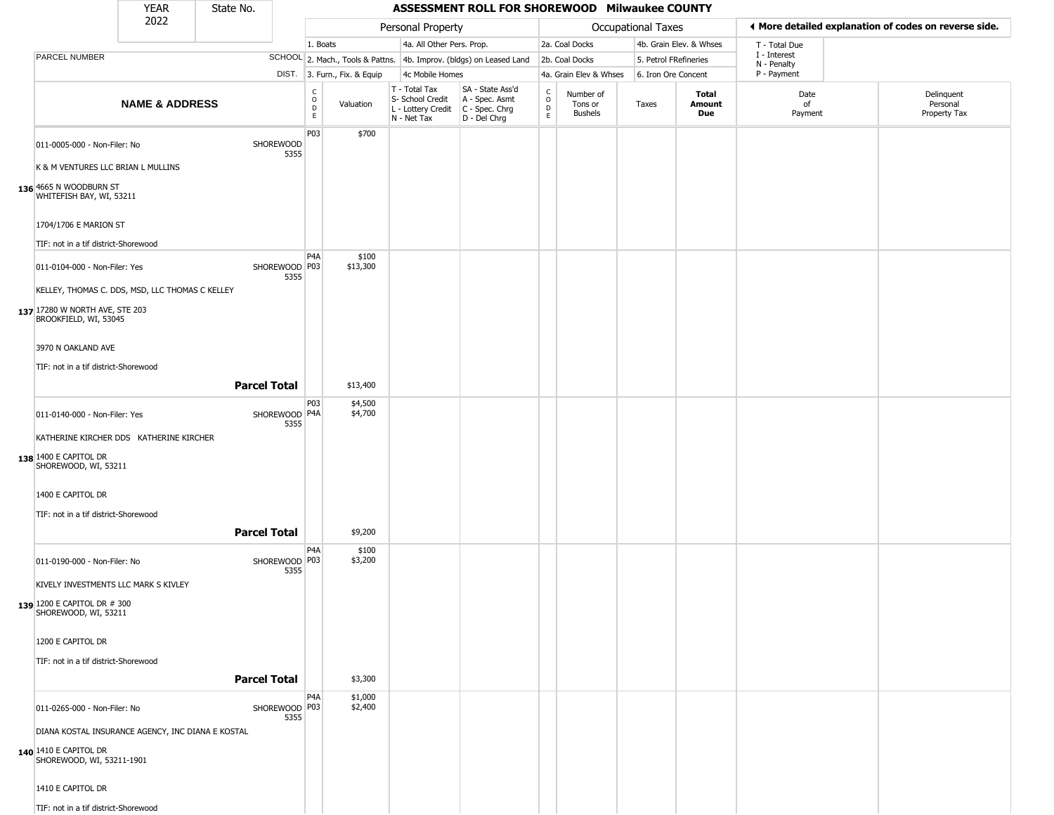## YEAR **ASSESSMENT ROLL FOR SHOREWOOD Milwaukee COUNTY** 2022 DIST. 3. Furn., Fix. & Equip PARCEL NUMBER **NAME & ADDRESS** State No. C O D E Valuation T - Total Tax S- School Credit A - Spec. Asmt L - Lottery Credit C - Spec. Chrg N - Net Tax SA - State Ass'd D - Del Chrg C O D E Number of Tons or Bushels Taxes **Total Amount Due** Date of Payment Delinquent Personal Property Tax Personal Property **Department Controller Service Controller** Occupational Taxes 1. Boats **4a. All Other Pers. Prop.** 2a. Coal Docks 4b. Grain Elev. & Whses SCHOOL 2. Mach., Tools & Pattns. 4b. Improv. (bldgs) on Leased Land 2b. Coal Docks 5. Petrol FRefineries 4c Mobile Homes 4a. Grain Elev & Whses 6. Iron Ore Concent T - Total Due I - Interest N - Penalty P - Payment 3**More detailed explanation of codes on reverse side. 136** 4665 N WOODBURN ST 011-0005-000 - Non-Filer: No SHOREWOOD 5355 K & M VENTURES LLC BRIAN L MULLINS WHITEFISH BAY, WI, 53211 1704/1706 E MARION ST TIF: not in a tif district-Shorewood P03 \$700 **137** 17280 W NORTH AVE, STE 203 011-0104-000 - Non-Filer: Yes 5355 KELLEY, THOMAS C. DDS, MSD, LLC THOMAS C KELLEY BROOKFIELD, WI, 53045 3970 N OAKLAND AVE TIF: not in a tif district-Shorewood P4A SHOREWOOD P03 \$100 \$13,300 **Parcel Total** | \$13,400 **138** 1400 E CAPITOL DR 011-0140-000 - Non-Filer: Yes 5355 KATHERINE KIRCHER DDS KATHERINE KIRCHER SHOREWOOD, WI, 53211 1400 E CAPITOL DR TIF: not in a tif district-Shorewood P03 SHOREWOOD P4A \$4,500 \$4,700 **Parcel Total 1 \$9,200 139** 1200 E CAPITOL DR # 300 011-0190-000 - Non-Filer: No 5355 KIVELY INVESTMENTS LLC MARK S KIVLEY SHOREWOOD, WI, 53211 1200 E CAPITOL DR TIF: not in a tif district-Shorewood  $PA<sub>A</sub>$ SHOREWOOD P03 \$100 \$3,200 **Parcel Total** | \$3,300 **140** 1410 E CAPITOL DR 011-0265-000 - Non-Filer: No 5355 DIANA KOSTAL INSURANCE AGENCY, INC DIANA E KOSTAL SHOREWOOD, WI, 53211-1901 1410 E CAPITOL DR P4A SHOREWOOD | P03 \$1,000  $$2,400$

TIF: not in a tif district-Shorewood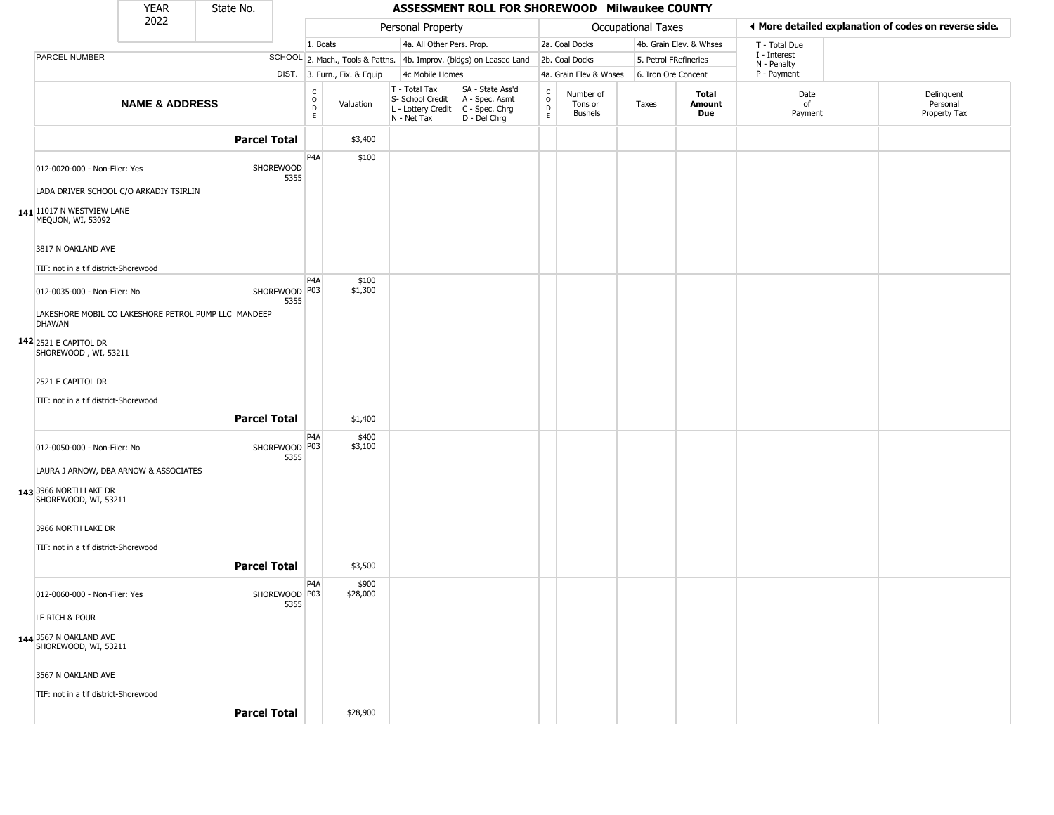|                                                                         | <b>YEAR</b>               | State No.                                            |                                        |                              |                                                  | ASSESSMENT ROLL FOR SHOREWOOD Milwaukee COUNTY                                              |                                             |                                 |                       |                         |                             |                                                       |
|-------------------------------------------------------------------------|---------------------------|------------------------------------------------------|----------------------------------------|------------------------------|--------------------------------------------------|---------------------------------------------------------------------------------------------|---------------------------------------------|---------------------------------|-----------------------|-------------------------|-----------------------------|-------------------------------------------------------|
|                                                                         | 2022                      |                                                      |                                        |                              | Personal Property                                |                                                                                             |                                             |                                 | Occupational Taxes    |                         |                             | I More detailed explanation of codes on reverse side. |
|                                                                         |                           |                                                      |                                        | 1. Boats                     | 4a. All Other Pers. Prop.                        |                                                                                             |                                             | 2a. Coal Docks                  |                       | 4b. Grain Elev. & Whses | T - Total Due               |                                                       |
| PARCEL NUMBER                                                           |                           |                                                      |                                        |                              |                                                  | SCHOOL 2. Mach., Tools & Pattns. 4b. Improv. (bldgs) on Leased Land                         |                                             | 2b. Coal Docks                  | 5. Petrol FRefineries |                         | I - Interest<br>N - Penalty |                                                       |
|                                                                         |                           |                                                      |                                        | DIST. 3. Furn., Fix. & Equip | 4c Mobile Homes                                  |                                                                                             |                                             | 4a. Grain Elev & Whses          | 6. Iron Ore Concent   |                         | P - Payment                 |                                                       |
|                                                                         | <b>NAME &amp; ADDRESS</b> |                                                      | $_{\rm o}^{\rm c}$<br>$\mathsf D$<br>E | Valuation                    | T - Total Tax<br>S- School Credit<br>N - Net Tax | SA - State Ass'd<br>A - Spec. Asmt<br>L - Lottery Credit   C - Spec. Chrg<br>$D - Del Chrg$ | $\frac{c}{0}$<br>$\mathsf D$<br>$\mathsf E$ | Number of<br>Tons or<br>Bushels | Taxes                 | Total<br>Amount<br>Due  | Date<br>of<br>Payment       | Delinquent<br>Personal<br>Property Tax                |
|                                                                         |                           | <b>Parcel Total</b>                                  |                                        | \$3,400                      |                                                  |                                                                                             |                                             |                                 |                       |                         |                             |                                                       |
| 012-0020-000 - Non-Filer: Yes<br>LADA DRIVER SCHOOL C/O ARKADIY TSIRLIN |                           | SHOREWOOD                                            | P4A<br>5355                            | \$100                        |                                                  |                                                                                             |                                             |                                 |                       |                         |                             |                                                       |
| 141 11017 N WESTVIEW LANE<br>MEQUON, WI, 53092                          |                           |                                                      |                                        |                              |                                                  |                                                                                             |                                             |                                 |                       |                         |                             |                                                       |
| 3817 N OAKLAND AVE                                                      |                           |                                                      |                                        |                              |                                                  |                                                                                             |                                             |                                 |                       |                         |                             |                                                       |
| TIF: not in a tif district-Shorewood<br>012-0035-000 - Non-Filer: No    |                           | SHOREWOOD P03                                        | P <sub>4</sub> A<br>5355               | \$100<br>\$1,300             |                                                  |                                                                                             |                                             |                                 |                       |                         |                             |                                                       |
| <b>DHAWAN</b>                                                           |                           | LAKESHORE MOBIL CO LAKESHORE PETROL PUMP LLC MANDEEP |                                        |                              |                                                  |                                                                                             |                                             |                                 |                       |                         |                             |                                                       |
| <b>142</b> 2521 E CAPITOL DR<br>SHOREWOOD, WI, 53211                    |                           |                                                      |                                        |                              |                                                  |                                                                                             |                                             |                                 |                       |                         |                             |                                                       |
| 2521 E CAPITOL DR                                                       |                           |                                                      |                                        |                              |                                                  |                                                                                             |                                             |                                 |                       |                         |                             |                                                       |
| TIF: not in a tif district-Shorewood                                    |                           |                                                      |                                        |                              |                                                  |                                                                                             |                                             |                                 |                       |                         |                             |                                                       |
|                                                                         |                           | <b>Parcel Total</b>                                  |                                        | \$1,400                      |                                                  |                                                                                             |                                             |                                 |                       |                         |                             |                                                       |
| 012-0050-000 - Non-Filer: No                                            |                           | SHOREWOOD P03                                        | P <sub>4</sub> A<br>5355               | \$400<br>\$3,100             |                                                  |                                                                                             |                                             |                                 |                       |                         |                             |                                                       |
| LAURA J ARNOW, DBA ARNOW & ASSOCIATES<br>143 3966 NORTH LAKE DR         |                           |                                                      |                                        |                              |                                                  |                                                                                             |                                             |                                 |                       |                         |                             |                                                       |
| SHOREWOOD, WI, 53211                                                    |                           |                                                      |                                        |                              |                                                  |                                                                                             |                                             |                                 |                       |                         |                             |                                                       |
| 3966 NORTH LAKE DR                                                      |                           |                                                      |                                        |                              |                                                  |                                                                                             |                                             |                                 |                       |                         |                             |                                                       |
| TIF: not in a tif district-Shorewood                                    |                           | <b>Parcel Total</b>                                  |                                        | \$3,500                      |                                                  |                                                                                             |                                             |                                 |                       |                         |                             |                                                       |
| 012-0060-000 - Non-Filer: Yes                                           |                           | SHOREWOOD P03                                        | P4A                                    | \$900<br>\$28,000            |                                                  |                                                                                             |                                             |                                 |                       |                         |                             |                                                       |
| LE RICH & POUR                                                          |                           |                                                      | 5355                                   |                              |                                                  |                                                                                             |                                             |                                 |                       |                         |                             |                                                       |
| 144 3567 N OAKLAND AVE<br>SHOREWOOD, WI, 53211                          |                           |                                                      |                                        |                              |                                                  |                                                                                             |                                             |                                 |                       |                         |                             |                                                       |
| 3567 N OAKLAND AVE                                                      |                           |                                                      |                                        |                              |                                                  |                                                                                             |                                             |                                 |                       |                         |                             |                                                       |
| TIF: not in a tif district-Shorewood                                    |                           | <b>Parcel Total</b>                                  |                                        |                              |                                                  |                                                                                             |                                             |                                 |                       |                         |                             |                                                       |
|                                                                         |                           |                                                      |                                        | \$28,900                     |                                                  |                                                                                             |                                             |                                 |                       |                         |                             |                                                       |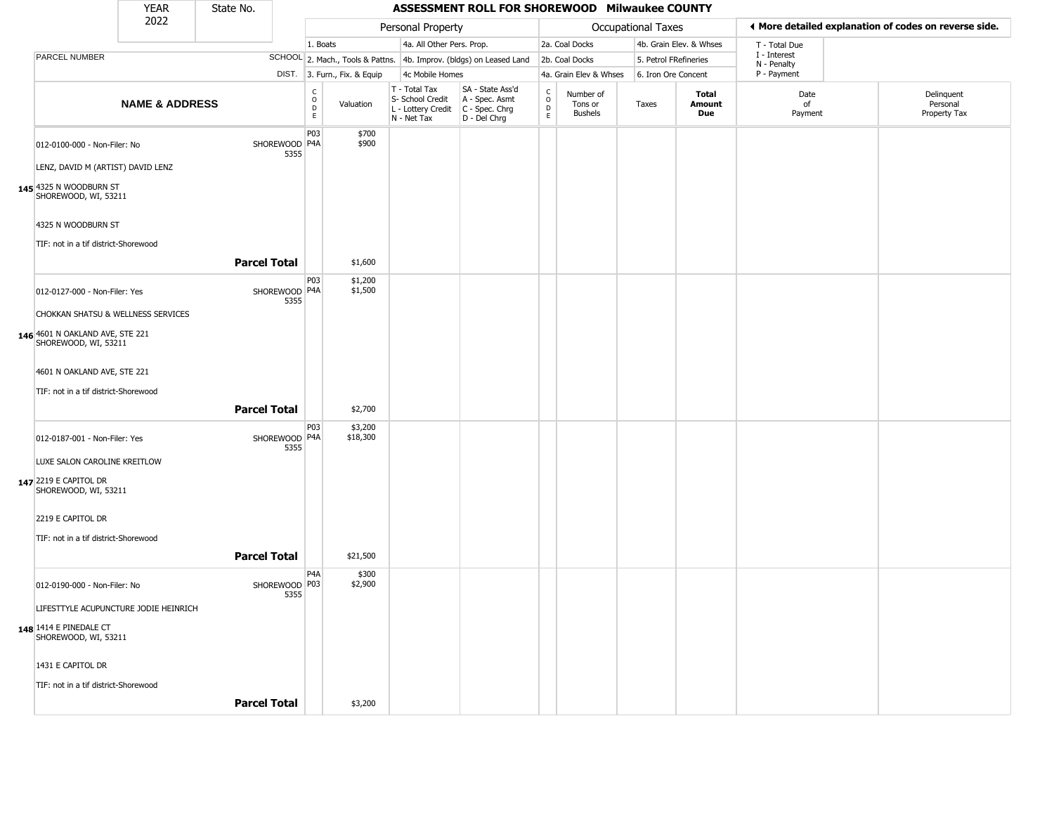|                                                         | <b>YEAR</b>               | State No.           |                         |                        |                              |                                                                        | ASSESSMENT ROLL FOR SHOREWOOD Milwaukee COUNTY                           |                                                 |                                        |                    |                         |                             |                                                       |
|---------------------------------------------------------|---------------------------|---------------------|-------------------------|------------------------|------------------------------|------------------------------------------------------------------------|--------------------------------------------------------------------------|-------------------------------------------------|----------------------------------------|--------------------|-------------------------|-----------------------------|-------------------------------------------------------|
|                                                         | 2022                      |                     |                         |                        |                              | Personal Property                                                      |                                                                          |                                                 |                                        | Occupational Taxes |                         |                             | ◀ More detailed explanation of codes on reverse side. |
|                                                         |                           |                     |                         | 1. Boats               |                              | 4a. All Other Pers. Prop.                                              |                                                                          |                                                 | 2a. Coal Docks                         |                    | 4b. Grain Elev. & Whses | T - Total Due               |                                                       |
| PARCEL NUMBER                                           |                           |                     |                         |                        |                              |                                                                        | SCHOOL 2. Mach., Tools & Pattns. 4b. Improv. (bldgs) on Leased Land      |                                                 | 2b. Coal Docks                         |                    | 5. Petrol FRefineries   | I - Interest<br>N - Penalty |                                                       |
|                                                         |                           |                     |                         |                        | DIST. 3. Furn., Fix. & Equip | 4c Mobile Homes                                                        |                                                                          |                                                 | 4a. Grain Elev & Whses                 |                    | 6. Iron Ore Concent     | P - Payment                 |                                                       |
|                                                         | <b>NAME &amp; ADDRESS</b> |                     |                         | С<br>$\circ$<br>D<br>E | Valuation                    | T - Total Tax<br>S- School Credit<br>L - Lottery Credit<br>N - Net Tax | SA - State Ass'd<br>A - Spec. Asmt<br>$C - Spec. Chrg$<br>$D - Del Chrg$ | $\begin{array}{c} C \\ O \\ D \\ E \end{array}$ | Number of<br>Tons or<br><b>Bushels</b> | Taxes              | Total<br>Amount<br>Due  | Date<br>of<br>Payment       | Delinquent<br>Personal<br>Property Tax                |
| 012-0100-000 - Non-Filer: No                            |                           |                     | SHOREWOOD   P4A<br>5355 | P03                    | \$700<br>\$900               |                                                                        |                                                                          |                                                 |                                        |                    |                         |                             |                                                       |
| LENZ, DAVID M (ARTIST) DAVID LENZ                       |                           |                     |                         |                        |                              |                                                                        |                                                                          |                                                 |                                        |                    |                         |                             |                                                       |
| 145 4325 N WOODBURN ST<br>SHOREWOOD, WI, 53211          |                           |                     |                         |                        |                              |                                                                        |                                                                          |                                                 |                                        |                    |                         |                             |                                                       |
| 4325 N WOODBURN ST                                      |                           |                     |                         |                        |                              |                                                                        |                                                                          |                                                 |                                        |                    |                         |                             |                                                       |
| TIF: not in a tif district-Shorewood                    |                           |                     |                         |                        |                              |                                                                        |                                                                          |                                                 |                                        |                    |                         |                             |                                                       |
|                                                         |                           | <b>Parcel Total</b> |                         |                        | \$1,600                      |                                                                        |                                                                          |                                                 |                                        |                    |                         |                             |                                                       |
| 012-0127-000 - Non-Filer: Yes                           |                           |                     | SHOREWOOD   P4A<br>5355 | <b>P03</b>             | \$1,200<br>\$1,500           |                                                                        |                                                                          |                                                 |                                        |                    |                         |                             |                                                       |
| CHOKKAN SHATSU & WELLNESS SERVICES                      |                           |                     |                         |                        |                              |                                                                        |                                                                          |                                                 |                                        |                    |                         |                             |                                                       |
| 146 4601 N OAKLAND AVE, STE 221<br>SHOREWOOD, WI, 53211 |                           |                     |                         |                        |                              |                                                                        |                                                                          |                                                 |                                        |                    |                         |                             |                                                       |
| 4601 N OAKLAND AVE, STE 221                             |                           |                     |                         |                        |                              |                                                                        |                                                                          |                                                 |                                        |                    |                         |                             |                                                       |
| TIF: not in a tif district-Shorewood                    |                           |                     |                         |                        |                              |                                                                        |                                                                          |                                                 |                                        |                    |                         |                             |                                                       |
|                                                         |                           | <b>Parcel Total</b> |                         |                        | \$2,700                      |                                                                        |                                                                          |                                                 |                                        |                    |                         |                             |                                                       |
| 012-0187-001 - Non-Filer: Yes                           |                           |                     | SHOREWOOD P4A<br>5355   | P03                    | \$3,200<br>\$18,300          |                                                                        |                                                                          |                                                 |                                        |                    |                         |                             |                                                       |
| LUXE SALON CAROLINE KREITLOW                            |                           |                     |                         |                        |                              |                                                                        |                                                                          |                                                 |                                        |                    |                         |                             |                                                       |
| 147 2219 E CAPITOL DR<br>SHOREWOOD, WI, 53211           |                           |                     |                         |                        |                              |                                                                        |                                                                          |                                                 |                                        |                    |                         |                             |                                                       |
| 2219 E CAPITOL DR                                       |                           |                     |                         |                        |                              |                                                                        |                                                                          |                                                 |                                        |                    |                         |                             |                                                       |
| TIF: not in a tif district-Shorewood                    |                           |                     |                         |                        |                              |                                                                        |                                                                          |                                                 |                                        |                    |                         |                             |                                                       |
|                                                         |                           | <b>Parcel Total</b> |                         |                        | \$21,500                     |                                                                        |                                                                          |                                                 |                                        |                    |                         |                             |                                                       |
| 012-0190-000 - Non-Filer: No                            |                           |                     | SHOREWOOD P03<br>5355   | P4A                    | \$300<br>\$2,900             |                                                                        |                                                                          |                                                 |                                        |                    |                         |                             |                                                       |
| LIFESTTYLE ACUPUNCTURE JODIE HEINRICH                   |                           |                     |                         |                        |                              |                                                                        |                                                                          |                                                 |                                        |                    |                         |                             |                                                       |
| 148 1414 E PINEDALE CT<br>SHOREWOOD, WI, 53211          |                           |                     |                         |                        |                              |                                                                        |                                                                          |                                                 |                                        |                    |                         |                             |                                                       |
| 1431 E CAPITOL DR                                       |                           |                     |                         |                        |                              |                                                                        |                                                                          |                                                 |                                        |                    |                         |                             |                                                       |
| TIF: not in a tif district-Shorewood                    |                           |                     |                         |                        |                              |                                                                        |                                                                          |                                                 |                                        |                    |                         |                             |                                                       |
|                                                         |                           | <b>Parcel Total</b> |                         |                        | \$3,200                      |                                                                        |                                                                          |                                                 |                                        |                    |                         |                             |                                                       |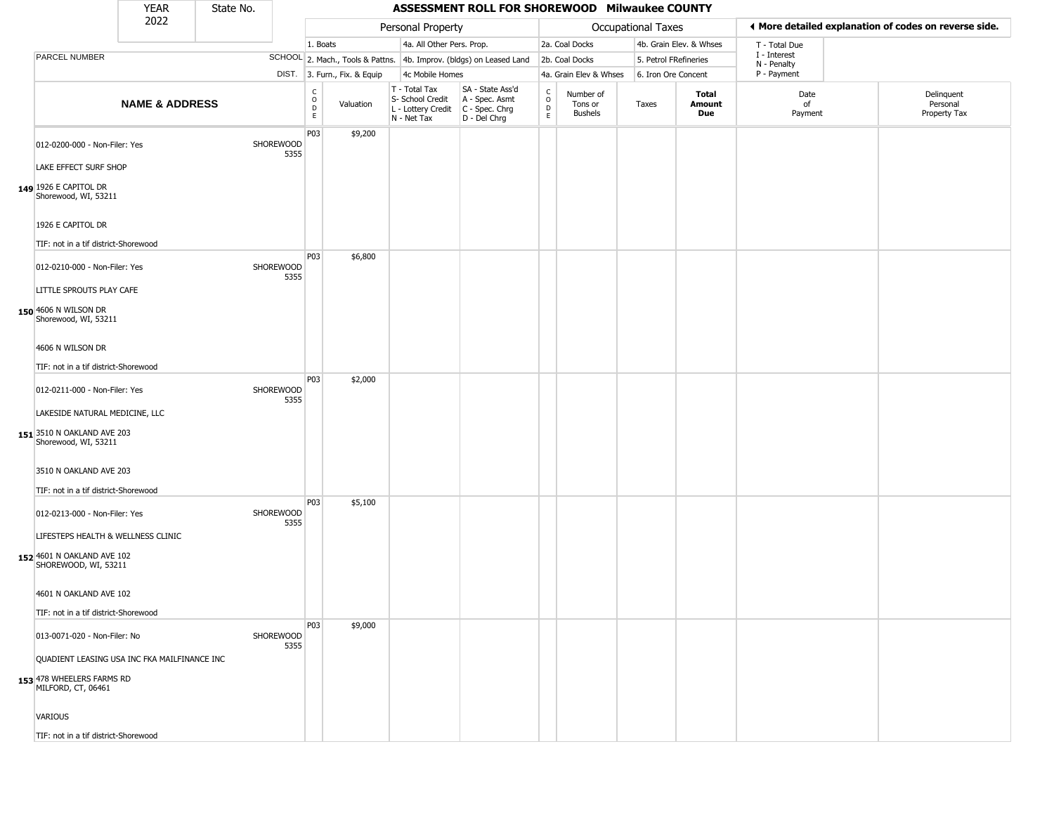|                                                                                                         | <b>YEAR</b>               | State No. |                   |                              |                              |                                                                        | ASSESSMENT ROLL FOR SHOREWOOD Milwaukee COUNTY                       |                        |                                 |                    |                         |                             |                                                       |
|---------------------------------------------------------------------------------------------------------|---------------------------|-----------|-------------------|------------------------------|------------------------------|------------------------------------------------------------------------|----------------------------------------------------------------------|------------------------|---------------------------------|--------------------|-------------------------|-----------------------------|-------------------------------------------------------|
|                                                                                                         | 2022                      |           |                   |                              |                              | Personal Property                                                      |                                                                      |                        |                                 | Occupational Taxes |                         |                             | ◀ More detailed explanation of codes on reverse side. |
|                                                                                                         |                           |           |                   | 1. Boats                     |                              | 4a. All Other Pers. Prop.                                              |                                                                      |                        | 2a. Coal Docks                  |                    | 4b. Grain Elev. & Whses | T - Total Due               |                                                       |
| PARCEL NUMBER                                                                                           |                           |           |                   |                              |                              |                                                                        | SCHOOL 2. Mach., Tools & Pattns. 4b. Improv. (bldgs) on Leased Land  |                        | 2b. Coal Docks                  |                    | 5. Petrol FRefineries   | I - Interest<br>N - Penalty |                                                       |
|                                                                                                         |                           |           |                   |                              | DIST. 3. Furn., Fix. & Equip | 4c Mobile Homes                                                        |                                                                      |                        | 4a. Grain Elev & Whses          |                    | 6. Iron Ore Concent     | P - Payment                 |                                                       |
|                                                                                                         | <b>NAME &amp; ADDRESS</b> |           |                   | $_{\rm o}^{\rm c}$<br>D<br>E | Valuation                    | T - Total Tax<br>S- School Credit<br>L - Lottery Credit<br>N - Net Tax | SA - State Ass'd<br>A - Spec. Asmt<br>C - Spec. Chrg<br>D - Del Chrg | C<br>$\circ$<br>D<br>E | Number of<br>Tons or<br>Bushels | Taxes              | Total<br>Amount<br>Due  | Date<br>of<br>Payment       | Delinquent<br>Personal<br>Property Tax                |
| 012-0200-000 - Non-Filer: Yes<br>LAKE EFFECT SURF SHOP<br>149 1926 E CAPITOL DR<br>Shorewood, WI, 53211 |                           |           | SHOREWOOD<br>5355 | P03                          | \$9,200                      |                                                                        |                                                                      |                        |                                 |                    |                         |                             |                                                       |
| 1926 E CAPITOL DR                                                                                       |                           |           |                   |                              |                              |                                                                        |                                                                      |                        |                                 |                    |                         |                             |                                                       |
| TIF: not in a tif district-Shorewood<br>012-0210-000 - Non-Filer: Yes<br>LITTLE SPROUTS PLAY CAFE       |                           |           | SHOREWOOD<br>5355 | P03                          | \$6,800                      |                                                                        |                                                                      |                        |                                 |                    |                         |                             |                                                       |
| 150 4606 N WILSON DR<br>Shorewood, WI, 53211<br>4606 N WILSON DR                                        |                           |           |                   |                              |                              |                                                                        |                                                                      |                        |                                 |                    |                         |                             |                                                       |
| TIF: not in a tif district-Shorewood                                                                    |                           |           |                   |                              |                              |                                                                        |                                                                      |                        |                                 |                    |                         |                             |                                                       |
| 012-0211-000 - Non-Filer: Yes                                                                           |                           |           | SHOREWOOD<br>5355 | P03                          | \$2,000                      |                                                                        |                                                                      |                        |                                 |                    |                         |                             |                                                       |
| LAKESIDE NATURAL MEDICINE, LLC<br>151 3510 N OAKLAND AVE 203<br>Shorewood, WI, 53211                    |                           |           |                   |                              |                              |                                                                        |                                                                      |                        |                                 |                    |                         |                             |                                                       |
| 3510 N OAKLAND AVE 203<br>TIF: not in a tif district-Shorewood                                          |                           |           |                   |                              |                              |                                                                        |                                                                      |                        |                                 |                    |                         |                             |                                                       |
| 012-0213-000 - Non-Filer: Yes                                                                           |                           |           | SHOREWOOD<br>5355 | P03                          | \$5,100                      |                                                                        |                                                                      |                        |                                 |                    |                         |                             |                                                       |
| LIFESTEPS HEALTH & WELLNESS CLINIC<br>152 4601 N OAKLAND AVE 102<br>SHOREWOOD, WI, 53211                |                           |           |                   |                              |                              |                                                                        |                                                                      |                        |                                 |                    |                         |                             |                                                       |
| 4601 N OAKLAND AVE 102                                                                                  |                           |           |                   |                              |                              |                                                                        |                                                                      |                        |                                 |                    |                         |                             |                                                       |
| TIF: not in a tif district-Shorewood<br>013-0071-020 - Non-Filer: No                                    |                           |           | SHOREWOOD<br>5355 | P03                          | \$9,000                      |                                                                        |                                                                      |                        |                                 |                    |                         |                             |                                                       |
| QUADIENT LEASING USA INC FKA MAILFINANCE INC<br>153 478 WHEELERS FARMS RD<br>MILFORD, CT, 06461         |                           |           |                   |                              |                              |                                                                        |                                                                      |                        |                                 |                    |                         |                             |                                                       |
| VARIOUS                                                                                                 |                           |           |                   |                              |                              |                                                                        |                                                                      |                        |                                 |                    |                         |                             |                                                       |
| TIF: not in a tif district-Shorewood                                                                    |                           |           |                   |                              |                              |                                                                        |                                                                      |                        |                                 |                    |                         |                             |                                                       |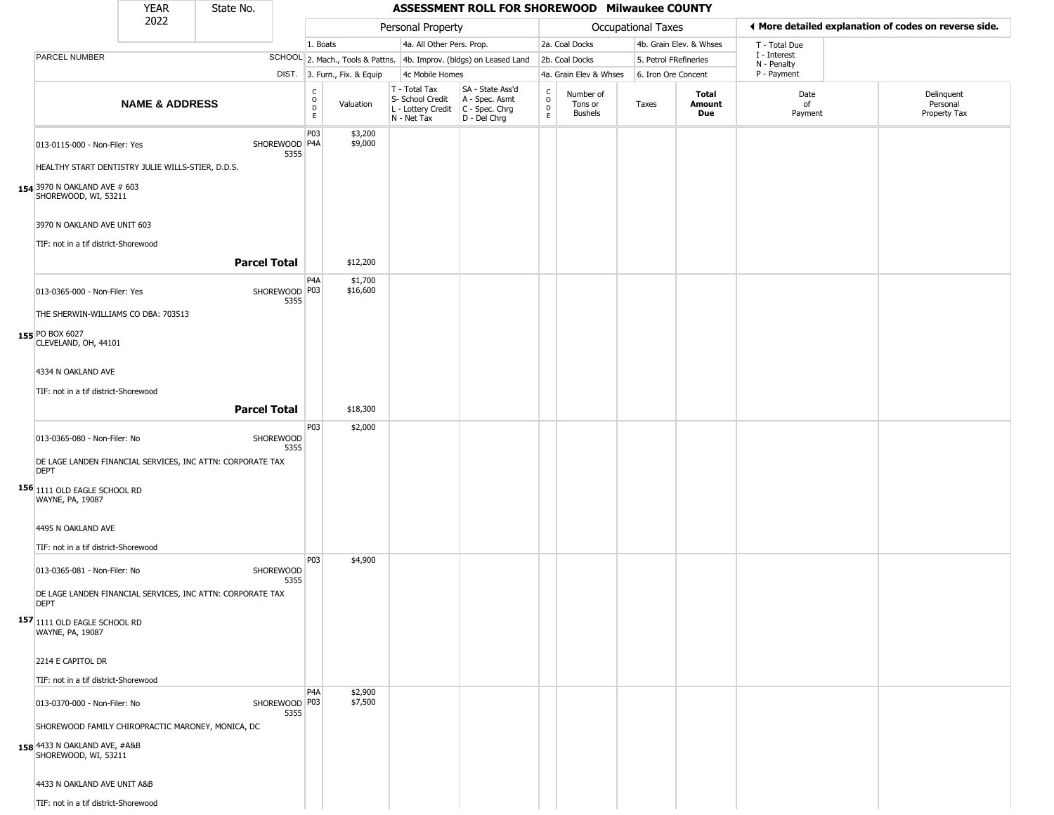|                                                                                                           | <b>YEAR</b>               | State No.           |                         |                               |                              |                                                                        | ASSESSMENT ROLL FOR SHOREWOOD Milwaukee COUNTY                         |                                |                                        |                       |                               |                            |                                                       |
|-----------------------------------------------------------------------------------------------------------|---------------------------|---------------------|-------------------------|-------------------------------|------------------------------|------------------------------------------------------------------------|------------------------------------------------------------------------|--------------------------------|----------------------------------------|-----------------------|-------------------------------|----------------------------|-------------------------------------------------------|
|                                                                                                           | 2022                      |                     |                         |                               |                              | Personal Property                                                      |                                                                        |                                |                                        | Occupational Taxes    |                               |                            | ◀ More detailed explanation of codes on reverse side. |
|                                                                                                           |                           |                     |                         | 1. Boats                      |                              | 4a. All Other Pers. Prop.                                              |                                                                        |                                | 2a. Coal Docks                         |                       | 4b. Grain Elev. & Whses       | T - Total Due              |                                                       |
| <b>PARCEL NUMBER</b>                                                                                      |                           |                     |                         |                               |                              |                                                                        | SCHOOL 2. Mach., Tools & Pattns. 4b. Improv. (bldgs) on Leased Land    |                                | 2b. Coal Docks                         | 5. Petrol FRefineries |                               | I - Interest               |                                                       |
|                                                                                                           |                           |                     |                         |                               | DIST. 3. Furn., Fix. & Equip | 4c Mobile Homes                                                        |                                                                        |                                | 4a. Grain Elev & Whses                 | 6. Iron Ore Concent   |                               | N - Penalty<br>P - Payment |                                                       |
|                                                                                                           | <b>NAME &amp; ADDRESS</b> |                     |                         | $_{\rm o}^{\rm c}$<br>D<br>E. | Valuation                    | T - Total Tax<br>S- School Credit<br>L - Lottery Credit<br>N - Net Tax | SA - State Ass'd<br>A - Spec. Asmt<br>$C - Spec. Chrg$<br>D - Del Chrg | $\frac{c}{0}$<br>$\frac{D}{E}$ | Number of<br>Tons or<br><b>Bushels</b> | Taxes                 | Total<br>Amount<br><b>Due</b> | Date<br>of<br>Payment      | Delinquent<br>Personal<br>Property Tax                |
| 013-0115-000 - Non-Filer: Yes                                                                             |                           |                     | SHOREWOOD P4A<br>5355   | P03                           | \$3,200<br>\$9,000           |                                                                        |                                                                        |                                |                                        |                       |                               |                            |                                                       |
| HEALTHY START DENTISTRY JULIE WILLS-STIER, D.D.S.                                                         |                           |                     |                         |                               |                              |                                                                        |                                                                        |                                |                                        |                       |                               |                            |                                                       |
| 154 3970 N OAKLAND AVE # 603<br>SHOREWOOD, WI, 53211                                                      |                           |                     |                         |                               |                              |                                                                        |                                                                        |                                |                                        |                       |                               |                            |                                                       |
| 3970 N OAKLAND AVE UNIT 603                                                                               |                           |                     |                         |                               |                              |                                                                        |                                                                        |                                |                                        |                       |                               |                            |                                                       |
| TIF: not in a tif district-Shorewood                                                                      |                           |                     |                         |                               |                              |                                                                        |                                                                        |                                |                                        |                       |                               |                            |                                                       |
|                                                                                                           |                           | <b>Parcel Total</b> |                         |                               | \$12,200                     |                                                                        |                                                                        |                                |                                        |                       |                               |                            |                                                       |
| 013-0365-000 - Non-Filer: Yes                                                                             |                           |                     | SHOREWOOD P03<br>5355   | P <sub>4</sub> A              | \$1,700<br>\$16,600          |                                                                        |                                                                        |                                |                                        |                       |                               |                            |                                                       |
| THE SHERWIN-WILLIAMS CO DBA: 703513                                                                       |                           |                     |                         |                               |                              |                                                                        |                                                                        |                                |                                        |                       |                               |                            |                                                       |
| 155 PO BOX 6027<br>CLEVELAND, OH, 44101                                                                   |                           |                     |                         |                               |                              |                                                                        |                                                                        |                                |                                        |                       |                               |                            |                                                       |
| 4334 N OAKLAND AVE                                                                                        |                           |                     |                         |                               |                              |                                                                        |                                                                        |                                |                                        |                       |                               |                            |                                                       |
| TIF: not in a tif district-Shorewood                                                                      |                           |                     |                         |                               |                              |                                                                        |                                                                        |                                |                                        |                       |                               |                            |                                                       |
|                                                                                                           |                           | <b>Parcel Total</b> |                         |                               | \$18,300                     |                                                                        |                                                                        |                                |                                        |                       |                               |                            |                                                       |
| 013-0365-080 - Non-Filer: No                                                                              |                           |                     | SHOREWOOD<br>5355       | P03                           | \$2,000                      |                                                                        |                                                                        |                                |                                        |                       |                               |                            |                                                       |
| DE LAGE LANDEN FINANCIAL SERVICES, INC ATTN: CORPORATE TAX<br><b>DEPT</b>                                 |                           |                     |                         |                               |                              |                                                                        |                                                                        |                                |                                        |                       |                               |                            |                                                       |
| 156 1111 OLD EAGLE SCHOOL RD<br>WAYNE, PA, 19087                                                          |                           |                     |                         |                               |                              |                                                                        |                                                                        |                                |                                        |                       |                               |                            |                                                       |
| 4495 N OAKLAND AVE                                                                                        |                           |                     |                         |                               |                              |                                                                        |                                                                        |                                |                                        |                       |                               |                            |                                                       |
| TIF: not in a tif district-Shorewood                                                                      |                           |                     |                         | P03                           | \$4,900                      |                                                                        |                                                                        |                                |                                        |                       |                               |                            |                                                       |
| 013-0365-081 - Non-Filer: No                                                                              |                           |                     | SHOREWOOD<br>5355       |                               |                              |                                                                        |                                                                        |                                |                                        |                       |                               |                            |                                                       |
| DE LAGE LANDEN FINANCIAL SERVICES, INC ATTN: CORPORATE TAX<br><b>DEPT</b>                                 |                           |                     |                         |                               |                              |                                                                        |                                                                        |                                |                                        |                       |                               |                            |                                                       |
| 157 1111 OLD EAGLE SCHOOL RD<br>WAYNE, PA, 19087                                                          |                           |                     |                         |                               |                              |                                                                        |                                                                        |                                |                                        |                       |                               |                            |                                                       |
| 2214 E CAPITOL DR                                                                                         |                           |                     |                         |                               |                              |                                                                        |                                                                        |                                |                                        |                       |                               |                            |                                                       |
| TIF: not in a tif district-Shorewood                                                                      |                           |                     |                         |                               |                              |                                                                        |                                                                        |                                |                                        |                       |                               |                            |                                                       |
| 013-0370-000 - Non-Filer: No                                                                              |                           |                     | SHOREWOOD   P03<br>5355 | P <sub>4</sub> A              | \$2,900<br>\$7,500           |                                                                        |                                                                        |                                |                                        |                       |                               |                            |                                                       |
| SHOREWOOD FAMILY CHIROPRACTIC MARONEY, MONICA, DC<br>158 4433 N OAKLAND AVE, #A&B<br>SHOREWOOD, WI, 53211 |                           |                     |                         |                               |                              |                                                                        |                                                                        |                                |                                        |                       |                               |                            |                                                       |
| 4433 N OAKLAND AVE UNIT A&B                                                                               |                           |                     |                         |                               |                              |                                                                        |                                                                        |                                |                                        |                       |                               |                            |                                                       |
| TIF: not in a tif district-Shorewood                                                                      |                           |                     |                         |                               |                              |                                                                        |                                                                        |                                |                                        |                       |                               |                            |                                                       |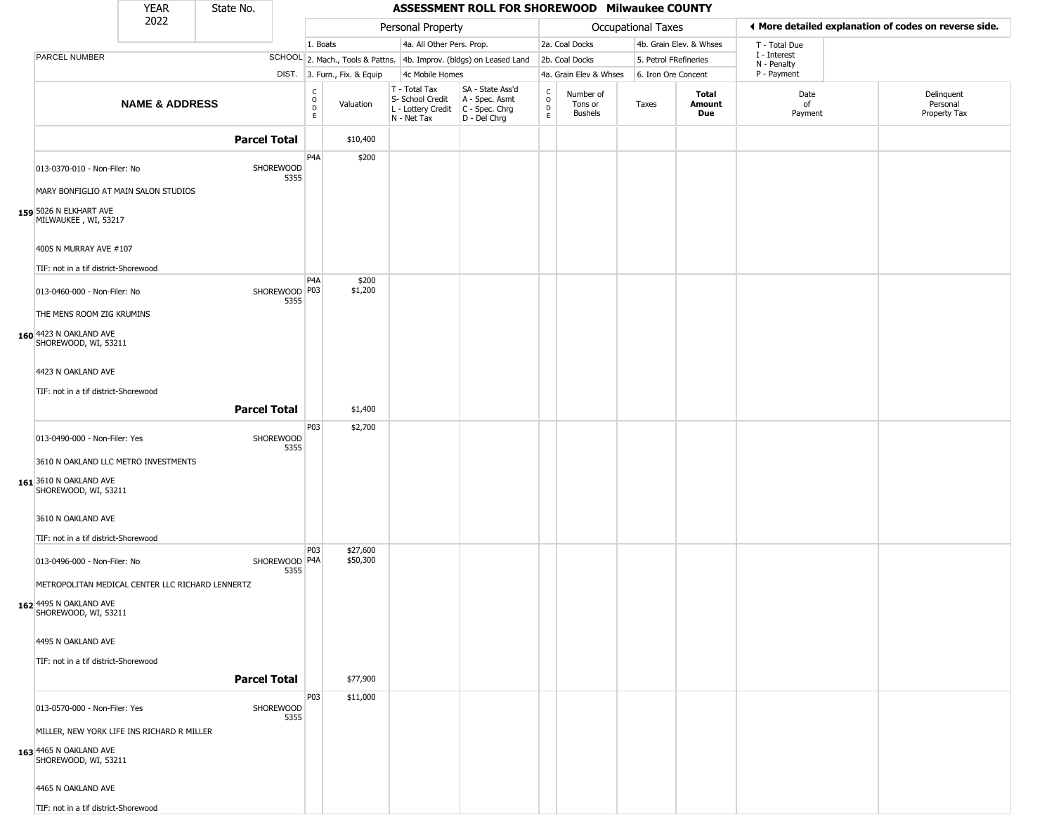|                                                                | <b>YEAR</b>               | State No.           |                         |                  |                              |                                                                                         | ASSESSMENT ROLL FOR SHOREWOOD Milwaukee COUNTY                      |                             |                                 |                           |                         |                             |                                                       |
|----------------------------------------------------------------|---------------------------|---------------------|-------------------------|------------------|------------------------------|-----------------------------------------------------------------------------------------|---------------------------------------------------------------------|-----------------------------|---------------------------------|---------------------------|-------------------------|-----------------------------|-------------------------------------------------------|
|                                                                | 2022                      |                     |                         |                  |                              | Personal Property                                                                       |                                                                     |                             |                                 | <b>Occupational Taxes</b> |                         |                             | ♦ More detailed explanation of codes on reverse side. |
|                                                                |                           |                     |                         | 1. Boats         |                              | 4a. All Other Pers. Prop.                                                               |                                                                     |                             | 2a. Coal Docks                  |                           | 4b. Grain Elev. & Whses | T - Total Due               |                                                       |
| PARCEL NUMBER                                                  |                           |                     |                         |                  |                              |                                                                                         | SCHOOL 2. Mach., Tools & Pattns. 4b. Improv. (bldgs) on Leased Land |                             | 2b. Coal Docks                  | 5. Petrol FRefineries     |                         | I - Interest<br>N - Penalty |                                                       |
|                                                                |                           |                     |                         |                  | DIST. 3. Furn., Fix. & Equip | 4c Mobile Homes                                                                         |                                                                     |                             | 4a. Grain Elev & Whses          | 6. Iron Ore Concent       |                         | P - Payment                 |                                                       |
|                                                                | <b>NAME &amp; ADDRESS</b> |                     |                         | C<br>0<br>D<br>E | Valuation                    | T - Total Tax<br>S- School Credit<br>L - Lottery Credit   C - Spec. Chrg<br>N - Net Tax | SA - State Ass'd<br>A - Spec. Asmt<br>D - Del Chrg                  | $\rm _o^C$<br>$\frac{D}{E}$ | Number of<br>Tons or<br>Bushels | Taxes                     | Total<br>Amount<br>Due  | Date<br>0f<br>Payment       | Delinquent<br>Personal<br>Property Tax                |
|                                                                |                           | <b>Parcel Total</b> |                         |                  | \$10,400                     |                                                                                         |                                                                     |                             |                                 |                           |                         |                             |                                                       |
| 013-0370-010 - Non-Filer: No                                   |                           |                     | SHOREWOOD<br>5355       | P <sub>4</sub> A | \$200                        |                                                                                         |                                                                     |                             |                                 |                           |                         |                             |                                                       |
| MARY BONFIGLIO AT MAIN SALON STUDIOS                           |                           |                     |                         |                  |                              |                                                                                         |                                                                     |                             |                                 |                           |                         |                             |                                                       |
| 159 5026 N ELKHART AVE<br>MILWAUKEE, WI, 53217                 |                           |                     |                         |                  |                              |                                                                                         |                                                                     |                             |                                 |                           |                         |                             |                                                       |
| 4005 N MURRAY AVE #107<br>TIF: not in a tif district-Shorewood |                           |                     |                         |                  |                              |                                                                                         |                                                                     |                             |                                 |                           |                         |                             |                                                       |
| 013-0460-000 - Non-Filer: No                                   |                           |                     | SHOREWOOD P03<br>5355   | P <sub>4</sub> A | \$200<br>\$1,200             |                                                                                         |                                                                     |                             |                                 |                           |                         |                             |                                                       |
| THE MENS ROOM ZIG KRUMINS                                      |                           |                     |                         |                  |                              |                                                                                         |                                                                     |                             |                                 |                           |                         |                             |                                                       |
| 160 4423 N OAKLAND AVE<br>SHOREWOOD, WI, 53211                 |                           |                     |                         |                  |                              |                                                                                         |                                                                     |                             |                                 |                           |                         |                             |                                                       |
| 4423 N OAKLAND AVE                                             |                           |                     |                         |                  |                              |                                                                                         |                                                                     |                             |                                 |                           |                         |                             |                                                       |
| TIF: not in a tif district-Shorewood                           |                           |                     |                         |                  |                              |                                                                                         |                                                                     |                             |                                 |                           |                         |                             |                                                       |
|                                                                |                           | <b>Parcel Total</b> |                         |                  | \$1,400                      |                                                                                         |                                                                     |                             |                                 |                           |                         |                             |                                                       |
|                                                                |                           |                     |                         | P03              | \$2,700                      |                                                                                         |                                                                     |                             |                                 |                           |                         |                             |                                                       |
| 013-0490-000 - Non-Filer: Yes                                  |                           |                     | SHOREWOOD<br>5355       |                  |                              |                                                                                         |                                                                     |                             |                                 |                           |                         |                             |                                                       |
| 3610 N OAKLAND LLC METRO INVESTMENTS                           |                           |                     |                         |                  |                              |                                                                                         |                                                                     |                             |                                 |                           |                         |                             |                                                       |
| 161 3610 N OAKLAND AVE<br>SHOREWOOD, WI, 53211                 |                           |                     |                         |                  |                              |                                                                                         |                                                                     |                             |                                 |                           |                         |                             |                                                       |
| 3610 N OAKLAND AVE                                             |                           |                     |                         |                  |                              |                                                                                         |                                                                     |                             |                                 |                           |                         |                             |                                                       |
| TIF: not in a tif district-Shorewood                           |                           |                     |                         |                  |                              |                                                                                         |                                                                     |                             |                                 |                           |                         |                             |                                                       |
| 013-0496-000 - Non-Filer: No                                   |                           |                     | SHOREWOOD   P4A<br>5355 | P03              | \$27,600<br>\$50,300         |                                                                                         |                                                                     |                             |                                 |                           |                         |                             |                                                       |
| METROPOLITAN MEDICAL CENTER LLC RICHARD LENNERTZ               |                           |                     |                         |                  |                              |                                                                                         |                                                                     |                             |                                 |                           |                         |                             |                                                       |
| 162 4495 N OAKLAND AVE<br>SHOREWOOD, WI, 53211                 |                           |                     |                         |                  |                              |                                                                                         |                                                                     |                             |                                 |                           |                         |                             |                                                       |
| 4495 N OAKLAND AVE                                             |                           |                     |                         |                  |                              |                                                                                         |                                                                     |                             |                                 |                           |                         |                             |                                                       |
| TIF: not in a tif district-Shorewood                           |                           |                     |                         |                  |                              |                                                                                         |                                                                     |                             |                                 |                           |                         |                             |                                                       |
|                                                                |                           | <b>Parcel Total</b> |                         |                  | \$77,900                     |                                                                                         |                                                                     |                             |                                 |                           |                         |                             |                                                       |
| 013-0570-000 - Non-Filer: Yes                                  |                           |                     | SHOREWOOD<br>5355       | P03              | \$11,000                     |                                                                                         |                                                                     |                             |                                 |                           |                         |                             |                                                       |
| MILLER, NEW YORK LIFE INS RICHARD R MILLER                     |                           |                     |                         |                  |                              |                                                                                         |                                                                     |                             |                                 |                           |                         |                             |                                                       |
| 163 4465 N OAKLAND AVE<br>SHOREWOOD, WI, 53211                 |                           |                     |                         |                  |                              |                                                                                         |                                                                     |                             |                                 |                           |                         |                             |                                                       |
| 4465 N OAKLAND AVE                                             |                           |                     |                         |                  |                              |                                                                                         |                                                                     |                             |                                 |                           |                         |                             |                                                       |
| TIF: not in a tif district-Shorewood                           |                           |                     |                         |                  |                              |                                                                                         |                                                                     |                             |                                 |                           |                         |                             |                                                       |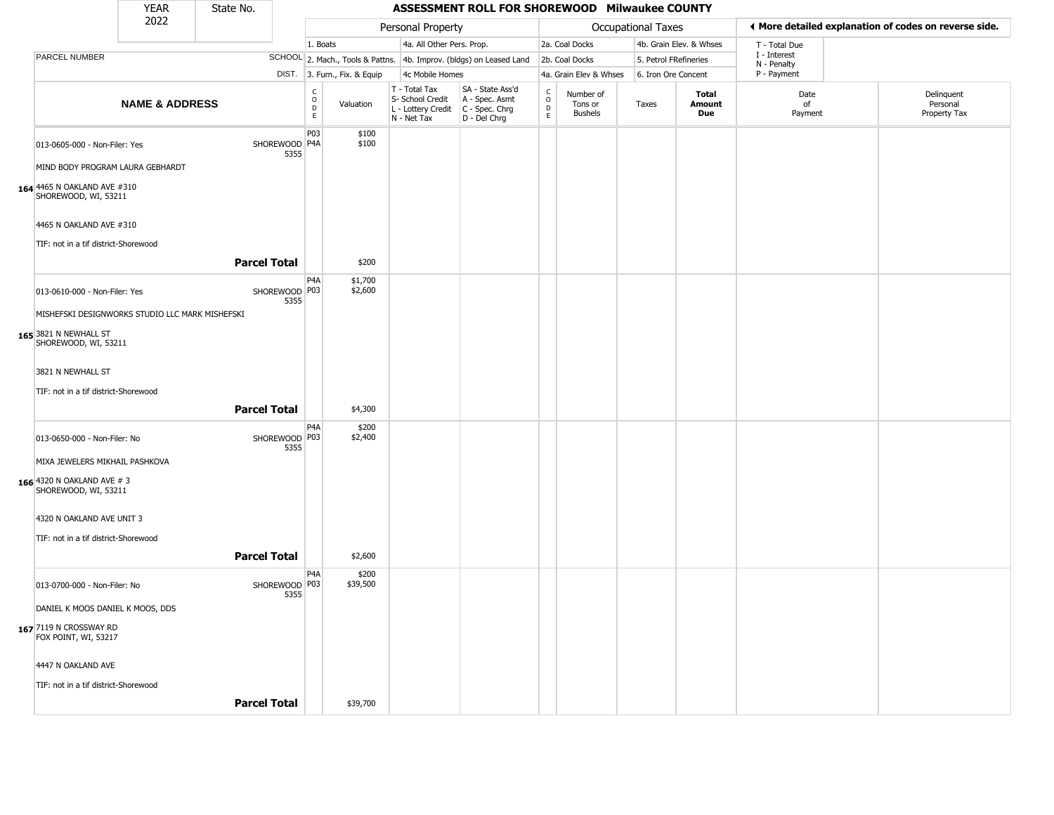|                                                     | <b>YEAR</b>               | State No.           |                         |                        |                              |                                                                        | ASSESSMENT ROLL FOR SHOREWOOD Milwaukee COUNTY                         |                                                 |                                        |                           |                         |                             |                                                       |
|-----------------------------------------------------|---------------------------|---------------------|-------------------------|------------------------|------------------------------|------------------------------------------------------------------------|------------------------------------------------------------------------|-------------------------------------------------|----------------------------------------|---------------------------|-------------------------|-----------------------------|-------------------------------------------------------|
|                                                     | 2022                      |                     |                         |                        |                              | Personal Property                                                      |                                                                        |                                                 |                                        | <b>Occupational Taxes</b> |                         |                             | ♦ More detailed explanation of codes on reverse side. |
|                                                     |                           |                     |                         | 1. Boats               |                              | 4a. All Other Pers. Prop.                                              |                                                                        |                                                 | 2a. Coal Docks                         |                           | 4b. Grain Elev. & Whses | T - Total Due               |                                                       |
| PARCEL NUMBER                                       |                           |                     |                         |                        |                              |                                                                        | SCHOOL 2. Mach., Tools & Pattns. 4b. Improv. (bldgs) on Leased Land    |                                                 | 2b. Coal Docks                         | 5. Petrol FRefineries     |                         | I - Interest<br>N - Penalty |                                                       |
|                                                     |                           |                     |                         |                        | DIST. 3. Furn., Fix. & Equip | 4c Mobile Homes                                                        |                                                                        |                                                 | 4a. Grain Elev & Whses                 | 6. Iron Ore Concent       |                         | P - Payment                 |                                                       |
|                                                     | <b>NAME &amp; ADDRESS</b> |                     |                         | С<br>$\circ$<br>D<br>E | Valuation                    | T - Total Tax<br>S- School Credit<br>L - Lottery Credit<br>N - Net Tax | SA - State Ass'd<br>A - Spec. Asmt<br>$C - Spec. Chrg$<br>D - Del Chrg | $\begin{array}{c} C \\ O \\ D \\ E \end{array}$ | Number of<br>Tons or<br><b>Bushels</b> | Taxes                     | Total<br>Amount<br>Due  | Date<br>of<br>Payment       | Delinquent<br>Personal<br>Property Tax                |
| 013-0605-000 - Non-Filer: Yes                       |                           |                     | SHOREWOOD   P4A<br>5355 | P03                    | \$100<br>\$100               |                                                                        |                                                                        |                                                 |                                        |                           |                         |                             |                                                       |
| MIND BODY PROGRAM LAURA GEBHARDT                    |                           |                     |                         |                        |                              |                                                                        |                                                                        |                                                 |                                        |                           |                         |                             |                                                       |
| 164 4465 N OAKLAND AVE #310<br>SHOREWOOD, WI, 53211 |                           |                     |                         |                        |                              |                                                                        |                                                                        |                                                 |                                        |                           |                         |                             |                                                       |
| 4465 N OAKLAND AVE #310                             |                           |                     |                         |                        |                              |                                                                        |                                                                        |                                                 |                                        |                           |                         |                             |                                                       |
| TIF: not in a tif district-Shorewood                |                           |                     |                         |                        |                              |                                                                        |                                                                        |                                                 |                                        |                           |                         |                             |                                                       |
|                                                     |                           | <b>Parcel Total</b> |                         |                        | \$200                        |                                                                        |                                                                        |                                                 |                                        |                           |                         |                             |                                                       |
| 013-0610-000 - Non-Filer: Yes                       |                           |                     | SHOREWOOD   P03<br>5355 | P <sub>4</sub> A       | \$1,700<br>\$2,600           |                                                                        |                                                                        |                                                 |                                        |                           |                         |                             |                                                       |
| MISHEFSKI DESIGNWORKS STUDIO LLC MARK MISHEFSKI     |                           |                     |                         |                        |                              |                                                                        |                                                                        |                                                 |                                        |                           |                         |                             |                                                       |
| 165 3821 N NEWHALL ST<br>SHOREWOOD, WI, 53211       |                           |                     |                         |                        |                              |                                                                        |                                                                        |                                                 |                                        |                           |                         |                             |                                                       |
| 3821 N NEWHALL ST                                   |                           |                     |                         |                        |                              |                                                                        |                                                                        |                                                 |                                        |                           |                         |                             |                                                       |
| TIF: not in a tif district-Shorewood                |                           |                     |                         |                        |                              |                                                                        |                                                                        |                                                 |                                        |                           |                         |                             |                                                       |
|                                                     |                           | <b>Parcel Total</b> |                         |                        | \$4,300                      |                                                                        |                                                                        |                                                 |                                        |                           |                         |                             |                                                       |
| 013-0650-000 - Non-Filer: No                        |                           |                     | SHOREWOOD P03<br>5355   | P4A                    | \$200<br>\$2,400             |                                                                        |                                                                        |                                                 |                                        |                           |                         |                             |                                                       |
| MIXA JEWELERS MIKHAIL PASHKOVA                      |                           |                     |                         |                        |                              |                                                                        |                                                                        |                                                 |                                        |                           |                         |                             |                                                       |
| 166 4320 N OAKLAND AVE # 3<br>SHOREWOOD, WI, 53211  |                           |                     |                         |                        |                              |                                                                        |                                                                        |                                                 |                                        |                           |                         |                             |                                                       |
| 4320 N OAKLAND AVE UNIT 3                           |                           |                     |                         |                        |                              |                                                                        |                                                                        |                                                 |                                        |                           |                         |                             |                                                       |
| TIF: not in a tif district-Shorewood                |                           |                     |                         |                        |                              |                                                                        |                                                                        |                                                 |                                        |                           |                         |                             |                                                       |
|                                                     |                           | <b>Parcel Total</b> |                         |                        | \$2,600                      |                                                                        |                                                                        |                                                 |                                        |                           |                         |                             |                                                       |
| 013-0700-000 - Non-Filer: No                        |                           |                     | SHOREWOOD P03<br>5355   | P4A                    | \$200<br>\$39,500            |                                                                        |                                                                        |                                                 |                                        |                           |                         |                             |                                                       |
| DANIEL K MOOS DANIEL K MOOS, DDS                    |                           |                     |                         |                        |                              |                                                                        |                                                                        |                                                 |                                        |                           |                         |                             |                                                       |
| 167 7119 N CROSSWAY RD<br>FOX POINT, WI, 53217      |                           |                     |                         |                        |                              |                                                                        |                                                                        |                                                 |                                        |                           |                         |                             |                                                       |
| 4447 N OAKLAND AVE                                  |                           |                     |                         |                        |                              |                                                                        |                                                                        |                                                 |                                        |                           |                         |                             |                                                       |
| TIF: not in a tif district-Shorewood                |                           |                     |                         |                        |                              |                                                                        |                                                                        |                                                 |                                        |                           |                         |                             |                                                       |
|                                                     |                           | <b>Parcel Total</b> |                         |                        | \$39,700                     |                                                                        |                                                                        |                                                 |                                        |                           |                         |                             |                                                       |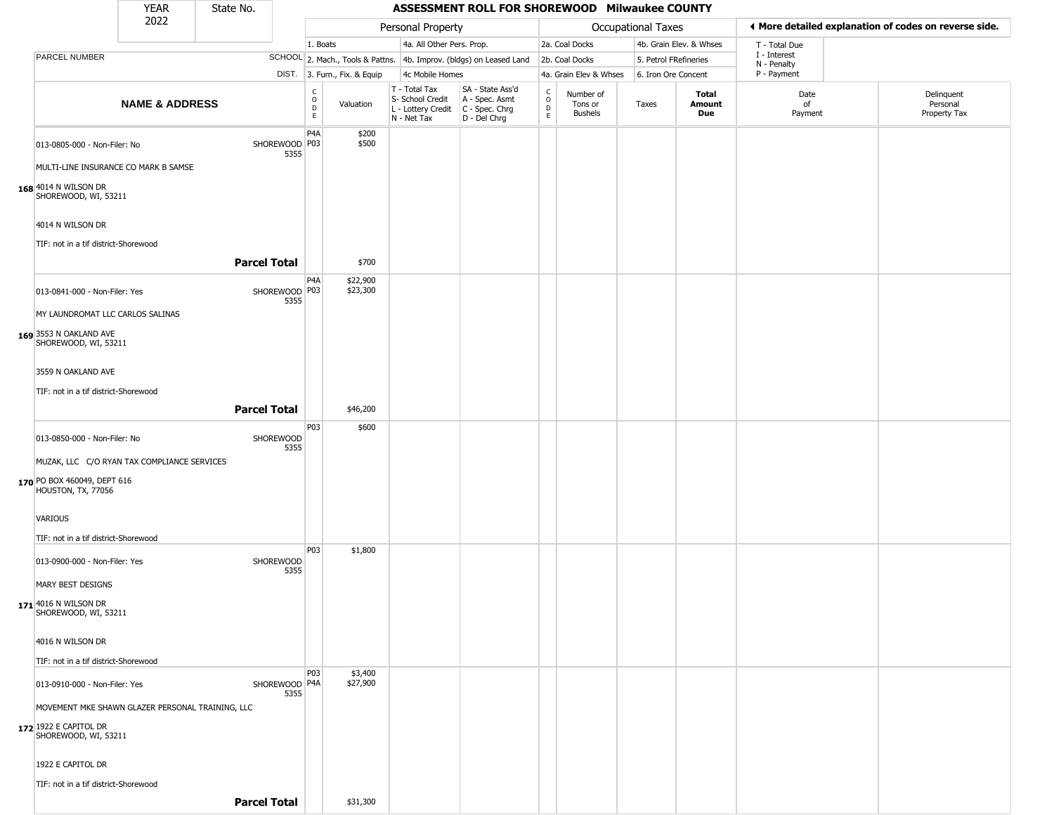YEAR **ASSESSMENT ROLL FOR SHOREWOOD Milwaukee COUNTY** 2022 DIST. 3. Furn., Fix. & Equip PARCEL NUMBER **NAME & ADDRESS** State No. C O D E Valuation T - Total Tax S- School Credit A - Spec. Asmt L - Lottery Credit C - Spec. Chrg N - Net Tax SA - State Ass'd D - Del Chrg C O D E Number of Tons or Bushels Taxes **Total Amount Due** Date of Payment Delinquent Personal Property Tax Personal Property **Department Controller Service Controller** Occupational Taxes 1. Boats **4a. All Other Pers. Prop.** 2a. Coal Docks 4b. Grain Elev. & Whses SCHOOL 2. Mach., Tools & Pattns. 4b. Improv. (bldgs) on Leased Land 2b. Coal Docks 5. Petrol FRefineries 4c Mobile Homes 4a. Grain Elev & Whses 6. Iron Ore Concent T - Total Due I - Interest N - Penalty P - Payment 3**More detailed explanation of codes on reverse side. 168** 4014 N WILSON DR 013-0805-000 - Non-Filer: No 5355 MULTI-LINE INSURANCE CO MARK B SAMSE SHOREWOOD, WI, 53211 4014 N WILSON DR TIF: not in a tif district-Shorewood P4A SHOREWOOD | P03 \$200 \$500 **Parcel Total** 1 \$700 **169** 3553 N OAKLAND AVE  $013-0841-000$  - Non-Filer: Yes 5355 MY LAUNDROMAT LLC CARLOS SALINAS SHOREWOOD, WI, 53211 3559 N OAKLAND AVE TIF: not in a tif district-Shorewood P4A SHOREWOOD P03 \$22,900 \$23,300 **Parcel Total 1 \$46,200 170** PO BOX 460049, DEPT 616 013-0850-000 - Non-Filer: No SHOREWOOD 5355 MUZAK, LLC C/O RYAN TAX COMPLIANCE SERVICES HOUSTON, TX, 77056 VARIOUS TIF: not in a tif district-Shorewood P03 \$600 **171** 4016 N WILSON DR 013-0900-000 - Non-Filer: Yes SHOREWOOD 5355 MARY BEST DESIGNS SHOREWOOD, WI, 53211 4016 N WILSON DR TIF: not in a tif district-Shorewood P03 \$1,800 **172** 1922 E CAPITOL DR 013-0910-000 - Non-Filer: Yes 5355 MOVEMENT MKE SHAWN GLAZER PERSONAL TRAINING, LLC SHOREWOOD, WI, 53211 1922 E CAPITOL DR TIF: not in a tif district-Shorewood P03 SHOREWOOD P4A \$3,400 \$27,900

**Parcel Total** | \$31,300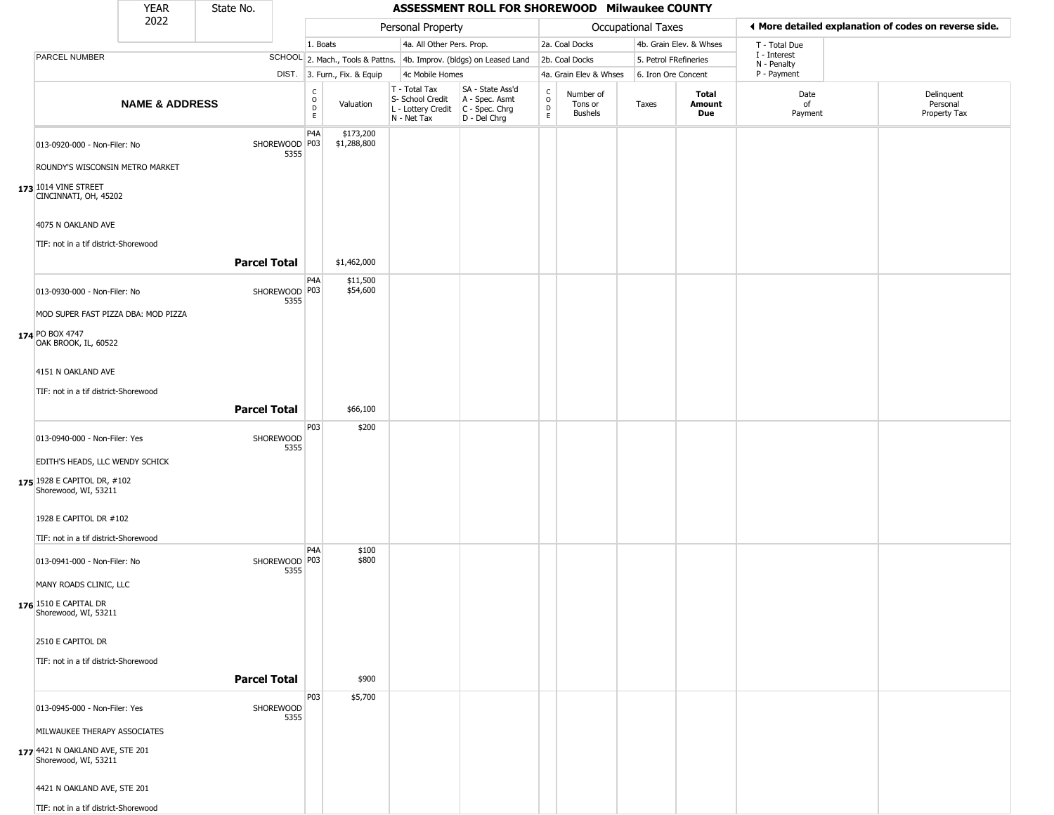|                                                                                                                                                                                                              | <b>YEAR</b>               | State No.           |                       |                      |                              |                                                                        | ASSESSMENT ROLL FOR SHOREWOOD Milwaukee COUNTY                       |                                        |                                        |                                                       |                         |                             |                                        |
|--------------------------------------------------------------------------------------------------------------------------------------------------------------------------------------------------------------|---------------------------|---------------------|-----------------------|----------------------|------------------------------|------------------------------------------------------------------------|----------------------------------------------------------------------|----------------------------------------|----------------------------------------|-------------------------------------------------------|-------------------------|-----------------------------|----------------------------------------|
|                                                                                                                                                                                                              | 2022                      |                     | Personal Property     |                      |                              |                                                                        | Occupational Taxes                                                   |                                        |                                        | ◀ More detailed explanation of codes on reverse side. |                         |                             |                                        |
|                                                                                                                                                                                                              |                           |                     |                       | 1. Boats             |                              | 4a. All Other Pers. Prop.                                              |                                                                      |                                        | 2a. Coal Docks                         |                                                       | 4b. Grain Elev. & Whses | T - Total Due               |                                        |
| PARCEL NUMBER                                                                                                                                                                                                |                           |                     |                       |                      |                              |                                                                        | SCHOOL 2. Mach., Tools & Pattns. 4b. Improv. (bldgs) on Leased Land  |                                        | 2b. Coal Docks                         | 5. Petrol FRefineries                                 |                         | I - Interest<br>N - Penalty |                                        |
|                                                                                                                                                                                                              |                           |                     |                       |                      | DIST. 3. Furn., Fix. & Equip | 4c Mobile Homes                                                        |                                                                      |                                        | 4a. Grain Elev & Whses                 | 6. Iron Ore Concent                                   |                         | P - Payment                 |                                        |
|                                                                                                                                                                                                              | <b>NAME &amp; ADDRESS</b> |                     |                       | $\rm _c^C$<br>D<br>E | Valuation                    | T - Total Tax<br>S- School Credit<br>L - Lottery Credit<br>N - Net Tax | SA - State Ass'd<br>A - Spec. Asmt<br>C - Spec. Chrg<br>D - Del Chrg | $_{\rm o}^{\rm c}$<br>D<br>$\mathsf E$ | Number of<br>Tons or<br><b>Bushels</b> | Taxes                                                 | Total<br>Amount<br>Due  | Date<br>of<br>Payment       | Delinquent<br>Personal<br>Property Tax |
| 013-0920-000 - Non-Filer: No<br>ROUNDY'S WISCONSIN METRO MARKET<br>173 1014 VINE STREET<br>CINCINNATI, OH, 45202                                                                                             |                           |                     | SHOREWOOD P03<br>5355 | P <sub>4</sub> A     | \$173,200<br>\$1,288,800     |                                                                        |                                                                      |                                        |                                        |                                                       |                         |                             |                                        |
| 4075 N OAKLAND AVE<br>TIF: not in a tif district-Shorewood                                                                                                                                                   |                           |                     |                       |                      |                              |                                                                        |                                                                      |                                        |                                        |                                                       |                         |                             |                                        |
|                                                                                                                                                                                                              |                           | <b>Parcel Total</b> |                       |                      | \$1,462,000                  |                                                                        |                                                                      |                                        |                                        |                                                       |                         |                             |                                        |
| 013-0930-000 - Non-Filer: No<br>MOD SUPER FAST PIZZA DBA: MOD PIZZA<br>174 PO BOX 4747<br>OAK BROOK, IL, 60522                                                                                               |                           |                     | SHOREWOOD P03<br>5355 | P <sub>4</sub> A     | \$11,500<br>\$54,600         |                                                                        |                                                                      |                                        |                                        |                                                       |                         |                             |                                        |
| 4151 N OAKLAND AVE<br>TIF: not in a tif district-Shorewood                                                                                                                                                   |                           | <b>Parcel Total</b> |                       |                      | \$66,100                     |                                                                        |                                                                      |                                        |                                        |                                                       |                         |                             |                                        |
| 013-0940-000 - Non-Filer: Yes<br>EDITH'S HEADS, LLC WENDY SCHICK<br>175 1928 E CAPITOL DR, #102<br>Shorewood, WI, 53211<br>1928 E CAPITOL DR #102                                                            |                           |                     | SHOREWOOD<br>5355     | P <sub>0</sub> 3     | \$200                        |                                                                        |                                                                      |                                        |                                        |                                                       |                         |                             |                                        |
| TIF: not in a tif district-Shorewood<br>013-0941-000 - Non-Filer: No<br>MANY ROADS CLINIC, LLC<br>176 1510 E CAPITAL DR<br>Shorewood, WI, 53211<br>2510 E CAPITOL DR<br>TIF: not in a tif district-Shorewood |                           | <b>Parcel Total</b> | SHOREWOOD P03<br>5355 | P <sub>4</sub> A     | \$100<br>\$800<br>\$900      |                                                                        |                                                                      |                                        |                                        |                                                       |                         |                             |                                        |
| 013-0945-000 - Non-Filer: Yes<br>MILWAUKEE THERAPY ASSOCIATES<br>177 4421 N OAKLAND AVE, STE 201<br>Shorewood, WI, 53211<br>4421 N OAKLAND AVE, STE 201<br>TIF: not in a tif district-Shorewood              |                           |                     | SHOREWOOD<br>5355     | P03                  | \$5,700                      |                                                                        |                                                                      |                                        |                                        |                                                       |                         |                             |                                        |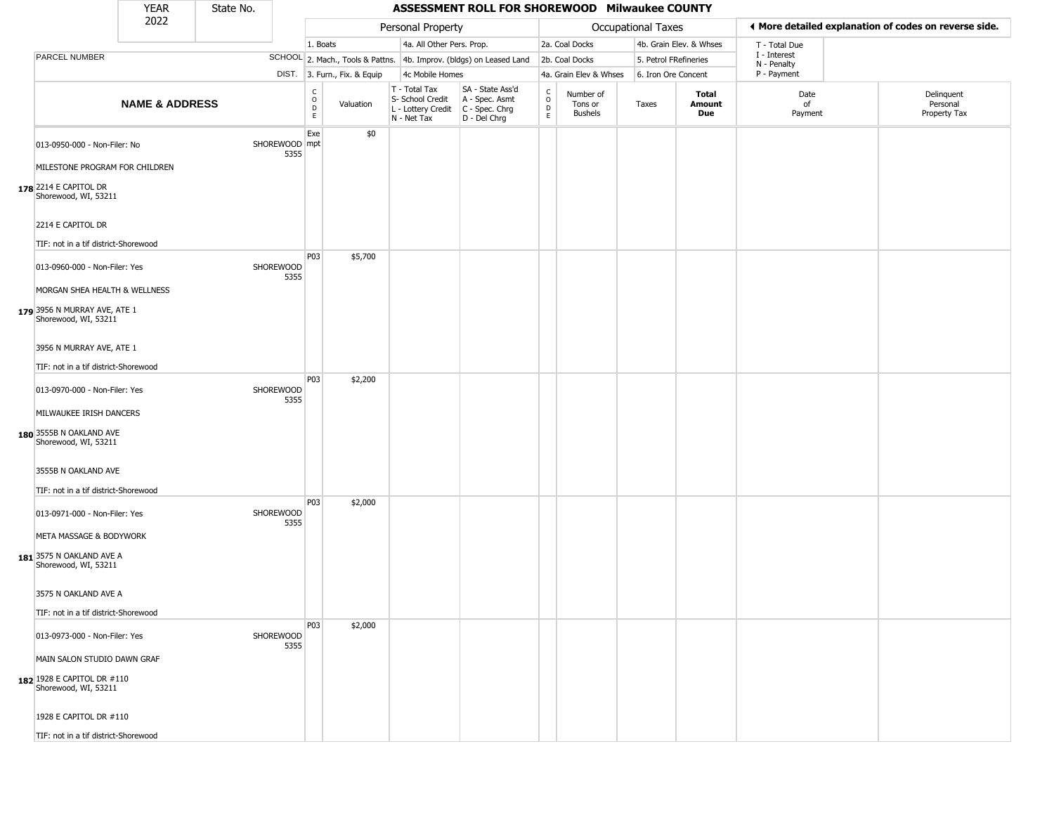|                                                                | <b>YEAR</b>               | State No. |                       |                        |                              |                                                                        | ASSESSMENT ROLL FOR SHOREWOOD Milwaukee COUNTY                         |                                   |                                 |                       |                         |                             |                                                       |
|----------------------------------------------------------------|---------------------------|-----------|-----------------------|------------------------|------------------------------|------------------------------------------------------------------------|------------------------------------------------------------------------|-----------------------------------|---------------------------------|-----------------------|-------------------------|-----------------------------|-------------------------------------------------------|
|                                                                | 2022                      |           |                       |                        |                              | Personal Property                                                      |                                                                        |                                   |                                 | Occupational Taxes    |                         |                             | ◀ More detailed explanation of codes on reverse side. |
|                                                                |                           |           |                       | 1. Boats               |                              | 4a. All Other Pers. Prop.                                              |                                                                        |                                   | 2a. Coal Docks                  |                       | 4b. Grain Elev. & Whses | T - Total Due               |                                                       |
| PARCEL NUMBER                                                  |                           |           |                       |                        |                              |                                                                        | SCHOOL 2. Mach., Tools & Pattns. 4b. Improv. (bldgs) on Leased Land    |                                   | 2b. Coal Docks                  | 5. Petrol FRefineries |                         | I - Interest<br>N - Penalty |                                                       |
|                                                                |                           |           |                       |                        | DIST. 3. Furn., Fix. & Equip | 4c Mobile Homes                                                        |                                                                        |                                   | 4a. Grain Elev & Whses          | 6. Iron Ore Concent   |                         | P - Payment                 |                                                       |
|                                                                | <b>NAME &amp; ADDRESS</b> |           |                       | C<br>$\circ$<br>D<br>E | Valuation                    | T - Total Tax<br>S- School Credit<br>L - Lottery Credit<br>N - Net Tax | SA - State Ass'd<br>A - Spec. Asmt<br>$C - Spec. Chrg$<br>D - Del Chrg | $\mathsf{C}$<br>$\circ$<br>D<br>E | Number of<br>Tons or<br>Bushels | Taxes                 | Total<br>Amount<br>Due  | Date<br>of<br>Payment       | Delinquent<br>Personal<br>Property Tax                |
| 013-0950-000 - Non-Filer: No<br>MILESTONE PROGRAM FOR CHILDREN |                           |           | SHOREWOOD mpt<br>5355 | Exe                    | \$0                          |                                                                        |                                                                        |                                   |                                 |                       |                         |                             |                                                       |
| 178 2214 E CAPITOL DR<br>Shorewood, WI, 53211                  |                           |           |                       |                        |                              |                                                                        |                                                                        |                                   |                                 |                       |                         |                             |                                                       |
| 2214 E CAPITOL DR                                              |                           |           |                       |                        |                              |                                                                        |                                                                        |                                   |                                 |                       |                         |                             |                                                       |
| TIF: not in a tif district-Shorewood                           |                           |           |                       |                        |                              |                                                                        |                                                                        |                                   |                                 |                       |                         |                             |                                                       |
| 013-0960-000 - Non-Filer: Yes                                  |                           |           | SHOREWOOD<br>5355     | P03                    | \$5,700                      |                                                                        |                                                                        |                                   |                                 |                       |                         |                             |                                                       |
| MORGAN SHEA HEALTH & WELLNESS                                  |                           |           |                       |                        |                              |                                                                        |                                                                        |                                   |                                 |                       |                         |                             |                                                       |
| 179 3956 N MURRAY AVE, ATE 1<br>Shorewood, WI, 53211           |                           |           |                       |                        |                              |                                                                        |                                                                        |                                   |                                 |                       |                         |                             |                                                       |
| 3956 N MURRAY AVE, ATE 1                                       |                           |           |                       |                        |                              |                                                                        |                                                                        |                                   |                                 |                       |                         |                             |                                                       |
| TIF: not in a tif district-Shorewood                           |                           |           |                       |                        |                              |                                                                        |                                                                        |                                   |                                 |                       |                         |                             |                                                       |
| 013-0970-000 - Non-Filer: Yes                                  |                           |           | SHOREWOOD             | P03                    | \$2,200                      |                                                                        |                                                                        |                                   |                                 |                       |                         |                             |                                                       |
| MILWAUKEE IRISH DANCERS                                        |                           |           | 5355                  |                        |                              |                                                                        |                                                                        |                                   |                                 |                       |                         |                             |                                                       |
| 180 3555B N OAKLAND AVE<br>Shorewood, WI, 53211                |                           |           |                       |                        |                              |                                                                        |                                                                        |                                   |                                 |                       |                         |                             |                                                       |
| 3555B N OAKLAND AVE                                            |                           |           |                       |                        |                              |                                                                        |                                                                        |                                   |                                 |                       |                         |                             |                                                       |
| TIF: not in a tif district-Shorewood                           |                           |           |                       |                        |                              |                                                                        |                                                                        |                                   |                                 |                       |                         |                             |                                                       |
| 013-0971-000 - Non-Filer: Yes                                  |                           |           | SHOREWOOD<br>5355     | P03                    | \$2,000                      |                                                                        |                                                                        |                                   |                                 |                       |                         |                             |                                                       |
| META MASSAGE & BODYWORK                                        |                           |           |                       |                        |                              |                                                                        |                                                                        |                                   |                                 |                       |                         |                             |                                                       |
| 181 3575 N OAKLAND AVE A<br>Shorewood, WI, 53211               |                           |           |                       |                        |                              |                                                                        |                                                                        |                                   |                                 |                       |                         |                             |                                                       |
| 3575 N OAKLAND AVE A                                           |                           |           |                       |                        |                              |                                                                        |                                                                        |                                   |                                 |                       |                         |                             |                                                       |
| TIF: not in a tif district-Shorewood                           |                           |           |                       |                        |                              |                                                                        |                                                                        |                                   |                                 |                       |                         |                             |                                                       |
| 013-0973-000 - Non-Filer: Yes                                  |                           |           | SHOREWOOD<br>5355     | P03                    | \$2,000                      |                                                                        |                                                                        |                                   |                                 |                       |                         |                             |                                                       |
| MAIN SALON STUDIO DAWN GRAF                                    |                           |           |                       |                        |                              |                                                                        |                                                                        |                                   |                                 |                       |                         |                             |                                                       |
| 182 1928 E CAPITOL DR #110<br>Shorewood, WI, 53211             |                           |           |                       |                        |                              |                                                                        |                                                                        |                                   |                                 |                       |                         |                             |                                                       |
| 1928 E CAPITOL DR #110                                         |                           |           |                       |                        |                              |                                                                        |                                                                        |                                   |                                 |                       |                         |                             |                                                       |
| TIF: not in a tif district-Shorewood                           |                           |           |                       |                        |                              |                                                                        |                                                                        |                                   |                                 |                       |                         |                             |                                                       |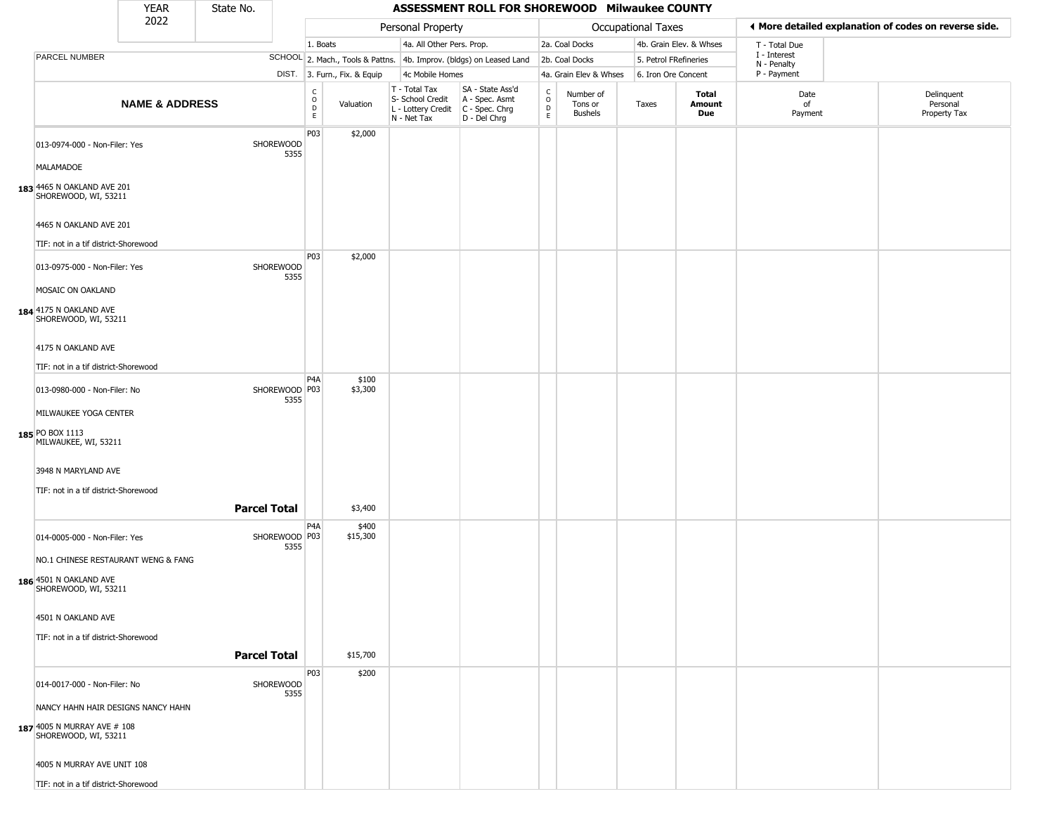|                                                                | <b>YEAR</b>               | State No.           |                         |                        |                              |                                                                        | ASSESSMENT ROLL FOR SHOREWOOD Milwaukee COUNTY                       |                                 |                                        |                    |                         |                             |                                                       |
|----------------------------------------------------------------|---------------------------|---------------------|-------------------------|------------------------|------------------------------|------------------------------------------------------------------------|----------------------------------------------------------------------|---------------------------------|----------------------------------------|--------------------|-------------------------|-----------------------------|-------------------------------------------------------|
|                                                                | 2022                      |                     |                         |                        |                              | Personal Property                                                      |                                                                      |                                 |                                        | Occupational Taxes |                         |                             | ♦ More detailed explanation of codes on reverse side. |
|                                                                |                           |                     |                         | 1. Boats               |                              | 4a. All Other Pers. Prop.                                              |                                                                      |                                 | 2a. Coal Docks                         |                    | 4b. Grain Elev. & Whses | T - Total Due               |                                                       |
| PARCEL NUMBER                                                  |                           |                     |                         |                        |                              |                                                                        | SCHOOL 2. Mach., Tools & Pattns. 4b. Improv. (bldgs) on Leased Land  |                                 | 2b. Coal Docks                         |                    | 5. Petrol FRefineries   | I - Interest<br>N - Penalty |                                                       |
|                                                                |                           |                     |                         |                        | DIST. 3. Furn., Fix. & Equip | 4c Mobile Homes                                                        |                                                                      |                                 | 4a. Grain Elev & Whses                 |                    | 6. Iron Ore Concent     | P - Payment                 |                                                       |
|                                                                | <b>NAME &amp; ADDRESS</b> |                     |                         | C<br>$\circ$<br>D<br>E | Valuation                    | T - Total Tax<br>S- School Credit<br>L - Lottery Credit<br>N - Net Tax | SA - State Ass'd<br>A - Spec. Asmt<br>C - Spec. Chrg<br>D - Del Chrg | $\rm ^c_o$<br>$\mathsf{D}$<br>E | Number of<br>Tons or<br><b>Bushels</b> | Taxes              | Total<br>Amount<br>Due  | Date<br>of<br>Payment       | Delinquent<br>Personal<br>Property Tax                |
| 013-0974-000 - Non-Filer: Yes<br>MALAMADOE                     |                           |                     | SHOREWOOD<br>5355       | P03                    | \$2,000                      |                                                                        |                                                                      |                                 |                                        |                    |                         |                             |                                                       |
| 183 4465 N OAKLAND AVE 201<br>SHOREWOOD, WI, 53211             |                           |                     |                         |                        |                              |                                                                        |                                                                      |                                 |                                        |                    |                         |                             |                                                       |
| 4465 N OAKLAND AVE 201<br>TIF: not in a tif district-Shorewood |                           |                     |                         |                        |                              |                                                                        |                                                                      |                                 |                                        |                    |                         |                             |                                                       |
| 013-0975-000 - Non-Filer: Yes<br>MOSAIC ON OAKLAND             |                           |                     | SHOREWOOD<br>5355       | P03                    | \$2,000                      |                                                                        |                                                                      |                                 |                                        |                    |                         |                             |                                                       |
| 184 4175 N OAKLAND AVE<br>SHOREWOOD, WI, 53211                 |                           |                     |                         |                        |                              |                                                                        |                                                                      |                                 |                                        |                    |                         |                             |                                                       |
| 4175 N OAKLAND AVE<br>TIF: not in a tif district-Shorewood     |                           |                     |                         |                        |                              |                                                                        |                                                                      |                                 |                                        |                    |                         |                             |                                                       |
|                                                                |                           |                     |                         | P <sub>4</sub> A       | \$100                        |                                                                        |                                                                      |                                 |                                        |                    |                         |                             |                                                       |
| 013-0980-000 - Non-Filer: No<br>MILWAUKEE YOGA CENTER          |                           |                     | SHOREWOOD P03<br>5355   |                        | \$3,300                      |                                                                        |                                                                      |                                 |                                        |                    |                         |                             |                                                       |
| 185 PO BOX 1113<br>MILWAUKEE, WI, 53211                        |                           |                     |                         |                        |                              |                                                                        |                                                                      |                                 |                                        |                    |                         |                             |                                                       |
| 3948 N MARYLAND AVE                                            |                           |                     |                         |                        |                              |                                                                        |                                                                      |                                 |                                        |                    |                         |                             |                                                       |
| TIF: not in a tif district-Shorewood                           |                           | <b>Parcel Total</b> |                         |                        | \$3,400                      |                                                                        |                                                                      |                                 |                                        |                    |                         |                             |                                                       |
| 014-0005-000 - Non-Filer: Yes                                  |                           |                     | SHOREWOOD   P03<br>5355 | P <sub>4</sub> A       | \$400<br>\$15,300            |                                                                        |                                                                      |                                 |                                        |                    |                         |                             |                                                       |
| NO.1 CHINESE RESTAURANT WENG & FANG                            |                           |                     |                         |                        |                              |                                                                        |                                                                      |                                 |                                        |                    |                         |                             |                                                       |
| 186 4501 N OAKLAND AVE<br>SHOREWOOD, WI, 53211                 |                           |                     |                         |                        |                              |                                                                        |                                                                      |                                 |                                        |                    |                         |                             |                                                       |
| 4501 N OAKLAND AVE                                             |                           |                     |                         |                        |                              |                                                                        |                                                                      |                                 |                                        |                    |                         |                             |                                                       |
| TIF: not in a tif district-Shorewood                           |                           |                     |                         |                        |                              |                                                                        |                                                                      |                                 |                                        |                    |                         |                             |                                                       |
|                                                                |                           | <b>Parcel Total</b> |                         |                        | \$15,700                     |                                                                        |                                                                      |                                 |                                        |                    |                         |                             |                                                       |
| 014-0017-000 - Non-Filer: No                                   |                           |                     | SHOREWOOD<br>5355       | P03                    | \$200                        |                                                                        |                                                                      |                                 |                                        |                    |                         |                             |                                                       |
| NANCY HAHN HAIR DESIGNS NANCY HAHN                             |                           |                     |                         |                        |                              |                                                                        |                                                                      |                                 |                                        |                    |                         |                             |                                                       |
| 187 4005 N MURRAY AVE # 108<br>SHOREWOOD, WI, 53211            |                           |                     |                         |                        |                              |                                                                        |                                                                      |                                 |                                        |                    |                         |                             |                                                       |
| 4005 N MURRAY AVE UNIT 108                                     |                           |                     |                         |                        |                              |                                                                        |                                                                      |                                 |                                        |                    |                         |                             |                                                       |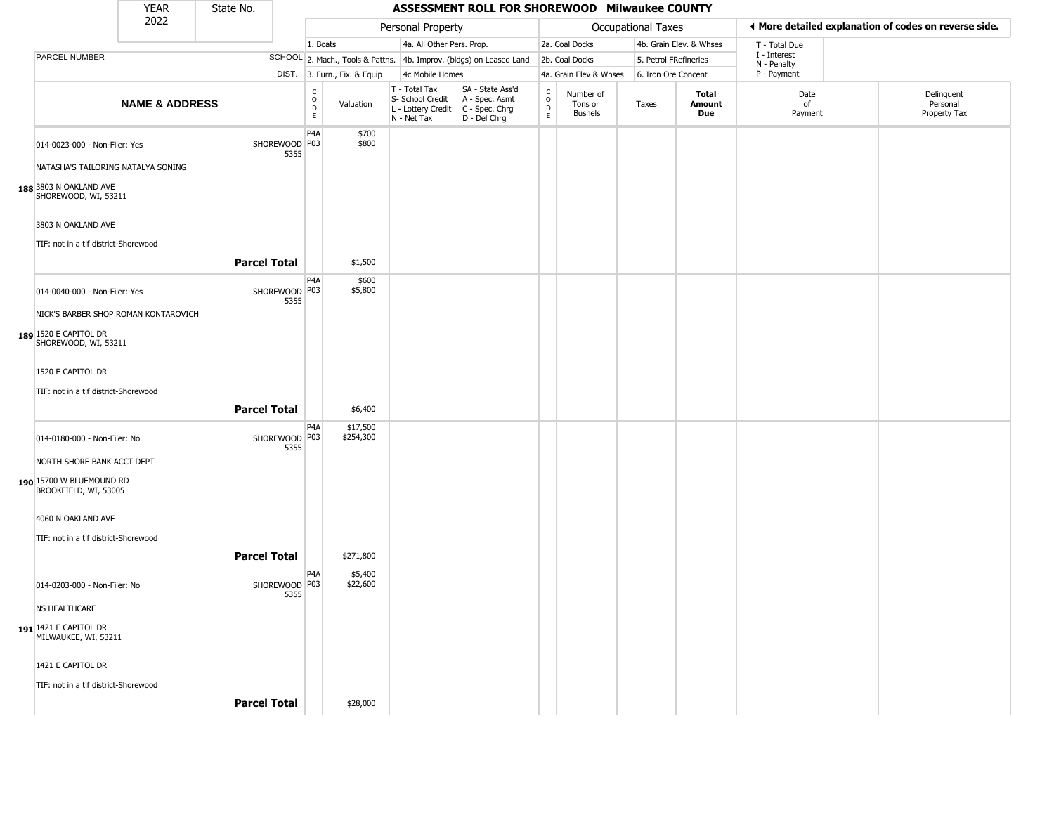|                                                                                 | <b>YEAR</b>               | State No.           |                       |                                                       |                              |                                                                        | ASSESSMENT ROLL FOR SHOREWOOD Milwaukee COUNTY                       |                                   |                                        |                       |                         |                             |                                                       |
|---------------------------------------------------------------------------------|---------------------------|---------------------|-----------------------|-------------------------------------------------------|------------------------------|------------------------------------------------------------------------|----------------------------------------------------------------------|-----------------------------------|----------------------------------------|-----------------------|-------------------------|-----------------------------|-------------------------------------------------------|
|                                                                                 | 2022                      |                     |                       |                                                       |                              | Personal Property                                                      |                                                                      |                                   |                                        | Occupational Taxes    |                         |                             | ◀ More detailed explanation of codes on reverse side. |
|                                                                                 |                           |                     |                       | 1. Boats                                              |                              | 4a. All Other Pers. Prop.                                              |                                                                      |                                   | 2a. Coal Docks                         |                       | 4b. Grain Elev. & Whses | T - Total Due               |                                                       |
| PARCEL NUMBER                                                                   |                           |                     |                       |                                                       |                              |                                                                        | SCHOOL 2. Mach., Tools & Pattns. 4b. Improv. (bldgs) on Leased Land  |                                   | 2b. Coal Docks                         | 5. Petrol FRefineries |                         | I - Interest<br>N - Penalty |                                                       |
|                                                                                 |                           |                     |                       |                                                       | DIST. 3. Furn., Fix. & Equip | 4c Mobile Homes                                                        |                                                                      |                                   | 4a. Grain Elev & Whses                 | 6. Iron Ore Concent   |                         | P - Payment                 |                                                       |
|                                                                                 | <b>NAME &amp; ADDRESS</b> |                     |                       | $\mathsf{C}$<br>$\circ$<br>$\mathsf D$<br>$\mathsf E$ | Valuation                    | T - Total Tax<br>S- School Credit<br>L - Lottery Credit<br>N - Net Tax | SA - State Ass'd<br>A - Spec. Asmt<br>C - Spec. Chrg<br>D - Del Chrg | C<br>$\circ$<br>$\mathsf{D}$<br>E | Number of<br>Tons or<br><b>Bushels</b> | Taxes                 | Total<br>Amount<br>Due  | Date<br>of<br>Payment       | Delinquent<br>Personal<br>Property Tax                |
| 014-0023-000 - Non-Filer: Yes                                                   |                           |                     | SHOREWOOD P03<br>5355 | P <sub>4</sub> A                                      | \$700<br>\$800               |                                                                        |                                                                      |                                   |                                        |                       |                         |                             |                                                       |
| NATASHA'S TAILORING NATALYA SONING                                              |                           |                     |                       |                                                       |                              |                                                                        |                                                                      |                                   |                                        |                       |                         |                             |                                                       |
| 188 3803 N OAKLAND AVE<br>SHOREWOOD, WI, 53211                                  |                           |                     |                       |                                                       |                              |                                                                        |                                                                      |                                   |                                        |                       |                         |                             |                                                       |
| 3803 N OAKLAND AVE                                                              |                           |                     |                       |                                                       |                              |                                                                        |                                                                      |                                   |                                        |                       |                         |                             |                                                       |
| TIF: not in a tif district-Shorewood                                            |                           |                     |                       |                                                       |                              |                                                                        |                                                                      |                                   |                                        |                       |                         |                             |                                                       |
|                                                                                 |                           | <b>Parcel Total</b> |                       |                                                       | \$1,500                      |                                                                        |                                                                      |                                   |                                        |                       |                         |                             |                                                       |
| 014-0040-000 - Non-Filer: Yes                                                   |                           |                     | SHOREWOOD P03<br>5355 | P <sub>4</sub> A                                      | \$600<br>\$5,800             |                                                                        |                                                                      |                                   |                                        |                       |                         |                             |                                                       |
| NICK'S BARBER SHOP ROMAN KONTAROVICH                                            |                           |                     |                       |                                                       |                              |                                                                        |                                                                      |                                   |                                        |                       |                         |                             |                                                       |
| 189 1520 E CAPITOL DR<br>SHOREWOOD, WI, 53211                                   |                           |                     |                       |                                                       |                              |                                                                        |                                                                      |                                   |                                        |                       |                         |                             |                                                       |
| 1520 E CAPITOL DR                                                               |                           |                     |                       |                                                       |                              |                                                                        |                                                                      |                                   |                                        |                       |                         |                             |                                                       |
| TIF: not in a tif district-Shorewood                                            |                           |                     |                       |                                                       |                              |                                                                        |                                                                      |                                   |                                        |                       |                         |                             |                                                       |
|                                                                                 |                           |                     |                       |                                                       |                              |                                                                        |                                                                      |                                   |                                        |                       |                         |                             |                                                       |
|                                                                                 |                           | <b>Parcel Total</b> |                       |                                                       | \$6,400                      |                                                                        |                                                                      |                                   |                                        |                       |                         |                             |                                                       |
| 014-0180-000 - Non-Filer: No                                                    |                           |                     | SHOREWOOD P03<br>5355 | P <sub>4</sub> A                                      | \$17,500<br>\$254,300        |                                                                        |                                                                      |                                   |                                        |                       |                         |                             |                                                       |
| NORTH SHORE BANK ACCT DEPT<br>190 15700 W BLUEMOUND RD<br>BROOKFIELD, WI, 53005 |                           |                     |                       |                                                       |                              |                                                                        |                                                                      |                                   |                                        |                       |                         |                             |                                                       |
| 4060 N OAKLAND AVE                                                              |                           |                     |                       |                                                       |                              |                                                                        |                                                                      |                                   |                                        |                       |                         |                             |                                                       |
| TIF: not in a tif district-Shorewood                                            |                           | <b>Parcel Total</b> |                       |                                                       | \$271,800                    |                                                                        |                                                                      |                                   |                                        |                       |                         |                             |                                                       |
| 014-0203-000 - Non-Filer: No                                                    |                           |                     | SHOREWOOD P03<br>5355 | P <sub>4</sub> A                                      | \$5,400<br>\$22,600          |                                                                        |                                                                      |                                   |                                        |                       |                         |                             |                                                       |
| <b>NS HEALTHCARE</b>                                                            |                           |                     |                       |                                                       |                              |                                                                        |                                                                      |                                   |                                        |                       |                         |                             |                                                       |
| 191 1421 E CAPITOL DR<br>MILWAUKEE, WI, 53211                                   |                           |                     |                       |                                                       |                              |                                                                        |                                                                      |                                   |                                        |                       |                         |                             |                                                       |
| 1421 E CAPITOL DR                                                               |                           |                     |                       |                                                       |                              |                                                                        |                                                                      |                                   |                                        |                       |                         |                             |                                                       |
| TIF: not in a tif district-Shorewood                                            |                           |                     |                       |                                                       |                              |                                                                        |                                                                      |                                   |                                        |                       |                         |                             |                                                       |
|                                                                                 |                           | <b>Parcel Total</b> |                       |                                                       | \$28,000                     |                                                                        |                                                                      |                                   |                                        |                       |                         |                             |                                                       |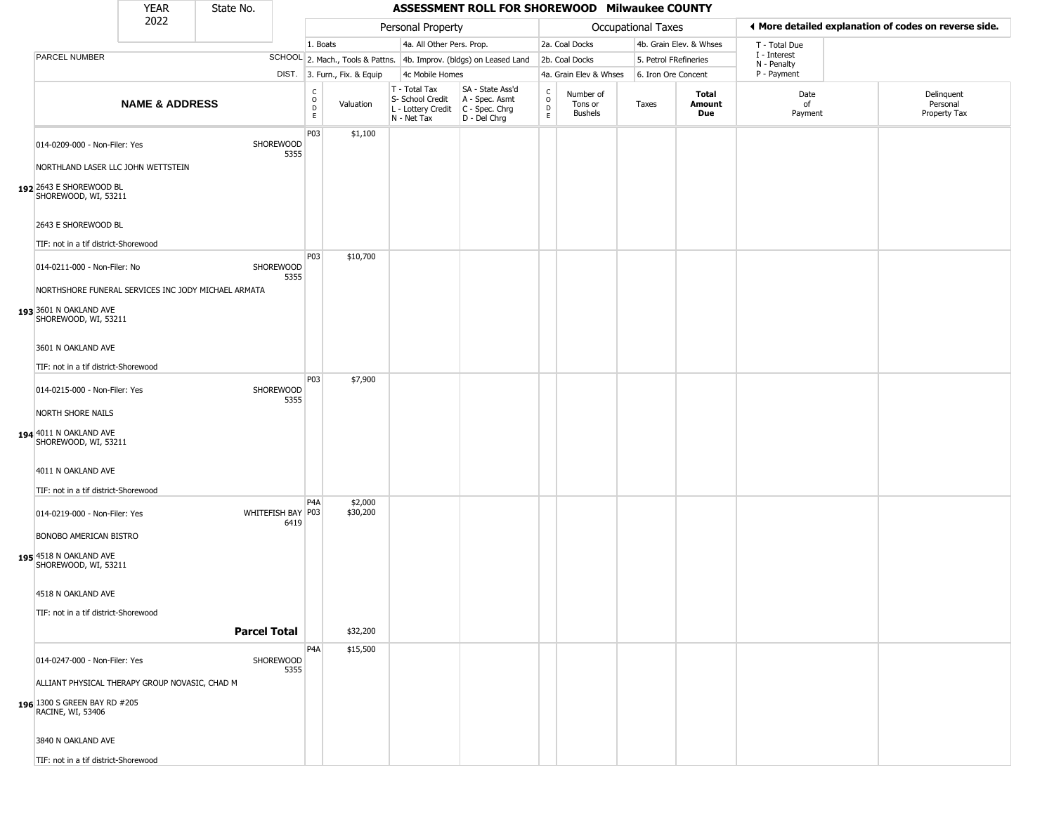|                                                                                     | <b>YEAR</b>               | State No.           |                             |                                                 |                              |                                                                        | ASSESSMENT ROLL FOR SHOREWOOD Milwaukee COUNTY                       |                                                 |                                        |                           |                         |                             |                                                       |
|-------------------------------------------------------------------------------------|---------------------------|---------------------|-----------------------------|-------------------------------------------------|------------------------------|------------------------------------------------------------------------|----------------------------------------------------------------------|-------------------------------------------------|----------------------------------------|---------------------------|-------------------------|-----------------------------|-------------------------------------------------------|
|                                                                                     | 2022                      |                     |                             |                                                 |                              | Personal Property                                                      |                                                                      |                                                 |                                        | <b>Occupational Taxes</b> |                         |                             | ♦ More detailed explanation of codes on reverse side. |
|                                                                                     |                           |                     |                             | 1. Boats                                        |                              | 4a. All Other Pers. Prop.                                              |                                                                      |                                                 | 2a. Coal Docks                         |                           | 4b. Grain Elev. & Whses | T - Total Due               |                                                       |
| PARCEL NUMBER                                                                       |                           |                     |                             |                                                 |                              |                                                                        | SCHOOL 2. Mach., Tools & Pattns. 4b. Improv. (bldgs) on Leased Land  |                                                 | 2b. Coal Docks                         |                           | 5. Petrol FRefineries   | I - Interest<br>N - Penalty |                                                       |
|                                                                                     |                           |                     |                             |                                                 | DIST. 3. Furn., Fix. & Equip | 4c Mobile Homes                                                        |                                                                      |                                                 | 4a. Grain Elev & Whses                 |                           | 6. Iron Ore Concent     | P - Payment                 |                                                       |
|                                                                                     | <b>NAME &amp; ADDRESS</b> |                     |                             | $_{\rm o}^{\rm c}$<br>$\mathsf{D}_{\mathsf{E}}$ | Valuation                    | T - Total Tax<br>S- School Credit<br>L - Lottery Credit<br>N - Net Tax | SA - State Ass'd<br>A - Spec. Asmt<br>C - Spec. Chrg<br>D - Del Chrg | $\begin{array}{c} C \\ O \\ D \\ E \end{array}$ | Number of<br>Tons or<br><b>Bushels</b> | Taxes                     | Total<br>Amount<br>Due  | Date<br>of<br>Payment       | Delinquent<br>Personal<br>Property Tax                |
| 014-0209-000 - Non-Filer: Yes<br>NORTHLAND LASER LLC JOHN WETTSTEIN                 |                           |                     | SHOREWOOD<br>5355           | P03                                             | \$1,100                      |                                                                        |                                                                      |                                                 |                                        |                           |                         |                             |                                                       |
| 192 2643 E SHOREWOOD BL<br>SHOREWOOD, WI, 53211                                     |                           |                     |                             |                                                 |                              |                                                                        |                                                                      |                                                 |                                        |                           |                         |                             |                                                       |
| 2643 E SHOREWOOD BL<br>TIF: not in a tif district-Shorewood                         |                           |                     |                             |                                                 |                              |                                                                        |                                                                      |                                                 |                                        |                           |                         |                             |                                                       |
|                                                                                     |                           |                     |                             | P03                                             | \$10,700                     |                                                                        |                                                                      |                                                 |                                        |                           |                         |                             |                                                       |
| 014-0211-000 - Non-Filer: No<br>NORTHSHORE FUNERAL SERVICES INC JODY MICHAEL ARMATA |                           |                     | SHOREWOOD<br>5355           |                                                 |                              |                                                                        |                                                                      |                                                 |                                        |                           |                         |                             |                                                       |
| 193 3601 N OAKLAND AVE<br>SHOREWOOD, WI, 53211                                      |                           |                     |                             |                                                 |                              |                                                                        |                                                                      |                                                 |                                        |                           |                         |                             |                                                       |
| 3601 N OAKLAND AVE                                                                  |                           |                     |                             |                                                 |                              |                                                                        |                                                                      |                                                 |                                        |                           |                         |                             |                                                       |
| TIF: not in a tif district-Shorewood                                                |                           |                     |                             | P03                                             | \$7,900                      |                                                                        |                                                                      |                                                 |                                        |                           |                         |                             |                                                       |
| 014-0215-000 - Non-Filer: Yes                                                       |                           |                     | SHOREWOOD<br>5355           |                                                 |                              |                                                                        |                                                                      |                                                 |                                        |                           |                         |                             |                                                       |
| NORTH SHORE NAILS<br>194 4011 N OAKLAND AVE<br>SHOREWOOD, WI, 53211                 |                           |                     |                             |                                                 |                              |                                                                        |                                                                      |                                                 |                                        |                           |                         |                             |                                                       |
| 4011 N OAKLAND AVE                                                                  |                           |                     |                             |                                                 |                              |                                                                        |                                                                      |                                                 |                                        |                           |                         |                             |                                                       |
| TIF: not in a tif district-Shorewood                                                |                           |                     |                             | P <sub>4</sub> A                                | \$2,000                      |                                                                        |                                                                      |                                                 |                                        |                           |                         |                             |                                                       |
| 014-0219-000 - Non-Filer: Yes<br>BONOBO AMERICAN BISTRO                             |                           |                     | WHITEFISH BAY   P03<br>6419 |                                                 | \$30,200                     |                                                                        |                                                                      |                                                 |                                        |                           |                         |                             |                                                       |
| 195 4518 N OAKLAND AVE<br>SHOREWOOD, WI, 53211                                      |                           |                     |                             |                                                 |                              |                                                                        |                                                                      |                                                 |                                        |                           |                         |                             |                                                       |
| 4518 N OAKLAND AVE                                                                  |                           |                     |                             |                                                 |                              |                                                                        |                                                                      |                                                 |                                        |                           |                         |                             |                                                       |
| TIF: not in a tif district-Shorewood                                                |                           | <b>Parcel Total</b> |                             |                                                 | \$32,200                     |                                                                        |                                                                      |                                                 |                                        |                           |                         |                             |                                                       |
| 014-0247-000 - Non-Filer: Yes                                                       |                           |                     | SHOREWOOD<br>5355           | P <sub>4</sub> A                                | \$15,500                     |                                                                        |                                                                      |                                                 |                                        |                           |                         |                             |                                                       |
| ALLIANT PHYSICAL THERAPY GROUP NOVASIC, CHAD M                                      |                           |                     |                             |                                                 |                              |                                                                        |                                                                      |                                                 |                                        |                           |                         |                             |                                                       |
| 196 1300 S GREEN BAY RD #205<br>RACINE, WI, 53406                                   |                           |                     |                             |                                                 |                              |                                                                        |                                                                      |                                                 |                                        |                           |                         |                             |                                                       |
| 3840 N OAKLAND AVE                                                                  |                           |                     |                             |                                                 |                              |                                                                        |                                                                      |                                                 |                                        |                           |                         |                             |                                                       |
| TIF: not in a tif district-Shorewood                                                |                           |                     |                             |                                                 |                              |                                                                        |                                                                      |                                                 |                                        |                           |                         |                             |                                                       |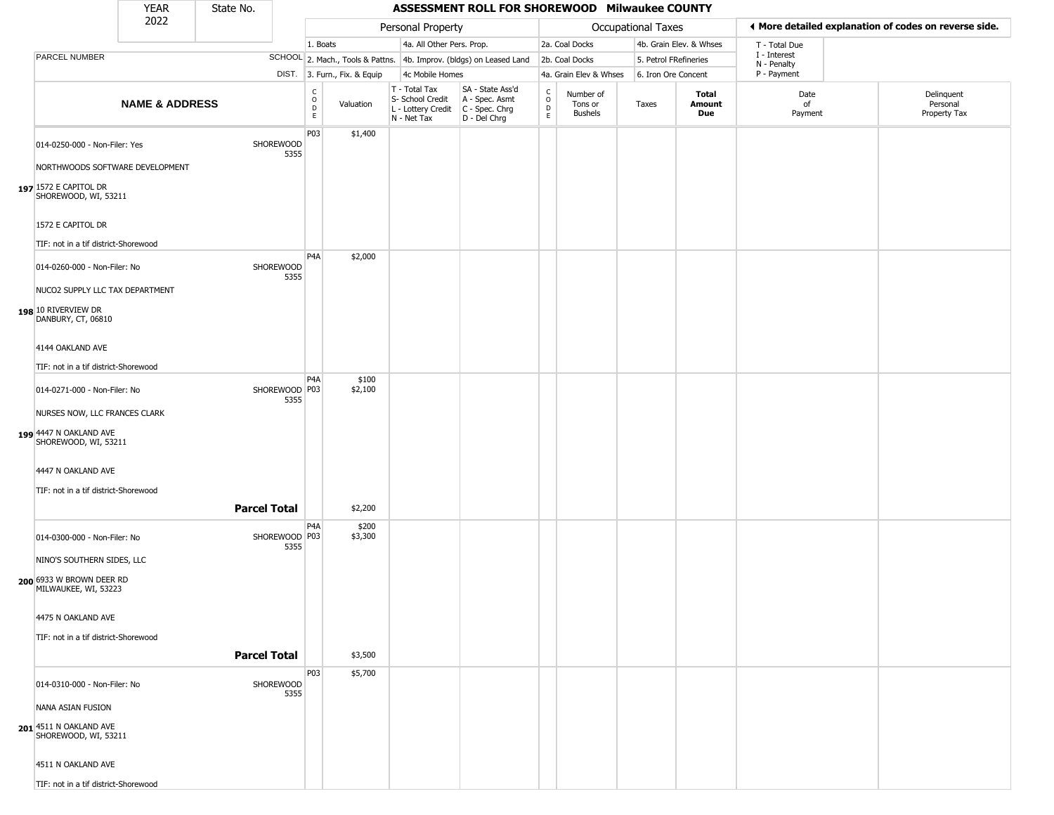|                                                                                  | <b>YEAR</b>               | State No.           |                         |                                       |                              |                                                                        | ASSESSMENT ROLL FOR SHOREWOOD Milwaukee COUNTY                       |                      |                                        |                    |                         |                             |                                                       |
|----------------------------------------------------------------------------------|---------------------------|---------------------|-------------------------|---------------------------------------|------------------------------|------------------------------------------------------------------------|----------------------------------------------------------------------|----------------------|----------------------------------------|--------------------|-------------------------|-----------------------------|-------------------------------------------------------|
|                                                                                  | 2022                      |                     |                         |                                       |                              | Personal Property                                                      |                                                                      |                      |                                        | Occupational Taxes |                         |                             | ♦ More detailed explanation of codes on reverse side. |
|                                                                                  |                           |                     |                         | 1. Boats                              |                              | 4a. All Other Pers. Prop.                                              |                                                                      |                      | 2a. Coal Docks                         |                    | 4b. Grain Elev. & Whses | T - Total Due               |                                                       |
| PARCEL NUMBER                                                                    |                           |                     |                         |                                       |                              |                                                                        | SCHOOL 2. Mach., Tools & Pattns. 4b. Improv. (bldgs) on Leased Land  |                      | 2b. Coal Docks                         |                    | 5. Petrol FRefineries   | I - Interest<br>N - Penalty |                                                       |
|                                                                                  |                           |                     |                         |                                       | DIST. 3. Furn., Fix. & Equip | 4c Mobile Homes                                                        |                                                                      |                      | 4a. Grain Elev & Whses                 |                    | 6. Iron Ore Concent     | P - Payment                 |                                                       |
|                                                                                  | <b>NAME &amp; ADDRESS</b> |                     |                         | $\mathsf{C}$<br>$\mathsf O$<br>D<br>E | Valuation                    | T - Total Tax<br>S- School Credit<br>L - Lottery Credit<br>N - Net Tax | SA - State Ass'd<br>A - Spec. Asmt<br>C - Spec. Chrg<br>D - Del Chrg | $\rm ^c_o$<br>D<br>E | Number of<br>Tons or<br><b>Bushels</b> | Taxes              | Total<br>Amount<br>Due  | Date<br>of<br>Payment       | Delinquent<br>Personal<br>Property Tax                |
| 014-0250-000 - Non-Filer: Yes                                                    |                           |                     | SHOREWOOD<br>5355       | P03                                   | \$1,400                      |                                                                        |                                                                      |                      |                                        |                    |                         |                             |                                                       |
| NORTHWOODS SOFTWARE DEVELOPMENT<br>197 1572 E CAPITOL DR<br>SHOREWOOD, WI, 53211 |                           |                     |                         |                                       |                              |                                                                        |                                                                      |                      |                                        |                    |                         |                             |                                                       |
| 1572 E CAPITOL DR<br>TIF: not in a tif district-Shorewood                        |                           |                     |                         |                                       |                              |                                                                        |                                                                      |                      |                                        |                    |                         |                             |                                                       |
|                                                                                  |                           |                     |                         | P <sub>4</sub> A                      | \$2,000                      |                                                                        |                                                                      |                      |                                        |                    |                         |                             |                                                       |
| 014-0260-000 - Non-Filer: No                                                     |                           |                     | SHOREWOOD<br>5355       |                                       |                              |                                                                        |                                                                      |                      |                                        |                    |                         |                             |                                                       |
| NUCO2 SUPPLY LLC TAX DEPARTMENT                                                  |                           |                     |                         |                                       |                              |                                                                        |                                                                      |                      |                                        |                    |                         |                             |                                                       |
| 198 10 RIVERVIEW DR<br>DANBURY, CT, 06810                                        |                           |                     |                         |                                       |                              |                                                                        |                                                                      |                      |                                        |                    |                         |                             |                                                       |
| 4144 OAKLAND AVE                                                                 |                           |                     |                         |                                       |                              |                                                                        |                                                                      |                      |                                        |                    |                         |                             |                                                       |
| TIF: not in a tif district-Shorewood                                             |                           |                     |                         |                                       |                              |                                                                        |                                                                      |                      |                                        |                    |                         |                             |                                                       |
|                                                                                  |                           |                     |                         | P <sub>4</sub> A                      | \$100                        |                                                                        |                                                                      |                      |                                        |                    |                         |                             |                                                       |
| 014-0271-000 - Non-Filer: No<br>NURSES NOW, LLC FRANCES CLARK                    |                           |                     | SHOREWOOD   P03<br>5355 |                                       | \$2,100                      |                                                                        |                                                                      |                      |                                        |                    |                         |                             |                                                       |
| 199 4447 N OAKLAND AVE<br>SHOREWOOD, WI, 53211                                   |                           |                     |                         |                                       |                              |                                                                        |                                                                      |                      |                                        |                    |                         |                             |                                                       |
| 4447 N OAKLAND AVE                                                               |                           |                     |                         |                                       |                              |                                                                        |                                                                      |                      |                                        |                    |                         |                             |                                                       |
| TIF: not in a tif district-Shorewood                                             |                           |                     |                         |                                       |                              |                                                                        |                                                                      |                      |                                        |                    |                         |                             |                                                       |
|                                                                                  |                           | <b>Parcel Total</b> |                         |                                       | \$2,200                      |                                                                        |                                                                      |                      |                                        |                    |                         |                             |                                                       |
| 014-0300-000 - Non-Filer: No                                                     |                           |                     | SHOREWOOD   P03<br>5355 | P <sub>4</sub> A                      | \$200<br>\$3,300             |                                                                        |                                                                      |                      |                                        |                    |                         |                             |                                                       |
| NINO'S SOUTHERN SIDES, LLC                                                       |                           |                     |                         |                                       |                              |                                                                        |                                                                      |                      |                                        |                    |                         |                             |                                                       |
| 200 6933 W BROWN DEER RD<br>MILWAUKEE, WI, 53223                                 |                           |                     |                         |                                       |                              |                                                                        |                                                                      |                      |                                        |                    |                         |                             |                                                       |
| 4475 N OAKLAND AVE                                                               |                           |                     |                         |                                       |                              |                                                                        |                                                                      |                      |                                        |                    |                         |                             |                                                       |
| TIF: not in a tif district-Shorewood                                             |                           |                     |                         |                                       |                              |                                                                        |                                                                      |                      |                                        |                    |                         |                             |                                                       |
|                                                                                  |                           | <b>Parcel Total</b> |                         |                                       | \$3,500                      |                                                                        |                                                                      |                      |                                        |                    |                         |                             |                                                       |
|                                                                                  |                           |                     |                         | P03                                   | \$5,700                      |                                                                        |                                                                      |                      |                                        |                    |                         |                             |                                                       |
| 014-0310-000 - Non-Filer: No                                                     |                           |                     | SHOREWOOD<br>5355       |                                       |                              |                                                                        |                                                                      |                      |                                        |                    |                         |                             |                                                       |
| NANA ASIAN FUSION                                                                |                           |                     |                         |                                       |                              |                                                                        |                                                                      |                      |                                        |                    |                         |                             |                                                       |
| 201 4511 N OAKLAND AVE<br>SHOREWOOD, WI, 53211                                   |                           |                     |                         |                                       |                              |                                                                        |                                                                      |                      |                                        |                    |                         |                             |                                                       |
| 4511 N OAKLAND AVE                                                               |                           |                     |                         |                                       |                              |                                                                        |                                                                      |                      |                                        |                    |                         |                             |                                                       |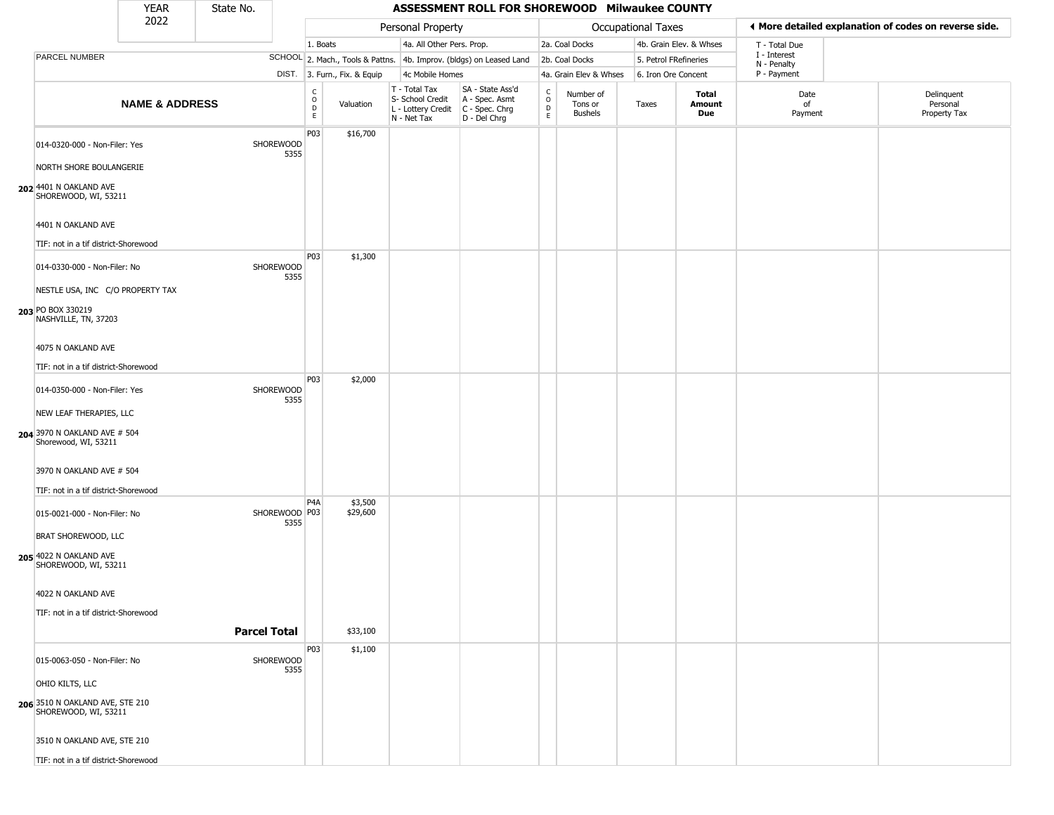|                                                                                 | <b>YEAR</b>               | State No.           |                       |                   |                              |                                                                        | ASSESSMENT ROLL FOR SHOREWOOD Milwaukee COUNTY                         |                                    |                                        |                           |                         |                             |                                                       |
|---------------------------------------------------------------------------------|---------------------------|---------------------|-----------------------|-------------------|------------------------------|------------------------------------------------------------------------|------------------------------------------------------------------------|------------------------------------|----------------------------------------|---------------------------|-------------------------|-----------------------------|-------------------------------------------------------|
|                                                                                 | 2022                      |                     |                       |                   |                              | Personal Property                                                      |                                                                        |                                    |                                        | <b>Occupational Taxes</b> |                         |                             | ◀ More detailed explanation of codes on reverse side. |
|                                                                                 |                           |                     |                       | 1. Boats          |                              | 4a. All Other Pers. Prop.                                              |                                                                        |                                    | 2a. Coal Docks                         |                           | 4b. Grain Elev. & Whses | T - Total Due               |                                                       |
| PARCEL NUMBER                                                                   |                           |                     |                       |                   |                              |                                                                        | SCHOOL 2. Mach., Tools & Pattns. 4b. Improv. (bldgs) on Leased Land    |                                    | 2b. Coal Docks                         | 5. Petrol FRefineries     |                         | I - Interest<br>N - Penalty |                                                       |
|                                                                                 |                           |                     |                       |                   | DIST. 3. Furn., Fix. & Equip | 4c Mobile Homes                                                        |                                                                        |                                    | 4a. Grain Elev & Whses                 | 6. Iron Ore Concent       |                         | P - Payment                 |                                                       |
|                                                                                 | <b>NAME &amp; ADDRESS</b> |                     |                       | C<br>0<br>D<br>E. | Valuation                    | T - Total Tax<br>S- School Credit<br>L - Lottery Credit<br>N - Net Tax | SA - State Ass'd<br>A - Spec. Asmt<br>$C - Spec. Chrg$<br>D - Del Chrg | $\mathsf{C}$<br>$\circ$<br>D<br>E. | Number of<br>Tons or<br><b>Bushels</b> | Taxes                     | Total<br>Amount<br>Due  | Date<br>of<br>Payment       | Delinquent<br>Personal<br>Property Tax                |
| 014-0320-000 - Non-Filer: Yes<br>NORTH SHORE BOULANGERIE                        |                           |                     | SHOREWOOD<br>5355     | P03               | \$16,700                     |                                                                        |                                                                        |                                    |                                        |                           |                         |                             |                                                       |
| 202 4401 N OAKLAND AVE<br>SHOREWOOD, WI, 53211                                  |                           |                     |                       |                   |                              |                                                                        |                                                                        |                                    |                                        |                           |                         |                             |                                                       |
| 4401 N OAKLAND AVE<br>TIF: not in a tif district-Shorewood                      |                           |                     |                       |                   |                              |                                                                        |                                                                        |                                    |                                        |                           |                         |                             |                                                       |
|                                                                                 |                           |                     |                       | P03               | \$1,300                      |                                                                        |                                                                        |                                    |                                        |                           |                         |                             |                                                       |
| 014-0330-000 - Non-Filer: No<br>NESTLE USA, INC C/O PROPERTY TAX                |                           |                     | SHOREWOOD<br>5355     |                   |                              |                                                                        |                                                                        |                                    |                                        |                           |                         |                             |                                                       |
| 203 PO BOX 330219<br>NASHVILLE, TN, 37203                                       |                           |                     |                       |                   |                              |                                                                        |                                                                        |                                    |                                        |                           |                         |                             |                                                       |
| 4075 N OAKLAND AVE                                                              |                           |                     |                       |                   |                              |                                                                        |                                                                        |                                    |                                        |                           |                         |                             |                                                       |
| TIF: not in a tif district-Shorewood                                            |                           |                     |                       |                   |                              |                                                                        |                                                                        |                                    |                                        |                           |                         |                             |                                                       |
| 014-0350-000 - Non-Filer: Yes                                                   |                           |                     | SHOREWOOD<br>5355     | P03               | \$2,000                      |                                                                        |                                                                        |                                    |                                        |                           |                         |                             |                                                       |
| NEW LEAF THERAPIES, LLC<br>204 3970 N OAKLAND AVE # 504<br>Shorewood, WI, 53211 |                           |                     |                       |                   |                              |                                                                        |                                                                        |                                    |                                        |                           |                         |                             |                                                       |
| 3970 N OAKLAND AVE # 504                                                        |                           |                     |                       |                   |                              |                                                                        |                                                                        |                                    |                                        |                           |                         |                             |                                                       |
| TIF: not in a tif district-Shorewood                                            |                           |                     |                       |                   |                              |                                                                        |                                                                        |                                    |                                        |                           |                         |                             |                                                       |
| 015-0021-000 - Non-Filer: No                                                    |                           |                     | SHOREWOOD P03<br>5355 | P <sub>4</sub> A  | \$3,500<br>\$29,600          |                                                                        |                                                                        |                                    |                                        |                           |                         |                             |                                                       |
| BRAT SHOREWOOD, LLC                                                             |                           |                     |                       |                   |                              |                                                                        |                                                                        |                                    |                                        |                           |                         |                             |                                                       |
| 205 4022 N OAKLAND AVE<br>SHOREWOOD, WI, 53211                                  |                           |                     |                       |                   |                              |                                                                        |                                                                        |                                    |                                        |                           |                         |                             |                                                       |
| 4022 N OAKLAND AVE                                                              |                           |                     |                       |                   |                              |                                                                        |                                                                        |                                    |                                        |                           |                         |                             |                                                       |
| TIF: not in a tif district-Shorewood                                            |                           |                     |                       |                   |                              |                                                                        |                                                                        |                                    |                                        |                           |                         |                             |                                                       |
|                                                                                 |                           | <b>Parcel Total</b> |                       |                   | \$33,100                     |                                                                        |                                                                        |                                    |                                        |                           |                         |                             |                                                       |
| 015-0063-050 - Non-Filer: No                                                    |                           |                     | SHOREWOOD<br>5355     | P03               | \$1,100                      |                                                                        |                                                                        |                                    |                                        |                           |                         |                             |                                                       |
| OHIO KILTS, LLC                                                                 |                           |                     |                       |                   |                              |                                                                        |                                                                        |                                    |                                        |                           |                         |                             |                                                       |
| 206 3510 N OAKLAND AVE, STE 210<br>SHOREWOOD, WI, 53211                         |                           |                     |                       |                   |                              |                                                                        |                                                                        |                                    |                                        |                           |                         |                             |                                                       |
| 3510 N OAKLAND AVE, STE 210                                                     |                           |                     |                       |                   |                              |                                                                        |                                                                        |                                    |                                        |                           |                         |                             |                                                       |
| TIF: not in a tif district-Shorewood                                            |                           |                     |                       |                   |                              |                                                                        |                                                                        |                                    |                                        |                           |                         |                             |                                                       |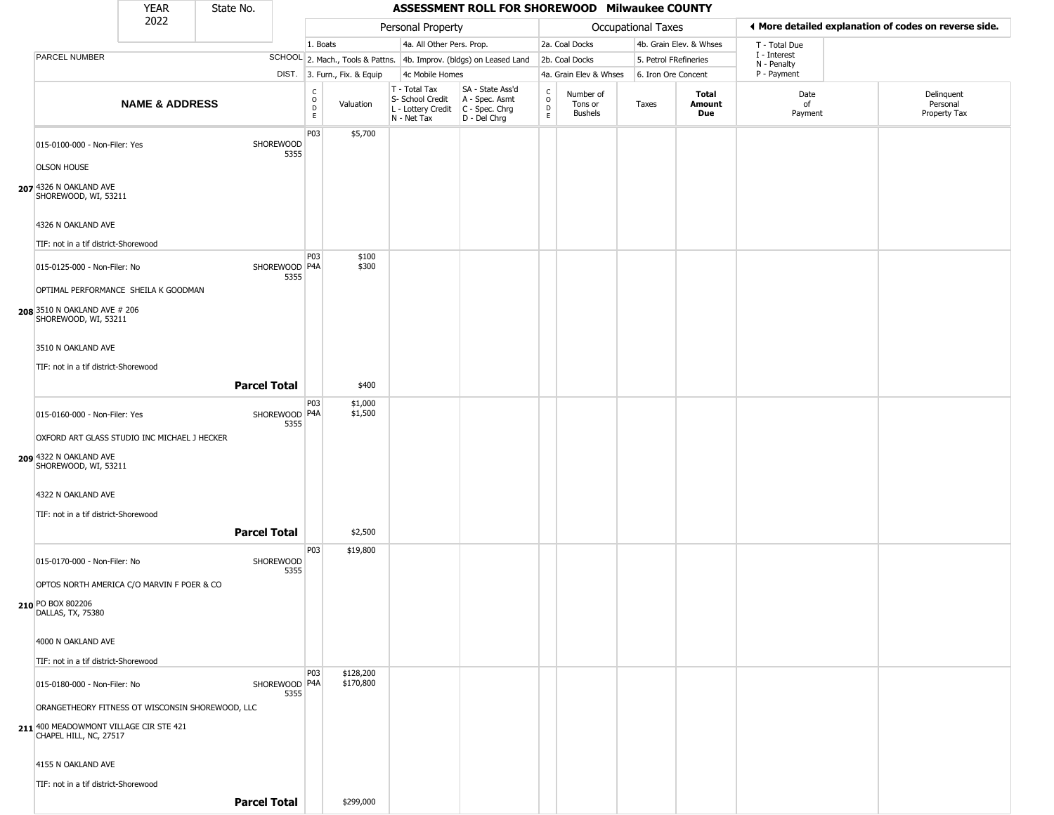## YEAR **ASSESSMENT ROLL FOR SHOREWOOD Milwaukee COUNTY** 2022 DIST. 3. Furn., Fix. & Equip PARCEL NUMBER **NAME & ADDRESS** State No. C O D E Valuation T - Total Tax S- School Credit A - Spec. Asmt L - Lottery Credit C - Spec. Chrg N - Net Tax SA - State Ass'd D - Del Chrg C O D E Number of Tons or Bushels Taxes **Total Amount Due** Date of Payment Delinquent Personal Property Tax Personal Property **Department Controller Service Controller** Occupational Taxes 1. Boats **4a.** All Other Pers. Prop. **2a. Coal Docks** 4b. Grain Elev. & Whses SCHOOL 2. Mach., Tools & Pattns. 4b. Improv. (bldgs) on Leased Land 2b. Coal Docks 5. Petrol FRefineries 4c Mobile Homes 4a. Grain Elev & Whses 6. Iron Ore Concent T - Total Due I - Interest N - Penalty P - Payment 3**More detailed explanation of codes on reverse side. 207** 4326 N OAKLAND AVE 015-0100-000 - Non-Filer: Yes SHOREWOOD 5355 OLSON HOUSE SHOREWOOD, WI, 53211 4326 N OAKLAND AVE TIF: not in a tif district-Shorewood P03 \$5,700 **208** 3510 N OAKLAND AVE # 206 015-0125-000 - Non-Filer: No 5355 OPTIMAL PERFORMANCE SHEILA K GOODMAN SHOREWOOD, WI, 53211 3510 N OAKLAND AVE TIF: not in a tif district-Shorewood P03 SHOREWOOD P4A \$100 \$300 **Parcel Total** | \$400 **209** 4322 N OAKLAND AVE 015-0160-000 - Non-Filer: Yes 5355 OXFORD ART GLASS STUDIO INC MICHAEL J HECKER SHOREWOOD, WI, 53211 4322 N OAKLAND AVE TIF: not in a tif district-Shorewood P03 SHOREWOOD P4A \$1,000 \$1,500 **Parcel Total** \$2,500 **210** PO BOX 802206 015-0170-000 - Non-Filer: No SHOREWOOD 5355 OPTOS NORTH AMERICA C/O MARVIN F POER & CO DALLAS, TX, 75380 4000 N OAKLAND AVE TIF: not in a tif district-Shorewood P03 \$19,800 **211** 400 MEADOWMONT VILLAGE CIR STE 421 015-0180-000 - Non-Filer: No 5355 ORANGETHEORY FITNESS OT WISCONSIN SHOREWOOD, LLC CHAPEL HILL, NC, 27517 4155 N OAKLAND AVE TIF: not in a tif district-Shorewood P03 SHOREWOOD P4A \$128,200 \$170,800

**Parcel Total | \$299,000**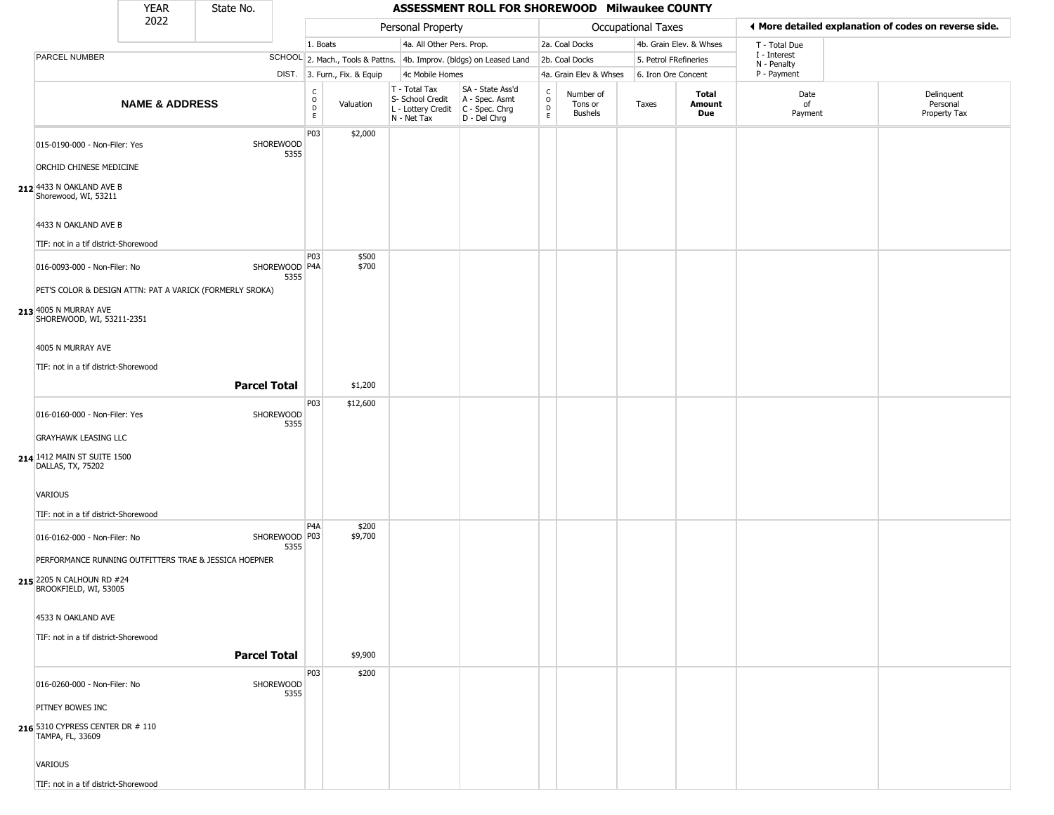|                                                          | <b>YEAR</b>               | State No.           |                       |                      |                              |                                                                        | ASSESSMENT ROLL FOR SHOREWOOD Milwaukee COUNTY                       |                             |                                        |                       |                         |                                                       |                                        |
|----------------------------------------------------------|---------------------------|---------------------|-----------------------|----------------------|------------------------------|------------------------------------------------------------------------|----------------------------------------------------------------------|-----------------------------|----------------------------------------|-----------------------|-------------------------|-------------------------------------------------------|----------------------------------------|
|                                                          | 2022                      |                     |                       |                      | Personal Property            |                                                                        |                                                                      |                             | <b>Occupational Taxes</b>              |                       |                         | ◀ More detailed explanation of codes on reverse side. |                                        |
|                                                          |                           |                     |                       | 1. Boats             |                              | 4a. All Other Pers. Prop.                                              |                                                                      |                             | 2a. Coal Docks                         |                       | 4b. Grain Elev. & Whses | T - Total Due                                         |                                        |
| PARCEL NUMBER                                            |                           |                     |                       |                      |                              |                                                                        | SCHOOL 2. Mach., Tools & Pattns. 4b. Improv. (bldgs) on Leased Land  |                             | 2b. Coal Docks                         | 5. Petrol FRefineries |                         | I - Interest<br>N - Penalty                           |                                        |
|                                                          |                           |                     |                       |                      | DIST. 3. Furn., Fix. & Equip | 4c Mobile Homes                                                        |                                                                      |                             | 4a. Grain Elev & Whses                 | 6. Iron Ore Concent   |                         | P - Payment                                           |                                        |
|                                                          | <b>NAME &amp; ADDRESS</b> |                     |                       | $\rm _o^C$<br>D<br>E | Valuation                    | T - Total Tax<br>S- School Credit<br>L - Lottery Credit<br>N - Net Tax | SA - State Ass'd<br>A - Spec. Asmt<br>C - Spec. Chrg<br>D - Del Chrg | $\rm ^c_o$<br>$\frac{D}{E}$ | Number of<br>Tons or<br><b>Bushels</b> | Taxes                 | Total<br>Amount<br>Due  | Date<br>of<br>Payment                                 | Delinquent<br>Personal<br>Property Tax |
| 015-0190-000 - Non-Filer: Yes                            |                           |                     | SHOREWOOD<br>5355     | P03                  | \$2,000                      |                                                                        |                                                                      |                             |                                        |                       |                         |                                                       |                                        |
| ORCHID CHINESE MEDICINE                                  |                           |                     |                       |                      |                              |                                                                        |                                                                      |                             |                                        |                       |                         |                                                       |                                        |
| 212 4433 N OAKLAND AVE B<br>Shorewood, WI, 53211         |                           |                     |                       |                      |                              |                                                                        |                                                                      |                             |                                        |                       |                         |                                                       |                                        |
| 4433 N OAKLAND AVE B                                     |                           |                     |                       |                      |                              |                                                                        |                                                                      |                             |                                        |                       |                         |                                                       |                                        |
| TIF: not in a tif district-Shorewood                     |                           |                     |                       |                      |                              |                                                                        |                                                                      |                             |                                        |                       |                         |                                                       |                                        |
| 016-0093-000 - Non-Filer: No                             |                           |                     | SHOREWOOD P4A<br>5355 | P03                  | \$500<br>\$700               |                                                                        |                                                                      |                             |                                        |                       |                         |                                                       |                                        |
| PET'S COLOR & DESIGN ATTN: PAT A VARICK (FORMERLY SROKA) |                           |                     |                       |                      |                              |                                                                        |                                                                      |                             |                                        |                       |                         |                                                       |                                        |
| 213 4005 N MURRAY AVE<br>SHOREWOOD, WI, 53211-2351       |                           |                     |                       |                      |                              |                                                                        |                                                                      |                             |                                        |                       |                         |                                                       |                                        |
| 4005 N MURRAY AVE                                        |                           |                     |                       |                      |                              |                                                                        |                                                                      |                             |                                        |                       |                         |                                                       |                                        |
| TIF: not in a tif district-Shorewood                     |                           |                     |                       |                      |                              |                                                                        |                                                                      |                             |                                        |                       |                         |                                                       |                                        |
|                                                          |                           |                     | <b>Parcel Total</b>   |                      | \$1,200                      |                                                                        |                                                                      |                             |                                        |                       |                         |                                                       |                                        |
| 016-0160-000 - Non-Filer: Yes                            |                           |                     | SHOREWOOD<br>5355     | P03                  | \$12,600                     |                                                                        |                                                                      |                             |                                        |                       |                         |                                                       |                                        |
| <b>GRAYHAWK LEASING LLC</b>                              |                           |                     |                       |                      |                              |                                                                        |                                                                      |                             |                                        |                       |                         |                                                       |                                        |
| 214 1412 MAIN ST SUITE 1500<br>DALLAS, TX, 75202         |                           |                     |                       |                      |                              |                                                                        |                                                                      |                             |                                        |                       |                         |                                                       |                                        |
| VARIOUS                                                  |                           |                     |                       |                      |                              |                                                                        |                                                                      |                             |                                        |                       |                         |                                                       |                                        |
| TIF: not in a tif district-Shorewood                     |                           |                     |                       | P <sub>4</sub> A     | \$200                        |                                                                        |                                                                      |                             |                                        |                       |                         |                                                       |                                        |
| 016-0162-000 - Non-Filer: No                             |                           |                     | SHOREWOOD P03<br>5355 |                      | \$9,700                      |                                                                        |                                                                      |                             |                                        |                       |                         |                                                       |                                        |
| PERFORMANCE RUNNING OUTFITTERS TRAE & JESSICA HOEPNER    |                           |                     |                       |                      |                              |                                                                        |                                                                      |                             |                                        |                       |                         |                                                       |                                        |
| 215 2205 N CALHOUN RD #24<br>BROOKFIELD, WI, 53005       |                           |                     |                       |                      |                              |                                                                        |                                                                      |                             |                                        |                       |                         |                                                       |                                        |
| 4533 N OAKLAND AVE                                       |                           |                     |                       |                      |                              |                                                                        |                                                                      |                             |                                        |                       |                         |                                                       |                                        |
| TIF: not in a tif district-Shorewood                     |                           |                     |                       |                      |                              |                                                                        |                                                                      |                             |                                        |                       |                         |                                                       |                                        |
|                                                          |                           | <b>Parcel Total</b> |                       |                      | \$9,900                      |                                                                        |                                                                      |                             |                                        |                       |                         |                                                       |                                        |
| 016-0260-000 - Non-Filer: No                             |                           |                     | SHOREWOOD<br>5355     | <b>P03</b>           | \$200                        |                                                                        |                                                                      |                             |                                        |                       |                         |                                                       |                                        |
| PITNEY BOWES INC                                         |                           |                     |                       |                      |                              |                                                                        |                                                                      |                             |                                        |                       |                         |                                                       |                                        |
| 216 5310 CYPRESS CENTER DR # 110<br>TAMPA, FL, 33609     |                           |                     |                       |                      |                              |                                                                        |                                                                      |                             |                                        |                       |                         |                                                       |                                        |
| VARIOUS                                                  |                           |                     |                       |                      |                              |                                                                        |                                                                      |                             |                                        |                       |                         |                                                       |                                        |
| TIF: not in a tif district-Shorewood                     |                           |                     |                       |                      |                              |                                                                        |                                                                      |                             |                                        |                       |                         |                                                       |                                        |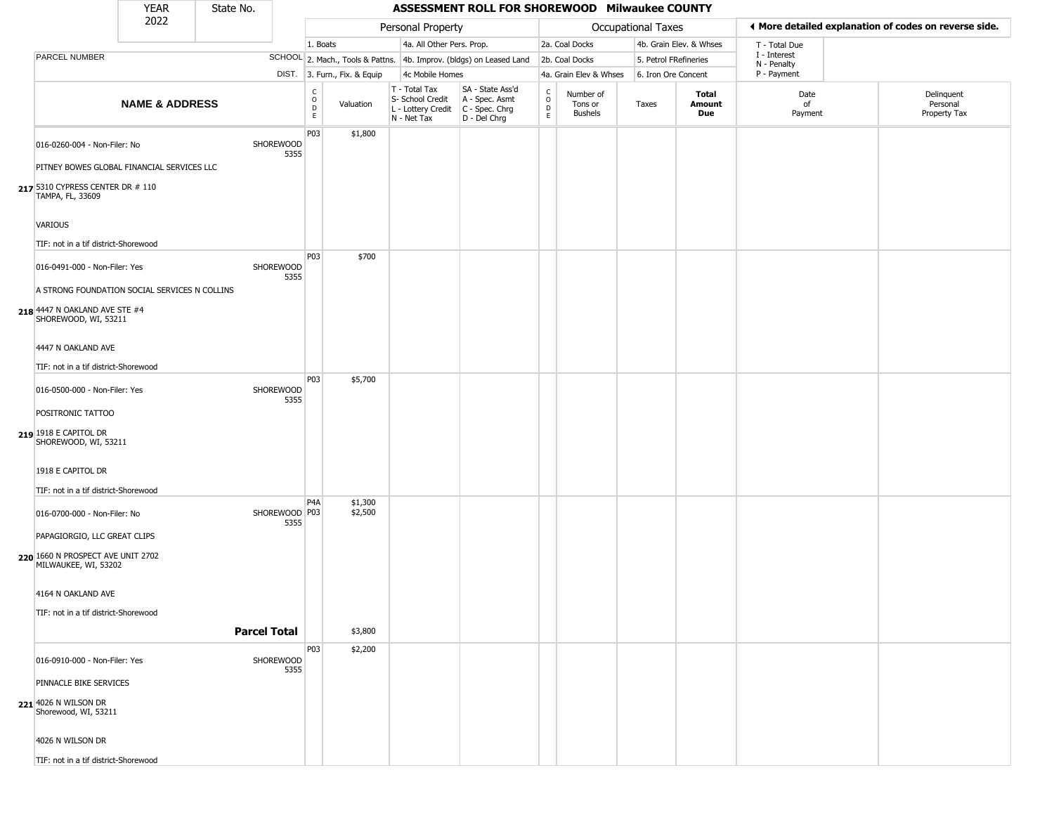|                                                                                | <b>YEAR</b>               | State No. |                         |                                  |                              |                                                                        | ASSESSMENT ROLL FOR SHOREWOOD Milwaukee COUNTY                       |                             |                                        |                           |                         |                             |                                                       |
|--------------------------------------------------------------------------------|---------------------------|-----------|-------------------------|----------------------------------|------------------------------|------------------------------------------------------------------------|----------------------------------------------------------------------|-----------------------------|----------------------------------------|---------------------------|-------------------------|-----------------------------|-------------------------------------------------------|
|                                                                                | 2022                      |           |                         |                                  |                              | Personal Property                                                      |                                                                      |                             |                                        | <b>Occupational Taxes</b> |                         |                             | ◀ More detailed explanation of codes on reverse side. |
|                                                                                |                           |           |                         | 1. Boats                         |                              | 4a. All Other Pers. Prop.                                              |                                                                      |                             | 2a. Coal Docks                         |                           | 4b. Grain Elev. & Whses | T - Total Due               |                                                       |
| PARCEL NUMBER                                                                  |                           |           |                         |                                  |                              |                                                                        | SCHOOL 2. Mach., Tools & Pattns. 4b. Improv. (bldgs) on Leased Land  |                             | 2b. Coal Docks                         |                           | 5. Petrol FRefineries   | I - Interest<br>N - Penalty |                                                       |
|                                                                                |                           |           |                         |                                  | DIST. 3. Furn., Fix. & Equip | 4c Mobile Homes                                                        |                                                                      |                             | 4a. Grain Elev & Whses                 | 6. Iron Ore Concent       |                         | P - Payment                 |                                                       |
|                                                                                | <b>NAME &amp; ADDRESS</b> |           |                         | C<br>$\circ$<br>$\mathsf D$<br>E | Valuation                    | T - Total Tax<br>S- School Credit<br>L - Lottery Credit<br>N - Net Tax | SA - State Ass'd<br>A - Spec. Asmt<br>C - Spec. Chrg<br>D - Del Chrg | $\rm ^c_o$<br>$\frac{D}{E}$ | Number of<br>Tons or<br><b>Bushels</b> | Taxes                     | Total<br>Amount<br>Due  | Date<br>of<br>Payment       | Delinquent<br>Personal<br>Property Tax                |
| 016-0260-004 - Non-Filer: No                                                   |                           |           | SHOREWOOD<br>5355       | P03                              | \$1,800                      |                                                                        |                                                                      |                             |                                        |                           |                         |                             |                                                       |
| PITNEY BOWES GLOBAL FINANCIAL SERVICES LLC                                     |                           |           |                         |                                  |                              |                                                                        |                                                                      |                             |                                        |                           |                         |                             |                                                       |
| 217 5310 CYPRESS CENTER DR # 110<br>TAMPA, FL, 33609                           |                           |           |                         |                                  |                              |                                                                        |                                                                      |                             |                                        |                           |                         |                             |                                                       |
| VARIOUS                                                                        |                           |           |                         |                                  |                              |                                                                        |                                                                      |                             |                                        |                           |                         |                             |                                                       |
| TIF: not in a tif district-Shorewood                                           |                           |           |                         |                                  |                              |                                                                        |                                                                      |                             |                                        |                           |                         |                             |                                                       |
| 016-0491-000 - Non-Filer: Yes                                                  |                           |           | SHOREWOOD<br>5355       | <b>P03</b>                       | \$700                        |                                                                        |                                                                      |                             |                                        |                           |                         |                             |                                                       |
| A STRONG FOUNDATION SOCIAL SERVICES N COLLINS<br>218 4447 N OAKLAND AVE STE #4 |                           |           |                         |                                  |                              |                                                                        |                                                                      |                             |                                        |                           |                         |                             |                                                       |
| SHOREWOOD, WI, 53211<br>4447 N OAKLAND AVE                                     |                           |           |                         |                                  |                              |                                                                        |                                                                      |                             |                                        |                           |                         |                             |                                                       |
| TIF: not in a tif district-Shorewood                                           |                           |           |                         |                                  |                              |                                                                        |                                                                      |                             |                                        |                           |                         |                             |                                                       |
|                                                                                |                           |           |                         | P03                              | \$5,700                      |                                                                        |                                                                      |                             |                                        |                           |                         |                             |                                                       |
| 016-0500-000 - Non-Filer: Yes                                                  |                           |           | SHOREWOOD<br>5355       |                                  |                              |                                                                        |                                                                      |                             |                                        |                           |                         |                             |                                                       |
| POSITRONIC TATTOO<br>219 1918 E CAPITOL DR                                     |                           |           |                         |                                  |                              |                                                                        |                                                                      |                             |                                        |                           |                         |                             |                                                       |
| SHOREWOOD, WI, 53211                                                           |                           |           |                         |                                  |                              |                                                                        |                                                                      |                             |                                        |                           |                         |                             |                                                       |
| 1918 E CAPITOL DR                                                              |                           |           |                         |                                  |                              |                                                                        |                                                                      |                             |                                        |                           |                         |                             |                                                       |
| TIF: not in a tif district-Shorewood                                           |                           |           |                         | P <sub>4</sub> A                 |                              |                                                                        |                                                                      |                             |                                        |                           |                         |                             |                                                       |
| 016-0700-000 - Non-Filer: No                                                   |                           |           | SHOREWOOD   P03<br>5355 |                                  | \$1,300<br>\$2,500           |                                                                        |                                                                      |                             |                                        |                           |                         |                             |                                                       |
| PAPAGIORGIO, LLC GREAT CLIPS                                                   |                           |           |                         |                                  |                              |                                                                        |                                                                      |                             |                                        |                           |                         |                             |                                                       |
| 220 1660 N PROSPECT AVE UNIT 2702<br>MILWAUKEE, WI, 53202                      |                           |           |                         |                                  |                              |                                                                        |                                                                      |                             |                                        |                           |                         |                             |                                                       |
| 4164 N OAKLAND AVE                                                             |                           |           |                         |                                  |                              |                                                                        |                                                                      |                             |                                        |                           |                         |                             |                                                       |
| TIF: not in a tif district-Shorewood                                           |                           |           | <b>Parcel Total</b>     |                                  | \$3,800                      |                                                                        |                                                                      |                             |                                        |                           |                         |                             |                                                       |
|                                                                                |                           |           |                         | P03                              | \$2,200                      |                                                                        |                                                                      |                             |                                        |                           |                         |                             |                                                       |
| 016-0910-000 - Non-Filer: Yes                                                  |                           |           | SHOREWOOD<br>5355       |                                  |                              |                                                                        |                                                                      |                             |                                        |                           |                         |                             |                                                       |
| PINNACLE BIKE SERVICES                                                         |                           |           |                         |                                  |                              |                                                                        |                                                                      |                             |                                        |                           |                         |                             |                                                       |
| 221 4026 N WILSON DR<br>Shorewood, WI, 53211                                   |                           |           |                         |                                  |                              |                                                                        |                                                                      |                             |                                        |                           |                         |                             |                                                       |
| 4026 N WILSON DR                                                               |                           |           |                         |                                  |                              |                                                                        |                                                                      |                             |                                        |                           |                         |                             |                                                       |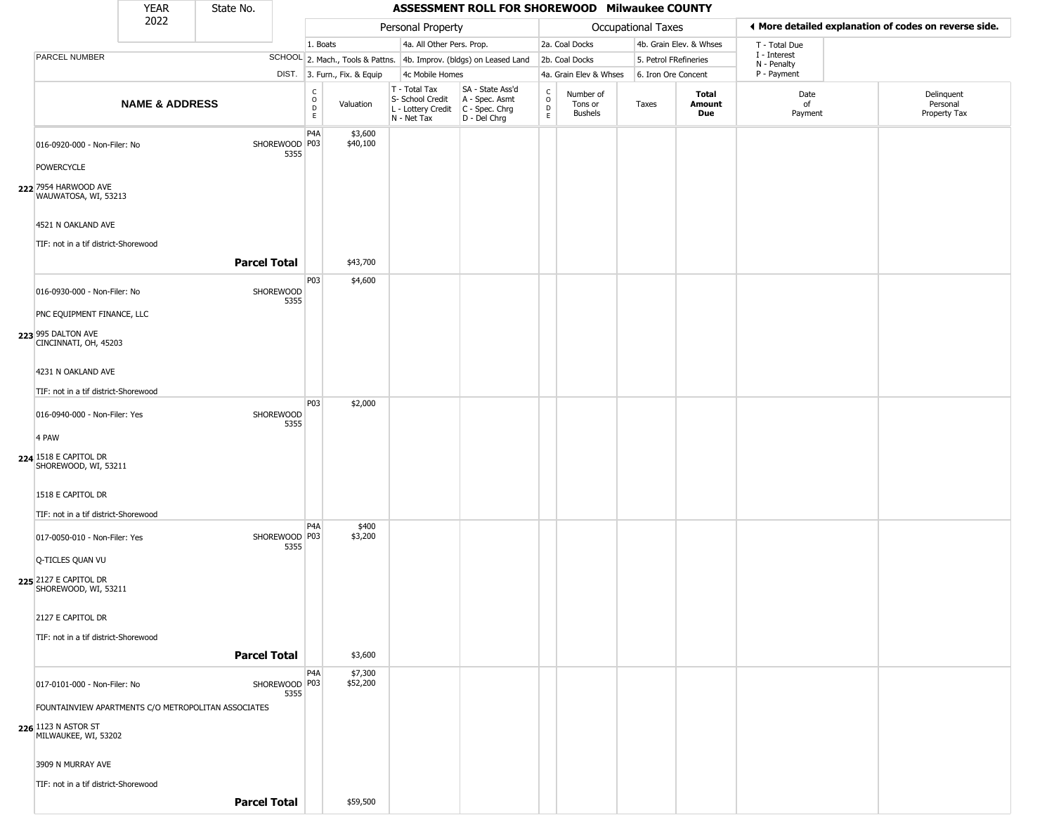|       |                                               | YEAR                      | State No.                                           |                         |                                   |                                                |                                                                        | ASSESSMENT ROLL FOR SHOREWOOD Milwaukee COUNTY                       |                  |                                        |                       |                         |                             |                                                       |
|-------|-----------------------------------------------|---------------------------|-----------------------------------------------------|-------------------------|-----------------------------------|------------------------------------------------|------------------------------------------------------------------------|----------------------------------------------------------------------|------------------|----------------------------------------|-----------------------|-------------------------|-----------------------------|-------------------------------------------------------|
|       |                                               | 2022                      |                                                     |                         |                                   | Personal Property<br>4a. All Other Pers. Prop. |                                                                        |                                                                      |                  |                                        | Occupational Taxes    |                         |                             | ♦ More detailed explanation of codes on reverse side. |
|       |                                               |                           |                                                     |                         | 1. Boats                          |                                                |                                                                        |                                                                      |                  | 2a. Coal Docks                         |                       | 4b. Grain Elev. & Whses | T - Total Due               |                                                       |
|       | PARCEL NUMBER                                 |                           |                                                     |                         |                                   |                                                |                                                                        | SCHOOL 2. Mach., Tools & Pattns. 4b. Improv. (bldgs) on Leased Land  |                  | 2b. Coal Docks                         | 5. Petrol FRefineries |                         | I - Interest<br>N - Penalty |                                                       |
|       |                                               |                           |                                                     |                         |                                   | DIST. 3. Furn., Fix. & Equip                   | 4c Mobile Homes                                                        |                                                                      |                  | 4a. Grain Elev & Whses                 | 6. Iron Ore Concent   |                         | P - Payment                 |                                                       |
|       |                                               | <b>NAME &amp; ADDRESS</b> |                                                     |                         | c<br>$\circ$<br>$\mathsf{D}$<br>E | Valuation                                      | T - Total Tax<br>S- School Credit<br>L - Lottery Credit<br>N - Net Tax | SA - State Ass'd<br>A - Spec. Asmt<br>C - Spec. Chrg<br>D - Del Chrg | C<br>D<br>E<br>E | Number of<br>Tons or<br><b>Bushels</b> | Taxes                 | Total<br>Amount<br>Due  | Date<br>of<br>Payment       | Delinquent<br>Personal<br>Property Tax                |
|       | 016-0920-000 - Non-Filer: No                  |                           |                                                     | SHOREWOOD P03<br>5355   | P4A                               | \$3,600<br>\$40,100                            |                                                                        |                                                                      |                  |                                        |                       |                         |                             |                                                       |
|       | POWERCYCLE                                    |                           |                                                     |                         |                                   |                                                |                                                                        |                                                                      |                  |                                        |                       |                         |                             |                                                       |
|       | 222 7954 HARWOOD AVE<br>WAUWATOSA, WI, 53213  |                           |                                                     |                         |                                   |                                                |                                                                        |                                                                      |                  |                                        |                       |                         |                             |                                                       |
|       | 4521 N OAKLAND AVE                            |                           |                                                     |                         |                                   |                                                |                                                                        |                                                                      |                  |                                        |                       |                         |                             |                                                       |
|       | TIF: not in a tif district-Shorewood          |                           | <b>Parcel Total</b>                                 |                         |                                   | \$43,700                                       |                                                                        |                                                                      |                  |                                        |                       |                         |                             |                                                       |
|       | 016-0930-000 - Non-Filer: No                  |                           |                                                     | SHOREWOOD<br>5355       | P03                               | \$4,600                                        |                                                                        |                                                                      |                  |                                        |                       |                         |                             |                                                       |
|       | PNC EQUIPMENT FINANCE, LLC                    |                           |                                                     |                         |                                   |                                                |                                                                        |                                                                      |                  |                                        |                       |                         |                             |                                                       |
|       | 223 995 DALTON AVE<br>CINCINNATI, OH, 45203   |                           |                                                     |                         |                                   |                                                |                                                                        |                                                                      |                  |                                        |                       |                         |                             |                                                       |
|       | 4231 N OAKLAND AVE                            |                           |                                                     |                         |                                   |                                                |                                                                        |                                                                      |                  |                                        |                       |                         |                             |                                                       |
|       | TIF: not in a tif district-Shorewood          |                           |                                                     |                         | P03                               | \$2,000                                        |                                                                        |                                                                      |                  |                                        |                       |                         |                             |                                                       |
|       | 016-0940-000 - Non-Filer: Yes                 |                           |                                                     | SHOREWOOD<br>5355       |                                   |                                                |                                                                        |                                                                      |                  |                                        |                       |                         |                             |                                                       |
| 4 PAW |                                               |                           |                                                     |                         |                                   |                                                |                                                                        |                                                                      |                  |                                        |                       |                         |                             |                                                       |
|       | 224 1518 E CAPITOL DR<br>SHOREWOOD, WI, 53211 |                           |                                                     |                         |                                   |                                                |                                                                        |                                                                      |                  |                                        |                       |                         |                             |                                                       |
|       | 1518 E CAPITOL DR                             |                           |                                                     |                         |                                   |                                                |                                                                        |                                                                      |                  |                                        |                       |                         |                             |                                                       |
|       | TIF: not in a tif district-Shorewood          |                           |                                                     |                         |                                   |                                                |                                                                        |                                                                      |                  |                                        |                       |                         |                             |                                                       |
|       | 017-0050-010 - Non-Filer: Yes                 |                           |                                                     | SHOREWOOD   P03<br>5355 | P <sub>4</sub> A                  | \$400<br>\$3,200                               |                                                                        |                                                                      |                  |                                        |                       |                         |                             |                                                       |
|       | Q-TICLES QUAN VU                              |                           |                                                     |                         |                                   |                                                |                                                                        |                                                                      |                  |                                        |                       |                         |                             |                                                       |
|       | 225 2127 E CAPITOL DR<br>SHOREWOOD, WI, 53211 |                           |                                                     |                         |                                   |                                                |                                                                        |                                                                      |                  |                                        |                       |                         |                             |                                                       |
|       | 2127 E CAPITOL DR                             |                           |                                                     |                         |                                   |                                                |                                                                        |                                                                      |                  |                                        |                       |                         |                             |                                                       |
|       | TIF: not in a tif district-Shorewood          |                           |                                                     |                         |                                   |                                                |                                                                        |                                                                      |                  |                                        |                       |                         |                             |                                                       |
|       |                                               |                           | <b>Parcel Total</b>                                 |                         |                                   | \$3,600                                        |                                                                        |                                                                      |                  |                                        |                       |                         |                             |                                                       |
|       | 017-0101-000 - Non-Filer: No                  |                           |                                                     | SHOREWOOD P03<br>5355   | P <sub>4</sub> A                  | \$7,300<br>\$52,200                            |                                                                        |                                                                      |                  |                                        |                       |                         |                             |                                                       |
|       |                                               |                           | FOUNTAINVIEW APARTMENTS C/O METROPOLITAN ASSOCIATES |                         |                                   |                                                |                                                                        |                                                                      |                  |                                        |                       |                         |                             |                                                       |
|       | 226 1123 N ASTOR ST<br>MILWAUKEE, WI, 53202   |                           |                                                     |                         |                                   |                                                |                                                                        |                                                                      |                  |                                        |                       |                         |                             |                                                       |
|       | 3909 N MURRAY AVE                             |                           |                                                     |                         |                                   |                                                |                                                                        |                                                                      |                  |                                        |                       |                         |                             |                                                       |
|       | TIF: not in a tif district-Shorewood          |                           |                                                     |                         |                                   |                                                |                                                                        |                                                                      |                  |                                        |                       |                         |                             |                                                       |
|       |                                               |                           | <b>Parcel Total</b>                                 |                         |                                   | \$59,500                                       |                                                                        |                                                                      |                  |                                        |                       |                         |                             |                                                       |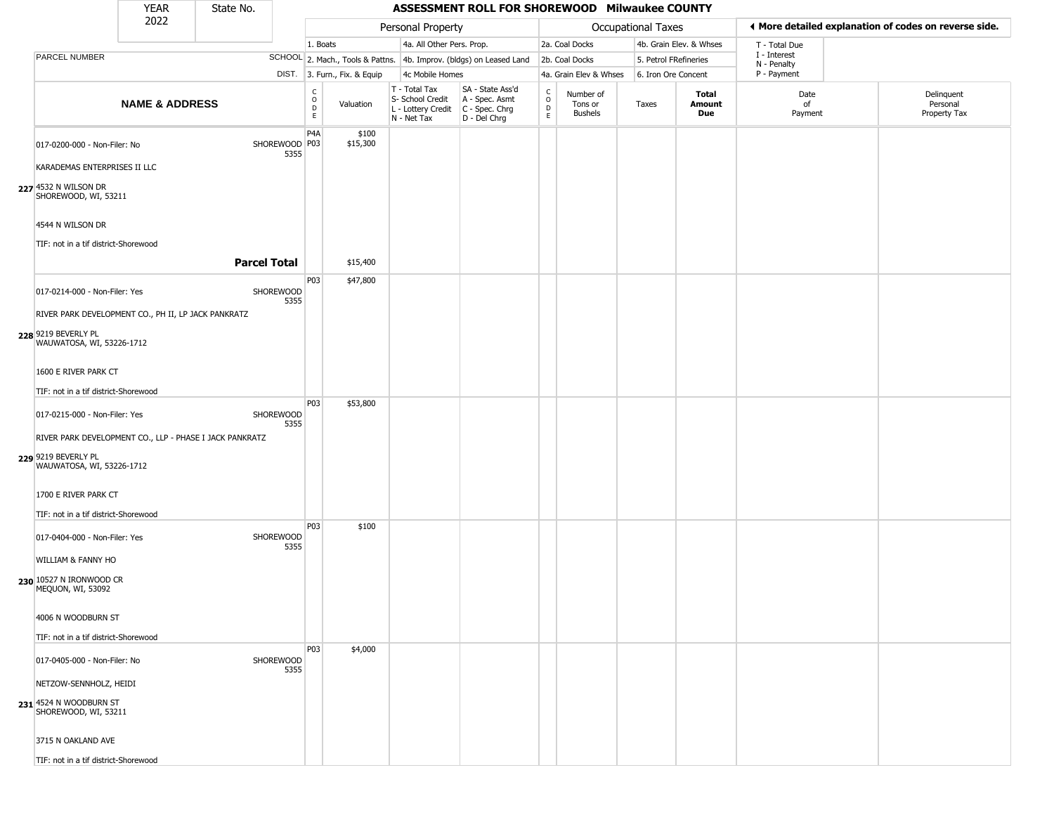|                                                         | <b>YEAR</b>               | State No.           |                         |                              |                              |                                                                                       | ASSESSMENT ROLL FOR SHOREWOOD Milwaukee COUNTY                      |                        |                                        |                       |                         |                             |                                                       |
|---------------------------------------------------------|---------------------------|---------------------|-------------------------|------------------------------|------------------------------|---------------------------------------------------------------------------------------|---------------------------------------------------------------------|------------------------|----------------------------------------|-----------------------|-------------------------|-----------------------------|-------------------------------------------------------|
|                                                         | 2022                      |                     |                         |                              |                              | Personal Property                                                                     |                                                                     |                        |                                        | Occupational Taxes    |                         |                             | ♦ More detailed explanation of codes on reverse side. |
|                                                         |                           |                     |                         | 1. Boats                     |                              | 4a. All Other Pers. Prop.                                                             |                                                                     |                        | 2a. Coal Docks                         |                       | 4b. Grain Elev. & Whses | T - Total Due               |                                                       |
| PARCEL NUMBER                                           |                           |                     |                         |                              |                              |                                                                                       | SCHOOL 2. Mach., Tools & Pattns. 4b. Improv. (bldgs) on Leased Land |                        | 2b. Coal Docks                         | 5. Petrol FRefineries |                         | I - Interest<br>N - Penalty |                                                       |
|                                                         |                           |                     |                         |                              | DIST. 3. Furn., Fix. & Equip | 4c Mobile Homes                                                                       |                                                                     |                        | 4a. Grain Elev & Whses                 | 6. Iron Ore Concent   |                         | P - Payment                 |                                                       |
|                                                         | <b>NAME &amp; ADDRESS</b> |                     |                         | $_{\rm o}^{\rm c}$<br>D<br>E | Valuation                    | T - Total Tax<br>S- School Credit<br>L - Lottery Credit C - Spec. Chrg<br>N - Net Tax | SA - State Ass'd<br>A - Spec. Asmt<br>D - Del Chrg                  | C<br>$\circ$<br>D<br>E | Number of<br>Tons or<br><b>Bushels</b> | Taxes                 | Total<br>Amount<br>Due  | Date<br>of<br>Payment       | Delinquent<br>Personal<br>Property Tax                |
| 017-0200-000 - Non-Filer: No                            |                           |                     | SHOREWOOD   P03<br>5355 | P <sub>4</sub> A             | \$100<br>\$15,300            |                                                                                       |                                                                     |                        |                                        |                       |                         |                             |                                                       |
| KARADEMAS ENTERPRISES II LLC                            |                           |                     |                         |                              |                              |                                                                                       |                                                                     |                        |                                        |                       |                         |                             |                                                       |
| 227 4532 N WILSON DR<br>SHOREWOOD, WI, 53211            |                           |                     |                         |                              |                              |                                                                                       |                                                                     |                        |                                        |                       |                         |                             |                                                       |
| 4544 N WILSON DR                                        |                           |                     |                         |                              |                              |                                                                                       |                                                                     |                        |                                        |                       |                         |                             |                                                       |
| TIF: not in a tif district-Shorewood                    |                           |                     |                         |                              |                              |                                                                                       |                                                                     |                        |                                        |                       |                         |                             |                                                       |
|                                                         |                           | <b>Parcel Total</b> |                         |                              | \$15,400                     |                                                                                       |                                                                     |                        |                                        |                       |                         |                             |                                                       |
| 017-0214-000 - Non-Filer: Yes                           |                           |                     | SHOREWOOD<br>5355       | P03                          | \$47,800                     |                                                                                       |                                                                     |                        |                                        |                       |                         |                             |                                                       |
| RIVER PARK DEVELOPMENT CO., PH II, LP JACK PANKRATZ     |                           |                     |                         |                              |                              |                                                                                       |                                                                     |                        |                                        |                       |                         |                             |                                                       |
| 228 9219 BEVERLY PL<br>WAUWATOSA, WI, 53226-1712        |                           |                     |                         |                              |                              |                                                                                       |                                                                     |                        |                                        |                       |                         |                             |                                                       |
| 1600 E RIVER PARK CT                                    |                           |                     |                         |                              |                              |                                                                                       |                                                                     |                        |                                        |                       |                         |                             |                                                       |
| TIF: not in a tif district-Shorewood                    |                           |                     |                         |                              |                              |                                                                                       |                                                                     |                        |                                        |                       |                         |                             |                                                       |
| 017-0215-000 - Non-Filer: Yes                           |                           |                     | SHOREWOOD<br>5355       | P03                          | \$53,800                     |                                                                                       |                                                                     |                        |                                        |                       |                         |                             |                                                       |
| RIVER PARK DEVELOPMENT CO., LLP - PHASE I JACK PANKRATZ |                           |                     |                         |                              |                              |                                                                                       |                                                                     |                        |                                        |                       |                         |                             |                                                       |
| 229 9219 BEVERLY PL<br>WAUWATOSA, WI, 53226-1712        |                           |                     |                         |                              |                              |                                                                                       |                                                                     |                        |                                        |                       |                         |                             |                                                       |
| 1700 E RIVER PARK CT                                    |                           |                     |                         |                              |                              |                                                                                       |                                                                     |                        |                                        |                       |                         |                             |                                                       |
| TIF: not in a tif district-Shorewood                    |                           |                     |                         |                              |                              |                                                                                       |                                                                     |                        |                                        |                       |                         |                             |                                                       |
| 017-0404-000 - Non-Filer: Yes                           |                           |                     | SHOREWOOD<br>5355       | P03                          | \$100                        |                                                                                       |                                                                     |                        |                                        |                       |                         |                             |                                                       |
| <b>WILLIAM &amp; FANNY HO</b>                           |                           |                     |                         |                              |                              |                                                                                       |                                                                     |                        |                                        |                       |                         |                             |                                                       |
| 230 10527 N IRONWOOD CR<br>MEQUON, WI, 53092            |                           |                     |                         |                              |                              |                                                                                       |                                                                     |                        |                                        |                       |                         |                             |                                                       |
| 4006 N WOODBURN ST                                      |                           |                     |                         |                              |                              |                                                                                       |                                                                     |                        |                                        |                       |                         |                             |                                                       |
| TIF: not in a tif district-Shorewood                    |                           |                     |                         |                              |                              |                                                                                       |                                                                     |                        |                                        |                       |                         |                             |                                                       |
| 017-0405-000 - Non-Filer: No                            |                           |                     | SHOREWOOD<br>5355       | <b>P03</b>                   | \$4,000                      |                                                                                       |                                                                     |                        |                                        |                       |                         |                             |                                                       |
| NETZOW-SENNHOLZ, HEIDI                                  |                           |                     |                         |                              |                              |                                                                                       |                                                                     |                        |                                        |                       |                         |                             |                                                       |
| 231 4524 N WOODBURN ST<br>SHOREWOOD, WI, 53211          |                           |                     |                         |                              |                              |                                                                                       |                                                                     |                        |                                        |                       |                         |                             |                                                       |
| 3715 N OAKLAND AVE                                      |                           |                     |                         |                              |                              |                                                                                       |                                                                     |                        |                                        |                       |                         |                             |                                                       |
| TIF: not in a tif district-Shorewood                    |                           |                     |                         |                              |                              |                                                                                       |                                                                     |                        |                                        |                       |                         |                             |                                                       |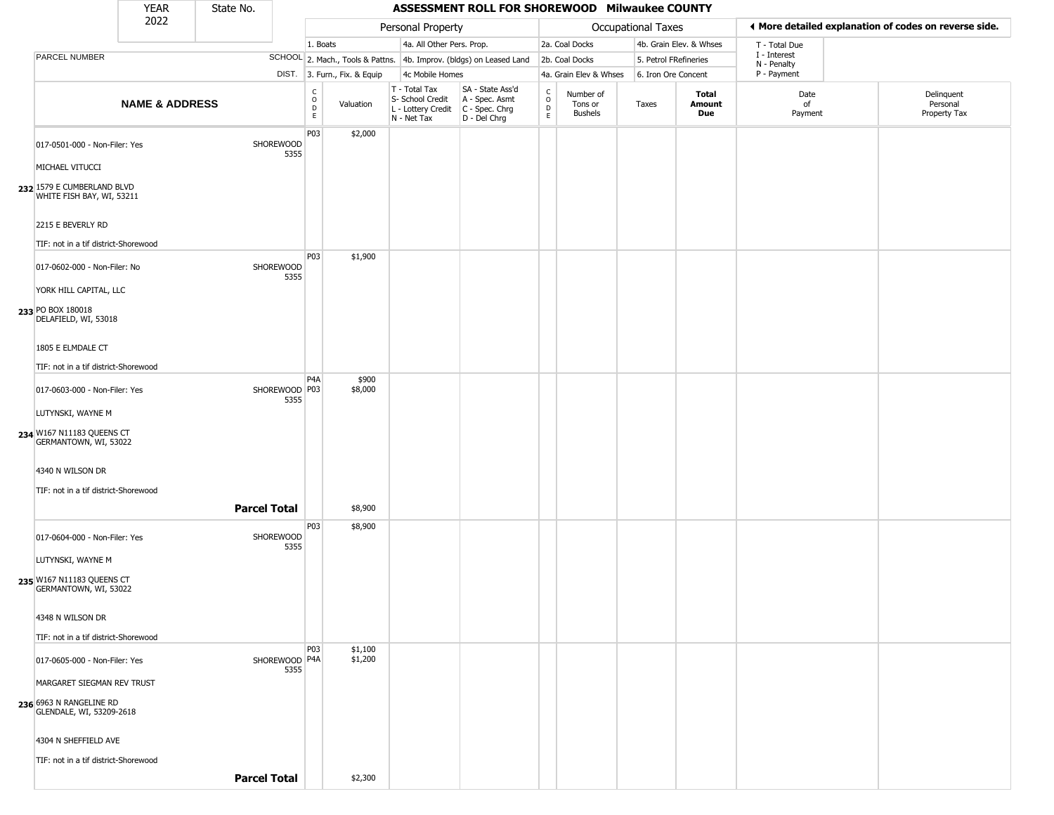|                                                                         | YEAR                      | State No.           |                       |                                          |                              |                                                                        | ASSESSMENT ROLL FOR SHOREWOOD Milwaukee COUNTY                       |                                              |                                        |                       |                         |                             |                                                       |
|-------------------------------------------------------------------------|---------------------------|---------------------|-----------------------|------------------------------------------|------------------------------|------------------------------------------------------------------------|----------------------------------------------------------------------|----------------------------------------------|----------------------------------------|-----------------------|-------------------------|-----------------------------|-------------------------------------------------------|
|                                                                         | 2022                      |                     |                       |                                          |                              | Personal Property                                                      |                                                                      |                                              |                                        | Occupational Taxes    |                         |                             | ♦ More detailed explanation of codes on reverse side. |
|                                                                         |                           |                     |                       | 1. Boats                                 |                              | 4a. All Other Pers. Prop.                                              |                                                                      |                                              | 2a. Coal Docks                         |                       | 4b. Grain Elev. & Whses | T - Total Due               |                                                       |
| PARCEL NUMBER                                                           |                           |                     |                       |                                          |                              |                                                                        | SCHOOL 2. Mach., Tools & Pattns. 4b. Improv. (bldgs) on Leased Land  |                                              | 2b. Coal Docks                         | 5. Petrol FRefineries |                         | I - Interest<br>N - Penalty |                                                       |
|                                                                         |                           |                     |                       |                                          | DIST. 3. Furn., Fix. & Equip | 4c Mobile Homes                                                        |                                                                      |                                              | 4a. Grain Elev & Whses                 | 6. Iron Ore Concent   |                         | P - Payment                 |                                                       |
|                                                                         | <b>NAME &amp; ADDRESS</b> |                     |                       | $\rm _o^C$<br>$\mathsf D$<br>$\mathsf E$ | Valuation                    | T - Total Tax<br>S- School Credit<br>L - Lottery Credit<br>N - Net Tax | SA - State Ass'd<br>A - Spec. Asmt<br>C - Spec. Chrg<br>D - Del Chrg | $\mathsf{C}$<br>$\circ$<br>$\mathsf{D}$<br>E | Number of<br>Tons or<br><b>Bushels</b> | Taxes                 | Total<br>Amount<br>Due  | Date<br>of<br>Payment       | Delinquent<br>Personal<br>Property Tax                |
| 017-0501-000 - Non-Filer: Yes<br>MICHAEL VITUCCI                        |                           |                     | SHOREWOOD<br>5355     | P03                                      | \$2,000                      |                                                                        |                                                                      |                                              |                                        |                       |                         |                             |                                                       |
| 232 1579 E CUMBERLAND BLVD<br>WHITE FISH BAY, WI, 53211                 |                           |                     |                       |                                          |                              |                                                                        |                                                                      |                                              |                                        |                       |                         |                             |                                                       |
| 2215 E BEVERLY RD                                                       |                           |                     |                       |                                          |                              |                                                                        |                                                                      |                                              |                                        |                       |                         |                             |                                                       |
| TIF: not in a tif district-Shorewood                                    |                           |                     |                       |                                          |                              |                                                                        |                                                                      |                                              |                                        |                       |                         |                             |                                                       |
| 017-0602-000 - Non-Filer: No                                            |                           |                     | SHOREWOOD<br>5355     | P03                                      | \$1,900                      |                                                                        |                                                                      |                                              |                                        |                       |                         |                             |                                                       |
| YORK HILL CAPITAL, LLC<br>233 PO BOX 180018<br>DELAFIELD, WI, 53018     |                           |                     |                       |                                          |                              |                                                                        |                                                                      |                                              |                                        |                       |                         |                             |                                                       |
| 1805 E ELMDALE CT                                                       |                           |                     |                       |                                          |                              |                                                                        |                                                                      |                                              |                                        |                       |                         |                             |                                                       |
| TIF: not in a tif district-Shorewood                                    |                           |                     |                       | P4A                                      | \$900                        |                                                                        |                                                                      |                                              |                                        |                       |                         |                             |                                                       |
| 017-0603-000 - Non-Filer: Yes                                           |                           |                     | SHOREWOOD P03<br>5355 |                                          | \$8,000                      |                                                                        |                                                                      |                                              |                                        |                       |                         |                             |                                                       |
| LUTYNSKI, WAYNE M<br>234 W167 N11183 QUEENS CT<br>GERMANTOWN, WI, 53022 |                           |                     |                       |                                          |                              |                                                                        |                                                                      |                                              |                                        |                       |                         |                             |                                                       |
| 4340 N WILSON DR                                                        |                           |                     |                       |                                          |                              |                                                                        |                                                                      |                                              |                                        |                       |                         |                             |                                                       |
| TIF: not in a tif district-Shorewood                                    |                           |                     |                       |                                          |                              |                                                                        |                                                                      |                                              |                                        |                       |                         |                             |                                                       |
|                                                                         |                           | <b>Parcel Total</b> |                       |                                          | \$8,900                      |                                                                        |                                                                      |                                              |                                        |                       |                         |                             |                                                       |
| 017-0604-000 - Non-Filer: Yes                                           |                           |                     | SHOREWOOD<br>5355     | P03                                      | \$8,900                      |                                                                        |                                                                      |                                              |                                        |                       |                         |                             |                                                       |
| LUTYNSKI, WAYNE M                                                       |                           |                     |                       |                                          |                              |                                                                        |                                                                      |                                              |                                        |                       |                         |                             |                                                       |
| 235 W167 N11183 QUEENS CT<br>GERMANTOWN, WI, 53022                      |                           |                     |                       |                                          |                              |                                                                        |                                                                      |                                              |                                        |                       |                         |                             |                                                       |
| 4348 N WILSON DR                                                        |                           |                     |                       |                                          |                              |                                                                        |                                                                      |                                              |                                        |                       |                         |                             |                                                       |
| TIF: not in a tif district-Shorewood                                    |                           |                     |                       |                                          |                              |                                                                        |                                                                      |                                              |                                        |                       |                         |                             |                                                       |
| 017-0605-000 - Non-Filer: Yes                                           |                           |                     | SHOREWOOD P4A<br>5355 | P03                                      | \$1,100<br>\$1,200           |                                                                        |                                                                      |                                              |                                        |                       |                         |                             |                                                       |
| MARGARET SIEGMAN REV TRUST                                              |                           |                     |                       |                                          |                              |                                                                        |                                                                      |                                              |                                        |                       |                         |                             |                                                       |
| 236 6963 N RANGELINE RD<br>GLENDALE, WI, 53209-2618                     |                           |                     |                       |                                          |                              |                                                                        |                                                                      |                                              |                                        |                       |                         |                             |                                                       |
| 4304 N SHEFFIELD AVE                                                    |                           |                     |                       |                                          |                              |                                                                        |                                                                      |                                              |                                        |                       |                         |                             |                                                       |
| TIF: not in a tif district-Shorewood                                    |                           |                     |                       |                                          |                              |                                                                        |                                                                      |                                              |                                        |                       |                         |                             |                                                       |
|                                                                         |                           | <b>Parcel Total</b> |                       |                                          | \$2,300                      |                                                                        |                                                                      |                                              |                                        |                       |                         |                             |                                                       |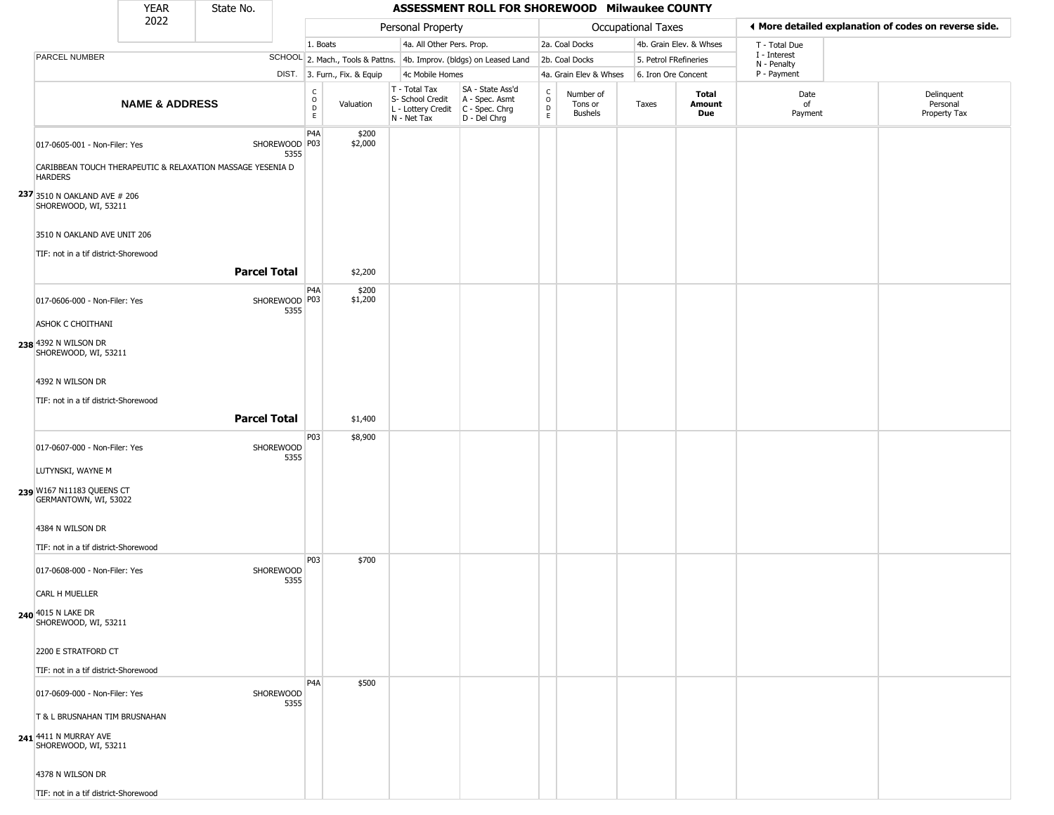|                                                                                                                             | <b>YEAR</b>               | State No.                                                  |                       |                                                                       |                                                                        | ASSESSMENT ROLL FOR SHOREWOOD Milwaukee COUNTY                                     |                                            |                                        |                       |                               |                            |                                                       |
|-----------------------------------------------------------------------------------------------------------------------------|---------------------------|------------------------------------------------------------|-----------------------|-----------------------------------------------------------------------|------------------------------------------------------------------------|------------------------------------------------------------------------------------|--------------------------------------------|----------------------------------------|-----------------------|-------------------------------|----------------------------|-------------------------------------------------------|
|                                                                                                                             | 2022                      |                                                            |                       |                                                                       | Personal Property                                                      |                                                                                    |                                            |                                        | Occupational Taxes    |                               |                            | ♦ More detailed explanation of codes on reverse side. |
|                                                                                                                             |                           |                                                            |                       | 1. Boats                                                              | 4a. All Other Pers. Prop.                                              |                                                                                    |                                            | 2a. Coal Docks                         |                       | 4b. Grain Elev. & Whses       | T - Total Due              |                                                       |
| PARCEL NUMBER                                                                                                               |                           |                                                            |                       |                                                                       |                                                                        | SCHOOL 2. Mach., Tools & Pattns. 4b. Improv. (bldgs) on Leased Land 2b. Coal Docks |                                            |                                        | 5. Petrol FRefineries |                               | I - Interest               |                                                       |
|                                                                                                                             |                           |                                                            |                       | DIST. 3. Furn., Fix. & Equip                                          | 4c Mobile Homes                                                        |                                                                                    |                                            | 4a. Grain Elev & Whses                 | 6. Iron Ore Concent   |                               | N - Penalty<br>P - Payment |                                                       |
|                                                                                                                             | <b>NAME &amp; ADDRESS</b> |                                                            |                       | $\begin{matrix} 0 \\ 0 \\ D \end{matrix}$<br>Valuation<br>$\mathsf E$ | T - Total Tax<br>S- School Credit<br>L - Lottery Credit<br>N - Net Tax | SA - State Ass'd<br>A - Spec. Asmt<br>C - Spec. Chrg<br>D - Del Chrg               | $\begin{array}{c} C \\ O \\ E \end{array}$ | Number of<br>Tons or<br><b>Bushels</b> | Taxes                 | <b>Total</b><br>Amount<br>Due | Date<br>of<br>Payment      | Delinquent<br>Personal<br>Property Tax                |
| 017-0605-001 - Non-Filer: Yes<br><b>HARDERS</b>                                                                             |                           | CARIBBEAN TOUCH THERAPEUTIC & RELAXATION MASSAGE YESENIA D | SHOREWOOD P03<br>5355 | P4A<br>\$200<br>\$2,000                                               |                                                                        |                                                                                    |                                            |                                        |                       |                               |                            |                                                       |
| 237 3510 N OAKLAND AVE # 206<br>SHOREWOOD, WI, 53211<br>3510 N OAKLAND AVE UNIT 206<br>TIF: not in a tif district-Shorewood |                           |                                                            |                       |                                                                       |                                                                        |                                                                                    |                                            |                                        |                       |                               |                            |                                                       |
|                                                                                                                             |                           | <b>Parcel Total</b>                                        |                       | \$2,200                                                               |                                                                        |                                                                                    |                                            |                                        |                       |                               |                            |                                                       |
| 017-0606-000 - Non-Filer: Yes<br>ASHOK C CHOITHANI                                                                          |                           |                                                            | SHOREWOOD P03<br>5355 | P4A<br>\$200<br>\$1,200                                               |                                                                        |                                                                                    |                                            |                                        |                       |                               |                            |                                                       |
| 238 4392 N WILSON DR<br>SHOREWOOD, WI, 53211<br>4392 N WILSON DR                                                            |                           |                                                            |                       |                                                                       |                                                                        |                                                                                    |                                            |                                        |                       |                               |                            |                                                       |
| TIF: not in a tif district-Shorewood                                                                                        |                           | <b>Parcel Total</b>                                        |                       |                                                                       |                                                                        |                                                                                    |                                            |                                        |                       |                               |                            |                                                       |
|                                                                                                                             |                           |                                                            |                       | \$1,400                                                               |                                                                        |                                                                                    |                                            |                                        |                       |                               |                            |                                                       |
| 017-0607-000 - Non-Filer: Yes<br>LUTYNSKI, WAYNE M                                                                          |                           | SHOREWOOD                                                  | 5355                  | P03<br>\$8,900                                                        |                                                                        |                                                                                    |                                            |                                        |                       |                               |                            |                                                       |
| 239 W167 N11183 QUEENS CT<br>GERMANTOWN, WI, 53022                                                                          |                           |                                                            |                       |                                                                       |                                                                        |                                                                                    |                                            |                                        |                       |                               |                            |                                                       |
| 4384 N WILSON DR                                                                                                            |                           |                                                            |                       |                                                                       |                                                                        |                                                                                    |                                            |                                        |                       |                               |                            |                                                       |
| TIF: not in a tif district-Shorewood<br>017-0608-000 - Non-Filer: Yes                                                       |                           | SHOREWOOD                                                  | 5355                  | P03<br>\$700                                                          |                                                                        |                                                                                    |                                            |                                        |                       |                               |                            |                                                       |
| <b>CARL H MUELLER</b><br>240 4015 N LAKE DR<br>SHOREWOOD, WI, 53211                                                         |                           |                                                            |                       |                                                                       |                                                                        |                                                                                    |                                            |                                        |                       |                               |                            |                                                       |
| 2200 E STRATFORD CT<br>TIF: not in a tif district-Shorewood                                                                 |                           |                                                            |                       |                                                                       |                                                                        |                                                                                    |                                            |                                        |                       |                               |                            |                                                       |
| 017-0609-000 - Non-Filer: Yes<br>T & L BRUSNAHAN TIM BRUSNAHAN                                                              |                           | SHOREWOOD                                                  | 5355                  | P <sub>4</sub> A<br>\$500                                             |                                                                        |                                                                                    |                                            |                                        |                       |                               |                            |                                                       |
| 241 4411 N MURRAY AVE<br>SHOREWOOD, WI, 53211<br>4378 N WILSON DR                                                           |                           |                                                            |                       |                                                                       |                                                                        |                                                                                    |                                            |                                        |                       |                               |                            |                                                       |
| TIF: not in a tif district-Shorewood                                                                                        |                           |                                                            |                       |                                                                       |                                                                        |                                                                                    |                                            |                                        |                       |                               |                            |                                                       |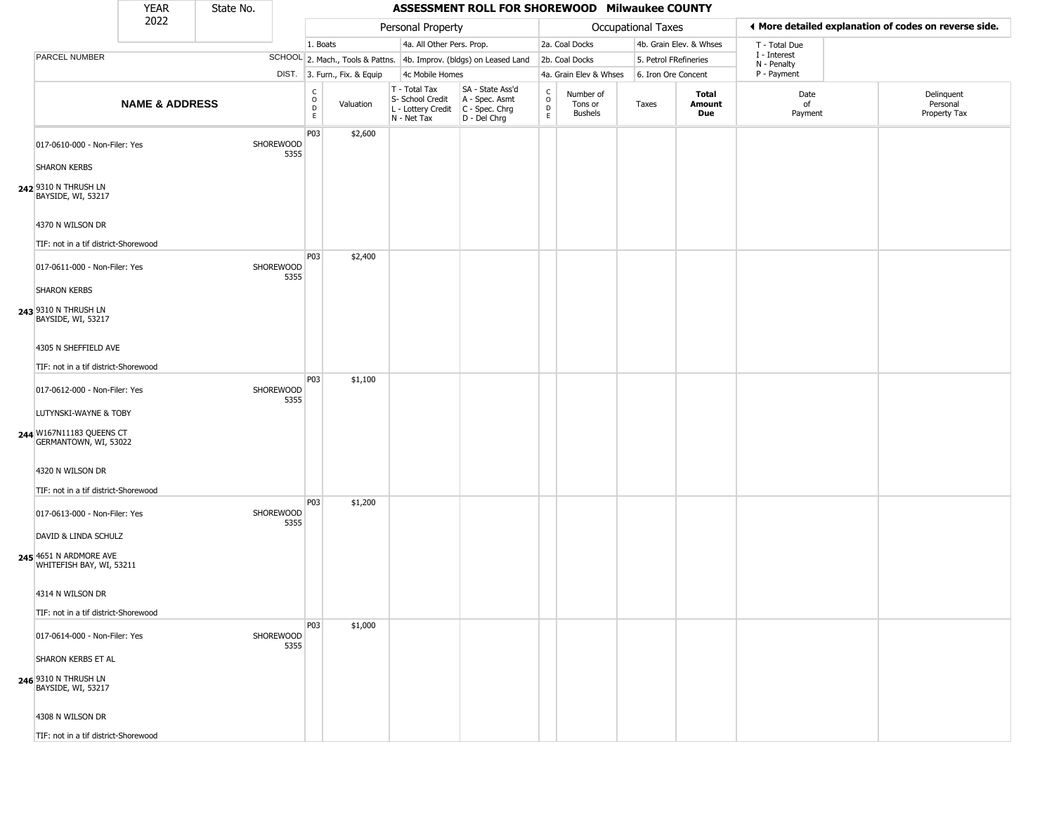|                                                      | <b>YEAR</b>               | State No. |                   |                                          |                              |                                                                                             | ASSESSMENT ROLL FOR SHOREWOOD Milwaukee COUNTY                      |                                 |                                        |                    |                         |                             |                                                       |
|------------------------------------------------------|---------------------------|-----------|-------------------|------------------------------------------|------------------------------|---------------------------------------------------------------------------------------------|---------------------------------------------------------------------|---------------------------------|----------------------------------------|--------------------|-------------------------|-----------------------------|-------------------------------------------------------|
|                                                      | 2022                      |           |                   |                                          |                              | Personal Property                                                                           |                                                                     |                                 |                                        | Occupational Taxes |                         |                             | ♦ More detailed explanation of codes on reverse side. |
|                                                      |                           |           |                   | 1. Boats                                 |                              | 4a. All Other Pers. Prop.                                                                   |                                                                     |                                 | 2a. Coal Docks                         |                    | 4b. Grain Elev. & Whses | T - Total Due               |                                                       |
| PARCEL NUMBER                                        |                           |           |                   |                                          |                              |                                                                                             | SCHOOL 2. Mach., Tools & Pattns. 4b. Improv. (bldgs) on Leased Land |                                 | 2b. Coal Docks                         |                    | 5. Petrol FRefineries   | I - Interest<br>N - Penalty |                                                       |
|                                                      |                           |           |                   |                                          | DIST. 3. Furn., Fix. & Equip | 4c Mobile Homes                                                                             |                                                                     |                                 | 4a. Grain Elev & Whses                 |                    | 6. Iron Ore Concent     | P - Payment                 |                                                       |
|                                                      | <b>NAME &amp; ADDRESS</b> |           |                   | $\rm _o^C$<br>$\mathsf D$<br>$\mathsf E$ | Valuation                    | T - Total Tax<br>S- School Credit<br>$ L -$ Lottery Credit $ C -$ Spec. Chrg<br>N - Net Tax | SA - State Ass'd<br>A - Spec. Asmt<br>D - Del Chrg                  | $\rm _o^C$<br>$\mathsf{D}$<br>E | Number of<br>Tons or<br><b>Bushels</b> | Taxes              | Total<br>Amount<br>Due  | Date<br>of<br>Payment       | Delinquent<br>Personal<br>Property Tax                |
| 017-0610-000 - Non-Filer: Yes<br><b>SHARON KERBS</b> |                           |           | SHOREWOOD<br>5355 | P03                                      | \$2,600                      |                                                                                             |                                                                     |                                 |                                        |                    |                         |                             |                                                       |
| 242 9310 N THRUSH LN<br>BAYSIDE, WI, 53217           |                           |           |                   |                                          |                              |                                                                                             |                                                                     |                                 |                                        |                    |                         |                             |                                                       |
| 4370 N WILSON DR                                     |                           |           |                   |                                          |                              |                                                                                             |                                                                     |                                 |                                        |                    |                         |                             |                                                       |
| TIF: not in a tif district-Shorewood                 |                           |           |                   |                                          |                              |                                                                                             |                                                                     |                                 |                                        |                    |                         |                             |                                                       |
| 017-0611-000 - Non-Filer: Yes                        |                           |           | SHOREWOOD<br>5355 | P03                                      | \$2,400                      |                                                                                             |                                                                     |                                 |                                        |                    |                         |                             |                                                       |
| <b>SHARON KERBS</b>                                  |                           |           |                   |                                          |                              |                                                                                             |                                                                     |                                 |                                        |                    |                         |                             |                                                       |
| 243 9310 N THRUSH LN<br>BAYSIDE, WI, 53217           |                           |           |                   |                                          |                              |                                                                                             |                                                                     |                                 |                                        |                    |                         |                             |                                                       |
| 4305 N SHEFFIELD AVE                                 |                           |           |                   |                                          |                              |                                                                                             |                                                                     |                                 |                                        |                    |                         |                             |                                                       |
| TIF: not in a tif district-Shorewood                 |                           |           |                   |                                          |                              |                                                                                             |                                                                     |                                 |                                        |                    |                         |                             |                                                       |
| 017-0612-000 - Non-Filer: Yes                        |                           |           | SHOREWOOD<br>5355 | P03                                      | \$1,100                      |                                                                                             |                                                                     |                                 |                                        |                    |                         |                             |                                                       |
| LUTYNSKI-WAYNE & TOBY                                |                           |           |                   |                                          |                              |                                                                                             |                                                                     |                                 |                                        |                    |                         |                             |                                                       |
| 244 W167N11183 QUEENS CT<br>GERMANTOWN, WI, 53022    |                           |           |                   |                                          |                              |                                                                                             |                                                                     |                                 |                                        |                    |                         |                             |                                                       |
| 4320 N WILSON DR                                     |                           |           |                   |                                          |                              |                                                                                             |                                                                     |                                 |                                        |                    |                         |                             |                                                       |
| TIF: not in a tif district-Shorewood                 |                           |           |                   |                                          |                              |                                                                                             |                                                                     |                                 |                                        |                    |                         |                             |                                                       |
| 017-0613-000 - Non-Filer: Yes                        |                           |           | SHOREWOOD<br>5355 | P03                                      | \$1,200                      |                                                                                             |                                                                     |                                 |                                        |                    |                         |                             |                                                       |
| DAVID & LINDA SCHULZ                                 |                           |           |                   |                                          |                              |                                                                                             |                                                                     |                                 |                                        |                    |                         |                             |                                                       |
| 245 4651 N ARDMORE AVE<br>WHITEFISH BAY, WI, 53211   |                           |           |                   |                                          |                              |                                                                                             |                                                                     |                                 |                                        |                    |                         |                             |                                                       |
| 4314 N WILSON DR                                     |                           |           |                   |                                          |                              |                                                                                             |                                                                     |                                 |                                        |                    |                         |                             |                                                       |
| TIF: not in a tif district-Shorewood                 |                           |           |                   |                                          |                              |                                                                                             |                                                                     |                                 |                                        |                    |                         |                             |                                                       |
| 017-0614-000 - Non-Filer: Yes                        |                           |           | SHOREWOOD<br>5355 | P03                                      | \$1,000                      |                                                                                             |                                                                     |                                 |                                        |                    |                         |                             |                                                       |
| SHARON KERBS ET AL                                   |                           |           |                   |                                          |                              |                                                                                             |                                                                     |                                 |                                        |                    |                         |                             |                                                       |
| 246 9310 N THRUSH LN<br>BAYSIDE, WI, 53217           |                           |           |                   |                                          |                              |                                                                                             |                                                                     |                                 |                                        |                    |                         |                             |                                                       |
| 4308 N WILSON DR                                     |                           |           |                   |                                          |                              |                                                                                             |                                                                     |                                 |                                        |                    |                         |                             |                                                       |
| TIF: not in a tif district-Shorewood                 |                           |           |                   |                                          |                              |                                                                                             |                                                                     |                                 |                                        |                    |                         |                             |                                                       |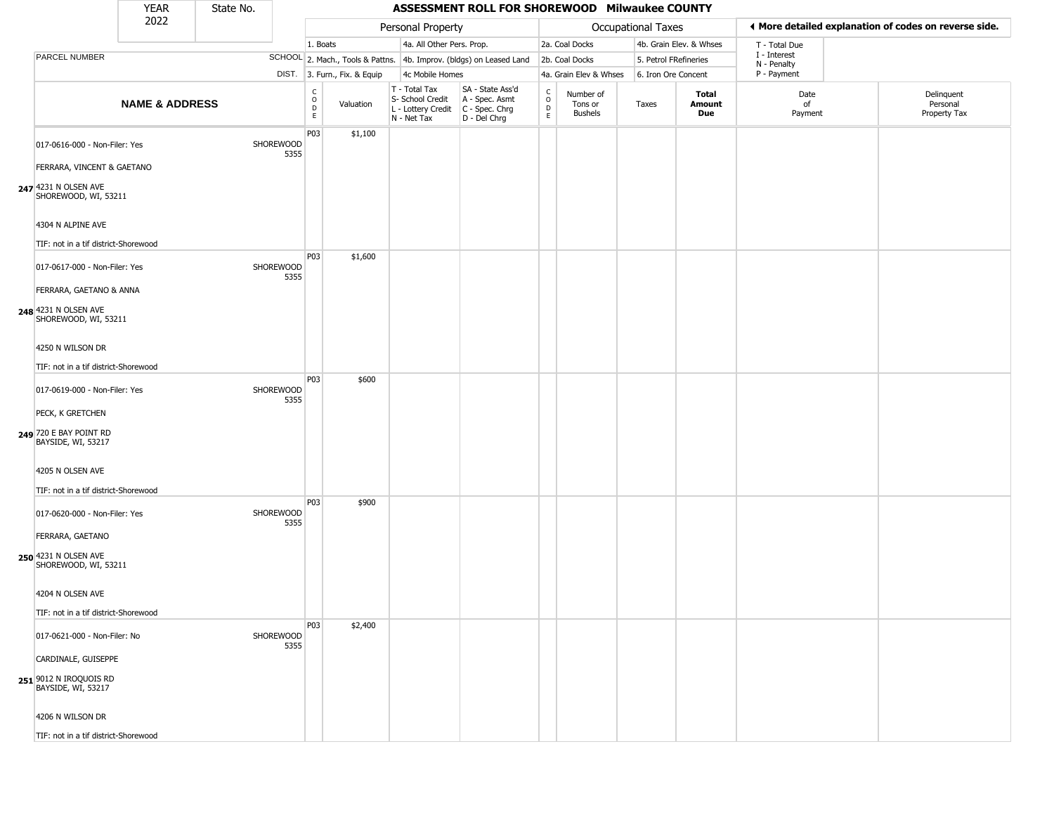|                                                                         | <b>YEAR</b>               | State No. |                   |                                          |                              |                                                                                         | ASSESSMENT ROLL FOR SHOREWOOD Milwaukee COUNTY                      |                               |                                        |                       |                         |                             |                                                       |
|-------------------------------------------------------------------------|---------------------------|-----------|-------------------|------------------------------------------|------------------------------|-----------------------------------------------------------------------------------------|---------------------------------------------------------------------|-------------------------------|----------------------------------------|-----------------------|-------------------------|-----------------------------|-------------------------------------------------------|
|                                                                         | 2022                      |           |                   |                                          |                              | Personal Property                                                                       |                                                                     |                               |                                        | Occupational Taxes    |                         |                             | ♦ More detailed explanation of codes on reverse side. |
|                                                                         |                           |           |                   | 1. Boats                                 |                              | 4a. All Other Pers. Prop.                                                               |                                                                     |                               | 2a. Coal Docks                         |                       | 4b. Grain Elev. & Whses | T - Total Due               |                                                       |
| PARCEL NUMBER                                                           |                           |           |                   |                                          |                              |                                                                                         | SCHOOL 2. Mach., Tools & Pattns. 4b. Improv. (bldgs) on Leased Land |                               | 2b. Coal Docks                         | 5. Petrol FRefineries |                         | I - Interest<br>N - Penalty |                                                       |
|                                                                         |                           |           |                   |                                          | DIST. 3. Furn., Fix. & Equip | 4c Mobile Homes                                                                         |                                                                     |                               | 4a. Grain Elev & Whses                 | 6. Iron Ore Concent   |                         | P - Payment                 |                                                       |
|                                                                         | <b>NAME &amp; ADDRESS</b> |           |                   | $\rm _o^C$<br>$\mathsf D$<br>$\mathsf E$ | Valuation                    | T - Total Tax<br>S- School Credit<br>L - Lottery Credit   C - Spec. Chrg<br>N - Net Tax | SA - State Ass'd<br>A - Spec. Asmt<br>D - Del Chrg                  | $\delta$<br>$\mathsf{D}$<br>E | Number of<br>Tons or<br><b>Bushels</b> | Taxes                 | Total<br>Amount<br>Due  | Date<br>of<br>Payment       | Delinquent<br>Personal<br>Property Tax                |
| 017-0616-000 - Non-Filer: Yes<br>FERRARA, VINCENT & GAETANO             |                           |           | SHOREWOOD<br>5355 | P03                                      | \$1,100                      |                                                                                         |                                                                     |                               |                                        |                       |                         |                             |                                                       |
| 247 4231 N OLSEN AVE<br>SHOREWOOD, WI, 53211                            |                           |           |                   |                                          |                              |                                                                                         |                                                                     |                               |                                        |                       |                         |                             |                                                       |
| 4304 N ALPINE AVE<br>TIF: not in a tif district-Shorewood               |                           |           |                   |                                          |                              |                                                                                         |                                                                     |                               |                                        |                       |                         |                             |                                                       |
| 017-0617-000 - Non-Filer: Yes                                           |                           |           | SHOREWOOD<br>5355 | P03                                      | \$1,600                      |                                                                                         |                                                                     |                               |                                        |                       |                         |                             |                                                       |
| FERRARA, GAETANO & ANNA<br>248 4231 N OLSEN AVE<br>SHOREWOOD, WI, 53211 |                           |           |                   |                                          |                              |                                                                                         |                                                                     |                               |                                        |                       |                         |                             |                                                       |
| 4250 N WILSON DR                                                        |                           |           |                   |                                          |                              |                                                                                         |                                                                     |                               |                                        |                       |                         |                             |                                                       |
| TIF: not in a tif district-Shorewood                                    |                           |           |                   |                                          |                              |                                                                                         |                                                                     |                               |                                        |                       |                         |                             |                                                       |
| 017-0619-000 - Non-Filer: Yes                                           |                           |           | SHOREWOOD<br>5355 | P03                                      | \$600                        |                                                                                         |                                                                     |                               |                                        |                       |                         |                             |                                                       |
| PECK, K GRETCHEN                                                        |                           |           |                   |                                          |                              |                                                                                         |                                                                     |                               |                                        |                       |                         |                             |                                                       |
| 249 720 E BAY POINT RD<br>BAYSIDE, WI, 53217                            |                           |           |                   |                                          |                              |                                                                                         |                                                                     |                               |                                        |                       |                         |                             |                                                       |
| 4205 N OLSEN AVE                                                        |                           |           |                   |                                          |                              |                                                                                         |                                                                     |                               |                                        |                       |                         |                             |                                                       |
| TIF: not in a tif district-Shorewood                                    |                           |           |                   | P03                                      | \$900                        |                                                                                         |                                                                     |                               |                                        |                       |                         |                             |                                                       |
| 017-0620-000 - Non-Filer: Yes                                           |                           |           | SHOREWOOD<br>5355 |                                          |                              |                                                                                         |                                                                     |                               |                                        |                       |                         |                             |                                                       |
| FERRARA, GAETANO<br>250 4231 N OLSEN AVE<br>SHOREWOOD, WI, 53211        |                           |           |                   |                                          |                              |                                                                                         |                                                                     |                               |                                        |                       |                         |                             |                                                       |
| 4204 N OLSEN AVE                                                        |                           |           |                   |                                          |                              |                                                                                         |                                                                     |                               |                                        |                       |                         |                             |                                                       |
| TIF: not in a tif district-Shorewood                                    |                           |           |                   |                                          |                              |                                                                                         |                                                                     |                               |                                        |                       |                         |                             |                                                       |
| 017-0621-000 - Non-Filer: No                                            |                           |           | SHOREWOOD<br>5355 | P03                                      | \$2,400                      |                                                                                         |                                                                     |                               |                                        |                       |                         |                             |                                                       |
| CARDINALE, GUISEPPE                                                     |                           |           |                   |                                          |                              |                                                                                         |                                                                     |                               |                                        |                       |                         |                             |                                                       |
| 251 9012 N IROQUOIS RD<br>BAYSIDE, WI, 53217                            |                           |           |                   |                                          |                              |                                                                                         |                                                                     |                               |                                        |                       |                         |                             |                                                       |
| 4206 N WILSON DR                                                        |                           |           |                   |                                          |                              |                                                                                         |                                                                     |                               |                                        |                       |                         |                             |                                                       |
| TIF: not in a tif district-Shorewood                                    |                           |           |                   |                                          |                              |                                                                                         |                                                                     |                               |                                        |                       |                         |                             |                                                       |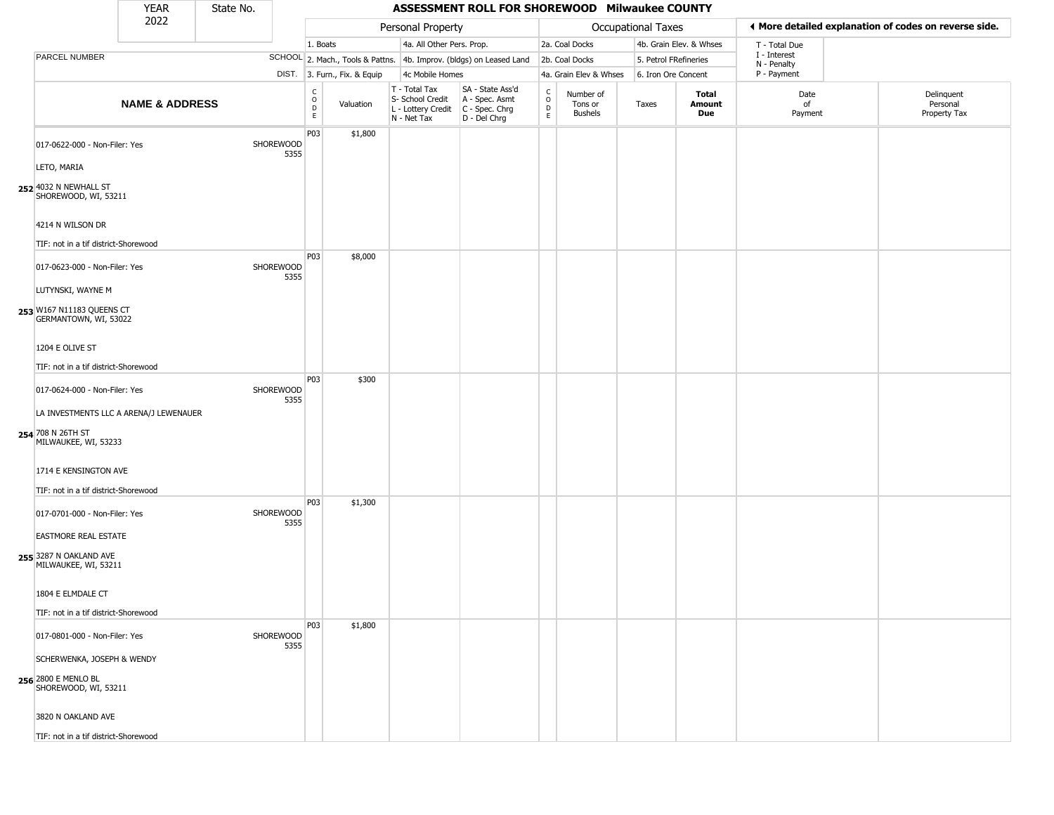|                                                                         | <b>YEAR</b>               | State No. |                          |                                                  |                              |                                                                        | ASSESSMENT ROLL FOR SHOREWOOD Milwaukee COUNTY                         |                                   |                                 |                           |                         |                             |                                                       |
|-------------------------------------------------------------------------|---------------------------|-----------|--------------------------|--------------------------------------------------|------------------------------|------------------------------------------------------------------------|------------------------------------------------------------------------|-----------------------------------|---------------------------------|---------------------------|-------------------------|-----------------------------|-------------------------------------------------------|
|                                                                         | 2022                      |           |                          |                                                  |                              | Personal Property                                                      |                                                                        |                                   |                                 | <b>Occupational Taxes</b> |                         |                             | ◀ More detailed explanation of codes on reverse side. |
|                                                                         |                           |           |                          | 1. Boats                                         |                              | 4a. All Other Pers. Prop.                                              |                                                                        |                                   | 2a. Coal Docks                  |                           | 4b. Grain Elev. & Whses | T - Total Due               |                                                       |
| PARCEL NUMBER                                                           |                           |           |                          |                                                  |                              |                                                                        | SCHOOL 2. Mach., Tools & Pattns. 4b. Improv. (bldgs) on Leased Land    |                                   | 2b. Coal Docks                  | 5. Petrol FRefineries     |                         | I - Interest<br>N - Penalty |                                                       |
|                                                                         |                           |           |                          |                                                  | DIST. 3. Furn., Fix. & Equip | 4c Mobile Homes                                                        |                                                                        |                                   | 4a. Grain Elev & Whses          | 6. Iron Ore Concent       |                         | P - Payment                 |                                                       |
|                                                                         | <b>NAME &amp; ADDRESS</b> |           |                          | $_{\rm o}^{\rm c}$<br>$\mathsf D$<br>$\mathsf E$ | Valuation                    | T - Total Tax<br>S- School Credit<br>L - Lottery Credit<br>N - Net Tax | SA - State Ass'd<br>A - Spec. Asmt<br>$C - Spec. Chrg$<br>D - Del Chrg | $\mathsf{C}$<br>$\circ$<br>D<br>E | Number of<br>Tons or<br>Bushels | Taxes                     | Total<br>Amount<br>Due  | Date<br>of<br>Payment       | Delinquent<br>Personal<br>Property Tax                |
| 017-0622-000 - Non-Filer: Yes                                           |                           |           | <b>SHOREWOOD</b><br>5355 | P03                                              | \$1,800                      |                                                                        |                                                                        |                                   |                                 |                           |                         |                             |                                                       |
| LETO, MARIA<br>252 4032 N NEWHALL ST<br>SHOREWOOD, WI, 53211            |                           |           |                          |                                                  |                              |                                                                        |                                                                        |                                   |                                 |                           |                         |                             |                                                       |
| 4214 N WILSON DR                                                        |                           |           |                          |                                                  |                              |                                                                        |                                                                        |                                   |                                 |                           |                         |                             |                                                       |
| TIF: not in a tif district-Shorewood                                    |                           |           |                          |                                                  |                              |                                                                        |                                                                        |                                   |                                 |                           |                         |                             |                                                       |
| 017-0623-000 - Non-Filer: Yes                                           |                           |           | SHOREWOOD<br>5355        | P03                                              | \$8,000                      |                                                                        |                                                                        |                                   |                                 |                           |                         |                             |                                                       |
| LUTYNSKI, WAYNE M<br>253 W167 N11183 QUEENS CT<br>GERMANTOWN, WI, 53022 |                           |           |                          |                                                  |                              |                                                                        |                                                                        |                                   |                                 |                           |                         |                             |                                                       |
| 1204 E OLIVE ST                                                         |                           |           |                          |                                                  |                              |                                                                        |                                                                        |                                   |                                 |                           |                         |                             |                                                       |
| TIF: not in a tif district-Shorewood                                    |                           |           |                          |                                                  |                              |                                                                        |                                                                        |                                   |                                 |                           |                         |                             |                                                       |
| 017-0624-000 - Non-Filer: Yes                                           |                           |           | SHOREWOOD<br>5355        | P03                                              | \$300                        |                                                                        |                                                                        |                                   |                                 |                           |                         |                             |                                                       |
| LA INVESTMENTS LLC A ARENA/J LEWENAUER                                  |                           |           |                          |                                                  |                              |                                                                        |                                                                        |                                   |                                 |                           |                         |                             |                                                       |
| 254 708 N 26TH ST<br>MILWAUKEE, WI, 53233                               |                           |           |                          |                                                  |                              |                                                                        |                                                                        |                                   |                                 |                           |                         |                             |                                                       |
| 1714 E KENSINGTON AVE                                                   |                           |           |                          |                                                  |                              |                                                                        |                                                                        |                                   |                                 |                           |                         |                             |                                                       |
| TIF: not in a tif district-Shorewood                                    |                           |           |                          | P03                                              |                              |                                                                        |                                                                        |                                   |                                 |                           |                         |                             |                                                       |
| 017-0701-000 - Non-Filer: Yes                                           |                           |           | SHOREWOOD<br>5355        |                                                  | \$1,300                      |                                                                        |                                                                        |                                   |                                 |                           |                         |                             |                                                       |
| <b>EASTMORE REAL ESTATE</b>                                             |                           |           |                          |                                                  |                              |                                                                        |                                                                        |                                   |                                 |                           |                         |                             |                                                       |
| 255 3287 N OAKLAND AVE<br>MILWAUKEE, WI, 53211                          |                           |           |                          |                                                  |                              |                                                                        |                                                                        |                                   |                                 |                           |                         |                             |                                                       |
| 1804 E ELMDALE CT                                                       |                           |           |                          |                                                  |                              |                                                                        |                                                                        |                                   |                                 |                           |                         |                             |                                                       |
| TIF: not in a tif district-Shorewood                                    |                           |           |                          |                                                  |                              |                                                                        |                                                                        |                                   |                                 |                           |                         |                             |                                                       |
| 017-0801-000 - Non-Filer: Yes                                           |                           |           | SHOREWOOD<br>5355        | P03                                              | \$1,800                      |                                                                        |                                                                        |                                   |                                 |                           |                         |                             |                                                       |
| SCHERWENKA, JOSEPH & WENDY                                              |                           |           |                          |                                                  |                              |                                                                        |                                                                        |                                   |                                 |                           |                         |                             |                                                       |
| 256 2800 E MENLO BL<br>SHOREWOOD, WI, 53211                             |                           |           |                          |                                                  |                              |                                                                        |                                                                        |                                   |                                 |                           |                         |                             |                                                       |
| 3820 N OAKLAND AVE                                                      |                           |           |                          |                                                  |                              |                                                                        |                                                                        |                                   |                                 |                           |                         |                             |                                                       |
| TIF: not in a tif district-Shorewood                                    |                           |           |                          |                                                  |                              |                                                                        |                                                                        |                                   |                                 |                           |                         |                             |                                                       |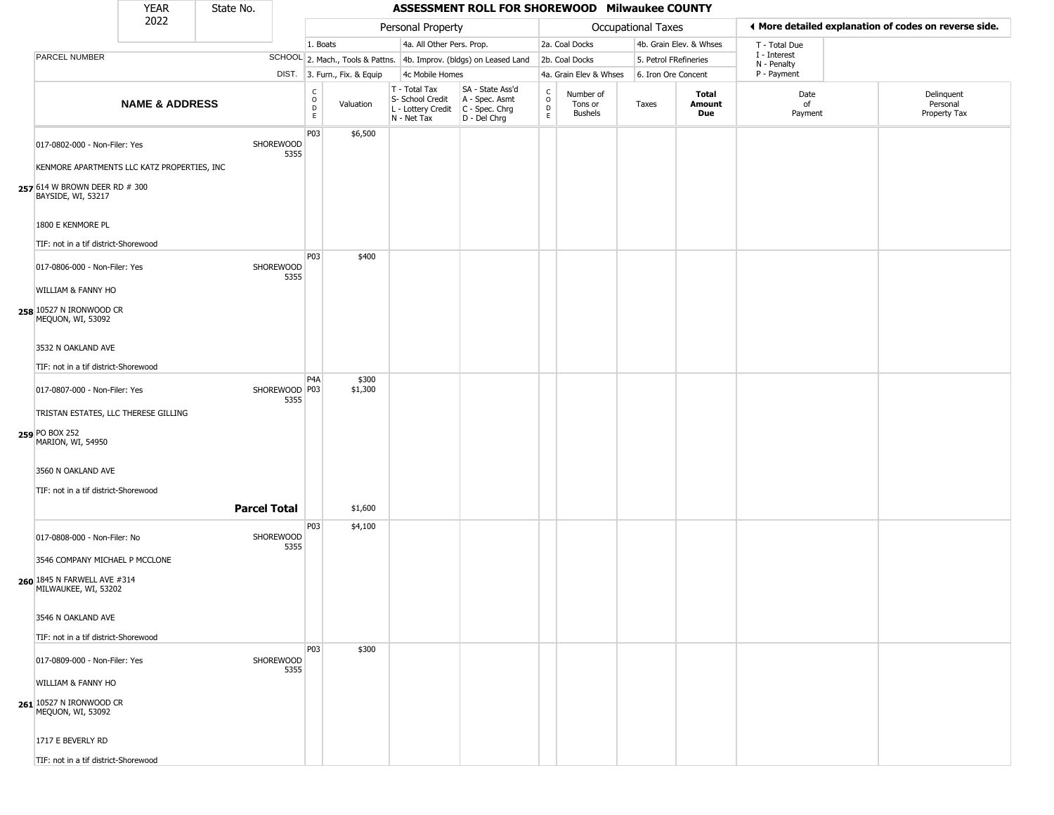|                                                                              | <b>YEAR</b>               | State No.           |                       |                                              |                              |                                                                        | ASSESSMENT ROLL FOR SHOREWOOD Milwaukee COUNTY                         |                                      |                                        |                    |                         |                             |                                                       |
|------------------------------------------------------------------------------|---------------------------|---------------------|-----------------------|----------------------------------------------|------------------------------|------------------------------------------------------------------------|------------------------------------------------------------------------|--------------------------------------|----------------------------------------|--------------------|-------------------------|-----------------------------|-------------------------------------------------------|
|                                                                              | 2022                      |                     |                       |                                              |                              | Personal Property                                                      |                                                                        |                                      |                                        | Occupational Taxes |                         |                             | I More detailed explanation of codes on reverse side. |
|                                                                              |                           |                     |                       | 1. Boats                                     |                              | 4a. All Other Pers. Prop.                                              |                                                                        |                                      | 2a. Coal Docks                         |                    | 4b. Grain Elev. & Whses | T - Total Due               |                                                       |
| PARCEL NUMBER                                                                |                           |                     |                       |                                              |                              |                                                                        | SCHOOL 2. Mach., Tools & Pattns. 4b. Improv. (bldgs) on Leased Land    |                                      | 2b. Coal Docks                         |                    | 5. Petrol FRefineries   | I - Interest<br>N - Penalty |                                                       |
|                                                                              |                           |                     |                       |                                              | DIST. 3. Furn., Fix. & Equip | 4c Mobile Homes                                                        |                                                                        |                                      | 4a. Grain Elev & Whses                 |                    | 6. Iron Ore Concent     | P - Payment                 |                                                       |
|                                                                              | <b>NAME &amp; ADDRESS</b> |                     |                       | $\begin{array}{c}\nC \\ O \\ D\n\end{array}$ | Valuation                    | T - Total Tax<br>S- School Credit<br>L - Lottery Credit<br>N - Net Tax | SA - State Ass'd<br>A - Spec. Asmt<br>$C - Spec. Chrg$<br>D - Del Chrg | $\frac{c}{0}$<br>D<br>$\mathsf{E}^-$ | Number of<br>Tons or<br><b>Bushels</b> | Taxes              | Total<br>Amount<br>Due  | Date<br>of<br>Payment       | Delinquent<br>Personal<br>Property Tax                |
| 017-0802-000 - Non-Filer: Yes<br>KENMORE APARTMENTS LLC KATZ PROPERTIES, INC |                           |                     | SHOREWOOD<br>5355     | P <sub>03</sub>                              | \$6,500                      |                                                                        |                                                                        |                                      |                                        |                    |                         |                             |                                                       |
| 257 614 W BROWN DEER RD # 300<br>BAYSIDE, WI, 53217                          |                           |                     |                       |                                              |                              |                                                                        |                                                                        |                                      |                                        |                    |                         |                             |                                                       |
| 1800 E KENMORE PL                                                            |                           |                     |                       |                                              |                              |                                                                        |                                                                        |                                      |                                        |                    |                         |                             |                                                       |
| TIF: not in a tif district-Shorewood<br>017-0806-000 - Non-Filer: Yes        |                           |                     | SHOREWOOD<br>5355     | P03                                          | \$400                        |                                                                        |                                                                        |                                      |                                        |                    |                         |                             |                                                       |
| WILLIAM & FANNY HO<br>258 10527 N IRONWOOD CR<br>MEQUON, WI, 53092           |                           |                     |                       |                                              |                              |                                                                        |                                                                        |                                      |                                        |                    |                         |                             |                                                       |
| 3532 N OAKLAND AVE<br>TIF: not in a tif district-Shorewood                   |                           |                     |                       |                                              |                              |                                                                        |                                                                        |                                      |                                        |                    |                         |                             |                                                       |
| 017-0807-000 - Non-Filer: Yes                                                |                           |                     | SHOREWOOD P03<br>5355 | P <sub>4</sub> A                             | \$300<br>\$1,300             |                                                                        |                                                                        |                                      |                                        |                    |                         |                             |                                                       |
| TRISTAN ESTATES, LLC THERESE GILLING<br>259 PO BOX 252<br>MARION, WI, 54950  |                           |                     |                       |                                              |                              |                                                                        |                                                                        |                                      |                                        |                    |                         |                             |                                                       |
| 3560 N OAKLAND AVE<br>TIF: not in a tif district-Shorewood                   |                           |                     |                       |                                              |                              |                                                                        |                                                                        |                                      |                                        |                    |                         |                             |                                                       |
|                                                                              |                           | <b>Parcel Total</b> |                       | P03                                          | \$1,600<br>\$4,100           |                                                                        |                                                                        |                                      |                                        |                    |                         |                             |                                                       |
| 017-0808-000 - Non-Filer: No<br>3546 COMPANY MICHAEL P MCCLONE               |                           |                     | SHOREWOOD<br>5355     |                                              |                              |                                                                        |                                                                        |                                      |                                        |                    |                         |                             |                                                       |
| 260 1845 N FARWELL AVE #314<br>MILWAUKEE, WI, 53202                          |                           |                     |                       |                                              |                              |                                                                        |                                                                        |                                      |                                        |                    |                         |                             |                                                       |
| 3546 N OAKLAND AVE<br>TIF: not in a tif district-Shorewood                   |                           |                     |                       |                                              |                              |                                                                        |                                                                        |                                      |                                        |                    |                         |                             |                                                       |
| 017-0809-000 - Non-Filer: Yes<br>WILLIAM & FANNY HO                          |                           |                     | SHOREWOOD<br>5355     | P03                                          | \$300                        |                                                                        |                                                                        |                                      |                                        |                    |                         |                             |                                                       |
| 261 10527 N IRONWOOD CR<br>MEQUON, WI, 53092                                 |                           |                     |                       |                                              |                              |                                                                        |                                                                        |                                      |                                        |                    |                         |                             |                                                       |
| 1717 E BEVERLY RD<br>TIE: not in a tif dictrict Charaugad                    |                           |                     |                       |                                              |                              |                                                                        |                                                                        |                                      |                                        |                    |                         |                             |                                                       |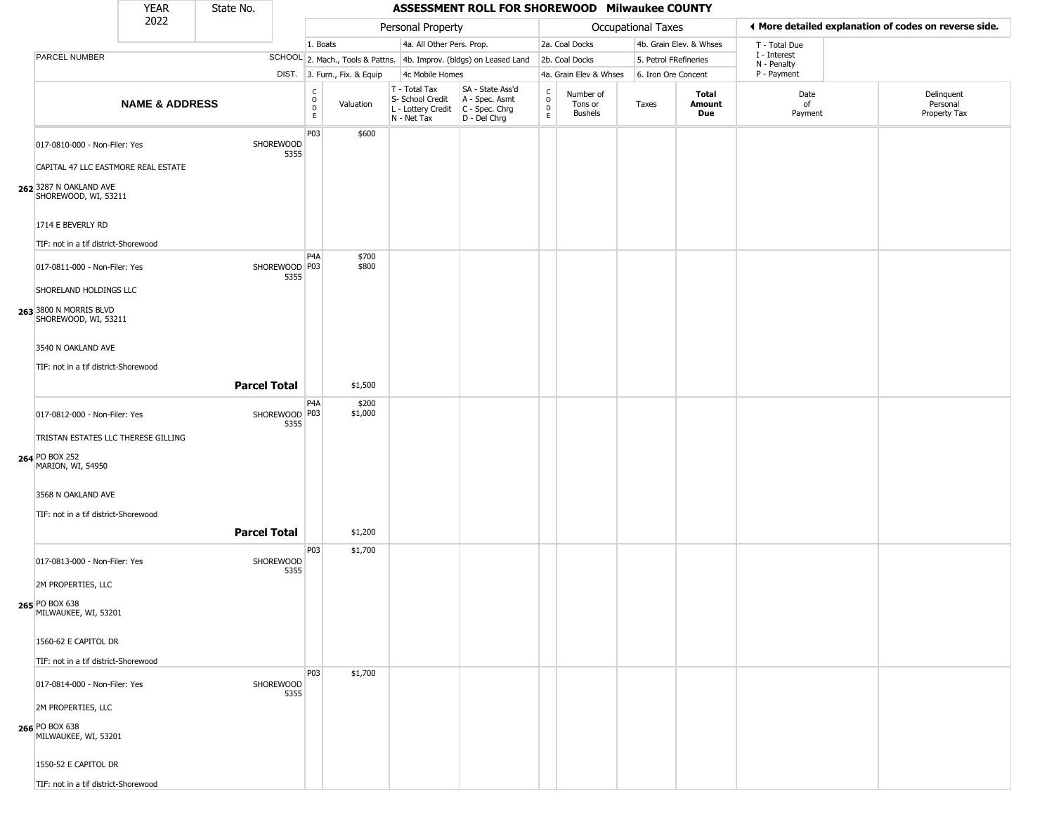|                                                                            | <b>YEAR</b>               | State No.           |                         |                                             |                              |                                                                        | ASSESSMENT ROLL FOR SHOREWOOD Milwaukee COUNTY                       |                                   |                                        |                           |                         |                             |                                                       |
|----------------------------------------------------------------------------|---------------------------|---------------------|-------------------------|---------------------------------------------|------------------------------|------------------------------------------------------------------------|----------------------------------------------------------------------|-----------------------------------|----------------------------------------|---------------------------|-------------------------|-----------------------------|-------------------------------------------------------|
|                                                                            | 2022                      |                     |                         |                                             |                              | Personal Property                                                      |                                                                      |                                   |                                        | <b>Occupational Taxes</b> |                         |                             | ♦ More detailed explanation of codes on reverse side. |
|                                                                            |                           |                     |                         | 1. Boats                                    |                              | 4a. All Other Pers. Prop.                                              |                                                                      |                                   | 2a. Coal Docks                         |                           | 4b. Grain Elev. & Whses | T - Total Due               |                                                       |
| PARCEL NUMBER                                                              |                           |                     |                         |                                             |                              |                                                                        | SCHOOL 2. Mach., Tools & Pattns. 4b. Improv. (bldgs) on Leased Land  |                                   | 2b. Coal Docks                         | 5. Petrol FRefineries     |                         | I - Interest<br>N - Penalty |                                                       |
|                                                                            |                           |                     |                         |                                             | DIST. 3. Furn., Fix. & Equip | 4c Mobile Homes                                                        |                                                                      |                                   | 4a. Grain Elev & Whses                 | 6. Iron Ore Concent       |                         | P - Payment                 |                                                       |
|                                                                            | <b>NAME &amp; ADDRESS</b> |                     |                         | $\frac{c}{0}$<br>$\mathsf D$<br>$\mathsf E$ | Valuation                    | T - Total Tax<br>S- School Credit<br>L - Lottery Credit<br>N - Net Tax | SA - State Ass'd<br>A - Spec. Asmt<br>C - Spec. Chrg<br>D - Del Chrg | $\mathsf{C}$<br>$\circ$<br>D<br>E | Number of<br>Tons or<br><b>Bushels</b> | Taxes                     | Total<br>Amount<br>Due  | Date<br>of<br>Payment       | Delinquent<br>Personal<br>Property Tax                |
| 017-0810-000 - Non-Filer: Yes<br>CAPITAL 47 LLC EASTMORE REAL ESTATE       |                           | SHOREWOOD           | 5355                    | P03                                         | \$600                        |                                                                        |                                                                      |                                   |                                        |                           |                         |                             |                                                       |
| 262 3287 N OAKLAND AVE<br>SHOREWOOD, WI, 53211                             |                           |                     |                         |                                             |                              |                                                                        |                                                                      |                                   |                                        |                           |                         |                             |                                                       |
| 1714 E BEVERLY RD<br>TIF: not in a tif district-Shorewood                  |                           |                     |                         |                                             |                              |                                                                        |                                                                      |                                   |                                        |                           |                         |                             |                                                       |
|                                                                            |                           |                     |                         | P4A                                         | \$700                        |                                                                        |                                                                      |                                   |                                        |                           |                         |                             |                                                       |
| 017-0811-000 - Non-Filer: Yes<br>SHORELAND HOLDINGS LLC                    |                           |                     | SHOREWOOD   P03<br>5355 |                                             | \$800                        |                                                                        |                                                                      |                                   |                                        |                           |                         |                             |                                                       |
| 263 3800 N MORRIS BLVD<br>SHOREWOOD, WI, 53211                             |                           |                     |                         |                                             |                              |                                                                        |                                                                      |                                   |                                        |                           |                         |                             |                                                       |
| 3540 N OAKLAND AVE                                                         |                           |                     |                         |                                             |                              |                                                                        |                                                                      |                                   |                                        |                           |                         |                             |                                                       |
| TIF: not in a tif district-Shorewood                                       |                           | <b>Parcel Total</b> |                         |                                             | \$1,500                      |                                                                        |                                                                      |                                   |                                        |                           |                         |                             |                                                       |
| 017-0812-000 - Non-Filer: Yes                                              |                           |                     | SHOREWOOD P03<br>5355   | P4A                                         | \$200<br>\$1,000             |                                                                        |                                                                      |                                   |                                        |                           |                         |                             |                                                       |
| TRISTAN ESTATES LLC THERESE GILLING<br>264 PO BOX 252<br>MARION, WI, 54950 |                           |                     |                         |                                             |                              |                                                                        |                                                                      |                                   |                                        |                           |                         |                             |                                                       |
| 3568 N OAKLAND AVE<br>TIF: not in a tif district-Shorewood                 |                           |                     |                         |                                             |                              |                                                                        |                                                                      |                                   |                                        |                           |                         |                             |                                                       |
|                                                                            |                           | <b>Parcel Total</b> |                         |                                             | \$1,200                      |                                                                        |                                                                      |                                   |                                        |                           |                         |                             |                                                       |
| 017-0813-000 - Non-Filer: Yes                                              |                           | SHOREWOOD           | 5355                    | P03                                         | \$1,700                      |                                                                        |                                                                      |                                   |                                        |                           |                         |                             |                                                       |
| 2M PROPERTIES, LLC<br>265 PO BOX 638<br>MILWAUKEE, WI, 53201               |                           |                     |                         |                                             |                              |                                                                        |                                                                      |                                   |                                        |                           |                         |                             |                                                       |
| 1560-62 E CAPITOL DR                                                       |                           |                     |                         |                                             |                              |                                                                        |                                                                      |                                   |                                        |                           |                         |                             |                                                       |
| TIF: not in a tif district-Shorewood                                       |                           |                     |                         | P03                                         | \$1,700                      |                                                                        |                                                                      |                                   |                                        |                           |                         |                             |                                                       |
| 017-0814-000 - Non-Filer: Yes                                              |                           | SHOREWOOD           | 5355                    |                                             |                              |                                                                        |                                                                      |                                   |                                        |                           |                         |                             |                                                       |
| 2M PROPERTIES, LLC<br>266 PO BOX 638<br>MILWAUKEE, WI, 53201               |                           |                     |                         |                                             |                              |                                                                        |                                                                      |                                   |                                        |                           |                         |                             |                                                       |
| 1550-52 E CAPITOL DR                                                       |                           |                     |                         |                                             |                              |                                                                        |                                                                      |                                   |                                        |                           |                         |                             |                                                       |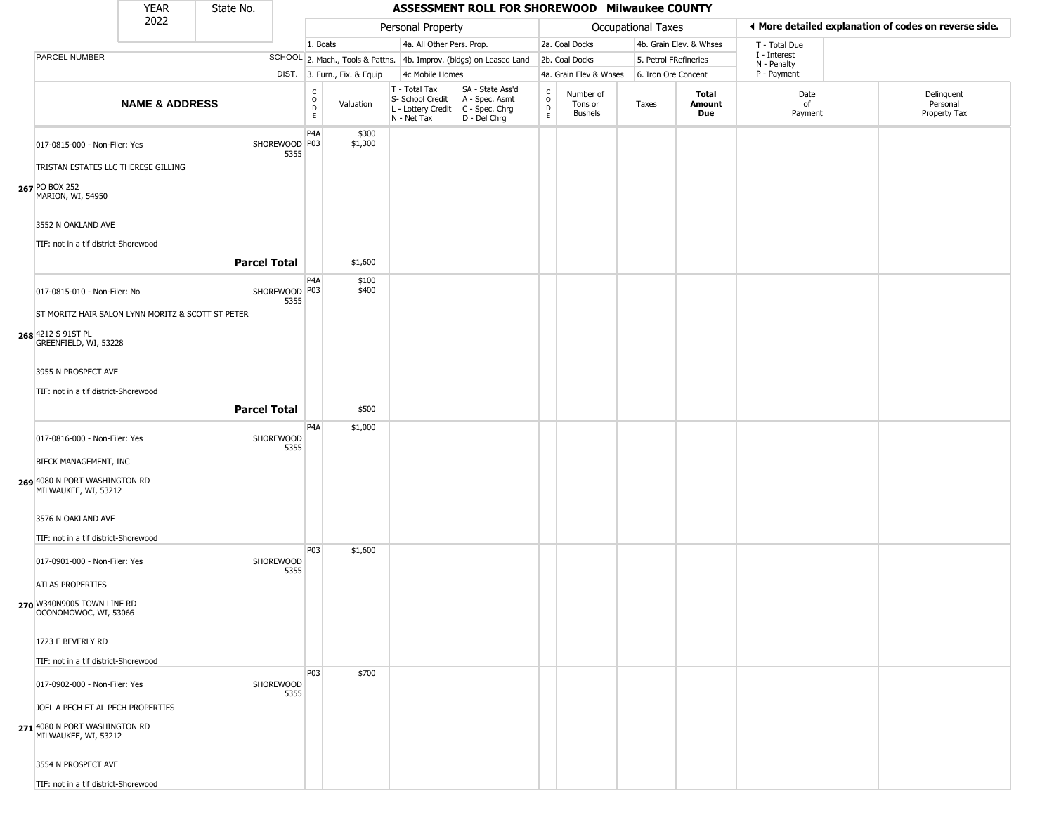|                                                                                   | <b>YEAR</b>               | State No.           |                       |                                                  |                              |                                                                        | ASSESSMENT ROLL FOR SHOREWOOD Milwaukee COUNTY                       |                                              |                                        |                       |                         |                             |                                                       |
|-----------------------------------------------------------------------------------|---------------------------|---------------------|-----------------------|--------------------------------------------------|------------------------------|------------------------------------------------------------------------|----------------------------------------------------------------------|----------------------------------------------|----------------------------------------|-----------------------|-------------------------|-----------------------------|-------------------------------------------------------|
|                                                                                   | 2022                      |                     |                       |                                                  |                              | Personal Property                                                      |                                                                      |                                              |                                        | Occupational Taxes    |                         |                             | ♦ More detailed explanation of codes on reverse side. |
|                                                                                   |                           |                     |                       | 1. Boats                                         |                              | 4a. All Other Pers. Prop.                                              |                                                                      |                                              | 2a. Coal Docks                         |                       | 4b. Grain Elev. & Whses | T - Total Due               |                                                       |
| PARCEL NUMBER                                                                     |                           |                     |                       |                                                  |                              |                                                                        | SCHOOL 2. Mach., Tools & Pattns. 4b. Improv. (bldgs) on Leased Land  |                                              | 2b. Coal Docks                         | 5. Petrol FRefineries |                         | I - Interest<br>N - Penalty |                                                       |
|                                                                                   |                           |                     |                       |                                                  | DIST. 3. Furn., Fix. & Equip | 4c Mobile Homes                                                        |                                                                      |                                              | 4a. Grain Elev & Whses                 | 6. Iron Ore Concent   |                         | P - Payment                 |                                                       |
|                                                                                   | <b>NAME &amp; ADDRESS</b> |                     |                       | $_{\rm o}^{\rm c}$<br>$\mathsf D$<br>$\mathsf E$ | Valuation                    | T - Total Tax<br>S- School Credit<br>L - Lottery Credit<br>N - Net Tax | SA - State Ass'd<br>A - Spec. Asmt<br>C - Spec. Chrg<br>D - Del Chrg | $\int_{0}^{c}$<br>$\mathsf D$<br>$\mathsf E$ | Number of<br>Tons or<br><b>Bushels</b> | Taxes                 | Total<br>Amount<br>Due  | Date<br>of<br>Payment       | Delinquent<br>Personal<br>Property Tax                |
| 017-0815-000 - Non-Filer: Yes<br>TRISTAN ESTATES LLC THERESE GILLING              |                           |                     | SHOREWOOD P03<br>5355 | P4A                                              | \$300<br>\$1,300             |                                                                        |                                                                      |                                              |                                        |                       |                         |                             |                                                       |
| 267 PO BOX 252<br>MARION, WI, 54950<br>3552 N OAKLAND AVE                         |                           |                     |                       |                                                  |                              |                                                                        |                                                                      |                                              |                                        |                       |                         |                             |                                                       |
| TIF: not in a tif district-Shorewood                                              |                           | <b>Parcel Total</b> |                       |                                                  | \$1,600                      |                                                                        |                                                                      |                                              |                                        |                       |                         |                             |                                                       |
| 017-0815-010 - Non-Filer: No<br>ST MORITZ HAIR SALON LYNN MORITZ & SCOTT ST PETER |                           |                     | SHOREWOOD P03<br>5355 | P4A                                              | \$100<br>\$400               |                                                                        |                                                                      |                                              |                                        |                       |                         |                             |                                                       |
| 268 4212 S 91ST PL<br>GREENFIELD, WI, 53228                                       |                           |                     |                       |                                                  |                              |                                                                        |                                                                      |                                              |                                        |                       |                         |                             |                                                       |
| 3955 N PROSPECT AVE                                                               |                           |                     |                       |                                                  |                              |                                                                        |                                                                      |                                              |                                        |                       |                         |                             |                                                       |
| TIF: not in a tif district-Shorewood                                              |                           | <b>Parcel Total</b> |                       |                                                  | \$500                        |                                                                        |                                                                      |                                              |                                        |                       |                         |                             |                                                       |
| 017-0816-000 - Non-Filer: Yes                                                     |                           |                     | SHOREWOOD<br>5355     | P4A                                              | \$1,000                      |                                                                        |                                                                      |                                              |                                        |                       |                         |                             |                                                       |
| BIECK MANAGEMENT, INC<br>269 4080 N PORT WASHINGTON RD<br>MILWAUKEE, WI, 53212    |                           |                     |                       |                                                  |                              |                                                                        |                                                                      |                                              |                                        |                       |                         |                             |                                                       |
| 3576 N OAKLAND AVE<br>TIF: not in a tif district-Shorewood                        |                           |                     |                       |                                                  |                              |                                                                        |                                                                      |                                              |                                        |                       |                         |                             |                                                       |
| 017-0901-000 - Non-Filer: Yes<br>ATLAS PROPERTIES                                 |                           |                     | SHOREWOOD<br>5355     | P03                                              | \$1,600                      |                                                                        |                                                                      |                                              |                                        |                       |                         |                             |                                                       |
| 270 W340N9005 TOWN LINE RD<br>OCONOMOWOC, WI, 53066                               |                           |                     |                       |                                                  |                              |                                                                        |                                                                      |                                              |                                        |                       |                         |                             |                                                       |
| 1723 E BEVERLY RD<br>TIF: not in a tif district-Shorewood                         |                           |                     |                       |                                                  |                              |                                                                        |                                                                      |                                              |                                        |                       |                         |                             |                                                       |
| 017-0902-000 - Non-Filer: Yes<br>JOEL A PECH ET AL PECH PROPERTIES                |                           |                     | SHOREWOOD<br>5355     | P03                                              | \$700                        |                                                                        |                                                                      |                                              |                                        |                       |                         |                             |                                                       |
| 271 4080 N PORT WASHINGTON RD<br>MILWAUKEE, WI, 53212                             |                           |                     |                       |                                                  |                              |                                                                        |                                                                      |                                              |                                        |                       |                         |                             |                                                       |
| 3554 N PROSPECT AVE<br>TIF: not in a tif district-Shorewood                       |                           |                     |                       |                                                  |                              |                                                                        |                                                                      |                                              |                                        |                       |                         |                             |                                                       |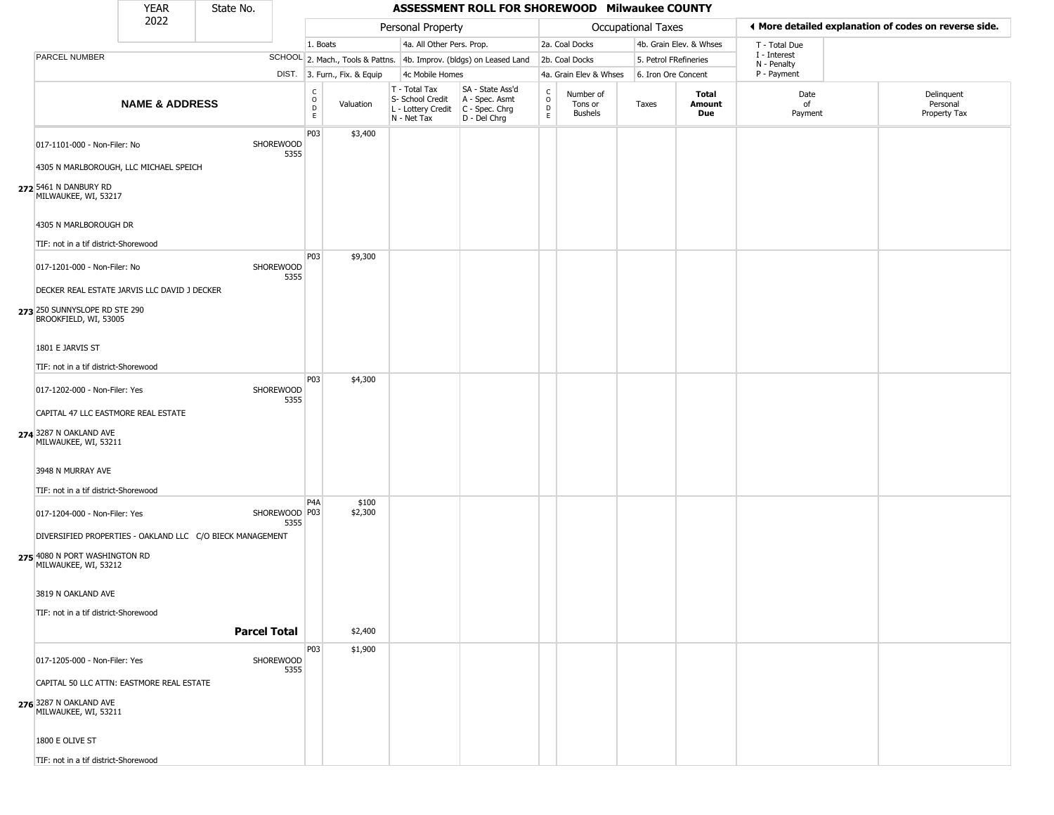|                                                                                                        | <b>YEAR</b>               | State No.           |                         |                                                 |                              |                                                                        | ASSESSMENT ROLL FOR SHOREWOOD Milwaukee COUNTY                       |                                                 |                                        |                           |                         |                             |                                                       |
|--------------------------------------------------------------------------------------------------------|---------------------------|---------------------|-------------------------|-------------------------------------------------|------------------------------|------------------------------------------------------------------------|----------------------------------------------------------------------|-------------------------------------------------|----------------------------------------|---------------------------|-------------------------|-----------------------------|-------------------------------------------------------|
|                                                                                                        | 2022                      |                     |                         |                                                 |                              | Personal Property                                                      |                                                                      |                                                 |                                        | <b>Occupational Taxes</b> |                         |                             | I More detailed explanation of codes on reverse side. |
|                                                                                                        |                           |                     |                         | 1. Boats                                        |                              | 4a. All Other Pers. Prop.                                              |                                                                      |                                                 | 2a. Coal Docks                         |                           | 4b. Grain Elev. & Whses | T - Total Due               |                                                       |
| PARCEL NUMBER                                                                                          |                           |                     |                         |                                                 |                              |                                                                        | SCHOOL 2. Mach., Tools & Pattns. 4b. Improv. (bldgs) on Leased Land  |                                                 | 2b. Coal Docks                         |                           | 5. Petrol FRefineries   | I - Interest<br>N - Penalty |                                                       |
|                                                                                                        |                           |                     |                         |                                                 | DIST. 3. Furn., Fix. & Equip | 4c Mobile Homes                                                        |                                                                      |                                                 | 4a. Grain Elev & Whses                 |                           | 6. Iron Ore Concent     | P - Payment                 |                                                       |
|                                                                                                        | <b>NAME &amp; ADDRESS</b> |                     |                         | $_{\rm o}^{\rm c}$<br>$\mathsf{D}_{\mathsf{E}}$ | Valuation                    | T - Total Tax<br>S- School Credit<br>L - Lottery Credit<br>N - Net Tax | SA - State Ass'd<br>A - Spec. Asmt<br>C - Spec. Chrg<br>D - Del Chrg | $\begin{array}{c} C \\ O \\ D \\ E \end{array}$ | Number of<br>Tons or<br><b>Bushels</b> | Taxes                     | Total<br>Amount<br>Due  | Date<br>of<br>Payment       | Delinquent<br>Personal<br>Property Tax                |
| 017-1101-000 - Non-Filer: No<br>4305 N MARLBOROUGH, LLC MICHAEL SPEICH                                 |                           |                     | SHOREWOOD<br>5355       | P03                                             | \$3,400                      |                                                                        |                                                                      |                                                 |                                        |                           |                         |                             |                                                       |
| 272 5461 N DANBURY RD<br>MILWAUKEE, WI, 53217                                                          |                           |                     |                         |                                                 |                              |                                                                        |                                                                      |                                                 |                                        |                           |                         |                             |                                                       |
| 4305 N MARLBOROUGH DR<br>TIF: not in a tif district-Shorewood                                          |                           |                     |                         |                                                 |                              |                                                                        |                                                                      |                                                 |                                        |                           |                         |                             |                                                       |
|                                                                                                        |                           |                     |                         | P03                                             | \$9,300                      |                                                                        |                                                                      |                                                 |                                        |                           |                         |                             |                                                       |
| 017-1201-000 - Non-Filer: No                                                                           |                           |                     | SHOREWOOD<br>5355       |                                                 |                              |                                                                        |                                                                      |                                                 |                                        |                           |                         |                             |                                                       |
| DECKER REAL ESTATE JARVIS LLC DAVID J DECKER<br>273 250 SUNNYSLOPE RD STE 290<br>BROOKFIELD, WI, 53005 |                           |                     |                         |                                                 |                              |                                                                        |                                                                      |                                                 |                                        |                           |                         |                             |                                                       |
| 1801 E JARVIS ST                                                                                       |                           |                     |                         |                                                 |                              |                                                                        |                                                                      |                                                 |                                        |                           |                         |                             |                                                       |
| TIF: not in a tif district-Shorewood                                                                   |                           |                     |                         |                                                 |                              |                                                                        |                                                                      |                                                 |                                        |                           |                         |                             |                                                       |
| 017-1202-000 - Non-Filer: Yes                                                                          |                           |                     | SHOREWOOD<br>5355       | P03                                             | \$4,300                      |                                                                        |                                                                      |                                                 |                                        |                           |                         |                             |                                                       |
| CAPITAL 47 LLC EASTMORE REAL ESTATE                                                                    |                           |                     |                         |                                                 |                              |                                                                        |                                                                      |                                                 |                                        |                           |                         |                             |                                                       |
| 274 3287 N OAKLAND AVE<br>MILWAUKEE, WI, 53211                                                         |                           |                     |                         |                                                 |                              |                                                                        |                                                                      |                                                 |                                        |                           |                         |                             |                                                       |
| 3948 N MURRAY AVE                                                                                      |                           |                     |                         |                                                 |                              |                                                                        |                                                                      |                                                 |                                        |                           |                         |                             |                                                       |
| TIF: not in a tif district-Shorewood                                                                   |                           |                     |                         | P <sub>4</sub> A                                | \$100                        |                                                                        |                                                                      |                                                 |                                        |                           |                         |                             |                                                       |
| 017-1204-000 - Non-Filer: Yes                                                                          |                           |                     | SHOREWOOD   P03<br>5355 |                                                 | \$2,300                      |                                                                        |                                                                      |                                                 |                                        |                           |                         |                             |                                                       |
| DIVERSIFIED PROPERTIES - OAKLAND LLC C/O BIECK MANAGEMENT                                              |                           |                     |                         |                                                 |                              |                                                                        |                                                                      |                                                 |                                        |                           |                         |                             |                                                       |
| 275 4080 N PORT WASHINGTON RD<br>MILWAUKEE, WI, 53212                                                  |                           |                     |                         |                                                 |                              |                                                                        |                                                                      |                                                 |                                        |                           |                         |                             |                                                       |
| 3819 N OAKLAND AVE                                                                                     |                           |                     |                         |                                                 |                              |                                                                        |                                                                      |                                                 |                                        |                           |                         |                             |                                                       |
| TIF: not in a tif district-Shorewood                                                                   |                           | <b>Parcel Total</b> |                         |                                                 | \$2,400                      |                                                                        |                                                                      |                                                 |                                        |                           |                         |                             |                                                       |
|                                                                                                        |                           |                     |                         | P03                                             | \$1,900                      |                                                                        |                                                                      |                                                 |                                        |                           |                         |                             |                                                       |
| 017-1205-000 - Non-Filer: Yes                                                                          |                           |                     | SHOREWOOD<br>5355       |                                                 |                              |                                                                        |                                                                      |                                                 |                                        |                           |                         |                             |                                                       |
| CAPITAL 50 LLC ATTN: EASTMORE REAL ESTATE                                                              |                           |                     |                         |                                                 |                              |                                                                        |                                                                      |                                                 |                                        |                           |                         |                             |                                                       |
| 276 3287 N OAKLAND AVE<br>MILWAUKEE, WI, 53211                                                         |                           |                     |                         |                                                 |                              |                                                                        |                                                                      |                                                 |                                        |                           |                         |                             |                                                       |
| 1800 E OLIVE ST                                                                                        |                           |                     |                         |                                                 |                              |                                                                        |                                                                      |                                                 |                                        |                           |                         |                             |                                                       |
| TIF: not in a tif district-Shorewood                                                                   |                           |                     |                         |                                                 |                              |                                                                        |                                                                      |                                                 |                                        |                           |                         |                             |                                                       |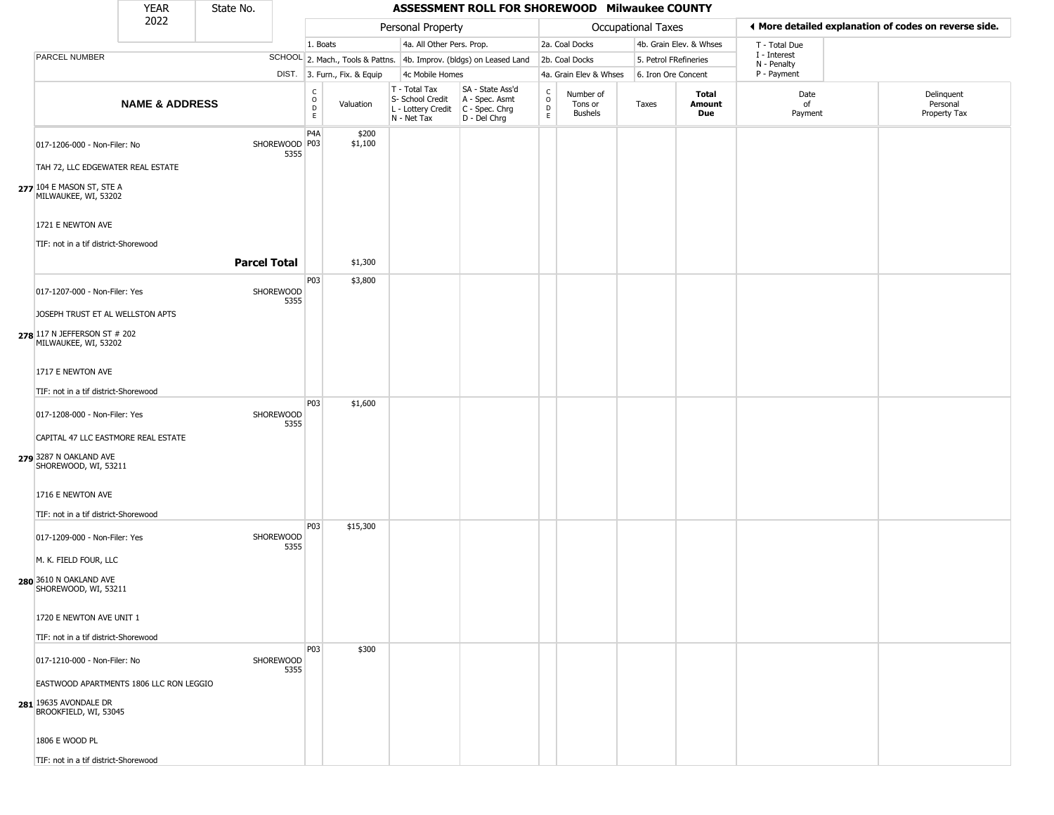|                                                                                           | <b>YEAR</b>               | State No.             |                                          |                              |                                                                                         | ASSESSMENT ROLL FOR SHOREWOOD Milwaukee COUNTY                      |                                   |                                        |                           |                         |                             |                                                       |
|-------------------------------------------------------------------------------------------|---------------------------|-----------------------|------------------------------------------|------------------------------|-----------------------------------------------------------------------------------------|---------------------------------------------------------------------|-----------------------------------|----------------------------------------|---------------------------|-------------------------|-----------------------------|-------------------------------------------------------|
|                                                                                           | 2022                      |                       |                                          |                              | Personal Property                                                                       |                                                                     |                                   |                                        | <b>Occupational Taxes</b> |                         |                             | ◀ More detailed explanation of codes on reverse side. |
|                                                                                           |                           |                       | 1. Boats                                 |                              | 4a. All Other Pers. Prop.                                                               |                                                                     |                                   | 2a. Coal Docks                         |                           | 4b. Grain Elev. & Whses | T - Total Due               |                                                       |
| PARCEL NUMBER                                                                             |                           |                       |                                          |                              |                                                                                         | SCHOOL 2. Mach., Tools & Pattns. 4b. Improv. (bldgs) on Leased Land |                                   | 2b. Coal Docks                         | 5. Petrol FRefineries     |                         | I - Interest<br>N - Penalty |                                                       |
|                                                                                           |                           |                       |                                          | DIST. 3. Furn., Fix. & Equip | 4c Mobile Homes                                                                         |                                                                     |                                   | 4a. Grain Elev & Whses                 | 6. Iron Ore Concent       |                         | P - Payment                 |                                                       |
|                                                                                           | <b>NAME &amp; ADDRESS</b> |                       | $\mathsf{C}$<br>$\circ$<br>$\frac{D}{E}$ | Valuation                    | T - Total Tax<br>S- School Credit<br>L - Lottery Credit   C - Spec. Chrg<br>N - Net Tax | SA - State Ass'd<br>A - Spec. Asmt<br>D - Del Chrg                  | $\frac{C}{O}$<br>D<br>$\mathsf E$ | Number of<br>Tons or<br><b>Bushels</b> | Taxes                     | Total<br>Amount<br>Due  | Date<br>of<br>Payment       | Delinquent<br>Personal<br>Property Tax                |
| 017-1206-000 - Non-Filer: No<br>TAH 72, LLC EDGEWATER REAL ESTATE                         |                           | SHOREWOOD P03<br>5355 | P <sub>4</sub> A                         | \$200<br>\$1,100             |                                                                                         |                                                                     |                                   |                                        |                           |                         |                             |                                                       |
| 277 104 E MASON ST, STE A<br>MILWAUKEE, WI, 53202                                         |                           |                       |                                          |                              |                                                                                         |                                                                     |                                   |                                        |                           |                         |                             |                                                       |
| 1721 E NEWTON AVE<br>TIF: not in a tif district-Shorewood                                 |                           |                       |                                          |                              |                                                                                         |                                                                     |                                   |                                        |                           |                         |                             |                                                       |
|                                                                                           |                           | <b>Parcel Total</b>   |                                          | \$1,300                      |                                                                                         |                                                                     |                                   |                                        |                           |                         |                             |                                                       |
| 017-1207-000 - Non-Filer: Yes                                                             |                           | SHOREWOOD<br>5355     | P03                                      | \$3,800                      |                                                                                         |                                                                     |                                   |                                        |                           |                         |                             |                                                       |
| JOSEPH TRUST ET AL WELLSTON APTS                                                          |                           |                       |                                          |                              |                                                                                         |                                                                     |                                   |                                        |                           |                         |                             |                                                       |
| 278 117 N JEFFERSON ST # 202<br>MILWAUKEE, WI, 53202                                      |                           |                       |                                          |                              |                                                                                         |                                                                     |                                   |                                        |                           |                         |                             |                                                       |
| 1717 E NEWTON AVE                                                                         |                           |                       |                                          |                              |                                                                                         |                                                                     |                                   |                                        |                           |                         |                             |                                                       |
| TIF: not in a tif district-Shorewood                                                      |                           |                       | P03                                      | \$1,600                      |                                                                                         |                                                                     |                                   |                                        |                           |                         |                             |                                                       |
| 017-1208-000 - Non-Filer: Yes                                                             |                           | SHOREWOOD<br>5355     |                                          |                              |                                                                                         |                                                                     |                                   |                                        |                           |                         |                             |                                                       |
| CAPITAL 47 LLC EASTMORE REAL ESTATE                                                       |                           |                       |                                          |                              |                                                                                         |                                                                     |                                   |                                        |                           |                         |                             |                                                       |
| 279 3287 N OAKLAND AVE<br>SHOREWOOD, WI, 53211                                            |                           |                       |                                          |                              |                                                                                         |                                                                     |                                   |                                        |                           |                         |                             |                                                       |
| 1716 E NEWTON AVE<br>TIF: not in a tif district-Shorewood                                 |                           |                       |                                          |                              |                                                                                         |                                                                     |                                   |                                        |                           |                         |                             |                                                       |
| 017-1209-000 - Non-Filer: Yes                                                             |                           | SHOREWOOD<br>5355     | P03                                      | \$15,300                     |                                                                                         |                                                                     |                                   |                                        |                           |                         |                             |                                                       |
| M. K. FIELD FOUR, LLC                                                                     |                           |                       |                                          |                              |                                                                                         |                                                                     |                                   |                                        |                           |                         |                             |                                                       |
| 280 3610 N OAKLAND AVE<br>SHOREWOOD, WI, 53211                                            |                           |                       |                                          |                              |                                                                                         |                                                                     |                                   |                                        |                           |                         |                             |                                                       |
| 1720 E NEWTON AVE UNIT 1                                                                  |                           |                       |                                          |                              |                                                                                         |                                                                     |                                   |                                        |                           |                         |                             |                                                       |
| TIF: not in a tif district-Shorewood                                                      |                           |                       |                                          |                              |                                                                                         |                                                                     |                                   |                                        |                           |                         |                             |                                                       |
| 017-1210-000 - Non-Filer: No                                                              |                           | SHOREWOOD<br>5355     | P03                                      | \$300                        |                                                                                         |                                                                     |                                   |                                        |                           |                         |                             |                                                       |
| EASTWOOD APARTMENTS 1806 LLC RON LEGGIO<br>281 19635 AVONDALE DR<br>BROOKFIELD, WI, 53045 |                           |                       |                                          |                              |                                                                                         |                                                                     |                                   |                                        |                           |                         |                             |                                                       |
| 1806 E WOOD PL                                                                            |                           |                       |                                          |                              |                                                                                         |                                                                     |                                   |                                        |                           |                         |                             |                                                       |
| TIF: not in a tif district-Shorewood                                                      |                           |                       |                                          |                              |                                                                                         |                                                                     |                                   |                                        |                           |                         |                             |                                                       |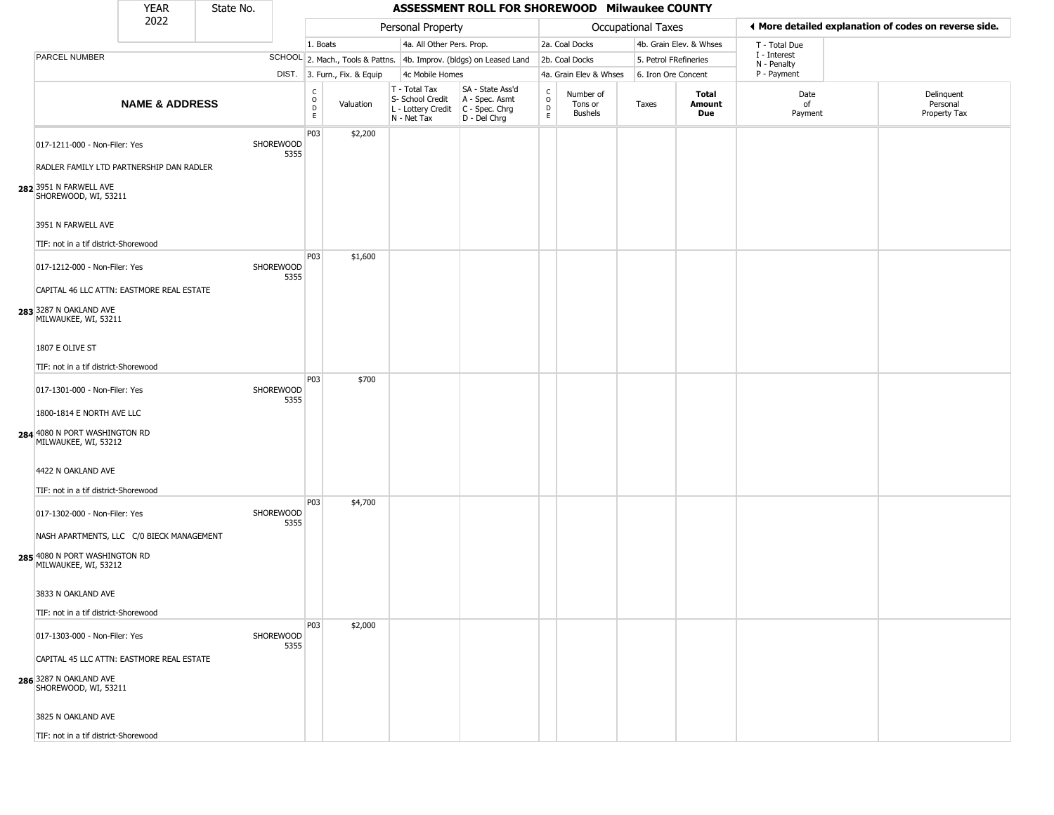|                                                                                                                                                                             | <b>YEAR</b>               | State No. |                   |                          |                              |                                                                        | ASSESSMENT ROLL FOR SHOREWOOD Milwaukee COUNTY                         |                                        |                                        |                           |                         |                             |                                                       |
|-----------------------------------------------------------------------------------------------------------------------------------------------------------------------------|---------------------------|-----------|-------------------|--------------------------|------------------------------|------------------------------------------------------------------------|------------------------------------------------------------------------|----------------------------------------|----------------------------------------|---------------------------|-------------------------|-----------------------------|-------------------------------------------------------|
|                                                                                                                                                                             | 2022                      |           |                   |                          |                              | Personal Property                                                      |                                                                        |                                        |                                        | <b>Occupational Taxes</b> |                         |                             | I More detailed explanation of codes on reverse side. |
|                                                                                                                                                                             |                           |           |                   | 1. Boats                 |                              | 4a. All Other Pers. Prop.                                              |                                                                        |                                        | 2a. Coal Docks                         |                           | 4b. Grain Elev. & Whses | T - Total Due               |                                                       |
| PARCEL NUMBER                                                                                                                                                               |                           |           |                   |                          |                              |                                                                        | SCHOOL 2. Mach., Tools & Pattns. 4b. Improv. (bldgs) on Leased Land    |                                        | 2b. Coal Docks                         |                           | 5. Petrol FRefineries   | I - Interest<br>N - Penalty |                                                       |
|                                                                                                                                                                             |                           |           |                   |                          | DIST. 3. Furn., Fix. & Equip | 4c Mobile Homes                                                        |                                                                        |                                        | 4a. Grain Elev & Whses                 |                           | 6. Iron Ore Concent     | P - Payment                 |                                                       |
|                                                                                                                                                                             | <b>NAME &amp; ADDRESS</b> |           |                   | $\int_{0}^{c}$<br>D<br>E | Valuation                    | T - Total Tax<br>S- School Credit<br>L - Lottery Credit<br>N - Net Tax | SA - State Ass'd<br>A - Spec. Asmt<br>$C - Spec. Chrg$<br>D - Del Chrg | $_{\rm o}^{\rm c}$<br>$\mathsf D$<br>E | Number of<br>Tons or<br><b>Bushels</b> | Taxes                     | Total<br>Amount<br>Due  | Date<br>of<br>Payment       | Delinquent<br>Personal<br>Property Tax                |
| 017-1211-000 - Non-Filer: Yes<br>RADLER FAMILY LTD PARTNERSHIP DAN RADLER<br>282 3951 N FARWELL AVE<br>SHOREWOOD, WI, 53211<br>3951 N FARWELL AVE                           |                           |           | SHOREWOOD<br>5355 | P03                      | \$2,200                      |                                                                        |                                                                        |                                        |                                        |                           |                         |                             |                                                       |
| TIF: not in a tif district-Shorewood<br>017-1212-000 - Non-Filer: Yes<br>CAPITAL 46 LLC ATTN: EASTMORE REAL ESTATE                                                          |                           |           | SHOREWOOD<br>5355 | P03                      | \$1,600                      |                                                                        |                                                                        |                                        |                                        |                           |                         |                             |                                                       |
| 283 3287 N OAKLAND AVE<br>MILWAUKEE, WI, 53211<br>1807 E OLIVE ST                                                                                                           |                           |           |                   |                          |                              |                                                                        |                                                                        |                                        |                                        |                           |                         |                             |                                                       |
| TIF: not in a tif district-Shorewood                                                                                                                                        |                           |           |                   |                          |                              |                                                                        |                                                                        |                                        |                                        |                           |                         |                             |                                                       |
| 017-1301-000 - Non-Filer: Yes<br>1800-1814 E NORTH AVE LLC                                                                                                                  |                           |           | SHOREWOOD<br>5355 | P03                      | \$700                        |                                                                        |                                                                        |                                        |                                        |                           |                         |                             |                                                       |
| 284 4080 N PORT WASHINGTON RD<br>MILWAUKEE, WI, 53212<br>4422 N OAKLAND AVE                                                                                                 |                           |           |                   |                          |                              |                                                                        |                                                                        |                                        |                                        |                           |                         |                             |                                                       |
| TIF: not in a tif district-Shorewood<br>017-1302-000 - Non-Filer: Yes<br>NASH APARTMENTS, LLC C/0 BIECK MANAGEMENT<br>285 4080 N PORT WASHINGTON RD<br>MILWAUKEE, WI, 53212 |                           |           | SHOREWOOD<br>5355 | P03                      | \$4,700                      |                                                                        |                                                                        |                                        |                                        |                           |                         |                             |                                                       |
| 3833 N OAKLAND AVE<br>TIF: not in a tif district-Shorewood                                                                                                                  |                           |           |                   |                          |                              |                                                                        |                                                                        |                                        |                                        |                           |                         |                             |                                                       |
| 017-1303-000 - Non-Filer: Yes<br>CAPITAL 45 LLC ATTN: EASTMORE REAL ESTATE<br>286 3287 N OAKLAND AVE<br>SHOREWOOD, WI, 53211<br>3825 N OAKLAND AVE                          |                           |           | SHOREWOOD<br>5355 | P03                      | \$2,000                      |                                                                        |                                                                        |                                        |                                        |                           |                         |                             |                                                       |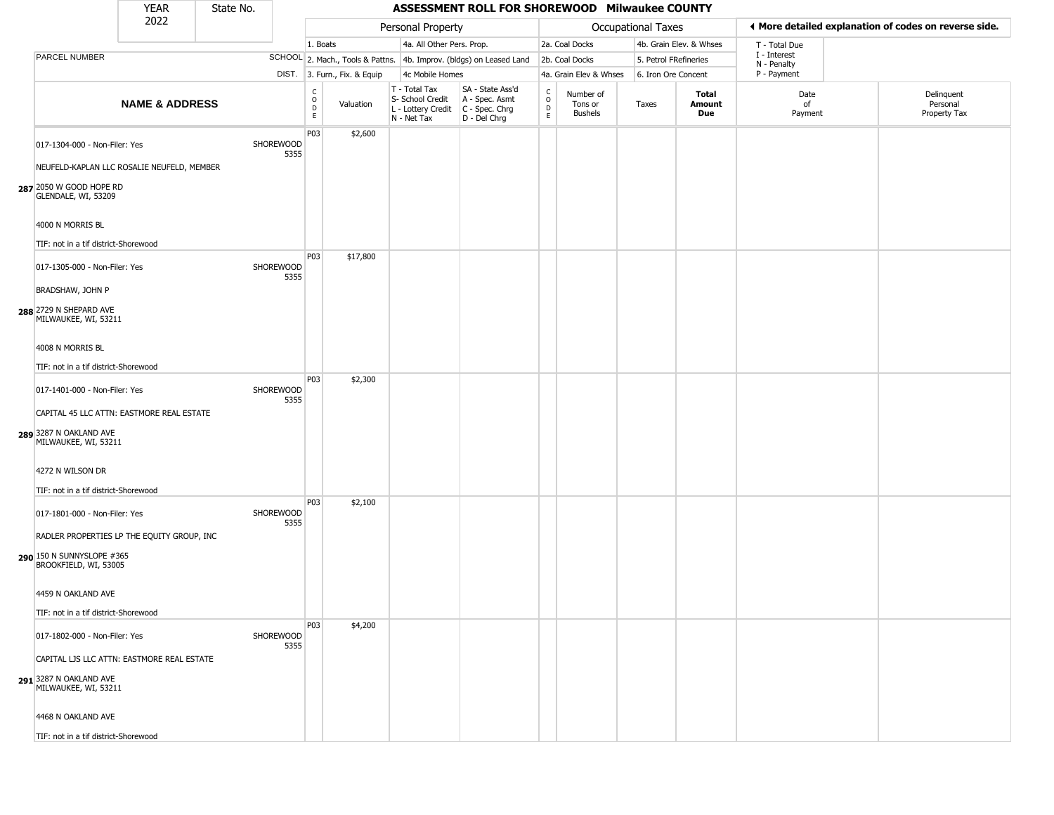|                                                                                                                               | <b>YEAR</b>               | State No. |                          |                        |                              |                                                  | ASSESSMENT ROLL FOR SHOREWOOD Milwaukee COUNTY                                            |                                   |                                        |                       |                               |                             |                                                       |
|-------------------------------------------------------------------------------------------------------------------------------|---------------------------|-----------|--------------------------|------------------------|------------------------------|--------------------------------------------------|-------------------------------------------------------------------------------------------|-----------------------------------|----------------------------------------|-----------------------|-------------------------------|-----------------------------|-------------------------------------------------------|
|                                                                                                                               | 2022                      |           |                          |                        |                              | Personal Property                                |                                                                                           |                                   |                                        | Occupational Taxes    |                               |                             | ♦ More detailed explanation of codes on reverse side. |
|                                                                                                                               |                           |           |                          | 1. Boats               |                              | 4a. All Other Pers. Prop.                        |                                                                                           |                                   | 2a. Coal Docks                         |                       | 4b. Grain Elev. & Whses       | T - Total Due               |                                                       |
| PARCEL NUMBER                                                                                                                 |                           |           |                          |                        |                              |                                                  | SCHOOL 2. Mach., Tools & Pattns. 4b. Improv. (bldgs) on Leased Land                       |                                   | 2b. Coal Docks                         | 5. Petrol FRefineries |                               | I - Interest<br>N - Penalty |                                                       |
|                                                                                                                               |                           |           |                          |                        | DIST. 3. Furn., Fix. & Equip | 4c Mobile Homes                                  |                                                                                           |                                   | 4a. Grain Elev & Whses                 | 6. Iron Ore Concent   |                               | P - Payment                 |                                                       |
|                                                                                                                               | <b>NAME &amp; ADDRESS</b> |           |                          | C<br>$\circ$<br>D<br>E | Valuation                    | T - Total Tax<br>S- School Credit<br>N - Net Tax | SA - State Ass'd<br>A - Spec. Asmt<br>L - Lottery Credit   C - Spec. Chrg<br>D - Del Chrg | $\mathsf{C}$<br>$\circ$<br>D<br>E | Number of<br>Tons or<br><b>Bushels</b> | Taxes                 | <b>Total</b><br>Amount<br>Due | Date<br>of<br>Payment       | Delinquent<br>Personal<br>Property Tax                |
| 017-1304-000 - Non-Filer: Yes<br>NEUFELD-KAPLAN LLC ROSALIE NEUFELD, MEMBER<br>287 2050 W GOOD HOPE RD<br>GLENDALE, WI, 53209 |                           |           | SHOREWOOD<br>5355        | P03                    | \$2,600                      |                                                  |                                                                                           |                                   |                                        |                       |                               |                             |                                                       |
| 4000 N MORRIS BL                                                                                                              |                           |           |                          |                        |                              |                                                  |                                                                                           |                                   |                                        |                       |                               |                             |                                                       |
| TIF: not in a tif district-Shorewood<br>017-1305-000 - Non-Filer: Yes                                                         |                           |           | <b>SHOREWOOD</b><br>5355 | P03                    | \$17,800                     |                                                  |                                                                                           |                                   |                                        |                       |                               |                             |                                                       |
| BRADSHAW, JOHN P<br>288 2729 N SHEPARD AVE<br>MILWAUKEE, WI, 53211                                                            |                           |           |                          |                        |                              |                                                  |                                                                                           |                                   |                                        |                       |                               |                             |                                                       |
| 4008 N MORRIS BL<br>TIF: not in a tif district-Shorewood                                                                      |                           |           |                          |                        |                              |                                                  |                                                                                           |                                   |                                        |                       |                               |                             |                                                       |
| 017-1401-000 - Non-Filer: Yes<br>CAPITAL 45 LLC ATTN: EASTMORE REAL ESTATE                                                    |                           |           | <b>SHOREWOOD</b><br>5355 | P03                    | \$2,300                      |                                                  |                                                                                           |                                   |                                        |                       |                               |                             |                                                       |
| 289 3287 N OAKLAND AVE<br>MILWAUKEE, WI, 53211                                                                                |                           |           |                          |                        |                              |                                                  |                                                                                           |                                   |                                        |                       |                               |                             |                                                       |
| 4272 N WILSON DR<br>TIF: not in a tif district-Shorewood                                                                      |                           |           |                          |                        |                              |                                                  |                                                                                           |                                   |                                        |                       |                               |                             |                                                       |
| 017-1801-000 - Non-Filer: Yes                                                                                                 |                           |           | SHOREWOOD<br>5355        | P03                    | \$2,100                      |                                                  |                                                                                           |                                   |                                        |                       |                               |                             |                                                       |
| RADLER PROPERTIES LP THE EQUITY GROUP, INC<br>290 150 N SUNNYSLOPE #365<br>BROOKFIELD, WI, 53005                              |                           |           |                          |                        |                              |                                                  |                                                                                           |                                   |                                        |                       |                               |                             |                                                       |
| 4459 N OAKLAND AVE<br>TIF: not in a tif district-Shorewood                                                                    |                           |           |                          |                        |                              |                                                  |                                                                                           |                                   |                                        |                       |                               |                             |                                                       |
| 017-1802-000 - Non-Filer: Yes                                                                                                 |                           |           | SHOREWOOD<br>5355        | P03                    | \$4,200                      |                                                  |                                                                                           |                                   |                                        |                       |                               |                             |                                                       |
| CAPITAL LJS LLC ATTN: EASTMORE REAL ESTATE<br>291 3287 N OAKLAND AVE<br>MILWAUKEE, WI, 53211                                  |                           |           |                          |                        |                              |                                                  |                                                                                           |                                   |                                        |                       |                               |                             |                                                       |
| 4468 N OAKLAND AVE                                                                                                            |                           |           |                          |                        |                              |                                                  |                                                                                           |                                   |                                        |                       |                               |                             |                                                       |
| TIF: not in a tif district-Shorewood                                                                                          |                           |           |                          |                        |                              |                                                  |                                                                                           |                                   |                                        |                       |                               |                             |                                                       |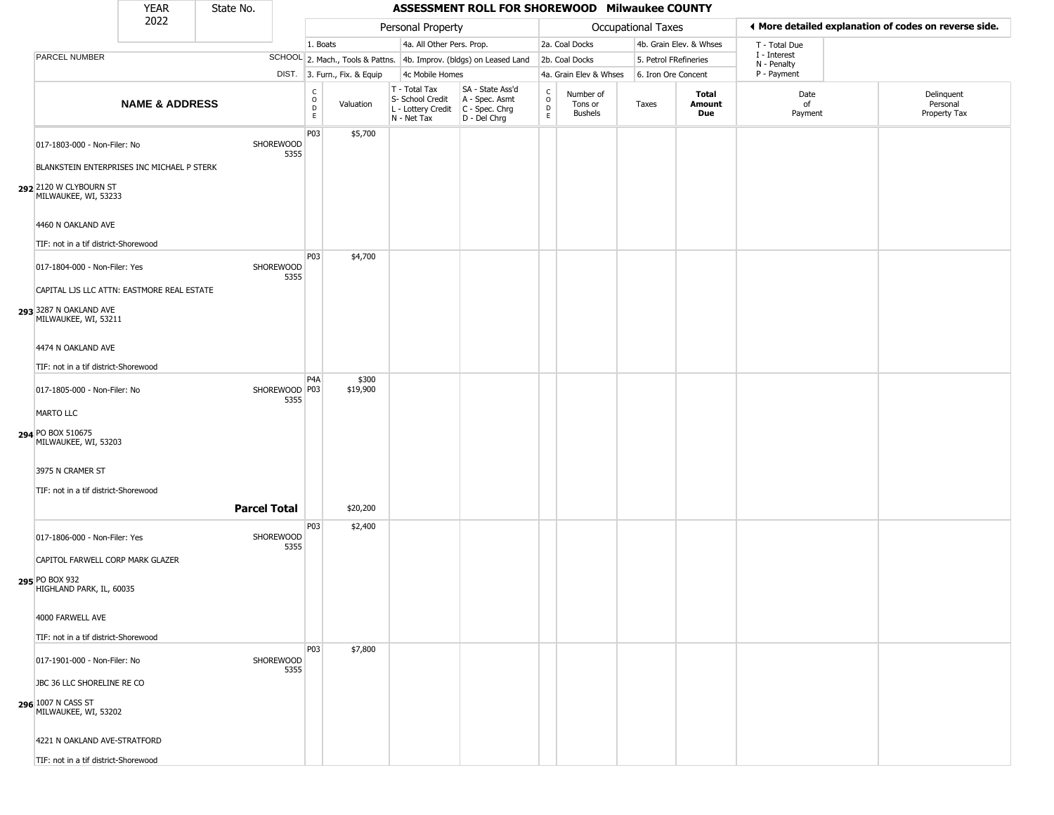|                                                                                | <b>YEAR</b>               | State No.           |                         |                                                 |                              |                                                                        | ASSESSMENT ROLL FOR SHOREWOOD Milwaukee COUNTY                         |                                              |                                        |                           |                         |                                                       |                                        |
|--------------------------------------------------------------------------------|---------------------------|---------------------|-------------------------|-------------------------------------------------|------------------------------|------------------------------------------------------------------------|------------------------------------------------------------------------|----------------------------------------------|----------------------------------------|---------------------------|-------------------------|-------------------------------------------------------|----------------------------------------|
|                                                                                | 2022                      |                     |                         |                                                 |                              | Personal Property                                                      |                                                                        |                                              |                                        | <b>Occupational Taxes</b> |                         | ◀ More detailed explanation of codes on reverse side. |                                        |
|                                                                                |                           |                     |                         | 1. Boats                                        |                              | 4a. All Other Pers. Prop.                                              |                                                                        |                                              | 2a. Coal Docks                         |                           | 4b. Grain Elev. & Whses | T - Total Due                                         |                                        |
| PARCEL NUMBER                                                                  |                           |                     |                         |                                                 |                              |                                                                        | SCHOOL 2. Mach., Tools & Pattns. 4b. Improv. (bldgs) on Leased Land    |                                              | 2b. Coal Docks                         | 5. Petrol FRefineries     |                         | I - Interest<br>N - Penalty                           |                                        |
|                                                                                |                           |                     |                         |                                                 | DIST. 3. Furn., Fix. & Equip | 4c Mobile Homes                                                        |                                                                        |                                              | 4a. Grain Elev & Whses                 | 6. Iron Ore Concent       |                         | P - Payment                                           |                                        |
|                                                                                | <b>NAME &amp; ADDRESS</b> |                     |                         | $\begin{array}{c} C \\ O \\ D \\ E \end{array}$ | Valuation                    | T - Total Tax<br>S- School Credit<br>L - Lottery Credit<br>N - Net Tax | SA - State Ass'd<br>A - Spec. Asmt<br>$C - Spec. Chrg$<br>D - Del Chrg | $\begin{array}{c}\nC \\ O \\ D\n\end{array}$ | Number of<br>Tons or<br><b>Bushels</b> | Taxes                     | Total<br>Amount<br>Due  | Date<br>of<br>Payment                                 | Delinquent<br>Personal<br>Property Tax |
| 017-1803-000 - Non-Filer: No<br>BLANKSTEIN ENTERPRISES INC MICHAEL P STERK     |                           |                     | SHOREWOOD<br>5355       | P <sub>03</sub>                                 | \$5,700                      |                                                                        |                                                                        |                                              |                                        |                           |                         |                                                       |                                        |
| 292 2120 W CLYBOURN ST<br>MILWAUKEE, WI, 53233                                 |                           |                     |                         |                                                 |                              |                                                                        |                                                                        |                                              |                                        |                           |                         |                                                       |                                        |
| 4460 N OAKLAND AVE<br>TIF: not in a tif district-Shorewood                     |                           |                     |                         |                                                 |                              |                                                                        |                                                                        |                                              |                                        |                           |                         |                                                       |                                        |
| 017-1804-000 - Non-Filer: Yes<br>CAPITAL LJS LLC ATTN: EASTMORE REAL ESTATE    |                           |                     | SHOREWOOD<br>5355       | P03                                             | \$4,700                      |                                                                        |                                                                        |                                              |                                        |                           |                         |                                                       |                                        |
| 293 3287 N OAKLAND AVE<br>MILWAUKEE, WI, 53211                                 |                           |                     |                         |                                                 |                              |                                                                        |                                                                        |                                              |                                        |                           |                         |                                                       |                                        |
| 4474 N OAKLAND AVE<br>TIF: not in a tif district-Shorewood                     |                           |                     |                         |                                                 |                              |                                                                        |                                                                        |                                              |                                        |                           |                         |                                                       |                                        |
| 017-1805-000 - Non-Filer: No                                                   |                           |                     | SHOREWOOD   P03<br>5355 | P <sub>4</sub> A                                | \$300<br>\$19,900            |                                                                        |                                                                        |                                              |                                        |                           |                         |                                                       |                                        |
| <b>MARTO LLC</b><br>294 PO BOX 510675<br>MILWAUKEE, WI, 53203                  |                           |                     |                         |                                                 |                              |                                                                        |                                                                        |                                              |                                        |                           |                         |                                                       |                                        |
| 3975 N CRAMER ST                                                               |                           |                     |                         |                                                 |                              |                                                                        |                                                                        |                                              |                                        |                           |                         |                                                       |                                        |
| TIF: not in a tif district-Shorewood                                           |                           | <b>Parcel Total</b> |                         |                                                 | \$20,200                     |                                                                        |                                                                        |                                              |                                        |                           |                         |                                                       |                                        |
| 017-1806-000 - Non-Filer: Yes                                                  |                           |                     | SHOREWOOD<br>5355       | P03                                             | \$2,400                      |                                                                        |                                                                        |                                              |                                        |                           |                         |                                                       |                                        |
| CAPITOL FARWELL CORP MARK GLAZER<br>295 PO BOX 932<br>HIGHLAND PARK, IL, 60035 |                           |                     |                         |                                                 |                              |                                                                        |                                                                        |                                              |                                        |                           |                         |                                                       |                                        |
| 4000 FARWELL AVE<br>TIF: not in a tif district-Shorewood                       |                           |                     |                         |                                                 |                              |                                                                        |                                                                        |                                              |                                        |                           |                         |                                                       |                                        |
| 017-1901-000 - Non-Filer: No                                                   |                           |                     | SHOREWOOD<br>5355       | P <sub>03</sub>                                 | \$7,800                      |                                                                        |                                                                        |                                              |                                        |                           |                         |                                                       |                                        |
| JBC 36 LLC SHORELINE RE CO<br>296 1007 N CASS ST                               |                           |                     |                         |                                                 |                              |                                                                        |                                                                        |                                              |                                        |                           |                         |                                                       |                                        |
| MILWAUKEE, WI, 53202<br>4221 N OAKLAND AVE-STRATFORD                           |                           |                     |                         |                                                 |                              |                                                                        |                                                                        |                                              |                                        |                           |                         |                                                       |                                        |
| TIF: not in a tif district-Shorewood                                           |                           |                     |                         |                                                 |                              |                                                                        |                                                                        |                                              |                                        |                           |                         |                                                       |                                        |
|                                                                                |                           |                     |                         |                                                 |                              |                                                                        |                                                                        |                                              |                                        |                           |                         |                                                       |                                        |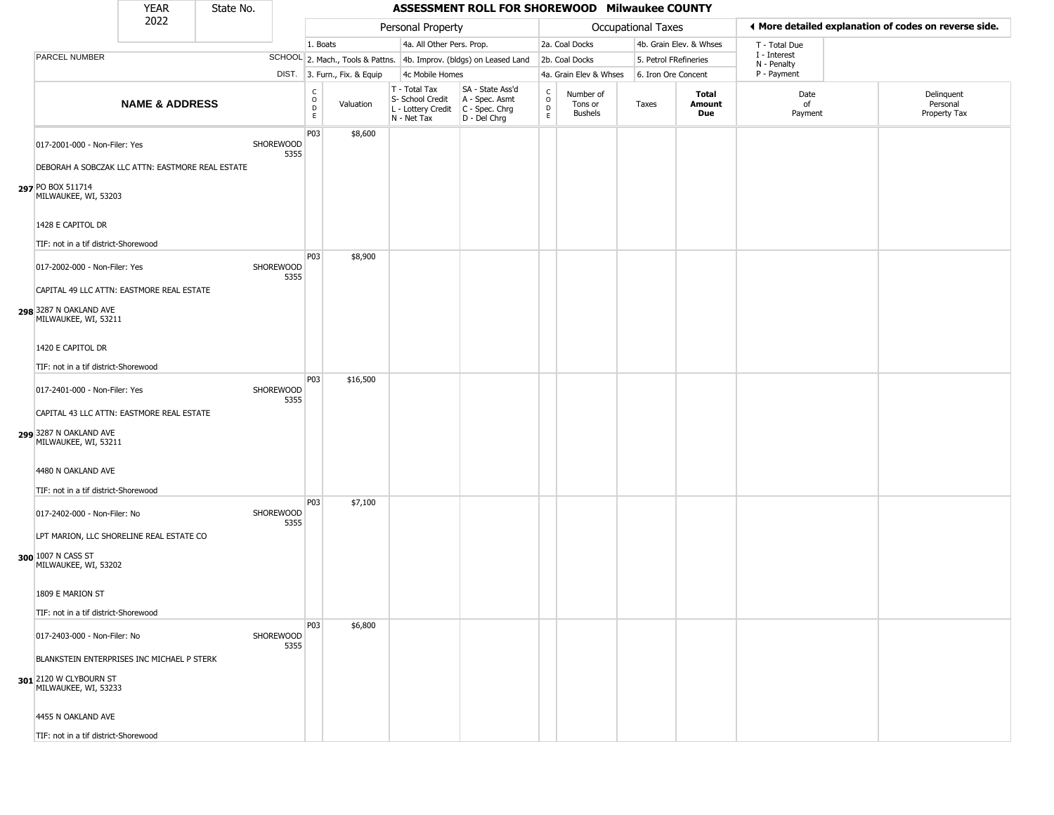|                                                                                                                                                    | <b>YEAR</b>               | State No. |                   |                                |                              |                                                                        | ASSESSMENT ROLL FOR SHOREWOOD Milwaukee COUNTY                       |                                    |                                        |                           |                         |                             |                                                       |
|----------------------------------------------------------------------------------------------------------------------------------------------------|---------------------------|-----------|-------------------|--------------------------------|------------------------------|------------------------------------------------------------------------|----------------------------------------------------------------------|------------------------------------|----------------------------------------|---------------------------|-------------------------|-----------------------------|-------------------------------------------------------|
|                                                                                                                                                    | 2022                      |           |                   |                                |                              | Personal Property                                                      |                                                                      |                                    |                                        | <b>Occupational Taxes</b> |                         |                             | ◀ More detailed explanation of codes on reverse side. |
|                                                                                                                                                    |                           |           |                   | 1. Boats                       |                              | 4a. All Other Pers. Prop.                                              |                                                                      |                                    | 2a. Coal Docks                         |                           | 4b. Grain Elev. & Whses | T - Total Due               |                                                       |
| PARCEL NUMBER                                                                                                                                      |                           |           |                   |                                |                              |                                                                        | SCHOOL 2. Mach., Tools & Pattns. 4b. Improv. (bldgs) on Leased Land  |                                    | 2b. Coal Docks                         |                           | 5. Petrol FRefineries   | I - Interest<br>N - Penalty |                                                       |
|                                                                                                                                                    |                           |           |                   |                                | DIST. 3. Furn., Fix. & Equip | 4c Mobile Homes                                                        |                                                                      |                                    | 4a. Grain Elev & Whses                 |                           | 6. Iron Ore Concent     | P - Payment                 |                                                       |
|                                                                                                                                                    | <b>NAME &amp; ADDRESS</b> |           |                   | $\rm _o^C$<br>$\mathsf D$<br>E | Valuation                    | T - Total Tax<br>S- School Credit<br>L - Lottery Credit<br>N - Net Tax | SA - State Ass'd<br>A - Spec. Asmt<br>C - Spec. Chrg<br>D - Del Chrg | $\mathsf{C}$<br>$\circ$<br>D<br>E. | Number of<br>Tons or<br><b>Bushels</b> | Taxes                     | Total<br>Amount<br>Due  | Date<br>of<br>Payment       | Delinquent<br>Personal<br>Property Tax                |
| 017-2001-000 - Non-Filer: Yes<br>DEBORAH A SOBCZAK LLC ATTN: EASTMORE REAL ESTATE<br>297 PO BOX 511714<br>MILWAUKEE, WI, 53203                     |                           |           | SHOREWOOD<br>5355 | P03                            | \$8,600                      |                                                                        |                                                                      |                                    |                                        |                           |                         |                             |                                                       |
| 1428 E CAPITOL DR<br>TIF: not in a tif district-Shorewood                                                                                          |                           |           |                   |                                |                              |                                                                        |                                                                      |                                    |                                        |                           |                         |                             |                                                       |
| 017-2002-000 - Non-Filer: Yes<br>CAPITAL 49 LLC ATTN: EASTMORE REAL ESTATE<br>298 3287 N OAKLAND AVE<br>MILWAUKEE, WI, 53211                       |                           |           | SHOREWOOD<br>5355 | P03                            | \$8,900                      |                                                                        |                                                                      |                                    |                                        |                           |                         |                             |                                                       |
| 1420 E CAPITOL DR<br>TIF: not in a tif district-Shorewood                                                                                          |                           |           |                   | P03                            | \$16,500                     |                                                                        |                                                                      |                                    |                                        |                           |                         |                             |                                                       |
| 017-2401-000 - Non-Filer: Yes<br>CAPITAL 43 LLC ATTN: EASTMORE REAL ESTATE<br>299 3287 N OAKLAND AVE<br>MILWAUKEE, WI, 53211                       |                           |           | SHOREWOOD<br>5355 |                                |                              |                                                                        |                                                                      |                                    |                                        |                           |                         |                             |                                                       |
| 4480 N OAKLAND AVE<br>TIF: not in a tif district-Shorewood                                                                                         |                           |           |                   |                                |                              |                                                                        |                                                                      |                                    |                                        |                           |                         |                             |                                                       |
| 017-2402-000 - Non-Filer: No<br>LPT MARION, LLC SHORELINE REAL ESTATE CO<br>300 1007 N CASS ST<br>MILWAUKEE, WI, 53202                             |                           |           | SHOREWOOD<br>5355 | P03                            | \$7,100                      |                                                                        |                                                                      |                                    |                                        |                           |                         |                             |                                                       |
| 1809 E MARION ST<br>TIF: not in a tif district-Shorewood                                                                                           |                           |           |                   |                                |                              |                                                                        |                                                                      |                                    |                                        |                           |                         |                             |                                                       |
| 017-2403-000 - Non-Filer: No<br>BLANKSTEIN ENTERPRISES INC MICHAEL P STERK<br>301 2120 W CLYBOURN ST<br>MILWAUKEE, WI, 53233<br>4455 N OAKLAND AVE |                           |           | SHOREWOOD<br>5355 | P03                            | \$6,800                      |                                                                        |                                                                      |                                    |                                        |                           |                         |                             |                                                       |
| TIF: not in a tif district-Shorewood                                                                                                               |                           |           |                   |                                |                              |                                                                        |                                                                      |                                    |                                        |                           |                         |                             |                                                       |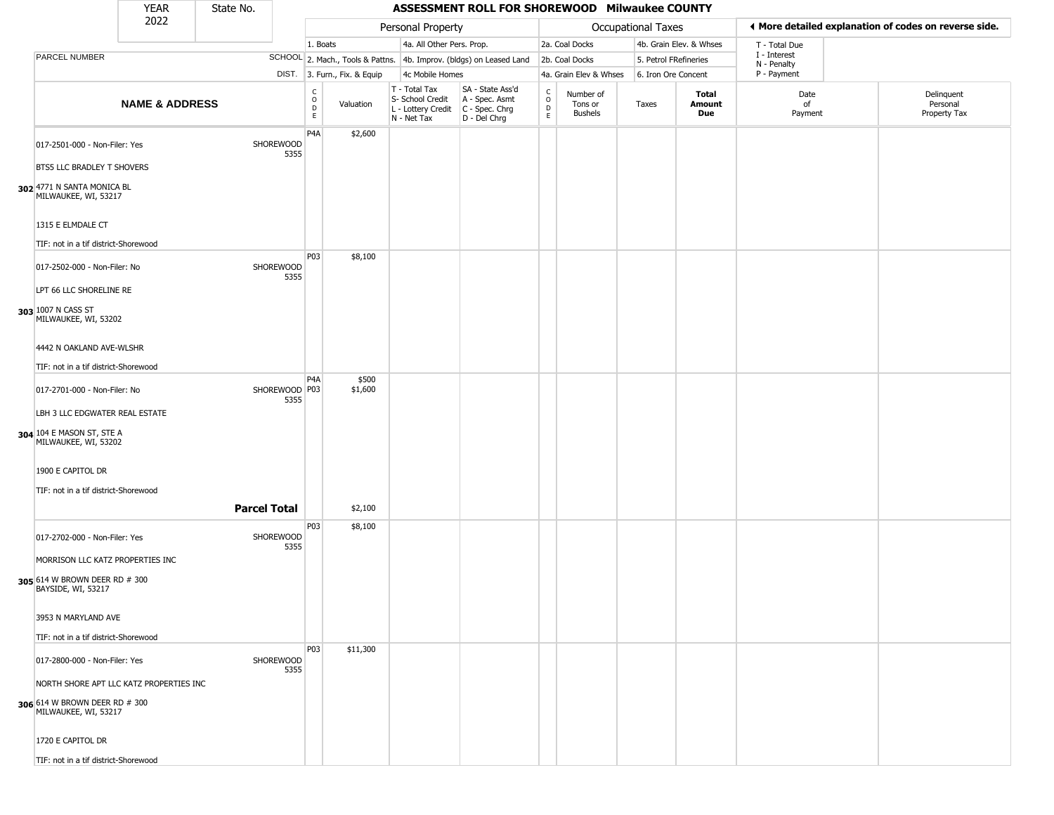|                                                                                                  | <b>YEAR</b>               | State No.           |                          |                         |                              |                                                                        | ASSESSMENT ROLL FOR SHOREWOOD Milwaukee COUNTY                         |                                   |                                        |                           |                               |                             |                                                       |
|--------------------------------------------------------------------------------------------------|---------------------------|---------------------|--------------------------|-------------------------|------------------------------|------------------------------------------------------------------------|------------------------------------------------------------------------|-----------------------------------|----------------------------------------|---------------------------|-------------------------------|-----------------------------|-------------------------------------------------------|
|                                                                                                  | 2022                      |                     |                          |                         |                              | Personal Property                                                      |                                                                        |                                   |                                        | <b>Occupational Taxes</b> |                               |                             | ♦ More detailed explanation of codes on reverse side. |
|                                                                                                  |                           |                     |                          | 1. Boats                |                              | 4a. All Other Pers. Prop.                                              |                                                                        |                                   | 2a. Coal Docks                         |                           | 4b. Grain Elev. & Whses       | T - Total Due               |                                                       |
| PARCEL NUMBER                                                                                    |                           |                     |                          |                         |                              |                                                                        | SCHOOL 2. Mach., Tools & Pattns. 4b. Improv. (bldgs) on Leased Land    |                                   | 2b. Coal Docks                         | 5. Petrol FRefineries     |                               | I - Interest<br>N - Penalty |                                                       |
|                                                                                                  |                           |                     |                          |                         | DIST. 3. Furn., Fix. & Equip | 4c Mobile Homes                                                        |                                                                        |                                   | 4a. Grain Elev & Whses                 | 6. Iron Ore Concent       |                               | P - Payment                 |                                                       |
|                                                                                                  | <b>NAME &amp; ADDRESS</b> |                     |                          | C<br>$\circ$<br>D<br>E. | Valuation                    | T - Total Tax<br>S- School Credit<br>L - Lottery Credit<br>N - Net Tax | SA - State Ass'd<br>A - Spec. Asmt<br>$C - Spec. Chrg$<br>D - Del Chrg | $\mathsf{C}$<br>$\circ$<br>D<br>E | Number of<br>Tons or<br><b>Bushels</b> | Taxes                     | <b>Total</b><br>Amount<br>Due | Date<br>of<br>Payment       | Delinquent<br>Personal<br>Property Tax                |
| 017-2501-000 - Non-Filer: Yes                                                                    |                           |                     | <b>SHOREWOOD</b><br>5355 | P <sub>4</sub> A        | \$2,600                      |                                                                        |                                                                        |                                   |                                        |                           |                               |                             |                                                       |
| BTS5 LLC BRADLEY T SHOVERS                                                                       |                           |                     |                          |                         |                              |                                                                        |                                                                        |                                   |                                        |                           |                               |                             |                                                       |
| 302 4771 N SANTA MONICA BL<br>MILWAUKEE, WI, 53217                                               |                           |                     |                          |                         |                              |                                                                        |                                                                        |                                   |                                        |                           |                               |                             |                                                       |
| 1315 E ELMDALE CT                                                                                |                           |                     |                          |                         |                              |                                                                        |                                                                        |                                   |                                        |                           |                               |                             |                                                       |
| TIF: not in a tif district-Shorewood                                                             |                           |                     |                          |                         |                              |                                                                        |                                                                        |                                   |                                        |                           |                               |                             |                                                       |
| 017-2502-000 - Non-Filer: No                                                                     |                           |                     | SHOREWOOD<br>5355        | P03                     | \$8,100                      |                                                                        |                                                                        |                                   |                                        |                           |                               |                             |                                                       |
| LPT 66 LLC SHORELINE RE<br>303 1007 N CASS ST<br>MILWAUKEE, WI, 53202                            |                           |                     |                          |                         |                              |                                                                        |                                                                        |                                   |                                        |                           |                               |                             |                                                       |
| 4442 N OAKLAND AVE-WLSHR                                                                         |                           |                     |                          |                         |                              |                                                                        |                                                                        |                                   |                                        |                           |                               |                             |                                                       |
| TIF: not in a tif district-Shorewood                                                             |                           |                     |                          | P <sub>4</sub> A        | \$500                        |                                                                        |                                                                        |                                   |                                        |                           |                               |                             |                                                       |
| 017-2701-000 - Non-Filer: No<br>LBH 3 LLC EDGWATER REAL ESTATE                                   |                           |                     | SHOREWOOD P03<br>5355    |                         | \$1,600                      |                                                                        |                                                                        |                                   |                                        |                           |                               |                             |                                                       |
| 304 104 E MASON ST, STE A<br>MILWAUKEE, WI, 53202                                                |                           |                     |                          |                         |                              |                                                                        |                                                                        |                                   |                                        |                           |                               |                             |                                                       |
| 1900 E CAPITOL DR                                                                                |                           |                     |                          |                         |                              |                                                                        |                                                                        |                                   |                                        |                           |                               |                             |                                                       |
| TIF: not in a tif district-Shorewood                                                             |                           |                     |                          |                         |                              |                                                                        |                                                                        |                                   |                                        |                           |                               |                             |                                                       |
|                                                                                                  |                           | <b>Parcel Total</b> |                          |                         | \$2,100                      |                                                                        |                                                                        |                                   |                                        |                           |                               |                             |                                                       |
| 017-2702-000 - Non-Filer: Yes                                                                    |                           |                     | SHOREWOOD<br>5355        | P03                     | \$8,100                      |                                                                        |                                                                        |                                   |                                        |                           |                               |                             |                                                       |
| MORRISON LLC KATZ PROPERTIES INC<br>305 614 W BROWN DEER RD # 300<br>BAYSIDE, WI, 53217          |                           |                     |                          |                         |                              |                                                                        |                                                                        |                                   |                                        |                           |                               |                             |                                                       |
| 3953 N MARYLAND AVE                                                                              |                           |                     |                          |                         |                              |                                                                        |                                                                        |                                   |                                        |                           |                               |                             |                                                       |
| TIF: not in a tif district-Shorewood                                                             |                           |                     |                          | P03                     | \$11,300                     |                                                                        |                                                                        |                                   |                                        |                           |                               |                             |                                                       |
| 017-2800-000 - Non-Filer: Yes                                                                    |                           |                     | <b>SHOREWOOD</b><br>5355 |                         |                              |                                                                        |                                                                        |                                   |                                        |                           |                               |                             |                                                       |
| NORTH SHORE APT LLC KATZ PROPERTIES INC<br>306 614 W BROWN DEER RD # 300<br>MILWAUKEE, WI, 53217 |                           |                     |                          |                         |                              |                                                                        |                                                                        |                                   |                                        |                           |                               |                             |                                                       |
| 1720 E CAPITOL DR                                                                                |                           |                     |                          |                         |                              |                                                                        |                                                                        |                                   |                                        |                           |                               |                             |                                                       |
| TIF: not in a tif district-Shorewood                                                             |                           |                     |                          |                         |                              |                                                                        |                                                                        |                                   |                                        |                           |                               |                             |                                                       |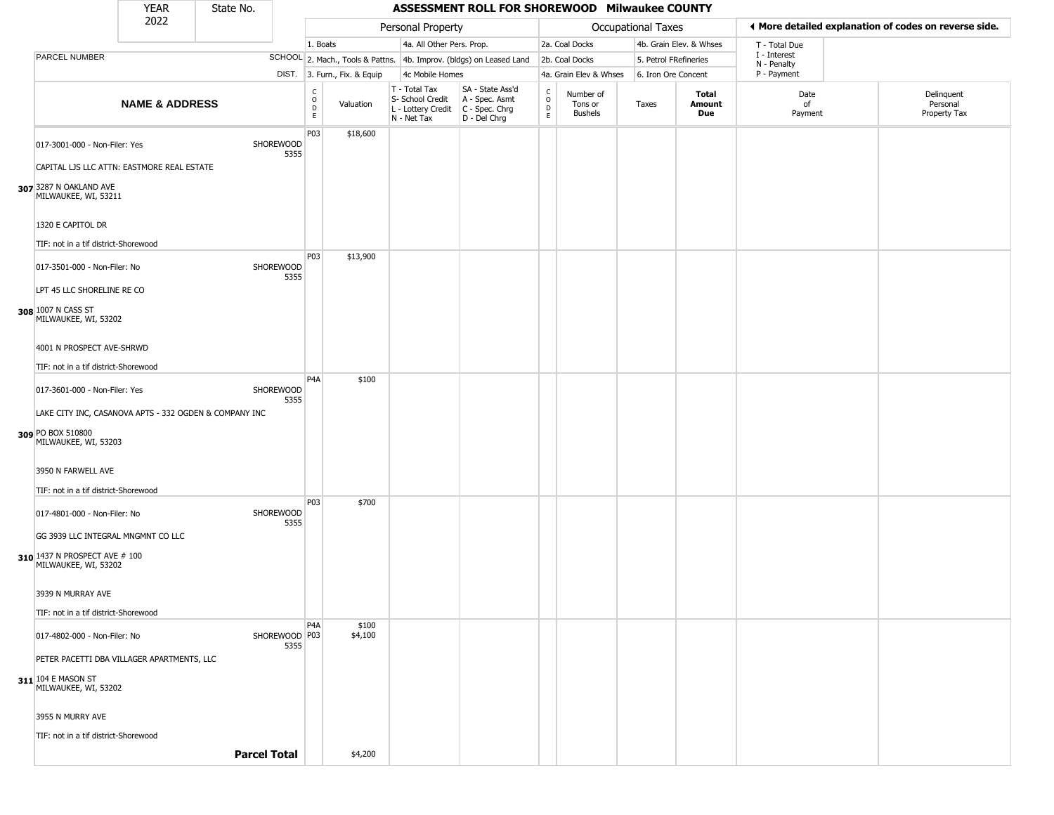|                                                                             | <b>YEAR</b>               | State No.           |                         |                               |                              |                                                                                         | ASSESSMENT ROLL FOR SHOREWOOD Milwaukee COUNTY                      |                                                                    |                                        |                           |                               |                             |                                                       |
|-----------------------------------------------------------------------------|---------------------------|---------------------|-------------------------|-------------------------------|------------------------------|-----------------------------------------------------------------------------------------|---------------------------------------------------------------------|--------------------------------------------------------------------|----------------------------------------|---------------------------|-------------------------------|-----------------------------|-------------------------------------------------------|
|                                                                             | 2022                      |                     |                         |                               |                              | Personal Property                                                                       |                                                                     |                                                                    |                                        | <b>Occupational Taxes</b> |                               |                             | ◀ More detailed explanation of codes on reverse side. |
|                                                                             |                           |                     |                         | 1. Boats                      |                              | 4a. All Other Pers. Prop.                                                               |                                                                     |                                                                    | 2a. Coal Docks                         |                           | 4b. Grain Elev. & Whses       | T - Total Due               |                                                       |
| PARCEL NUMBER                                                               |                           |                     |                         |                               |                              |                                                                                         | SCHOOL 2. Mach., Tools & Pattns. 4b. Improv. (bldgs) on Leased Land |                                                                    | 2b. Coal Docks                         | 5. Petrol FRefineries     |                               | I - Interest<br>N - Penalty |                                                       |
|                                                                             |                           |                     |                         |                               | DIST. 3. Furn., Fix. & Equip | 4c Mobile Homes                                                                         |                                                                     |                                                                    | 4a. Grain Elev & Whses                 | 6. Iron Ore Concent       |                               | P - Payment                 |                                                       |
|                                                                             | <b>NAME &amp; ADDRESS</b> |                     |                         | C<br>$\circ$<br>$\frac{D}{E}$ | Valuation                    | T - Total Tax<br>S- School Credit<br>L - Lottery Credit   C - Spec. Chrg<br>N - Net Tax | SA - State Ass'd<br>A - Spec. Asmt<br>D - Del Chrg                  | $\begin{smallmatrix} C \\ O \\ D \end{smallmatrix}$<br>$\mathsf E$ | Number of<br>Tons or<br><b>Bushels</b> | Taxes                     | <b>Total</b><br>Amount<br>Due | Date<br>of<br>Payment       | Delinquent<br>Personal<br>Property Tax                |
| 017-3001-000 - Non-Filer: Yes<br>CAPITAL LJS LLC ATTN: EASTMORE REAL ESTATE |                           |                     | SHOREWOOD<br>5355       | P03                           | \$18,600                     |                                                                                         |                                                                     |                                                                    |                                        |                           |                               |                             |                                                       |
|                                                                             |                           |                     |                         |                               |                              |                                                                                         |                                                                     |                                                                    |                                        |                           |                               |                             |                                                       |
| 307 3287 N OAKLAND AVE<br>MILWAUKEE, WI, 53211<br>1320 E CAPITOL DR         |                           |                     |                         |                               |                              |                                                                                         |                                                                     |                                                                    |                                        |                           |                               |                             |                                                       |
| TIF: not in a tif district-Shorewood                                        |                           |                     |                         |                               |                              |                                                                                         |                                                                     |                                                                    |                                        |                           |                               |                             |                                                       |
| 017-3501-000 - Non-Filer: No<br>LPT 45 LLC SHORELINE RE CO                  |                           |                     | SHOREWOOD<br>5355       | P03                           | \$13,900                     |                                                                                         |                                                                     |                                                                    |                                        |                           |                               |                             |                                                       |
| 308 1007 N CASS ST<br>MILWAUKEE, WI, 53202                                  |                           |                     |                         |                               |                              |                                                                                         |                                                                     |                                                                    |                                        |                           |                               |                             |                                                       |
| 4001 N PROSPECT AVE-SHRWD                                                   |                           |                     |                         |                               |                              |                                                                                         |                                                                     |                                                                    |                                        |                           |                               |                             |                                                       |
| TIF: not in a tif district-Shorewood                                        |                           |                     |                         | P <sub>4</sub> A              | \$100                        |                                                                                         |                                                                     |                                                                    |                                        |                           |                               |                             |                                                       |
| 017-3601-000 - Non-Filer: Yes                                               |                           |                     | SHOREWOOD<br>5355       |                               |                              |                                                                                         |                                                                     |                                                                    |                                        |                           |                               |                             |                                                       |
| LAKE CITY INC, CASANOVA APTS - 332 OGDEN & COMPANY INC                      |                           |                     |                         |                               |                              |                                                                                         |                                                                     |                                                                    |                                        |                           |                               |                             |                                                       |
| 309 PO BOX 510800<br>MILWAUKEE, WI, 53203                                   |                           |                     |                         |                               |                              |                                                                                         |                                                                     |                                                                    |                                        |                           |                               |                             |                                                       |
| 3950 N FARWELL AVE                                                          |                           |                     |                         |                               |                              |                                                                                         |                                                                     |                                                                    |                                        |                           |                               |                             |                                                       |
| TIF: not in a tif district-Shorewood                                        |                           |                     |                         |                               |                              |                                                                                         |                                                                     |                                                                    |                                        |                           |                               |                             |                                                       |
| 017-4801-000 - Non-Filer: No                                                |                           |                     | SHOREWOOD<br>5355       | P03                           | \$700                        |                                                                                         |                                                                     |                                                                    |                                        |                           |                               |                             |                                                       |
| GG 3939 LLC INTEGRAL MNGMNT CO LLC                                          |                           |                     |                         |                               |                              |                                                                                         |                                                                     |                                                                    |                                        |                           |                               |                             |                                                       |
| 310 1437 N PROSPECT AVE # 100<br>MILWAUKEE, WI, 53202                       |                           |                     |                         |                               |                              |                                                                                         |                                                                     |                                                                    |                                        |                           |                               |                             |                                                       |
| 3939 N MURRAY AVE                                                           |                           |                     |                         |                               |                              |                                                                                         |                                                                     |                                                                    |                                        |                           |                               |                             |                                                       |
| TIF: not in a tif district-Shorewood                                        |                           |                     |                         |                               |                              |                                                                                         |                                                                     |                                                                    |                                        |                           |                               |                             |                                                       |
| 017-4802-000 - Non-Filer: No                                                |                           |                     | SHOREWOOD   P03<br>5355 | P <sub>4</sub> A              | \$100<br>\$4,100             |                                                                                         |                                                                     |                                                                    |                                        |                           |                               |                             |                                                       |
| PETER PACETTI DBA VILLAGER APARTMENTS, LLC                                  |                           |                     |                         |                               |                              |                                                                                         |                                                                     |                                                                    |                                        |                           |                               |                             |                                                       |
| 311 104 E MASON ST<br>MILWAUKEE, WI, 53202                                  |                           |                     |                         |                               |                              |                                                                                         |                                                                     |                                                                    |                                        |                           |                               |                             |                                                       |
| 3955 N MURRY AVE                                                            |                           |                     |                         |                               |                              |                                                                                         |                                                                     |                                                                    |                                        |                           |                               |                             |                                                       |
| TIF: not in a tif district-Shorewood                                        |                           |                     |                         |                               |                              |                                                                                         |                                                                     |                                                                    |                                        |                           |                               |                             |                                                       |
|                                                                             |                           | <b>Parcel Total</b> |                         |                               | \$4,200                      |                                                                                         |                                                                     |                                                                    |                                        |                           |                               |                             |                                                       |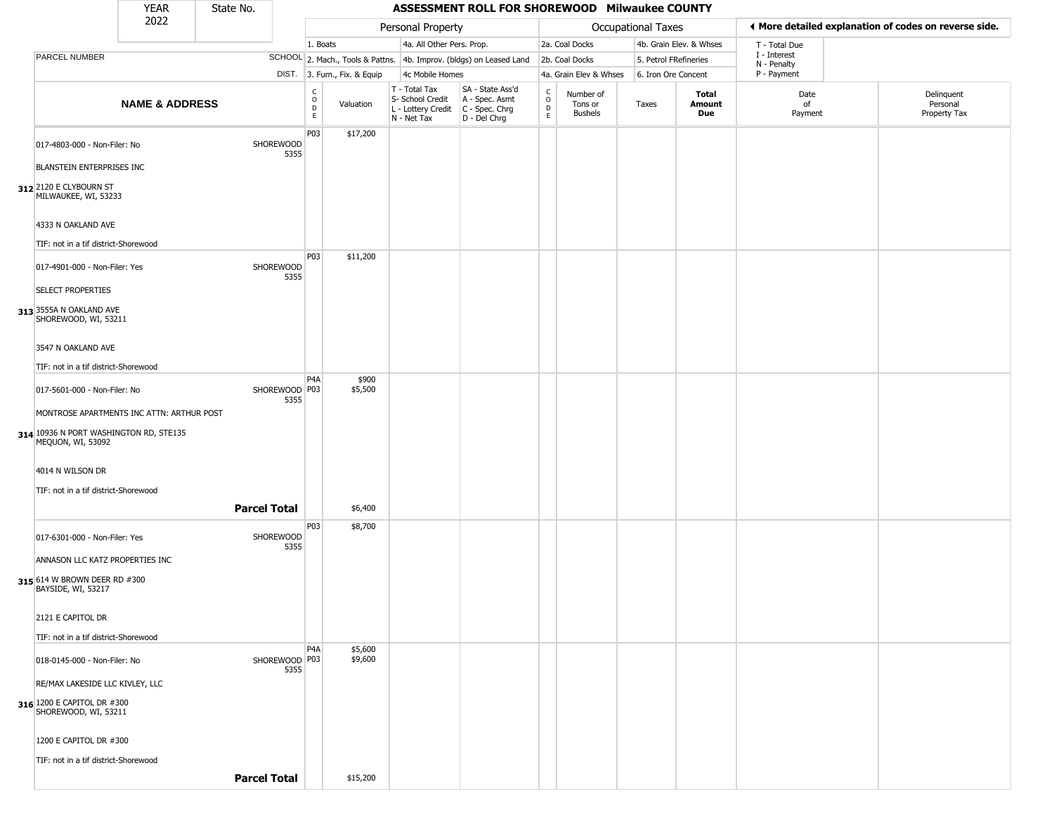|                                                             | <b>YEAR</b>               | State No.           |                       |                  |                              |                                                                                         | ASSESSMENT ROLL FOR SHOREWOOD Milwaukee COUNTY                      |                                              |                                        |                           |                         |                             |                                                       |
|-------------------------------------------------------------|---------------------------|---------------------|-----------------------|------------------|------------------------------|-----------------------------------------------------------------------------------------|---------------------------------------------------------------------|----------------------------------------------|----------------------------------------|---------------------------|-------------------------|-----------------------------|-------------------------------------------------------|
|                                                             | 2022                      |                     |                       |                  |                              | Personal Property                                                                       |                                                                     |                                              |                                        | <b>Occupational Taxes</b> |                         |                             | ♦ More detailed explanation of codes on reverse side. |
|                                                             |                           |                     |                       | 1. Boats         |                              | 4a. All Other Pers. Prop.                                                               |                                                                     |                                              | 2a. Coal Docks                         |                           | 4b. Grain Elev. & Whses | T - Total Due               |                                                       |
| PARCEL NUMBER                                               |                           |                     |                       |                  |                              |                                                                                         | SCHOOL 2. Mach., Tools & Pattns. 4b. Improv. (bldgs) on Leased Land |                                              | 2b. Coal Docks                         | 5. Petrol FRefineries     |                         | I - Interest<br>N - Penalty |                                                       |
|                                                             |                           |                     |                       |                  | DIST. 3. Furn., Fix. & Equip | 4c Mobile Homes                                                                         |                                                                     |                                              | 4a. Grain Elev & Whses                 | 6. Iron Ore Concent       |                         | P - Payment                 |                                                       |
|                                                             | <b>NAME &amp; ADDRESS</b> |                     |                       | C<br>0<br>D<br>E | Valuation                    | T - Total Tax<br>S- School Credit<br>L - Lottery Credit   C - Spec. Chrg<br>N - Net Tax | SA - State Ass'd<br>A - Spec. Asmt<br>D - Del Chrg                  | $\mathsf{C}$<br>$\circ$<br>$\mathsf{D}$<br>E | Number of<br>Tons or<br><b>Bushels</b> | Taxes                     | Total<br>Amount<br>Due  | Date<br>of<br>Payment       | Delinquent<br>Personal<br>Property Tax                |
| 017-4803-000 - Non-Filer: No<br>BLANSTEIN ENTERPRISES INC   |                           |                     | SHOREWOOD<br>5355     | P03              | \$17,200                     |                                                                                         |                                                                     |                                              |                                        |                           |                         |                             |                                                       |
| 312 2120 E CLYBOURN ST<br>MILWAUKEE, WI, 53233              |                           |                     |                       |                  |                              |                                                                                         |                                                                     |                                              |                                        |                           |                         |                             |                                                       |
| 4333 N OAKLAND AVE                                          |                           |                     |                       |                  |                              |                                                                                         |                                                                     |                                              |                                        |                           |                         |                             |                                                       |
| TIF: not in a tif district-Shorewood                        |                           |                     |                       |                  |                              |                                                                                         |                                                                     |                                              |                                        |                           |                         |                             |                                                       |
| 017-4901-000 - Non-Filer: Yes                               |                           |                     | SHOREWOOD<br>5355     | P03              | \$11,200                     |                                                                                         |                                                                     |                                              |                                        |                           |                         |                             |                                                       |
| <b>SELECT PROPERTIES</b>                                    |                           |                     |                       |                  |                              |                                                                                         |                                                                     |                                              |                                        |                           |                         |                             |                                                       |
| 313 3555A N OAKLAND AVE<br>SHOREWOOD, WI, 53211             |                           |                     |                       |                  |                              |                                                                                         |                                                                     |                                              |                                        |                           |                         |                             |                                                       |
| 3547 N OAKLAND AVE                                          |                           |                     |                       |                  |                              |                                                                                         |                                                                     |                                              |                                        |                           |                         |                             |                                                       |
| TIF: not in a tif district-Shorewood                        |                           |                     |                       |                  |                              |                                                                                         |                                                                     |                                              |                                        |                           |                         |                             |                                                       |
| 017-5601-000 - Non-Filer: No                                |                           |                     | SHOREWOOD P03<br>5355 | P4A              | \$900<br>\$5,500             |                                                                                         |                                                                     |                                              |                                        |                           |                         |                             |                                                       |
| MONTROSE APARTMENTS INC ATTN: ARTHUR POST                   |                           |                     |                       |                  |                              |                                                                                         |                                                                     |                                              |                                        |                           |                         |                             |                                                       |
| 314 10936 N PORT WASHINGTON RD, STE135<br>MEQUON, WI, 53092 |                           |                     |                       |                  |                              |                                                                                         |                                                                     |                                              |                                        |                           |                         |                             |                                                       |
| 4014 N WILSON DR                                            |                           |                     |                       |                  |                              |                                                                                         |                                                                     |                                              |                                        |                           |                         |                             |                                                       |
| TIF: not in a tif district-Shorewood                        |                           |                     |                       |                  |                              |                                                                                         |                                                                     |                                              |                                        |                           |                         |                             |                                                       |
|                                                             |                           | <b>Parcel Total</b> |                       |                  | \$6,400                      |                                                                                         |                                                                     |                                              |                                        |                           |                         |                             |                                                       |
|                                                             |                           |                     |                       | P <sub>03</sub>  | \$8,700                      |                                                                                         |                                                                     |                                              |                                        |                           |                         |                             |                                                       |
| 017-6301-000 - Non-Filer: Yes                               |                           |                     | SHOREWOOD<br>5355     |                  |                              |                                                                                         |                                                                     |                                              |                                        |                           |                         |                             |                                                       |
| ANNASON LLC KATZ PROPERTIES INC                             |                           |                     |                       |                  |                              |                                                                                         |                                                                     |                                              |                                        |                           |                         |                             |                                                       |
| 315 614 W BROWN DEER RD #300<br>BAYSIDE, WI, 53217          |                           |                     |                       |                  |                              |                                                                                         |                                                                     |                                              |                                        |                           |                         |                             |                                                       |
| 2121 E CAPITOL DR                                           |                           |                     |                       |                  |                              |                                                                                         |                                                                     |                                              |                                        |                           |                         |                             |                                                       |
| TIF: not in a tif district-Shorewood                        |                           |                     |                       |                  |                              |                                                                                         |                                                                     |                                              |                                        |                           |                         |                             |                                                       |
| 018-0145-000 - Non-Filer: No                                |                           |                     | SHOREWOOD P03<br>5355 | P4A              | \$5,600<br>\$9,600           |                                                                                         |                                                                     |                                              |                                        |                           |                         |                             |                                                       |
| RE/MAX LAKESIDE LLC KIVLEY, LLC                             |                           |                     |                       |                  |                              |                                                                                         |                                                                     |                                              |                                        |                           |                         |                             |                                                       |
| 316 1200 E CAPITOL DR #300<br>SHOREWOOD, WI, 53211          |                           |                     |                       |                  |                              |                                                                                         |                                                                     |                                              |                                        |                           |                         |                             |                                                       |
| 1200 E CAPITOL DR #300                                      |                           |                     |                       |                  |                              |                                                                                         |                                                                     |                                              |                                        |                           |                         |                             |                                                       |
| TIF: not in a tif district-Shorewood                        |                           |                     |                       |                  |                              |                                                                                         |                                                                     |                                              |                                        |                           |                         |                             |                                                       |
|                                                             |                           | <b>Parcel Total</b> |                       |                  | \$15,200                     |                                                                                         |                                                                     |                                              |                                        |                           |                         |                             |                                                       |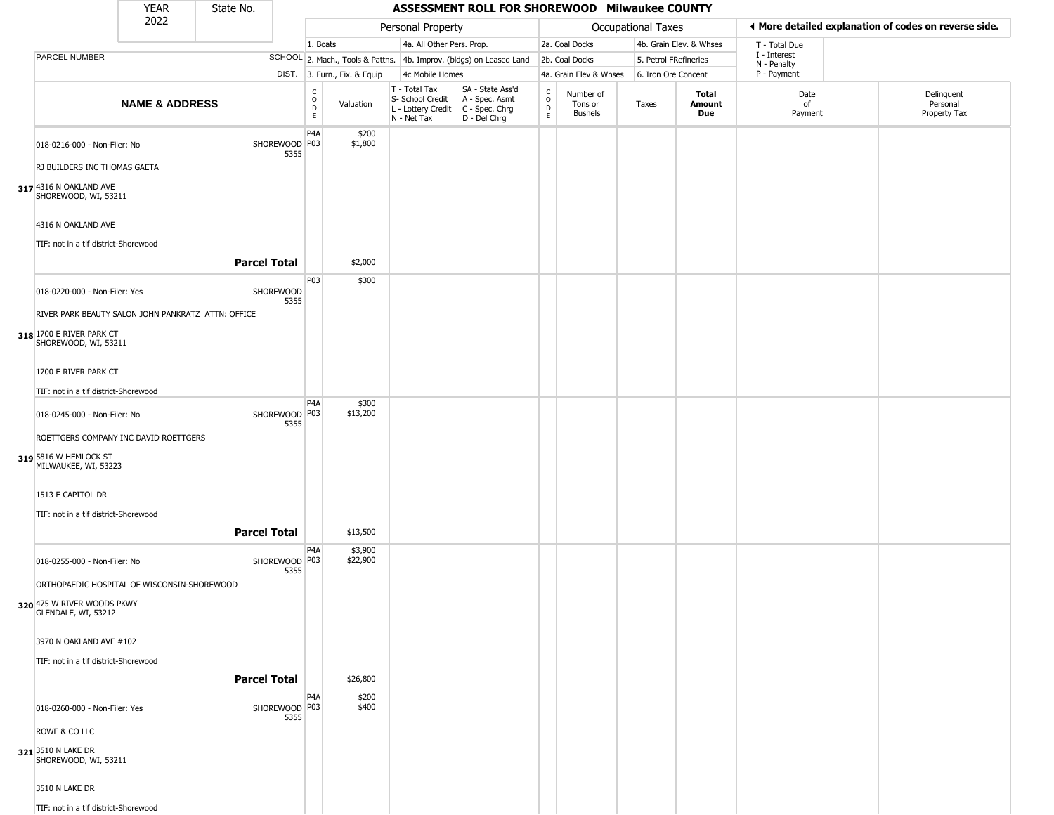|                                                              | <b>YEAR</b>               | State No.           |                         |                              |                              |                                                                                         | ASSESSMENT ROLL FOR SHOREWOOD Milwaukee COUNTY                      |                                    |                                 |                       |                         |                             |                                                       |
|--------------------------------------------------------------|---------------------------|---------------------|-------------------------|------------------------------|------------------------------|-----------------------------------------------------------------------------------------|---------------------------------------------------------------------|------------------------------------|---------------------------------|-----------------------|-------------------------|-----------------------------|-------------------------------------------------------|
|                                                              | 2022                      |                     |                         |                              |                              | Personal Property                                                                       |                                                                     |                                    |                                 | Occupational Taxes    |                         |                             | ◀ More detailed explanation of codes on reverse side. |
|                                                              |                           |                     |                         | 1. Boats                     |                              | 4a. All Other Pers. Prop.                                                               |                                                                     |                                    | 2a. Coal Docks                  |                       | 4b. Grain Elev. & Whses | T - Total Due               |                                                       |
| PARCEL NUMBER                                                |                           |                     |                         |                              |                              |                                                                                         | SCHOOL 2. Mach., Tools & Pattns. 4b. Improv. (bldgs) on Leased Land |                                    | 2b. Coal Docks                  | 5. Petrol FRefineries |                         | I - Interest<br>N - Penalty |                                                       |
|                                                              |                           |                     |                         |                              | DIST. 3. Furn., Fix. & Equip | 4c Mobile Homes                                                                         |                                                                     |                                    | 4a. Grain Elev & Whses          | 6. Iron Ore Concent   |                         | P - Payment                 |                                                       |
|                                                              | <b>NAME &amp; ADDRESS</b> |                     |                         | $_{\rm o}^{\rm c}$<br>D<br>E | Valuation                    | T - Total Tax<br>S- School Credit<br>L - Lottery Credit   C - Spec. Chrg<br>N - Net Tax | SA - State Ass'd<br>A - Spec. Asmt<br>D - Del Chrg                  | $\frac{C}{O}$<br>$\mathsf{D}$<br>E | Number of<br>Tons or<br>Bushels | Taxes                 | Total<br>Amount<br>Due  | Date<br>of<br>Payment       | Delinquent<br>Personal<br>Property Tax                |
| 018-0216-000 - Non-Filer: No<br>RJ BUILDERS INC THOMAS GAETA |                           |                     | SHOREWOOD P03<br>5355   | P4A                          | \$200<br>\$1,800             |                                                                                         |                                                                     |                                    |                                 |                       |                         |                             |                                                       |
| 317 4316 N OAKLAND AVE<br>SHOREWOOD, WI, 53211               |                           |                     |                         |                              |                              |                                                                                         |                                                                     |                                    |                                 |                       |                         |                             |                                                       |
| 4316 N OAKLAND AVE<br>TIF: not in a tif district-Shorewood   |                           |                     |                         |                              |                              |                                                                                         |                                                                     |                                    |                                 |                       |                         |                             |                                                       |
|                                                              |                           | <b>Parcel Total</b> |                         |                              | \$2,000                      |                                                                                         |                                                                     |                                    |                                 |                       |                         |                             |                                                       |
| 018-0220-000 - Non-Filer: Yes                                |                           |                     | SHOREWOOD<br>5355       | P03                          | \$300                        |                                                                                         |                                                                     |                                    |                                 |                       |                         |                             |                                                       |
| RIVER PARK BEAUTY SALON JOHN PANKRATZ ATTN: OFFICE           |                           |                     |                         |                              |                              |                                                                                         |                                                                     |                                    |                                 |                       |                         |                             |                                                       |
| 318 1700 E RIVER PARK CT<br>SHOREWOOD, WI, 53211             |                           |                     |                         |                              |                              |                                                                                         |                                                                     |                                    |                                 |                       |                         |                             |                                                       |
| 1700 E RIVER PARK CT                                         |                           |                     |                         |                              |                              |                                                                                         |                                                                     |                                    |                                 |                       |                         |                             |                                                       |
| TIF: not in a tif district-Shorewood                         |                           |                     |                         | P4A                          | \$300                        |                                                                                         |                                                                     |                                    |                                 |                       |                         |                             |                                                       |
| 018-0245-000 - Non-Filer: No                                 |                           |                     | SHOREWOOD   P03<br>5355 |                              | \$13,200                     |                                                                                         |                                                                     |                                    |                                 |                       |                         |                             |                                                       |
| ROETTGERS COMPANY INC DAVID ROETTGERS                        |                           |                     |                         |                              |                              |                                                                                         |                                                                     |                                    |                                 |                       |                         |                             |                                                       |
| 319 5816 W HEMLOCK ST<br>MILWAUKEE, WI, 53223                |                           |                     |                         |                              |                              |                                                                                         |                                                                     |                                    |                                 |                       |                         |                             |                                                       |
| 1513 E CAPITOL DR                                            |                           |                     |                         |                              |                              |                                                                                         |                                                                     |                                    |                                 |                       |                         |                             |                                                       |
| TIF: not in a tif district-Shorewood                         |                           | <b>Parcel Total</b> |                         |                              |                              |                                                                                         |                                                                     |                                    |                                 |                       |                         |                             |                                                       |
|                                                              |                           |                     |                         | P4A                          | \$13,500<br>\$3,900          |                                                                                         |                                                                     |                                    |                                 |                       |                         |                             |                                                       |
| 018-0255-000 - Non-Filer: No                                 |                           |                     | SHOREWOOD   P03<br>5355 |                              | \$22,900                     |                                                                                         |                                                                     |                                    |                                 |                       |                         |                             |                                                       |
| ORTHOPAEDIC HOSPITAL OF WISCONSIN-SHOREWOOD                  |                           |                     |                         |                              |                              |                                                                                         |                                                                     |                                    |                                 |                       |                         |                             |                                                       |
| 320 475 W RIVER WOODS PKWY                                   |                           |                     |                         |                              |                              |                                                                                         |                                                                     |                                    |                                 |                       |                         |                             |                                                       |
| 3970 N OAKLAND AVE #102                                      |                           |                     |                         |                              |                              |                                                                                         |                                                                     |                                    |                                 |                       |                         |                             |                                                       |
| TIF: not in a tif district-Shorewood                         |                           |                     |                         |                              |                              |                                                                                         |                                                                     |                                    |                                 |                       |                         |                             |                                                       |
|                                                              |                           | <b>Parcel Total</b> |                         |                              | \$26,800                     |                                                                                         |                                                                     |                                    |                                 |                       |                         |                             |                                                       |
| 018-0260-000 - Non-Filer: Yes                                |                           |                     | SHOREWOOD P03<br>5355   | P4A                          | \$200<br>\$400               |                                                                                         |                                                                     |                                    |                                 |                       |                         |                             |                                                       |
| ROWE & CO LLC                                                |                           |                     |                         |                              |                              |                                                                                         |                                                                     |                                    |                                 |                       |                         |                             |                                                       |
| 321 3510 N LAKE DR<br>SHOREWOOD, WI, 53211                   |                           |                     |                         |                              |                              |                                                                                         |                                                                     |                                    |                                 |                       |                         |                             |                                                       |
| 3510 N LAKE DR                                               |                           |                     |                         |                              |                              |                                                                                         |                                                                     |                                    |                                 |                       |                         |                             |                                                       |
| TIF: not in a tif district-Shorewood                         |                           |                     |                         |                              |                              |                                                                                         |                                                                     |                                    |                                 |                       |                         |                             |                                                       |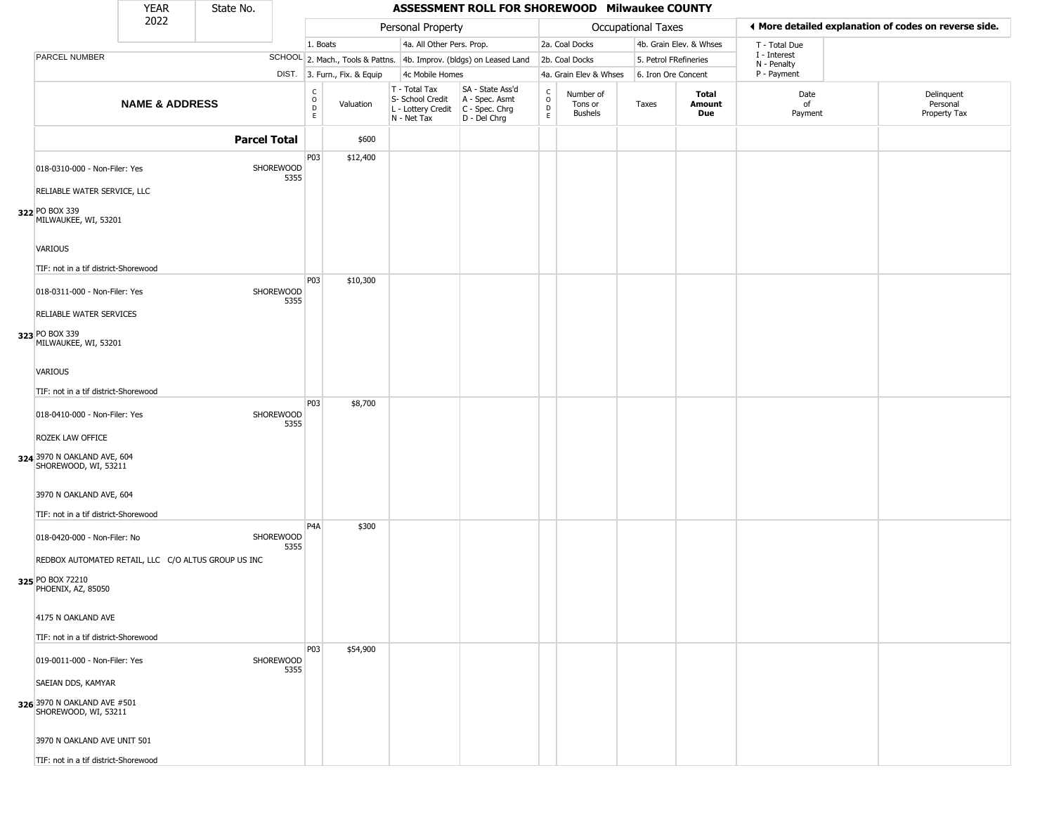|                                                                                               | <b>YEAR</b>               | State No.           |                          |                                                |                              |                                                  | ASSESSMENT ROLL FOR SHOREWOOD Milwaukee COUNTY                                          |                        |                                 |                     |                         |                             |                                                       |
|-----------------------------------------------------------------------------------------------|---------------------------|---------------------|--------------------------|------------------------------------------------|------------------------------|--------------------------------------------------|-----------------------------------------------------------------------------------------|------------------------|---------------------------------|---------------------|-------------------------|-----------------------------|-------------------------------------------------------|
|                                                                                               | 2022                      |                     |                          |                                                |                              | Personal Property                                |                                                                                         |                        |                                 | Occupational Taxes  |                         |                             | ◀ More detailed explanation of codes on reverse side. |
|                                                                                               |                           |                     |                          | 1. Boats                                       |                              | 4a. All Other Pers. Prop.                        |                                                                                         |                        | 2a. Coal Docks                  |                     | 4b. Grain Elev. & Whses | T - Total Due               |                                                       |
| PARCEL NUMBER                                                                                 |                           |                     |                          |                                                |                              |                                                  | SCHOOL 2. Mach., Tools & Pattns. 4b. Improv. (bldgs) on Leased Land                     |                        | 2b. Coal Docks                  |                     | 5. Petrol FRefineries   | I - Interest<br>N - Penalty |                                                       |
|                                                                                               |                           |                     |                          |                                                | DIST. 3. Furn., Fix. & Equip | 4c Mobile Homes                                  |                                                                                         |                        | 4a. Grain Elev & Whses          | 6. Iron Ore Concent |                         | P - Payment                 |                                                       |
|                                                                                               | <b>NAME &amp; ADDRESS</b> |                     |                          | $\begin{matrix} 0 \\ 0 \\ D \end{matrix}$<br>E | Valuation                    | T - Total Tax<br>S- School Credit<br>N - Net Tax | SA - State Ass'd<br>A - Spec. Asmt<br>L - Lottery Credit C - Spec. Chrg<br>D - Del Chrg | C<br>$\circ$<br>D<br>E | Number of<br>Tons or<br>Bushels | Taxes               | Total<br>Amount<br>Due  | Date<br>of<br>Payment       | Delinquent<br>Personal<br>Property Tax                |
|                                                                                               |                           | <b>Parcel Total</b> |                          |                                                | \$600                        |                                                  |                                                                                         |                        |                                 |                     |                         |                             |                                                       |
| 018-0310-000 - Non-Filer: Yes<br>RELIABLE WATER SERVICE, LLC                                  |                           |                     | SHOREWOOD<br>5355        | P03                                            | \$12,400                     |                                                  |                                                                                         |                        |                                 |                     |                         |                             |                                                       |
| 322 PO BOX 339<br>MILWAUKEE, WI, 53201                                                        |                           |                     |                          |                                                |                              |                                                  |                                                                                         |                        |                                 |                     |                         |                             |                                                       |
| <b>VARIOUS</b>                                                                                |                           |                     |                          |                                                |                              |                                                  |                                                                                         |                        |                                 |                     |                         |                             |                                                       |
| TIF: not in a tif district-Shorewood                                                          |                           |                     |                          |                                                |                              |                                                  |                                                                                         |                        |                                 |                     |                         |                             |                                                       |
| 018-0311-000 - Non-Filer: Yes                                                                 |                           |                     | <b>SHOREWOOD</b><br>5355 | P03                                            | \$10,300                     |                                                  |                                                                                         |                        |                                 |                     |                         |                             |                                                       |
| RELIABLE WATER SERVICES                                                                       |                           |                     |                          |                                                |                              |                                                  |                                                                                         |                        |                                 |                     |                         |                             |                                                       |
| 323 PO BOX 339<br>MILWAUKEE, WI, 53201                                                        |                           |                     |                          |                                                |                              |                                                  |                                                                                         |                        |                                 |                     |                         |                             |                                                       |
| <b>VARIOUS</b>                                                                                |                           |                     |                          |                                                |                              |                                                  |                                                                                         |                        |                                 |                     |                         |                             |                                                       |
| TIF: not in a tif district-Shorewood                                                          |                           |                     |                          | P03                                            | \$8,700                      |                                                  |                                                                                         |                        |                                 |                     |                         |                             |                                                       |
| 018-0410-000 - Non-Filer: Yes                                                                 |                           |                     | SHOREWOOD<br>5355        |                                                |                              |                                                  |                                                                                         |                        |                                 |                     |                         |                             |                                                       |
| ROZEK LAW OFFICE                                                                              |                           |                     |                          |                                                |                              |                                                  |                                                                                         |                        |                                 |                     |                         |                             |                                                       |
| 324 3970 N OAKLAND AVE, 604<br>SHOREWOOD, WI, 53211                                           |                           |                     |                          |                                                |                              |                                                  |                                                                                         |                        |                                 |                     |                         |                             |                                                       |
| 3970 N OAKLAND AVE, 604                                                                       |                           |                     |                          |                                                |                              |                                                  |                                                                                         |                        |                                 |                     |                         |                             |                                                       |
| TIF: not in a tif district-Shorewood                                                          |                           |                     |                          | P4A                                            | \$300                        |                                                  |                                                                                         |                        |                                 |                     |                         |                             |                                                       |
| 018-0420-000 - Non-Filer: No                                                                  |                           |                     | <b>SHOREWOOD</b><br>5355 |                                                |                              |                                                  |                                                                                         |                        |                                 |                     |                         |                             |                                                       |
| REDBOX AUTOMATED RETAIL, LLC C/O ALTUS GROUP US INC<br>325 PO BOX 72210<br>PHOENIX, AZ, 85050 |                           |                     |                          |                                                |                              |                                                  |                                                                                         |                        |                                 |                     |                         |                             |                                                       |
| 4175 N OAKLAND AVE                                                                            |                           |                     |                          |                                                |                              |                                                  |                                                                                         |                        |                                 |                     |                         |                             |                                                       |
| TIF: not in a tif district-Shorewood                                                          |                           |                     |                          |                                                |                              |                                                  |                                                                                         |                        |                                 |                     |                         |                             |                                                       |
| 019-0011-000 - Non-Filer: Yes                                                                 |                           |                     | SHOREWOOD<br>5355        | P03                                            | \$54,900                     |                                                  |                                                                                         |                        |                                 |                     |                         |                             |                                                       |
| SAEIAN DDS, KAMYAR                                                                            |                           |                     |                          |                                                |                              |                                                  |                                                                                         |                        |                                 |                     |                         |                             |                                                       |
| 326 3970 N OAKLAND AVE #501<br>SHOREWOOD, WI, 53211                                           |                           |                     |                          |                                                |                              |                                                  |                                                                                         |                        |                                 |                     |                         |                             |                                                       |
| 3970 N OAKLAND AVE UNIT 501                                                                   |                           |                     |                          |                                                |                              |                                                  |                                                                                         |                        |                                 |                     |                         |                             |                                                       |
| TIF: not in a tif district-Shorewood                                                          |                           |                     |                          |                                                |                              |                                                  |                                                                                         |                        |                                 |                     |                         |                             |                                                       |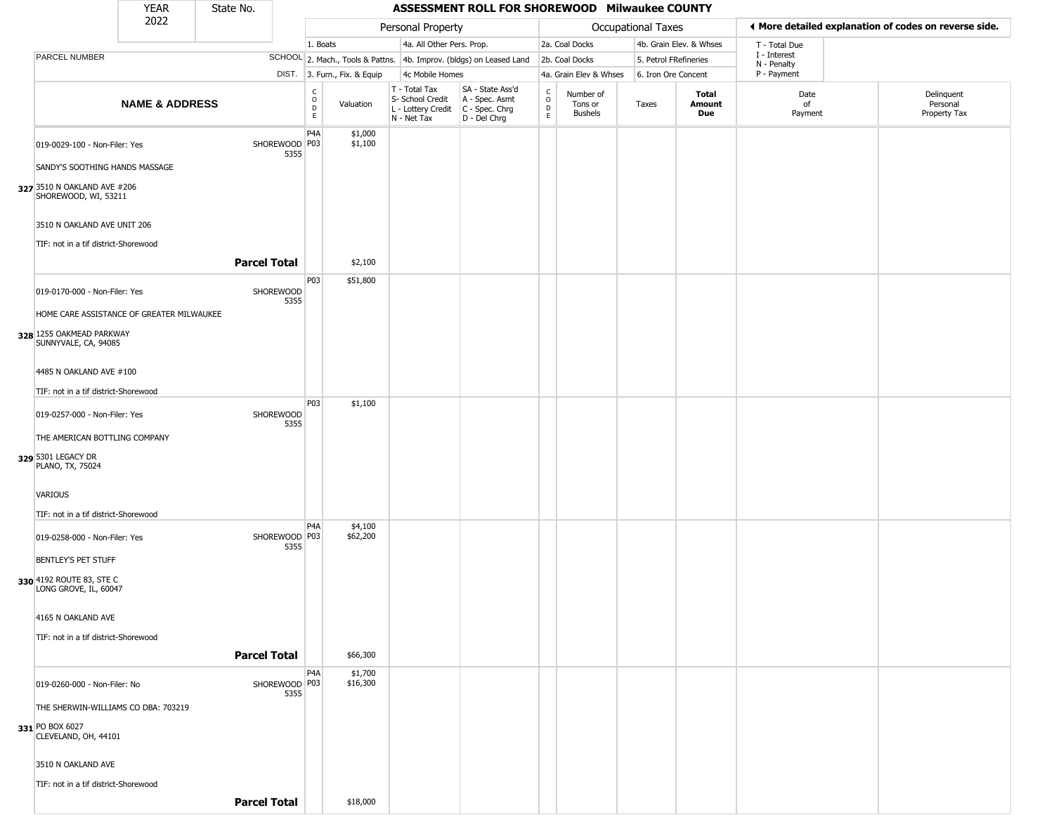|                                                                     | YEAR                      | State No.           |                       |                        |                              |                                                                        | ASSESSMENT ROLL FOR SHOREWOOD Milwaukee COUNTY                       |                                                   |                                        |                       |                         |                                                       |                                        |
|---------------------------------------------------------------------|---------------------------|---------------------|-----------------------|------------------------|------------------------------|------------------------------------------------------------------------|----------------------------------------------------------------------|---------------------------------------------------|----------------------------------------|-----------------------|-------------------------|-------------------------------------------------------|----------------------------------------|
|                                                                     | 2022                      |                     |                       |                        |                              | Personal Property                                                      |                                                                      |                                                   |                                        | Occupational Taxes    |                         | ♦ More detailed explanation of codes on reverse side. |                                        |
|                                                                     |                           |                     |                       | 1. Boats               |                              | 4a. All Other Pers. Prop.                                              |                                                                      |                                                   | 2a. Coal Docks                         |                       | 4b. Grain Elev. & Whses | T - Total Due                                         |                                        |
| PARCEL NUMBER                                                       |                           |                     |                       |                        |                              |                                                                        | SCHOOL 2. Mach., Tools & Pattns. 4b. Improv. (bldgs) on Leased Land  |                                                   | 2b. Coal Docks                         | 5. Petrol FRefineries |                         | I - Interest<br>N - Penalty                           |                                        |
|                                                                     |                           |                     |                       |                        | DIST. 3. Furn., Fix. & Equip | 4c Mobile Homes                                                        |                                                                      |                                                   | 4a. Grain Elev & Whses                 | 6. Iron Ore Concent   |                         | P - Payment                                           |                                        |
|                                                                     | <b>NAME &amp; ADDRESS</b> |                     |                       | C<br>$\circ$<br>D<br>E | Valuation                    | T - Total Tax<br>S- School Credit<br>L - Lottery Credit<br>N - Net Tax | SA - State Ass'd<br>A - Spec. Asmt<br>C - Spec. Chrg<br>D - Del Chrg | $\begin{array}{c}\nC \\ O \\ D \\ E\n\end{array}$ | Number of<br>Tons or<br><b>Bushels</b> | Taxes                 | Total<br>Amount<br>Due  | Date<br>of<br>Payment                                 | Delinquent<br>Personal<br>Property Tax |
| 019-0029-100 - Non-Filer: Yes                                       |                           |                     | SHOREWOOD P03<br>5355 | P <sub>4</sub> A       | \$1,000<br>\$1,100           |                                                                        |                                                                      |                                                   |                                        |                       |                         |                                                       |                                        |
| SANDY'S SOOTHING HANDS MASSAGE                                      |                           |                     |                       |                        |                              |                                                                        |                                                                      |                                                   |                                        |                       |                         |                                                       |                                        |
| 327 3510 N OAKLAND AVE #206<br>SHOREWOOD, WI, 53211                 |                           |                     |                       |                        |                              |                                                                        |                                                                      |                                                   |                                        |                       |                         |                                                       |                                        |
| 3510 N OAKLAND AVE UNIT 206<br>TIF: not in a tif district-Shorewood |                           |                     |                       |                        |                              |                                                                        |                                                                      |                                                   |                                        |                       |                         |                                                       |                                        |
|                                                                     |                           | <b>Parcel Total</b> |                       |                        | \$2,100                      |                                                                        |                                                                      |                                                   |                                        |                       |                         |                                                       |                                        |
| 019-0170-000 - Non-Filer: Yes                                       |                           |                     | SHOREWOOD<br>5355     | P03                    | \$51,800                     |                                                                        |                                                                      |                                                   |                                        |                       |                         |                                                       |                                        |
| HOME CARE ASSISTANCE OF GREATER MILWAUKEE                           |                           |                     |                       |                        |                              |                                                                        |                                                                      |                                                   |                                        |                       |                         |                                                       |                                        |
| 328 1255 OAKMEAD PARKWAY<br>SUNNYVALE, CA, 94085                    |                           |                     |                       |                        |                              |                                                                        |                                                                      |                                                   |                                        |                       |                         |                                                       |                                        |
| 4485 N OAKLAND AVE #100                                             |                           |                     |                       |                        |                              |                                                                        |                                                                      |                                                   |                                        |                       |                         |                                                       |                                        |
| TIF: not in a tif district-Shorewood                                |                           |                     |                       |                        |                              |                                                                        |                                                                      |                                                   |                                        |                       |                         |                                                       |                                        |
| 019-0257-000 - Non-Filer: Yes                                       |                           |                     | SHOREWOOD<br>5355     | P03                    | \$1,100                      |                                                                        |                                                                      |                                                   |                                        |                       |                         |                                                       |                                        |
| THE AMERICAN BOTTLING COMPANY                                       |                           |                     |                       |                        |                              |                                                                        |                                                                      |                                                   |                                        |                       |                         |                                                       |                                        |
| 329 5301 LEGACY DR<br>PLANO, TX, 75024                              |                           |                     |                       |                        |                              |                                                                        |                                                                      |                                                   |                                        |                       |                         |                                                       |                                        |
| VARIOUS                                                             |                           |                     |                       |                        |                              |                                                                        |                                                                      |                                                   |                                        |                       |                         |                                                       |                                        |
| TIF: not in a tif district-Shorewood                                |                           |                     |                       |                        |                              |                                                                        |                                                                      |                                                   |                                        |                       |                         |                                                       |                                        |
| 019-0258-000 - Non-Filer: Yes                                       |                           |                     | SHOREWOOD P03<br>5355 | P <sub>4</sub> A       | \$4,100<br>\$62,200          |                                                                        |                                                                      |                                                   |                                        |                       |                         |                                                       |                                        |
| BENTLEY'S PET STUFF                                                 |                           |                     |                       |                        |                              |                                                                        |                                                                      |                                                   |                                        |                       |                         |                                                       |                                        |
| 330 4192 ROUTE 83, STE C<br>LONG GROVE, IL, 60047                   |                           |                     |                       |                        |                              |                                                                        |                                                                      |                                                   |                                        |                       |                         |                                                       |                                        |
| 4165 N OAKLAND AVE                                                  |                           |                     |                       |                        |                              |                                                                        |                                                                      |                                                   |                                        |                       |                         |                                                       |                                        |
| TIF: not in a tif district-Shorewood                                |                           |                     |                       |                        |                              |                                                                        |                                                                      |                                                   |                                        |                       |                         |                                                       |                                        |
|                                                                     |                           | <b>Parcel Total</b> |                       |                        | \$66,300                     |                                                                        |                                                                      |                                                   |                                        |                       |                         |                                                       |                                        |
| 019-0260-000 - Non-Filer: No                                        |                           |                     | SHOREWOOD P03<br>5355 | P <sub>4</sub> A       | \$1,700<br>\$16,300          |                                                                        |                                                                      |                                                   |                                        |                       |                         |                                                       |                                        |
| THE SHERWIN-WILLIAMS CO DBA: 703219                                 |                           |                     |                       |                        |                              |                                                                        |                                                                      |                                                   |                                        |                       |                         |                                                       |                                        |
| 331 PO BOX 6027<br>CLEVELAND, OH, 44101                             |                           |                     |                       |                        |                              |                                                                        |                                                                      |                                                   |                                        |                       |                         |                                                       |                                        |
| 3510 N OAKLAND AVE                                                  |                           |                     |                       |                        |                              |                                                                        |                                                                      |                                                   |                                        |                       |                         |                                                       |                                        |
| TIF: not in a tif district-Shorewood                                |                           |                     |                       |                        |                              |                                                                        |                                                                      |                                                   |                                        |                       |                         |                                                       |                                        |
|                                                                     |                           | <b>Parcel Total</b> |                       |                        | \$18,000                     |                                                                        |                                                                      |                                                   |                                        |                       |                         |                                                       |                                        |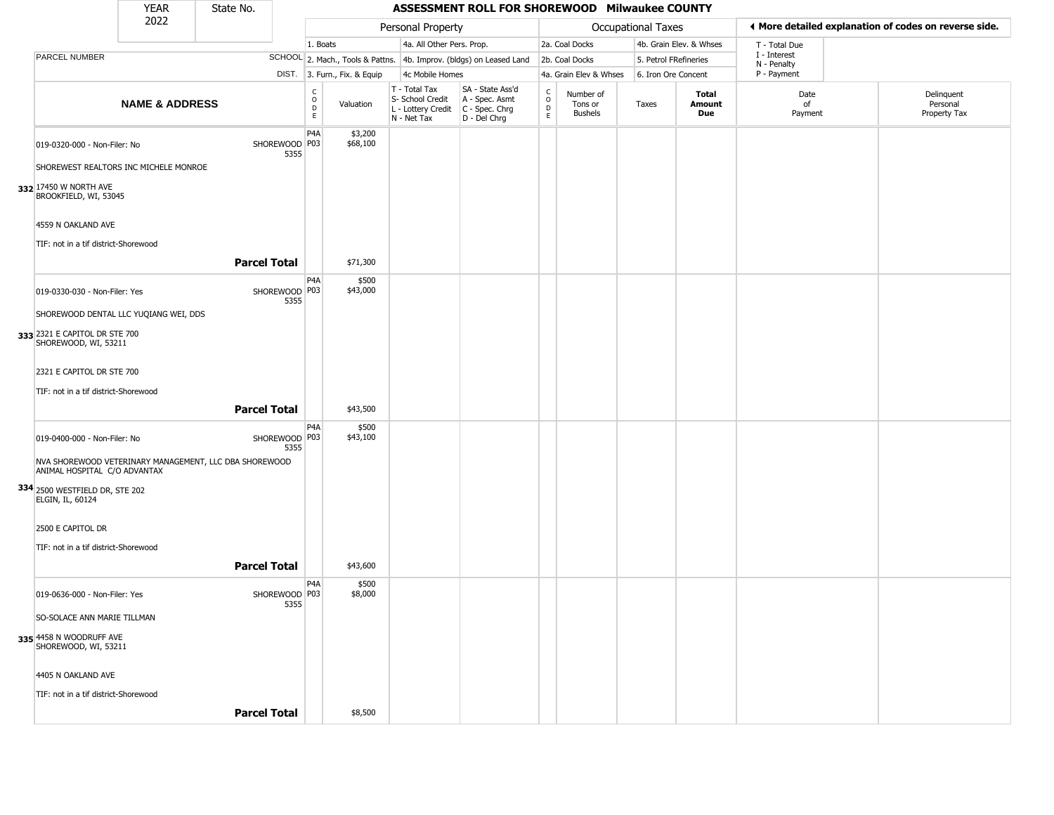|                                                                                        | <b>YEAR</b>               | State No. |                         |                         |                              |                                                                        | ASSESSMENT ROLL FOR SHOREWOOD Milwaukee COUNTY                         |                                   |                                 |                       |                         |                             |                                                       |
|----------------------------------------------------------------------------------------|---------------------------|-----------|-------------------------|-------------------------|------------------------------|------------------------------------------------------------------------|------------------------------------------------------------------------|-----------------------------------|---------------------------------|-----------------------|-------------------------|-----------------------------|-------------------------------------------------------|
|                                                                                        | 2022                      |           |                         |                         |                              | Personal Property                                                      |                                                                        |                                   |                                 | Occupational Taxes    |                         |                             | ◀ More detailed explanation of codes on reverse side. |
|                                                                                        |                           |           |                         | 1. Boats                |                              | 4a. All Other Pers. Prop.                                              |                                                                        |                                   | 2a. Coal Docks                  |                       | 4b. Grain Elev. & Whses | T - Total Due               |                                                       |
| <b>PARCEL NUMBER</b>                                                                   |                           |           |                         |                         |                              |                                                                        | SCHOOL 2. Mach., Tools & Pattns. 4b. Improv. (bldgs) on Leased Land    |                                   | 2b. Coal Docks                  | 5. Petrol FRefineries |                         | I - Interest<br>N - Penalty |                                                       |
|                                                                                        |                           |           |                         |                         | DIST. 3. Furn., Fix. & Equip | 4c Mobile Homes                                                        |                                                                        |                                   | 4a. Grain Elev & Whses          | 6. Iron Ore Concent   |                         | P - Payment                 |                                                       |
|                                                                                        | <b>NAME &amp; ADDRESS</b> |           |                         | C<br>$\circ$<br>D<br>E. | Valuation                    | T - Total Tax<br>S- School Credit<br>L - Lottery Credit<br>N - Net Tax | SA - State Ass'd<br>A - Spec. Asmt<br>$C - Spec. Chrg$<br>D - Del Chrg | $\mathsf{C}$<br>$\circ$<br>D<br>E | Number of<br>Tons or<br>Bushels | Taxes                 | Total<br>Amount<br>Due  | Date<br>of<br>Payment       | Delinquent<br>Personal<br>Property Tax                |
| 019-0320-000 - Non-Filer: No<br>SHOREWEST REALTORS INC MICHELE MONROE                  |                           |           | SHOREWOOD P03<br>5355   | P4A                     | \$3,200<br>\$68,100          |                                                                        |                                                                        |                                   |                                 |                       |                         |                             |                                                       |
| 332 17450 W NORTH AVE<br>BROOKFIELD, WI, 53045<br>4559 N OAKLAND AVE                   |                           |           |                         |                         |                              |                                                                        |                                                                        |                                   |                                 |                       |                         |                             |                                                       |
| TIF: not in a tif district-Shorewood                                                   |                           |           | <b>Parcel Total</b>     |                         | \$71,300                     |                                                                        |                                                                        |                                   |                                 |                       |                         |                             |                                                       |
|                                                                                        |                           |           |                         |                         |                              |                                                                        |                                                                        |                                   |                                 |                       |                         |                             |                                                       |
| 019-0330-030 - Non-Filer: Yes                                                          |                           |           | SHOREWOOD P03<br>5355   | P <sub>4</sub> A        | \$500<br>\$43,000            |                                                                        |                                                                        |                                   |                                 |                       |                         |                             |                                                       |
| SHOREWOOD DENTAL LLC YUQIANG WEI, DDS                                                  |                           |           |                         |                         |                              |                                                                        |                                                                        |                                   |                                 |                       |                         |                             |                                                       |
| 333 2321 E CAPITOL DR STE 700<br>SHOREWOOD, WI, 53211                                  |                           |           |                         |                         |                              |                                                                        |                                                                        |                                   |                                 |                       |                         |                             |                                                       |
| 2321 E CAPITOL DR STE 700                                                              |                           |           |                         |                         |                              |                                                                        |                                                                        |                                   |                                 |                       |                         |                             |                                                       |
| TIF: not in a tif district-Shorewood                                                   |                           |           |                         |                         |                              |                                                                        |                                                                        |                                   |                                 |                       |                         |                             |                                                       |
|                                                                                        |                           |           | <b>Parcel Total</b>     |                         | \$43,500                     |                                                                        |                                                                        |                                   |                                 |                       |                         |                             |                                                       |
| 019-0400-000 - Non-Filer: No                                                           |                           |           | SHOREWOOD   P03<br>5355 | P <sub>4</sub> A        | \$500<br>\$43,100            |                                                                        |                                                                        |                                   |                                 |                       |                         |                             |                                                       |
| NVA SHOREWOOD VETERINARY MANAGEMENT, LLC DBA SHOREWOOD<br>ANIMAL HOSPITAL C/O ADVANTAX |                           |           |                         |                         |                              |                                                                        |                                                                        |                                   |                                 |                       |                         |                             |                                                       |
| 334 2500 WESTFIELD DR, STE 202<br>ELGIN, IL, 60124                                     |                           |           |                         |                         |                              |                                                                        |                                                                        |                                   |                                 |                       |                         |                             |                                                       |
| 2500 E CAPITOL DR<br>TIF: not in a tif district-Shorewood                              |                           |           |                         |                         |                              |                                                                        |                                                                        |                                   |                                 |                       |                         |                             |                                                       |
|                                                                                        |                           |           | <b>Parcel Total</b>     |                         | \$43,600                     |                                                                        |                                                                        |                                   |                                 |                       |                         |                             |                                                       |
| 019-0636-000 - Non-Filer: Yes                                                          |                           |           | SHOREWOOD   P03<br>5355 | P <sub>4</sub> A        | \$500<br>\$8,000             |                                                                        |                                                                        |                                   |                                 |                       |                         |                             |                                                       |
| SO-SOLACE ANN MARIE TILLMAN                                                            |                           |           |                         |                         |                              |                                                                        |                                                                        |                                   |                                 |                       |                         |                             |                                                       |
| 335 4458 N WOODRUFF AVE<br>SHOREWOOD, WI, 53211                                        |                           |           |                         |                         |                              |                                                                        |                                                                        |                                   |                                 |                       |                         |                             |                                                       |
| 4405 N OAKLAND AVE                                                                     |                           |           |                         |                         |                              |                                                                        |                                                                        |                                   |                                 |                       |                         |                             |                                                       |
| TIF: not in a tif district-Shorewood                                                   |                           |           |                         |                         |                              |                                                                        |                                                                        |                                   |                                 |                       |                         |                             |                                                       |
|                                                                                        |                           |           | <b>Parcel Total</b>     |                         | \$8,500                      |                                                                        |                                                                        |                                   |                                 |                       |                         |                             |                                                       |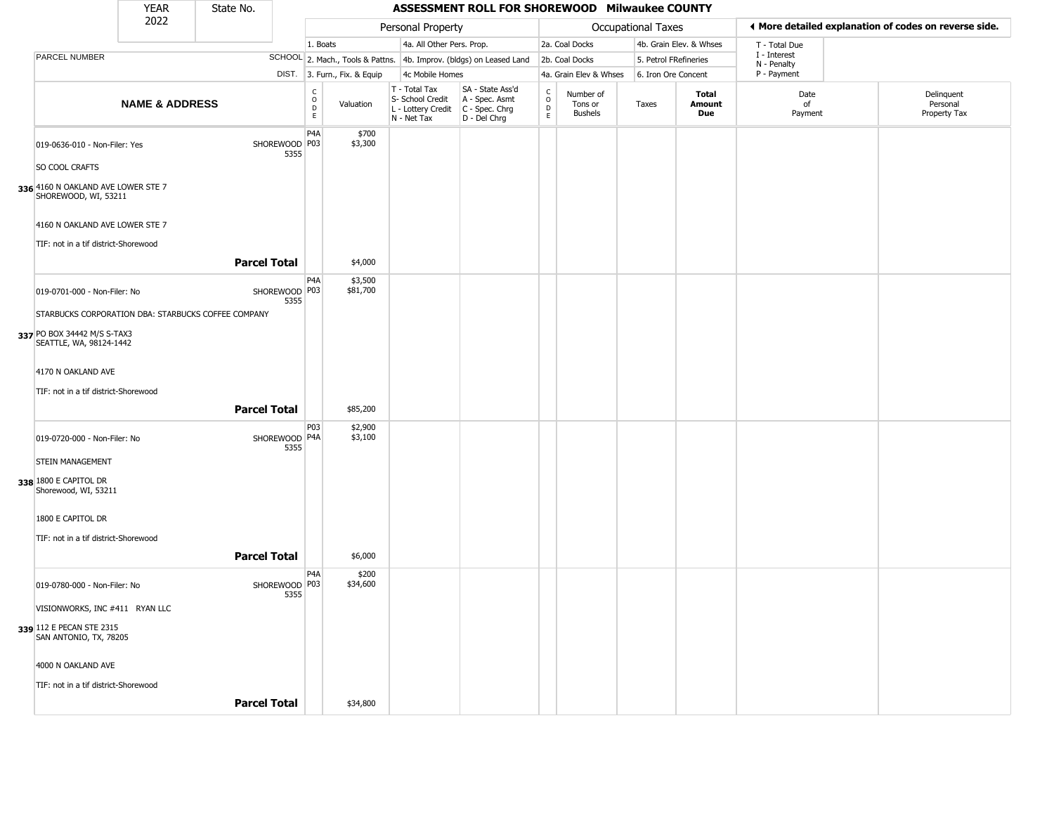|                                                                          | <b>YEAR</b>               | State No.           |                       |                                |                              |                                                                        | ASSESSMENT ROLL FOR SHOREWOOD Milwaukee COUNTY                       |                                    |                                        |                           |                         |                             |                                                       |
|--------------------------------------------------------------------------|---------------------------|---------------------|-----------------------|--------------------------------|------------------------------|------------------------------------------------------------------------|----------------------------------------------------------------------|------------------------------------|----------------------------------------|---------------------------|-------------------------|-----------------------------|-------------------------------------------------------|
|                                                                          | 2022                      |                     |                       |                                |                              | Personal Property                                                      |                                                                      |                                    |                                        | <b>Occupational Taxes</b> |                         |                             | ♦ More detailed explanation of codes on reverse side. |
|                                                                          |                           |                     |                       | 1. Boats                       |                              | 4a. All Other Pers. Prop.                                              |                                                                      |                                    | 2a. Coal Docks                         |                           | 4b. Grain Elev. & Whses | T - Total Due               |                                                       |
| PARCEL NUMBER                                                            |                           |                     |                       |                                |                              |                                                                        | SCHOOL 2. Mach., Tools & Pattns. 4b. Improv. (bldgs) on Leased Land  |                                    | 2b. Coal Docks                         | 5. Petrol FRefineries     |                         | I - Interest<br>N - Penalty |                                                       |
|                                                                          |                           |                     |                       |                                | DIST. 3. Furn., Fix. & Equip | 4c Mobile Homes                                                        |                                                                      |                                    | 4a. Grain Elev & Whses                 | 6. Iron Ore Concent       |                         | P - Payment                 |                                                       |
|                                                                          | <b>NAME &amp; ADDRESS</b> |                     |                       | $\rm _o^C$<br>D<br>$\mathsf E$ | Valuation                    | T - Total Tax<br>S- School Credit<br>L - Lottery Credit<br>N - Net Tax | SA - State Ass'd<br>A - Spec. Asmt<br>C - Spec. Chrg<br>D - Del Chrg | $\rm_{o}^{c}$<br>$\mathsf{D}$<br>E | Number of<br>Tons or<br><b>Bushels</b> | Taxes                     | Total<br>Amount<br>Due  | Date<br>of<br>Payment       | Delinquent<br>Personal<br>Property Tax                |
| 019-0636-010 - Non-Filer: Yes<br>SO COOL CRAFTS                          |                           |                     | SHOREWOOD P03<br>5355 | P4A                            | \$700<br>\$3,300             |                                                                        |                                                                      |                                    |                                        |                           |                         |                             |                                                       |
| 336 4160 N OAKLAND AVE LOWER STE 7<br>SHOREWOOD, WI, 53211               |                           |                     |                       |                                |                              |                                                                        |                                                                      |                                    |                                        |                           |                         |                             |                                                       |
| 4160 N OAKLAND AVE LOWER STE 7<br>TIF: not in a tif district-Shorewood   |                           |                     |                       |                                |                              |                                                                        |                                                                      |                                    |                                        |                           |                         |                             |                                                       |
|                                                                          |                           | <b>Parcel Total</b> |                       |                                | \$4,000                      |                                                                        |                                                                      |                                    |                                        |                           |                         |                             |                                                       |
| 019-0701-000 - Non-Filer: No                                             |                           |                     | SHOREWOOD P03<br>5355 | P <sub>4</sub> A               | \$3,500<br>\$81,700          |                                                                        |                                                                      |                                    |                                        |                           |                         |                             |                                                       |
| STARBUCKS CORPORATION DBA: STARBUCKS COFFEE COMPANY                      |                           |                     |                       |                                |                              |                                                                        |                                                                      |                                    |                                        |                           |                         |                             |                                                       |
| 337 PO BOX 34442 M/S S-TAX3<br>SEATTLE, WA, 98124-1442                   |                           |                     |                       |                                |                              |                                                                        |                                                                      |                                    |                                        |                           |                         |                             |                                                       |
| 4170 N OAKLAND AVE                                                       |                           |                     |                       |                                |                              |                                                                        |                                                                      |                                    |                                        |                           |                         |                             |                                                       |
| TIF: not in a tif district-Shorewood                                     |                           |                     |                       |                                |                              |                                                                        |                                                                      |                                    |                                        |                           |                         |                             |                                                       |
|                                                                          |                           | <b>Parcel Total</b> |                       |                                | \$85,200                     |                                                                        |                                                                      |                                    |                                        |                           |                         |                             |                                                       |
| 019-0720-000 - Non-Filer: No                                             |                           |                     | SHOREWOOD P4A<br>5355 | P <sub>0</sub> 3               | \$2,900<br>\$3,100           |                                                                        |                                                                      |                                    |                                        |                           |                         |                             |                                                       |
| <b>STEIN MANAGEMENT</b><br>338 1800 E CAPITOL DR<br>Shorewood, WI, 53211 |                           |                     |                       |                                |                              |                                                                        |                                                                      |                                    |                                        |                           |                         |                             |                                                       |
| 1800 E CAPITOL DR                                                        |                           |                     |                       |                                |                              |                                                                        |                                                                      |                                    |                                        |                           |                         |                             |                                                       |
| TIF: not in a tif district-Shorewood                                     |                           | <b>Parcel Total</b> |                       |                                | \$6,000                      |                                                                        |                                                                      |                                    |                                        |                           |                         |                             |                                                       |
| 019-0780-000 - Non-Filer: No                                             |                           |                     | SHOREWOOD P03<br>5355 | P <sub>4</sub> A               | \$200<br>\$34,600            |                                                                        |                                                                      |                                    |                                        |                           |                         |                             |                                                       |
| VISIONWORKS, INC #411 RYAN LLC                                           |                           |                     |                       |                                |                              |                                                                        |                                                                      |                                    |                                        |                           |                         |                             |                                                       |
| 339 112 E PECAN STE 2315<br>SAN ANTONIO, TX, 78205                       |                           |                     |                       |                                |                              |                                                                        |                                                                      |                                    |                                        |                           |                         |                             |                                                       |
| 4000 N OAKLAND AVE                                                       |                           |                     |                       |                                |                              |                                                                        |                                                                      |                                    |                                        |                           |                         |                             |                                                       |
| TIF: not in a tif district-Shorewood                                     |                           |                     |                       |                                |                              |                                                                        |                                                                      |                                    |                                        |                           |                         |                             |                                                       |
|                                                                          |                           | <b>Parcel Total</b> |                       |                                | \$34,800                     |                                                                        |                                                                      |                                    |                                        |                           |                         |                             |                                                       |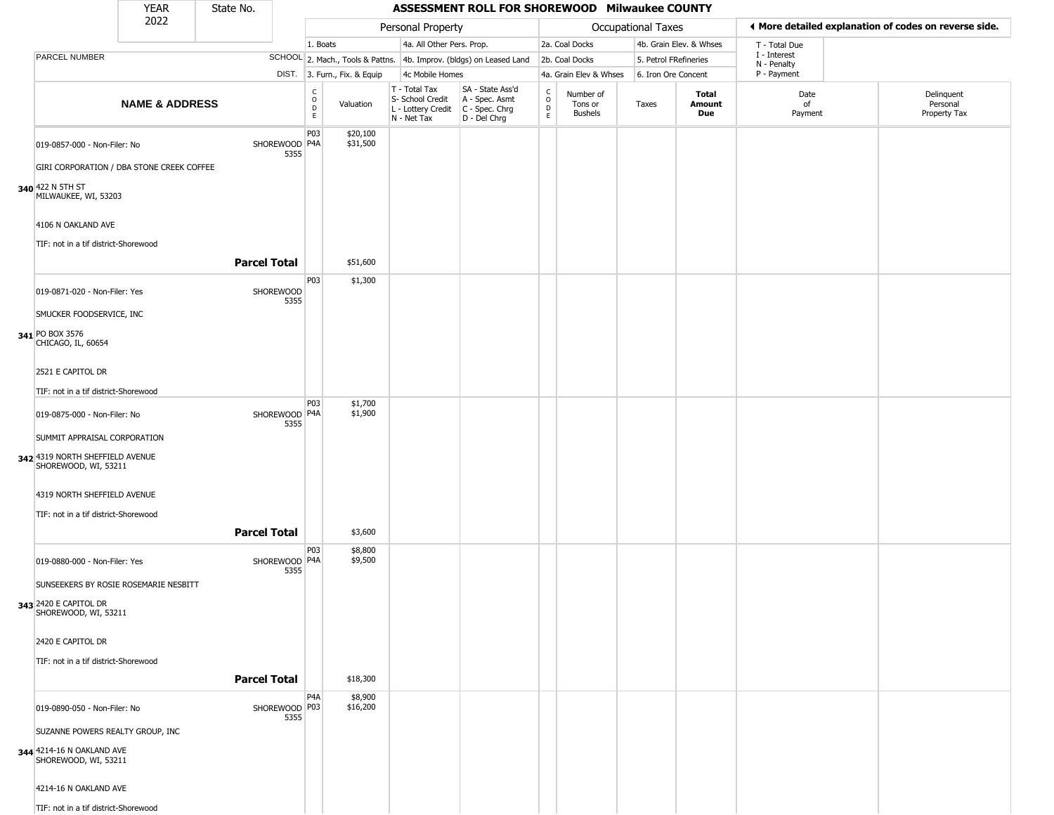|                                                                                                                                                | <b>YEAR</b>               | State No.           |                         |                        |                              |                                                                        | ASSESSMENT ROLL FOR SHOREWOOD Milwaukee COUNTY                       |                                                          |                                        |                           |                         |                            |                                                       |
|------------------------------------------------------------------------------------------------------------------------------------------------|---------------------------|---------------------|-------------------------|------------------------|------------------------------|------------------------------------------------------------------------|----------------------------------------------------------------------|----------------------------------------------------------|----------------------------------------|---------------------------|-------------------------|----------------------------|-------------------------------------------------------|
|                                                                                                                                                | 2022                      |                     |                         |                        |                              | Personal Property                                                      |                                                                      |                                                          |                                        | <b>Occupational Taxes</b> |                         |                            | ◀ More detailed explanation of codes on reverse side. |
|                                                                                                                                                |                           |                     |                         | 1. Boats               |                              | 4a. All Other Pers. Prop.                                              |                                                                      |                                                          | 2a. Coal Docks                         |                           | 4b. Grain Elev. & Whses | T - Total Due              |                                                       |
| PARCEL NUMBER                                                                                                                                  |                           |                     |                         |                        |                              |                                                                        | SCHOOL 2. Mach., Tools & Pattns. 4b. Improv. (bldgs) on Leased Land  |                                                          | 2b. Coal Docks                         | 5. Petrol FRefineries     |                         | I - Interest               |                                                       |
|                                                                                                                                                |                           |                     |                         |                        | DIST. 3. Furn., Fix. & Equip | 4c Mobile Homes                                                        |                                                                      |                                                          | 4a. Grain Elev & Whses                 | 6. Iron Ore Concent       |                         | N - Penalty<br>P - Payment |                                                       |
|                                                                                                                                                | <b>NAME &amp; ADDRESS</b> |                     |                         | C<br>$\circ$<br>D<br>E | Valuation                    | T - Total Tax<br>S- School Credit<br>L - Lottery Credit<br>N - Net Tax | SA - State Ass'd<br>A - Spec. Asmt<br>C - Spec. Chrg<br>D - Del Chrg | $\begin{smallmatrix} C \\ O \\ D \end{smallmatrix}$<br>E | Number of<br>Tons or<br><b>Bushels</b> | Taxes                     | Total<br>Amount<br>Due  | Date<br>of<br>Payment      | Delinquent<br>Personal<br>Property Tax                |
| 019-0857-000 - Non-Filer: No<br>GIRI CORPORATION / DBA STONE CREEK COFFEE<br>340 422 N 5TH ST<br>MILWAUKEE, WI, 53203                          |                           |                     | SHOREWOOD P4A<br>5355   | P03                    | \$20,100<br>\$31,500         |                                                                        |                                                                      |                                                          |                                        |                           |                         |                            |                                                       |
| 4106 N OAKLAND AVE<br>TIF: not in a tif district-Shorewood                                                                                     |                           | <b>Parcel Total</b> |                         |                        | \$51,600                     |                                                                        |                                                                      |                                                          |                                        |                           |                         |                            |                                                       |
| 019-0871-020 - Non-Filer: Yes<br>SMUCKER FOODSERVICE, INC<br>341 PO BOX 3576                                                                   |                           |                     | SHOREWOOD<br>5355       | P03                    | \$1,300                      |                                                                        |                                                                      |                                                          |                                        |                           |                         |                            |                                                       |
| CHICAGO, IL, 60654<br>2521 E CAPITOL DR<br>TIF: not in a tif district-Shorewood                                                                |                           |                     |                         | P03                    | \$1,700                      |                                                                        |                                                                      |                                                          |                                        |                           |                         |                            |                                                       |
| 019-0875-000 - Non-Filer: No<br>SUMMIT APPRAISAL CORPORATION<br>342 4319 NORTH SHEFFIELD AVENUE<br>SHOREWOOD, WI, 53211                        |                           |                     | SHOREWOOD P4A<br>5355   |                        | \$1,900                      |                                                                        |                                                                      |                                                          |                                        |                           |                         |                            |                                                       |
| 4319 NORTH SHEFFIELD AVENUE<br>TIF: not in a tif district-Shorewood                                                                            |                           | <b>Parcel Total</b> |                         |                        | \$3,600                      |                                                                        |                                                                      |                                                          |                                        |                           |                         |                            |                                                       |
| 019-0880-000 - Non-Filer: Yes<br>SUNSEEKERS BY ROSIE ROSEMARIE NESBITT<br>343 2420 E CAPITOL DR<br>SHOREWOOD, WI, 53211                        |                           |                     | SHOREWOOD   P4A<br>5355 | P03                    | \$8,800<br>\$9,500           |                                                                        |                                                                      |                                                          |                                        |                           |                         |                            |                                                       |
| 2420 E CAPITOL DR<br>TIF: not in a tif district-Shorewood                                                                                      |                           | <b>Parcel Total</b> |                         |                        | \$18,300                     |                                                                        |                                                                      |                                                          |                                        |                           |                         |                            |                                                       |
| 019-0890-050 - Non-Filer: No<br>SUZANNE POWERS REALTY GROUP, INC<br>344 4214-16 N OAKLAND AVE<br>SHOREWOOD, WI, 53211<br>4214-16 N OAKLAND AVE |                           |                     | SHOREWOOD P03<br>5355   | P <sub>4</sub> A       | \$8,900<br>\$16,200          |                                                                        |                                                                      |                                                          |                                        |                           |                         |                            |                                                       |

n.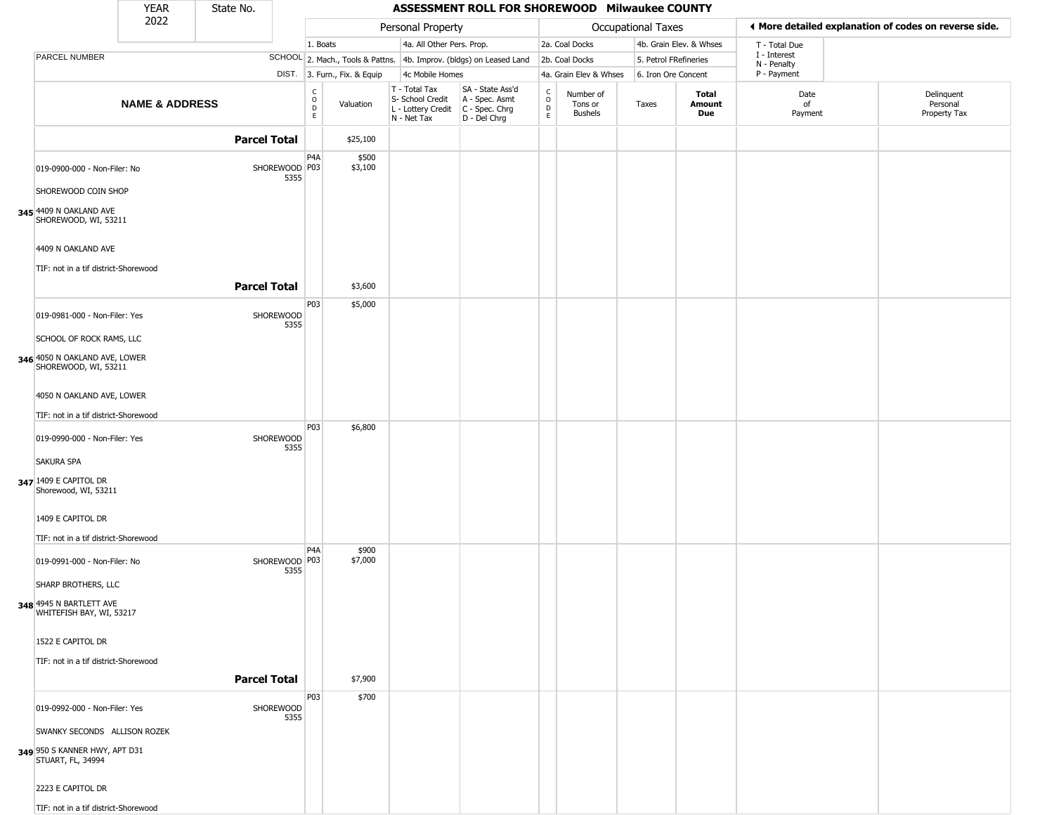|                                                            | <b>YEAR</b>               | State No.           |                         |                                                |                              |                                                                                                          | ASSESSMENT ROLL FOR SHOREWOOD Milwaukee COUNTY                      |                                                          |                                 |                       |                         |                             |                                                       |
|------------------------------------------------------------|---------------------------|---------------------|-------------------------|------------------------------------------------|------------------------------|----------------------------------------------------------------------------------------------------------|---------------------------------------------------------------------|----------------------------------------------------------|---------------------------------|-----------------------|-------------------------|-----------------------------|-------------------------------------------------------|
|                                                            | 2022                      |                     |                         |                                                |                              | Personal Property                                                                                        |                                                                     |                                                          |                                 | Occupational Taxes    |                         |                             | ♦ More detailed explanation of codes on reverse side. |
|                                                            |                           |                     |                         | 1. Boats                                       |                              | 4a. All Other Pers. Prop.                                                                                |                                                                     |                                                          | 2a. Coal Docks                  |                       | 4b. Grain Elev. & Whses | T - Total Due               |                                                       |
| PARCEL NUMBER                                              |                           |                     |                         |                                                |                              |                                                                                                          | SCHOOL 2. Mach., Tools & Pattns. 4b. Improv. (bldgs) on Leased Land |                                                          | 2b. Coal Docks                  | 5. Petrol FRefineries |                         | I - Interest<br>N - Penalty |                                                       |
|                                                            |                           |                     |                         |                                                | DIST. 3. Furn., Fix. & Equip | 4c Mobile Homes                                                                                          |                                                                     |                                                          | 4a. Grain Elev & Whses          | 6. Iron Ore Concent   |                         | P - Payment                 |                                                       |
|                                                            | <b>NAME &amp; ADDRESS</b> |                     |                         | $\begin{matrix} 0 \\ 0 \\ D \end{matrix}$<br>E | Valuation                    | T - Total Tax<br>S- School Credit   A - Spec. Asmt<br>L - Lottery Credit   C - Spec. Chrg<br>N - Net Tax | SA - State Ass'd<br>D - Del Chrg                                    | $\begin{smallmatrix} C \\ O \\ D \end{smallmatrix}$<br>E | Number of<br>Tons or<br>Bushels | Taxes                 | Total<br>Amount<br>Due  | Date<br>of<br>Payment       | Delinquent<br>Personal<br>Property Tax                |
|                                                            |                           | <b>Parcel Total</b> |                         |                                                | \$25,100                     |                                                                                                          |                                                                     |                                                          |                                 |                       |                         |                             |                                                       |
| 019-0900-000 - Non-Filer: No                               |                           |                     | SHOREWOOD   P03<br>5355 | P <sub>4</sub> A                               | \$500<br>\$3,100             |                                                                                                          |                                                                     |                                                          |                                 |                       |                         |                             |                                                       |
| SHOREWOOD COIN SHOP                                        |                           |                     |                         |                                                |                              |                                                                                                          |                                                                     |                                                          |                                 |                       |                         |                             |                                                       |
| 345 4409 N OAKLAND AVE<br>SHOREWOOD, WI, 53211             |                           |                     |                         |                                                |                              |                                                                                                          |                                                                     |                                                          |                                 |                       |                         |                             |                                                       |
| 4409 N OAKLAND AVE<br>TIF: not in a tif district-Shorewood |                           |                     |                         |                                                |                              |                                                                                                          |                                                                     |                                                          |                                 |                       |                         |                             |                                                       |
|                                                            |                           | <b>Parcel Total</b> |                         |                                                | \$3,600                      |                                                                                                          |                                                                     |                                                          |                                 |                       |                         |                             |                                                       |
| 019-0981-000 - Non-Filer: Yes                              |                           |                     | SHOREWOOD<br>5355       | P03                                            | \$5,000                      |                                                                                                          |                                                                     |                                                          |                                 |                       |                         |                             |                                                       |
| SCHOOL OF ROCK RAMS, LLC                                   |                           |                     |                         |                                                |                              |                                                                                                          |                                                                     |                                                          |                                 |                       |                         |                             |                                                       |
| 346 4050 N OAKLAND AVE, LOWER<br>SHOREWOOD, WI, 53211      |                           |                     |                         |                                                |                              |                                                                                                          |                                                                     |                                                          |                                 |                       |                         |                             |                                                       |
| 4050 N OAKLAND AVE, LOWER                                  |                           |                     |                         |                                                |                              |                                                                                                          |                                                                     |                                                          |                                 |                       |                         |                             |                                                       |
| TIF: not in a tif district-Shorewood                       |                           |                     |                         |                                                |                              |                                                                                                          |                                                                     |                                                          |                                 |                       |                         |                             |                                                       |
| 019-0990-000 - Non-Filer: Yes                              |                           |                     | SHOREWOOD<br>5355       | P03                                            | \$6,800                      |                                                                                                          |                                                                     |                                                          |                                 |                       |                         |                             |                                                       |
| SAKURA SPA                                                 |                           |                     |                         |                                                |                              |                                                                                                          |                                                                     |                                                          |                                 |                       |                         |                             |                                                       |
| 347 1409 E CAPITOL DR<br>Shorewood, WI, 53211              |                           |                     |                         |                                                |                              |                                                                                                          |                                                                     |                                                          |                                 |                       |                         |                             |                                                       |
| 1409 E CAPITOL DR                                          |                           |                     |                         |                                                |                              |                                                                                                          |                                                                     |                                                          |                                 |                       |                         |                             |                                                       |
| TIF: not in a tif district-Shorewood                       |                           |                     |                         |                                                |                              |                                                                                                          |                                                                     |                                                          |                                 |                       |                         |                             |                                                       |
| 019-0991-000 - Non-Filer: No                               |                           |                     | SHOREWOOD   P03<br>5355 | P <sub>4</sub> A                               | \$900<br>\$7,000             |                                                                                                          |                                                                     |                                                          |                                 |                       |                         |                             |                                                       |
| SHARP BROTHERS, LLC                                        |                           |                     |                         |                                                |                              |                                                                                                          |                                                                     |                                                          |                                 |                       |                         |                             |                                                       |
| 348 4945 N BARTLETT AVE<br>WHITEFISH BAY, WI, 53217        |                           |                     |                         |                                                |                              |                                                                                                          |                                                                     |                                                          |                                 |                       |                         |                             |                                                       |
| 1522 E CAPITOL DR                                          |                           |                     |                         |                                                |                              |                                                                                                          |                                                                     |                                                          |                                 |                       |                         |                             |                                                       |
| TIF: not in a tif district-Shorewood                       |                           |                     |                         |                                                |                              |                                                                                                          |                                                                     |                                                          |                                 |                       |                         |                             |                                                       |
|                                                            |                           | <b>Parcel Total</b> |                         |                                                | \$7,900                      |                                                                                                          |                                                                     |                                                          |                                 |                       |                         |                             |                                                       |
| 019-0992-000 - Non-Filer: Yes                              |                           |                     | SHOREWOOD<br>5355       | P03                                            | \$700                        |                                                                                                          |                                                                     |                                                          |                                 |                       |                         |                             |                                                       |
| SWANKY SECONDS ALLISON ROZEK                               |                           |                     |                         |                                                |                              |                                                                                                          |                                                                     |                                                          |                                 |                       |                         |                             |                                                       |
| 349 950 S KANNER HWY, APT D31<br>STUART, FL, 34994         |                           |                     |                         |                                                |                              |                                                                                                          |                                                                     |                                                          |                                 |                       |                         |                             |                                                       |
| 2223 E CAPITOL DR                                          |                           |                     |                         |                                                |                              |                                                                                                          |                                                                     |                                                          |                                 |                       |                         |                             |                                                       |
| TIF: not in a tif district-Shorewood                       |                           |                     |                         |                                                |                              |                                                                                                          |                                                                     |                                                          |                                 |                       |                         |                             |                                                       |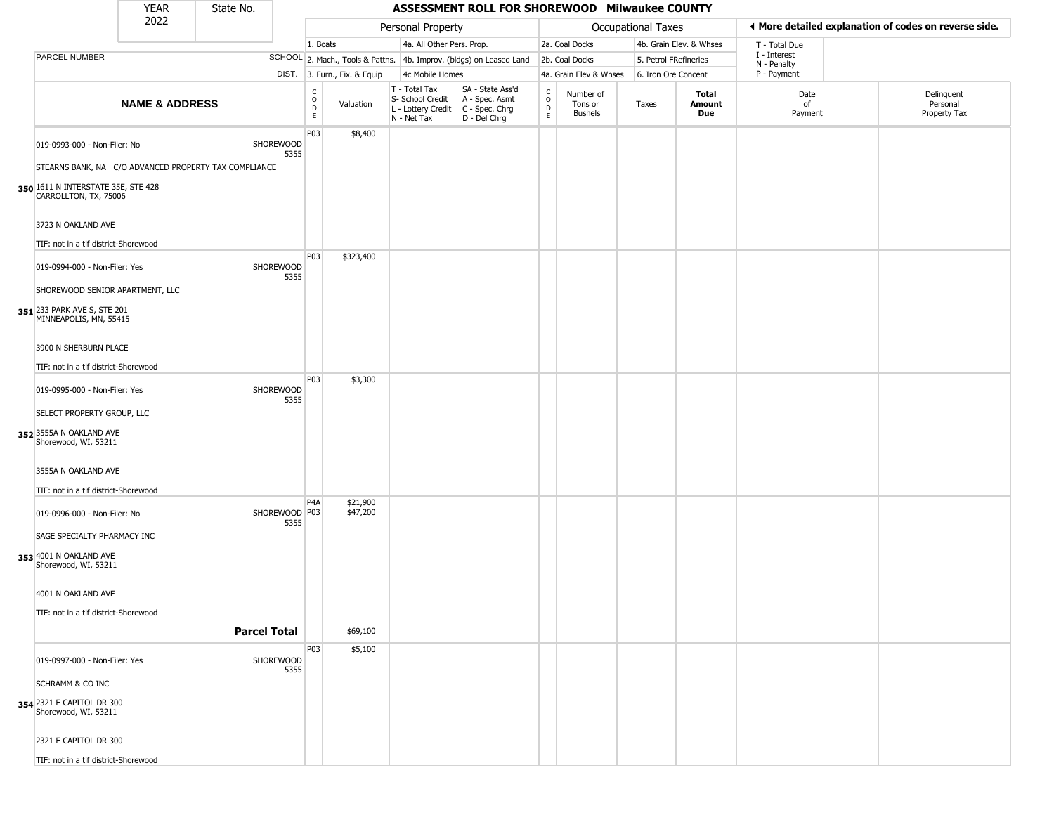|                                                                               | <b>YEAR</b>               | State No.                                             |                                   |                              |                                                                        | ASSESSMENT ROLL FOR SHOREWOOD Milwaukee COUNTY                         |                                |                                        |                           |                         |                             |                                                       |
|-------------------------------------------------------------------------------|---------------------------|-------------------------------------------------------|-----------------------------------|------------------------------|------------------------------------------------------------------------|------------------------------------------------------------------------|--------------------------------|----------------------------------------|---------------------------|-------------------------|-----------------------------|-------------------------------------------------------|
|                                                                               | 2022                      |                                                       |                                   |                              | Personal Property                                                      |                                                                        |                                |                                        | <b>Occupational Taxes</b> |                         |                             | ♦ More detailed explanation of codes on reverse side. |
|                                                                               |                           |                                                       | 1. Boats                          |                              | 4a. All Other Pers. Prop.                                              |                                                                        |                                | 2a. Coal Docks                         |                           | 4b. Grain Elev. & Whses | T - Total Due               |                                                       |
| PARCEL NUMBER                                                                 |                           |                                                       |                                   |                              |                                                                        | SCHOOL 2. Mach., Tools & Pattns. 4b. Improv. (bldgs) on Leased Land    |                                | 2b. Coal Docks                         | 5. Petrol FRefineries     |                         | I - Interest<br>N - Penalty |                                                       |
|                                                                               |                           |                                                       |                                   | DIST. 3. Furn., Fix. & Equip | 4c Mobile Homes                                                        |                                                                        |                                | 4a. Grain Elev & Whses                 | 6. Iron Ore Concent       |                         | P - Payment                 |                                                       |
|                                                                               | <b>NAME &amp; ADDRESS</b> |                                                       | $\frac{c}{0}$<br>$\mathsf D$<br>E | Valuation                    | T - Total Tax<br>S- School Credit<br>L - Lottery Credit<br>N - Net Tax | SA - State Ass'd<br>A - Spec. Asmt<br>$C - Spec. Chrg$<br>D - Del Chrg | $\rm _o^c$<br>D<br>$\mathsf E$ | Number of<br>Tons or<br><b>Bushels</b> | Taxes                     | Total<br>Amount<br>Due  | Date<br>of<br>Payment       | Delinquent<br>Personal<br>Property Tax                |
| 019-0993-000 - Non-Filer: No                                                  |                           | SHOREWOOD                                             | P03<br>5355                       | \$8,400                      |                                                                        |                                                                        |                                |                                        |                           |                         |                             |                                                       |
|                                                                               |                           | STEARNS BANK, NA C/O ADVANCED PROPERTY TAX COMPLIANCE |                                   |                              |                                                                        |                                                                        |                                |                                        |                           |                         |                             |                                                       |
| 350 1611 N INTERSTATE 35E, STE 428<br>CARROLLTON, TX, 75006                   |                           |                                                       |                                   |                              |                                                                        |                                                                        |                                |                                        |                           |                         |                             |                                                       |
| 3723 N OAKLAND AVE<br>TIF: not in a tif district-Shorewood                    |                           |                                                       |                                   |                              |                                                                        |                                                                        |                                |                                        |                           |                         |                             |                                                       |
|                                                                               |                           |                                                       | P03                               | \$323,400                    |                                                                        |                                                                        |                                |                                        |                           |                         |                             |                                                       |
| 019-0994-000 - Non-Filer: Yes<br>SHOREWOOD SENIOR APARTMENT, LLC              |                           | SHOREWOOD                                             | 5355                              |                              |                                                                        |                                                                        |                                |                                        |                           |                         |                             |                                                       |
| 351 233 PARK AVE S, STE 201<br>MINNEAPOLIS, MN, 55415                         |                           |                                                       |                                   |                              |                                                                        |                                                                        |                                |                                        |                           |                         |                             |                                                       |
| 3900 N SHERBURN PLACE                                                         |                           |                                                       |                                   |                              |                                                                        |                                                                        |                                |                                        |                           |                         |                             |                                                       |
| TIF: not in a tif district-Shorewood                                          |                           |                                                       | P03                               | \$3,300                      |                                                                        |                                                                        |                                |                                        |                           |                         |                             |                                                       |
| 019-0995-000 - Non-Filer: Yes                                                 |                           | SHOREWOOD                                             | 5355                              |                              |                                                                        |                                                                        |                                |                                        |                           |                         |                             |                                                       |
| SELECT PROPERTY GROUP, LLC<br>352 3555A N OAKLAND AVE<br>Shorewood, WI, 53211 |                           |                                                       |                                   |                              |                                                                        |                                                                        |                                |                                        |                           |                         |                             |                                                       |
| 3555A N OAKLAND AVE                                                           |                           |                                                       |                                   |                              |                                                                        |                                                                        |                                |                                        |                           |                         |                             |                                                       |
| TIF: not in a tif district-Shorewood                                          |                           |                                                       | P <sub>4</sub> A                  | \$21,900                     |                                                                        |                                                                        |                                |                                        |                           |                         |                             |                                                       |
| 019-0996-000 - Non-Filer: No                                                  |                           |                                                       | SHOREWOOD P03<br>5355             | \$47,200                     |                                                                        |                                                                        |                                |                                        |                           |                         |                             |                                                       |
| SAGE SPECIALTY PHARMACY INC                                                   |                           |                                                       |                                   |                              |                                                                        |                                                                        |                                |                                        |                           |                         |                             |                                                       |
| 353 4001 N OAKLAND AVE<br>Shorewood, WI, 53211                                |                           |                                                       |                                   |                              |                                                                        |                                                                        |                                |                                        |                           |                         |                             |                                                       |
| 4001 N OAKLAND AVE                                                            |                           |                                                       |                                   |                              |                                                                        |                                                                        |                                |                                        |                           |                         |                             |                                                       |
| TIF: not in a tif district-Shorewood                                          |                           | <b>Parcel Total</b>                                   |                                   | \$69,100                     |                                                                        |                                                                        |                                |                                        |                           |                         |                             |                                                       |
|                                                                               |                           |                                                       | P03                               | \$5,100                      |                                                                        |                                                                        |                                |                                        |                           |                         |                             |                                                       |
| 019-0997-000 - Non-Filer: Yes                                                 |                           | SHOREWOOD                                             | 5355                              |                              |                                                                        |                                                                        |                                |                                        |                           |                         |                             |                                                       |
| <b>SCHRAMM &amp; CO INC</b>                                                   |                           |                                                       |                                   |                              |                                                                        |                                                                        |                                |                                        |                           |                         |                             |                                                       |
| 354 2321 E CAPITOL DR 300<br>Shorewood, WI, 53211                             |                           |                                                       |                                   |                              |                                                                        |                                                                        |                                |                                        |                           |                         |                             |                                                       |
| 2321 E CAPITOL DR 300                                                         |                           |                                                       |                                   |                              |                                                                        |                                                                        |                                |                                        |                           |                         |                             |                                                       |
| TIF: not in a tif district-Shorewood                                          |                           |                                                       |                                   |                              |                                                                        |                                                                        |                                |                                        |                           |                         |                             |                                                       |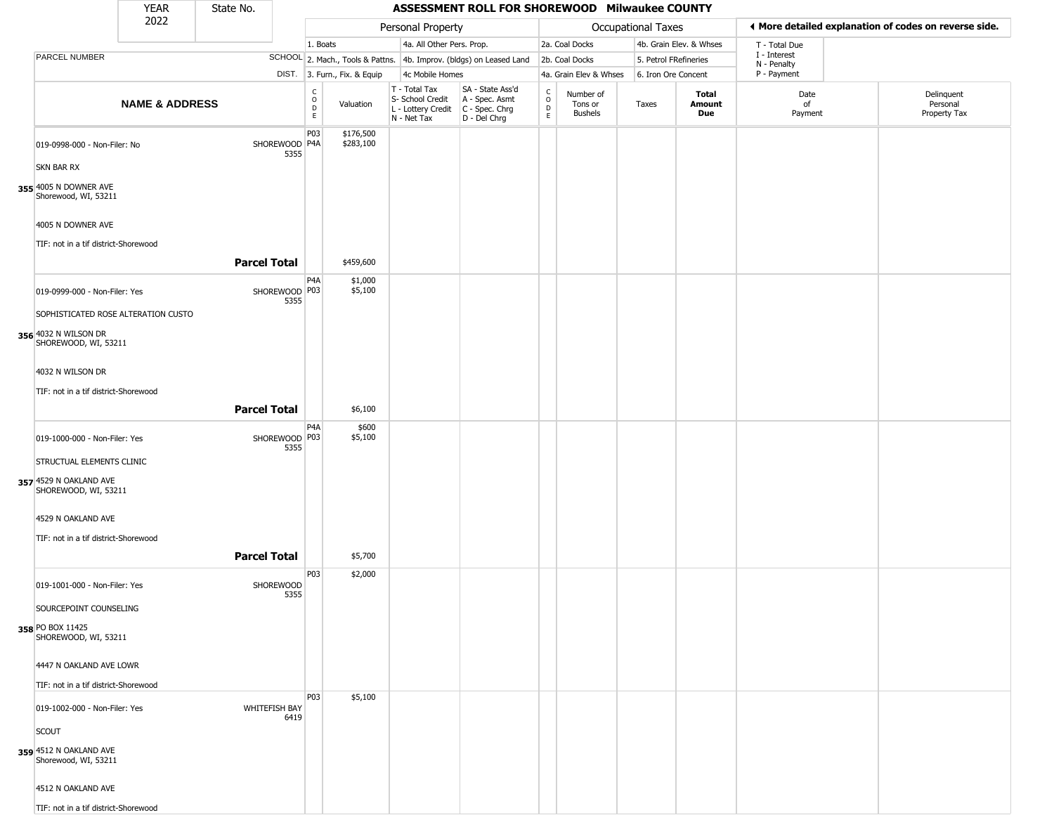|                                                                                     | YEAR                      | State No.           |                                                          |                              |                                                                        | ASSESSMENT ROLL FOR SHOREWOOD Milwaukee COUNTY                       |                  |                                        |                           |                         |                             |                                                       |
|-------------------------------------------------------------------------------------|---------------------------|---------------------|----------------------------------------------------------|------------------------------|------------------------------------------------------------------------|----------------------------------------------------------------------|------------------|----------------------------------------|---------------------------|-------------------------|-----------------------------|-------------------------------------------------------|
|                                                                                     | 2022                      |                     |                                                          |                              | Personal Property                                                      |                                                                      |                  |                                        | <b>Occupational Taxes</b> |                         |                             | ◀ More detailed explanation of codes on reverse side. |
|                                                                                     |                           |                     |                                                          | 1. Boats                     | 4a. All Other Pers. Prop.                                              |                                                                      |                  | 2a. Coal Docks                         |                           | 4b. Grain Elev. & Whses | T - Total Due               |                                                       |
| PARCEL NUMBER                                                                       |                           |                     |                                                          |                              |                                                                        | SCHOOL 2. Mach., Tools & Pattns. 4b. Improv. (bldgs) on Leased Land  |                  | 2b. Coal Docks                         | 5. Petrol FRefineries     |                         | I - Interest<br>N - Penalty |                                                       |
|                                                                                     |                           |                     |                                                          | DIST. 3. Furn., Fix. & Equip | 4c Mobile Homes                                                        |                                                                      |                  | 4a. Grain Elev & Whses                 | 6. Iron Ore Concent       |                         | P - Payment                 |                                                       |
|                                                                                     | <b>NAME &amp; ADDRESS</b> |                     | $\begin{matrix} 0 \\ 0 \\ 0 \end{matrix}$<br>$\mathsf E$ | Valuation                    | T - Total Tax<br>S- School Credit<br>L - Lottery Credit<br>N - Net Tax | SA - State Ass'd<br>A - Spec. Asmt<br>C - Spec. Chrg<br>D - Del Chrg | C<br>D<br>D<br>E | Number of<br>Tons or<br><b>Bushels</b> | Taxes                     | Total<br>Amount<br>Due  | Date<br>of<br>Payment       | Delinquent<br>Personal<br>Property Tax                |
| 019-0998-000 - Non-Filer: No<br>SKN BAR RX                                          |                           |                     | P03<br>SHOREWOOD P4A<br>5355                             | \$176,500<br>\$283,100       |                                                                        |                                                                      |                  |                                        |                           |                         |                             |                                                       |
| 355 4005 N DOWNER AVE<br>Shorewood, WI, 53211                                       |                           |                     |                                                          |                              |                                                                        |                                                                      |                  |                                        |                           |                         |                             |                                                       |
| 4005 N DOWNER AVE<br>TIF: not in a tif district-Shorewood                           |                           |                     |                                                          |                              |                                                                        |                                                                      |                  |                                        |                           |                         |                             |                                                       |
|                                                                                     |                           | <b>Parcel Total</b> |                                                          | \$459,600                    |                                                                        |                                                                      |                  |                                        |                           |                         |                             |                                                       |
| 019-0999-000 - Non-Filer: Yes                                                       |                           |                     | P <sub>4</sub> A<br>SHOREWOOD P03<br>5355                | \$1,000<br>\$5,100           |                                                                        |                                                                      |                  |                                        |                           |                         |                             |                                                       |
| SOPHISTICATED ROSE ALTERATION CUSTO<br>356 4032 N WILSON DR<br>SHOREWOOD, WI, 53211 |                           |                     |                                                          |                              |                                                                        |                                                                      |                  |                                        |                           |                         |                             |                                                       |
| 4032 N WILSON DR<br>TIF: not in a tif district-Shorewood                            |                           |                     |                                                          |                              |                                                                        |                                                                      |                  |                                        |                           |                         |                             |                                                       |
|                                                                                     |                           | <b>Parcel Total</b> |                                                          | \$6,100                      |                                                                        |                                                                      |                  |                                        |                           |                         |                             |                                                       |
| 019-1000-000 - Non-Filer: Yes                                                       |                           |                     | P <sub>4</sub> A<br>SHOREWOOD P03<br>5355                | \$600<br>\$5,100             |                                                                        |                                                                      |                  |                                        |                           |                         |                             |                                                       |
| STRUCTUAL ELEMENTS CLINIC<br>357 4529 N OAKLAND AVE<br>SHOREWOOD, WI, 53211         |                           |                     |                                                          |                              |                                                                        |                                                                      |                  |                                        |                           |                         |                             |                                                       |
| 4529 N OAKLAND AVE<br>TIF: not in a tif district-Shorewood                          |                           |                     |                                                          |                              |                                                                        |                                                                      |                  |                                        |                           |                         |                             |                                                       |
|                                                                                     |                           | <b>Parcel Total</b> |                                                          | \$5,700                      |                                                                        |                                                                      |                  |                                        |                           |                         |                             |                                                       |
| 019-1001-000 - Non-Filer: Yes                                                       |                           |                     | P03<br><b>SHOREWOOD</b><br>5355                          | \$2,000                      |                                                                        |                                                                      |                  |                                        |                           |                         |                             |                                                       |
| SOURCEPOINT COUNSELING<br>358 PO BOX 11425                                          |                           |                     |                                                          |                              |                                                                        |                                                                      |                  |                                        |                           |                         |                             |                                                       |
| SHOREWOOD, WI, 53211<br>4447 N OAKLAND AVE LOWR                                     |                           |                     |                                                          |                              |                                                                        |                                                                      |                  |                                        |                           |                         |                             |                                                       |
| TIF: not in a tif district-Shorewood                                                |                           |                     |                                                          |                              |                                                                        |                                                                      |                  |                                        |                           |                         |                             |                                                       |
| 019-1002-000 - Non-Filer: Yes                                                       |                           |                     | P03<br><b>WHITEFISH BAY</b><br>6419                      | \$5,100                      |                                                                        |                                                                      |                  |                                        |                           |                         |                             |                                                       |
| SCOUT                                                                               |                           |                     |                                                          |                              |                                                                        |                                                                      |                  |                                        |                           |                         |                             |                                                       |
| 359 4512 N OAKLAND AVE<br>Shorewood, WI, 53211                                      |                           |                     |                                                          |                              |                                                                        |                                                                      |                  |                                        |                           |                         |                             |                                                       |
| 4512 N OAKLAND AVE                                                                  |                           |                     |                                                          |                              |                                                                        |                                                                      |                  |                                        |                           |                         |                             |                                                       |
| TIF: not in a tif district-Shorewood                                                |                           |                     |                                                          |                              |                                                                        |                                                                      |                  |                                        |                           |                         |                             |                                                       |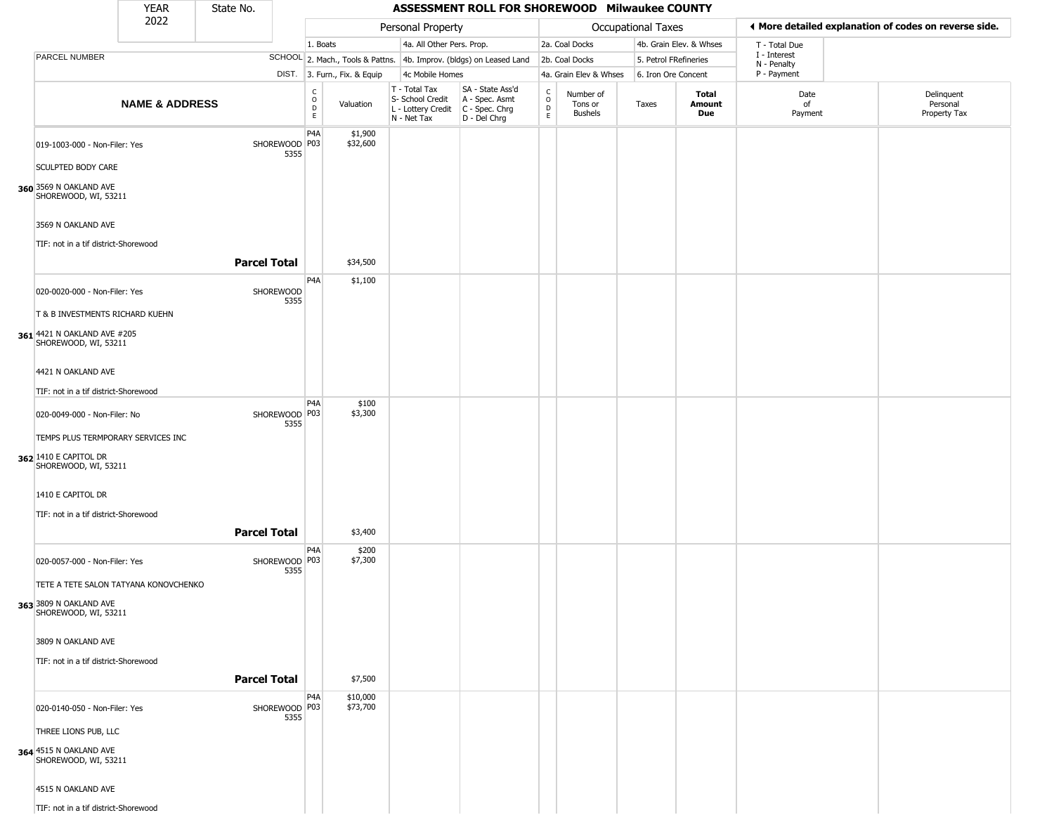|                                                            | <b>YEAR</b>               | State No.           |                         |                  |                              |                                                                                         | ASSESSMENT ROLL FOR SHOREWOOD Milwaukee COUNTY                      |                                                 |                                        |                    |                         |                             |                                                       |
|------------------------------------------------------------|---------------------------|---------------------|-------------------------|------------------|------------------------------|-----------------------------------------------------------------------------------------|---------------------------------------------------------------------|-------------------------------------------------|----------------------------------------|--------------------|-------------------------|-----------------------------|-------------------------------------------------------|
|                                                            | 2022                      |                     |                         |                  |                              | Personal Property                                                                       |                                                                     |                                                 |                                        | Occupational Taxes |                         |                             | ♦ More detailed explanation of codes on reverse side. |
|                                                            |                           |                     |                         | 1. Boats         |                              | 4a. All Other Pers. Prop.                                                               |                                                                     |                                                 | 2a. Coal Docks                         |                    | 4b. Grain Elev. & Whses | T - Total Due               |                                                       |
| PARCEL NUMBER                                              |                           |                     |                         |                  |                              |                                                                                         | SCHOOL 2. Mach., Tools & Pattns. 4b. Improv. (bldgs) on Leased Land |                                                 | 2b. Coal Docks                         |                    | 5. Petrol FRefineries   | I - Interest<br>N - Penalty |                                                       |
|                                                            |                           |                     |                         |                  | DIST. 3. Furn., Fix. & Equip | 4c Mobile Homes                                                                         |                                                                     |                                                 | 4a. Grain Elev & Whses                 |                    | 6. Iron Ore Concent     | P - Payment                 |                                                       |
|                                                            | <b>NAME &amp; ADDRESS</b> |                     |                         | C<br>0<br>D<br>E | Valuation                    | T - Total Tax<br>S- School Credit<br>L - Lottery Credit   C - Spec. Chrg<br>N - Net Tax | SA - State Ass'd<br>A - Spec. Asmt<br>D - Del Chrg                  | $\begin{array}{c} C \\ O \\ D \\ E \end{array}$ | Number of<br>Tons or<br><b>Bushels</b> | Taxes              | Total<br>Amount<br>Due  | Date<br>of<br>Payment       | Delinquent<br>Personal<br>Property Tax                |
| 019-1003-000 - Non-Filer: Yes                              |                           |                     | SHOREWOOD P03<br>5355   | P4A              | \$1,900<br>\$32,600          |                                                                                         |                                                                     |                                                 |                                        |                    |                         |                             |                                                       |
| <b>SCULPTED BODY CARE</b>                                  |                           |                     |                         |                  |                              |                                                                                         |                                                                     |                                                 |                                        |                    |                         |                             |                                                       |
| 360 3569 N OAKLAND AVE<br>SHOREWOOD, WI, 53211             |                           |                     |                         |                  |                              |                                                                                         |                                                                     |                                                 |                                        |                    |                         |                             |                                                       |
| 3569 N OAKLAND AVE<br>TIF: not in a tif district-Shorewood |                           |                     |                         |                  |                              |                                                                                         |                                                                     |                                                 |                                        |                    |                         |                             |                                                       |
|                                                            |                           | <b>Parcel Total</b> |                         |                  | \$34,500                     |                                                                                         |                                                                     |                                                 |                                        |                    |                         |                             |                                                       |
| 020-0020-000 - Non-Filer: Yes                              |                           |                     | SHOREWOOD<br>5355       | P <sub>4</sub> A | \$1,100                      |                                                                                         |                                                                     |                                                 |                                        |                    |                         |                             |                                                       |
| T & B INVESTMENTS RICHARD KUEHN                            |                           |                     |                         |                  |                              |                                                                                         |                                                                     |                                                 |                                        |                    |                         |                             |                                                       |
| 361 4421 N OAKLAND AVE #205<br>SHOREWOOD, WI, 53211        |                           |                     |                         |                  |                              |                                                                                         |                                                                     |                                                 |                                        |                    |                         |                             |                                                       |
| 4421 N OAKLAND AVE                                         |                           |                     |                         |                  |                              |                                                                                         |                                                                     |                                                 |                                        |                    |                         |                             |                                                       |
| TIF: not in a tif district-Shorewood                       |                           |                     |                         | P4A              | \$100                        |                                                                                         |                                                                     |                                                 |                                        |                    |                         |                             |                                                       |
| 020-0049-000 - Non-Filer: No                               |                           |                     | SHOREWOOD P03<br>5355   |                  | \$3,300                      |                                                                                         |                                                                     |                                                 |                                        |                    |                         |                             |                                                       |
| TEMPS PLUS TERMPORARY SERVICES INC                         |                           |                     |                         |                  |                              |                                                                                         |                                                                     |                                                 |                                        |                    |                         |                             |                                                       |
| 362 1410 E CAPITOL DR<br>SHOREWOOD, WI, 53211              |                           |                     |                         |                  |                              |                                                                                         |                                                                     |                                                 |                                        |                    |                         |                             |                                                       |
| 1410 E CAPITOL DR                                          |                           |                     |                         |                  |                              |                                                                                         |                                                                     |                                                 |                                        |                    |                         |                             |                                                       |
| TIF: not in a tif district-Shorewood                       |                           |                     |                         |                  |                              |                                                                                         |                                                                     |                                                 |                                        |                    |                         |                             |                                                       |
|                                                            |                           | <b>Parcel Total</b> |                         |                  | \$3,400                      |                                                                                         |                                                                     |                                                 |                                        |                    |                         |                             |                                                       |
| 020-0057-000 - Non-Filer: Yes                              |                           |                     | SHOREWOOD   P03<br>5355 | P <sub>4</sub> A | \$200<br>\$7,300             |                                                                                         |                                                                     |                                                 |                                        |                    |                         |                             |                                                       |
| TETE A TETE SALON TATYANA KONOVCHENKO                      |                           |                     |                         |                  |                              |                                                                                         |                                                                     |                                                 |                                        |                    |                         |                             |                                                       |
| 363 3809 N OAKLAND AVE<br>SHOREWOOD, WI, 53211             |                           |                     |                         |                  |                              |                                                                                         |                                                                     |                                                 |                                        |                    |                         |                             |                                                       |
| 3809 N OAKLAND AVE                                         |                           |                     |                         |                  |                              |                                                                                         |                                                                     |                                                 |                                        |                    |                         |                             |                                                       |
| TIF: not in a tif district-Shorewood                       |                           |                     |                         |                  |                              |                                                                                         |                                                                     |                                                 |                                        |                    |                         |                             |                                                       |
|                                                            |                           | <b>Parcel Total</b> |                         |                  | \$7,500                      |                                                                                         |                                                                     |                                                 |                                        |                    |                         |                             |                                                       |
| 020-0140-050 - Non-Filer: Yes                              |                           |                     | SHOREWOOD P03<br>5355   | P <sub>4</sub> A | \$10,000<br>\$73,700         |                                                                                         |                                                                     |                                                 |                                        |                    |                         |                             |                                                       |
| THREE LIONS PUB, LLC                                       |                           |                     |                         |                  |                              |                                                                                         |                                                                     |                                                 |                                        |                    |                         |                             |                                                       |
| 364 4515 N OAKLAND AVE<br>SHOREWOOD, WI, 53211             |                           |                     |                         |                  |                              |                                                                                         |                                                                     |                                                 |                                        |                    |                         |                             |                                                       |
| 4515 N OAKLAND AVE                                         |                           |                     |                         |                  |                              |                                                                                         |                                                                     |                                                 |                                        |                    |                         |                             |                                                       |
| TIF: not in a tif district-Shorewood                       |                           |                     |                         |                  |                              |                                                                                         |                                                                     |                                                 |                                        |                    |                         |                             |                                                       |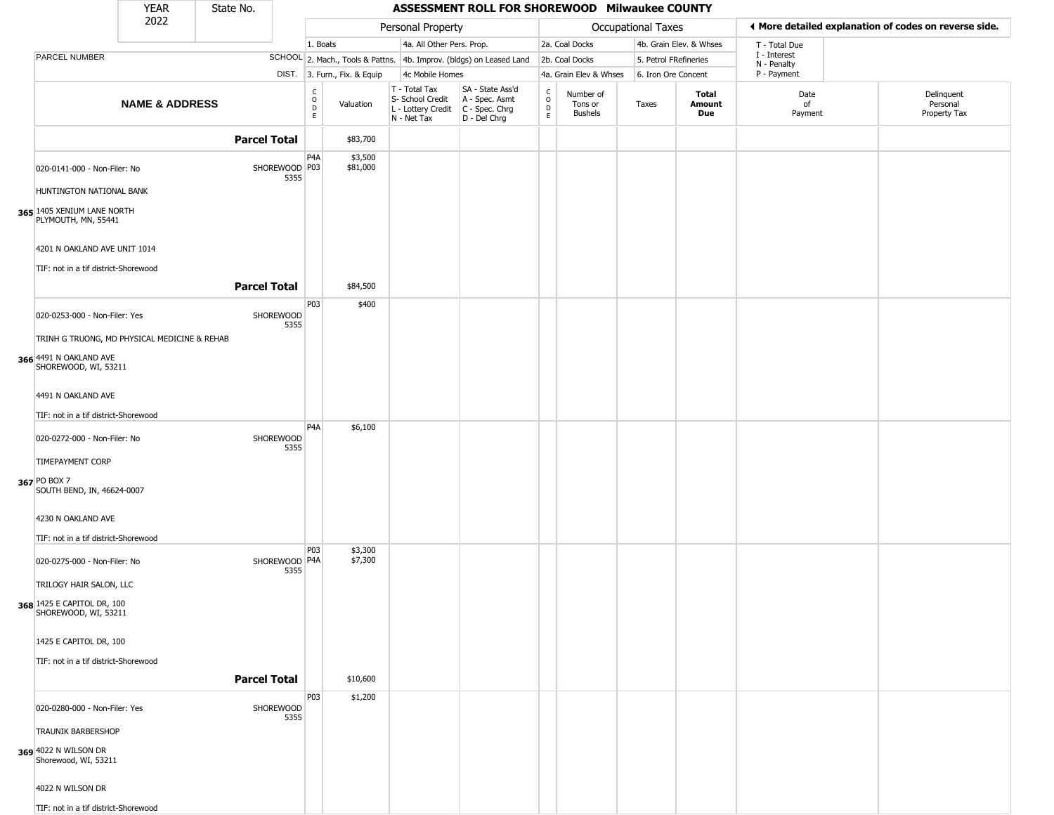|                                                                      | <b>YEAR</b>               | State No.           |                         |                                                |                              |                                                                                                            | ASSESSMENT ROLL FOR SHOREWOOD Milwaukee COUNTY                      |                                                |                                 |                       |                         |                             |                                                       |
|----------------------------------------------------------------------|---------------------------|---------------------|-------------------------|------------------------------------------------|------------------------------|------------------------------------------------------------------------------------------------------------|---------------------------------------------------------------------|------------------------------------------------|---------------------------------|-----------------------|-------------------------|-----------------------------|-------------------------------------------------------|
|                                                                      | 2022                      |                     |                         |                                                |                              | Personal Property                                                                                          |                                                                     |                                                |                                 | Occupational Taxes    |                         |                             | ◀ More detailed explanation of codes on reverse side. |
|                                                                      |                           |                     |                         | 1. Boats                                       |                              | 4a. All Other Pers. Prop.                                                                                  |                                                                     |                                                | 2a. Coal Docks                  |                       | 4b. Grain Elev. & Whses | T - Total Due               |                                                       |
| PARCEL NUMBER                                                        |                           |                     |                         |                                                |                              |                                                                                                            | SCHOOL 2. Mach., Tools & Pattns. 4b. Improv. (bldgs) on Leased Land |                                                | 2b. Coal Docks                  | 5. Petrol FRefineries |                         | I - Interest<br>N - Penalty |                                                       |
|                                                                      |                           |                     |                         |                                                | DIST. 3. Furn., Fix. & Equip | 4c Mobile Homes                                                                                            |                                                                     |                                                | 4a. Grain Elev & Whses          | 6. Iron Ore Concent   |                         | P - Payment                 |                                                       |
|                                                                      | <b>NAME &amp; ADDRESS</b> |                     |                         | $\begin{matrix} 0 \\ 0 \\ D \end{matrix}$<br>E | Valuation                    | $T - Total Tax$<br>S- School Credit   A - Spec. Asmt<br>L - Lottery Credit   C - Spec. Chrg<br>N - Net Tax | SA - State Ass'd<br>D - Del Chrg                                    | $\begin{matrix} 0 \\ 0 \\ D \end{matrix}$<br>E | Number of<br>Tons or<br>Bushels | Taxes                 | Total<br>Amount<br>Due  | Date<br>of<br>Payment       | Delinquent<br>Personal<br>Property Tax                |
|                                                                      |                           | <b>Parcel Total</b> |                         |                                                | \$83,700                     |                                                                                                            |                                                                     |                                                |                                 |                       |                         |                             |                                                       |
| 020-0141-000 - Non-Filer: No                                         |                           |                     | SHOREWOOD   P03<br>5355 | P <sub>4</sub> A                               | \$3,500<br>\$81,000          |                                                                                                            |                                                                     |                                                |                                 |                       |                         |                             |                                                       |
| HUNTINGTON NATIONAL BANK                                             |                           |                     |                         |                                                |                              |                                                                                                            |                                                                     |                                                |                                 |                       |                         |                             |                                                       |
| 365 1405 XENIUM LANE NORTH<br>PLYMOUTH, MN, 55441                    |                           |                     |                         |                                                |                              |                                                                                                            |                                                                     |                                                |                                 |                       |                         |                             |                                                       |
| 4201 N OAKLAND AVE UNIT 1014<br>TIF: not in a tif district-Shorewood |                           |                     |                         |                                                |                              |                                                                                                            |                                                                     |                                                |                                 |                       |                         |                             |                                                       |
|                                                                      |                           | <b>Parcel Total</b> |                         |                                                | \$84,500                     |                                                                                                            |                                                                     |                                                |                                 |                       |                         |                             |                                                       |
| 020-0253-000 - Non-Filer: Yes                                        |                           |                     | SHOREWOOD<br>5355       | P03                                            | \$400                        |                                                                                                            |                                                                     |                                                |                                 |                       |                         |                             |                                                       |
| TRINH G TRUONG, MD PHYSICAL MEDICINE & REHAB                         |                           |                     |                         |                                                |                              |                                                                                                            |                                                                     |                                                |                                 |                       |                         |                             |                                                       |
| 366 4491 N OAKLAND AVE<br>SHOREWOOD, WI, 53211                       |                           |                     |                         |                                                |                              |                                                                                                            |                                                                     |                                                |                                 |                       |                         |                             |                                                       |
| 4491 N OAKLAND AVE                                                   |                           |                     |                         |                                                |                              |                                                                                                            |                                                                     |                                                |                                 |                       |                         |                             |                                                       |
| TIF: not in a tif district-Shorewood                                 |                           |                     |                         |                                                |                              |                                                                                                            |                                                                     |                                                |                                 |                       |                         |                             |                                                       |
| 020-0272-000 - Non-Filer: No                                         |                           |                     | SHOREWOOD               | P <sub>4</sub> A                               | \$6,100                      |                                                                                                            |                                                                     |                                                |                                 |                       |                         |                             |                                                       |
| <b>TIMEPAYMENT CORP</b>                                              |                           |                     | 5355                    |                                                |                              |                                                                                                            |                                                                     |                                                |                                 |                       |                         |                             |                                                       |
| 367 PO BOX 7<br>SOUTH BEND, IN, 46624-0007                           |                           |                     |                         |                                                |                              |                                                                                                            |                                                                     |                                                |                                 |                       |                         |                             |                                                       |
| 4230 N OAKLAND AVE                                                   |                           |                     |                         |                                                |                              |                                                                                                            |                                                                     |                                                |                                 |                       |                         |                             |                                                       |
| TIF: not in a tif district-Shorewood                                 |                           |                     |                         |                                                |                              |                                                                                                            |                                                                     |                                                |                                 |                       |                         |                             |                                                       |
| 020-0275-000 - Non-Filer: No                                         |                           |                     | SHOREWOOD   P4A<br>5355 | P03                                            | \$3,300<br>\$7,300           |                                                                                                            |                                                                     |                                                |                                 |                       |                         |                             |                                                       |
| TRILOGY HAIR SALON, LLC                                              |                           |                     |                         |                                                |                              |                                                                                                            |                                                                     |                                                |                                 |                       |                         |                             |                                                       |
| <b>368</b> 1425 E CAPITOL DR, 100<br>SHOREWOOD, WI, 53211            |                           |                     |                         |                                                |                              |                                                                                                            |                                                                     |                                                |                                 |                       |                         |                             |                                                       |
| 1425 E CAPITOL DR, 100                                               |                           |                     |                         |                                                |                              |                                                                                                            |                                                                     |                                                |                                 |                       |                         |                             |                                                       |
| TIF: not in a tif district-Shorewood                                 |                           |                     |                         |                                                |                              |                                                                                                            |                                                                     |                                                |                                 |                       |                         |                             |                                                       |
|                                                                      |                           | <b>Parcel Total</b> |                         |                                                | \$10,600                     |                                                                                                            |                                                                     |                                                |                                 |                       |                         |                             |                                                       |
| 020-0280-000 - Non-Filer: Yes                                        |                           |                     | SHOREWOOD<br>5355       | P03                                            | \$1,200                      |                                                                                                            |                                                                     |                                                |                                 |                       |                         |                             |                                                       |
| <b>TRAUNIK BARBERSHOP</b>                                            |                           |                     |                         |                                                |                              |                                                                                                            |                                                                     |                                                |                                 |                       |                         |                             |                                                       |
| 369 4022 N WILSON DR<br>Shorewood, WI, 53211                         |                           |                     |                         |                                                |                              |                                                                                                            |                                                                     |                                                |                                 |                       |                         |                             |                                                       |
| 4022 N WILSON DR                                                     |                           |                     |                         |                                                |                              |                                                                                                            |                                                                     |                                                |                                 |                       |                         |                             |                                                       |
| TIF: not in a tif district-Shorewood                                 |                           |                     |                         |                                                |                              |                                                                                                            |                                                                     |                                                |                                 |                       |                         |                             |                                                       |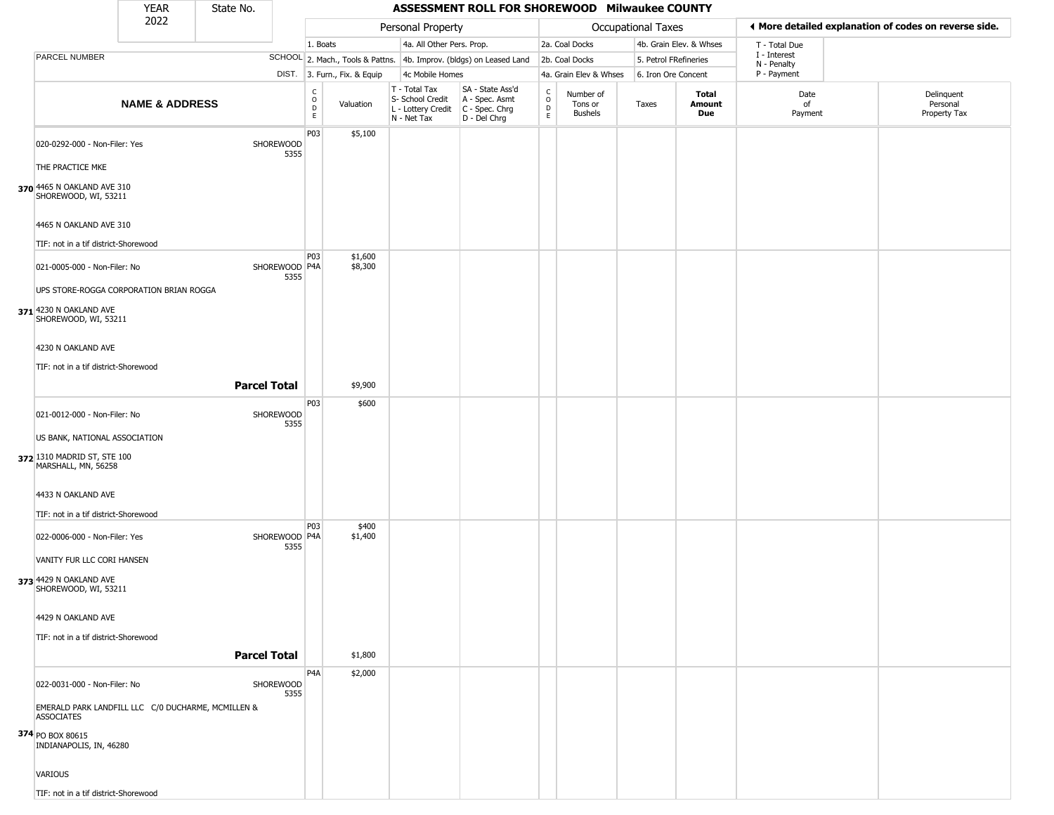|                                                                                                              | <b>YEAR</b>               | State No.           |                         |                                             |                              |                                                                        | ASSESSMENT ROLL FOR SHOREWOOD Milwaukee COUNTY                         |                                                 |                                        |                       |                         |                             |                                                       |
|--------------------------------------------------------------------------------------------------------------|---------------------------|---------------------|-------------------------|---------------------------------------------|------------------------------|------------------------------------------------------------------------|------------------------------------------------------------------------|-------------------------------------------------|----------------------------------------|-----------------------|-------------------------|-----------------------------|-------------------------------------------------------|
|                                                                                                              | 2022                      |                     |                         |                                             |                              | Personal Property                                                      |                                                                        |                                                 |                                        | Occupational Taxes    |                         |                             | I More detailed explanation of codes on reverse side. |
|                                                                                                              |                           |                     |                         | 1. Boats                                    |                              | 4a. All Other Pers. Prop.                                              |                                                                        |                                                 | 2a. Coal Docks                         |                       | 4b. Grain Elev. & Whses | T - Total Due               |                                                       |
| PARCEL NUMBER                                                                                                |                           |                     |                         |                                             |                              |                                                                        | SCHOOL 2. Mach., Tools & Pattns. 4b. Improv. (bldgs) on Leased Land    |                                                 | 2b. Coal Docks                         | 5. Petrol FRefineries |                         | I - Interest<br>N - Penalty |                                                       |
|                                                                                                              |                           |                     |                         |                                             | DIST. 3. Furn., Fix. & Equip | 4c Mobile Homes                                                        |                                                                        |                                                 | 4a. Grain Elev & Whses                 | 6. Iron Ore Concent   |                         | P - Payment                 |                                                       |
|                                                                                                              | <b>NAME &amp; ADDRESS</b> |                     |                         | $\frac{c}{0}$<br>$\mathsf D$<br>$\mathsf E$ | Valuation                    | T - Total Tax<br>S- School Credit<br>L - Lottery Credit<br>N - Net Tax | SA - State Ass'd<br>A - Spec. Asmt<br>$C - Spec. Chrg$<br>D - Del Chrg | $\begin{array}{c} C \\ O \\ D \\ E \end{array}$ | Number of<br>Tons or<br><b>Bushels</b> | Taxes                 | Total<br>Amount<br>Due  | Date<br>of<br>Payment       | Delinquent<br>Personal<br>Property Tax                |
| 020-0292-000 - Non-Filer: Yes<br>THE PRACTICE MKE<br>370 4465 N OAKLAND AVE 310<br>SHOREWOOD, WI, 53211      |                           |                     | SHOREWOOD<br>5355       | P03                                         | \$5,100                      |                                                                        |                                                                        |                                                 |                                        |                       |                         |                             |                                                       |
| 4465 N OAKLAND AVE 310<br>TIF: not in a tif district-Shorewood                                               |                           |                     |                         |                                             |                              |                                                                        |                                                                        |                                                 |                                        |                       |                         |                             |                                                       |
| 021-0005-000 - Non-Filer: No<br>UPS STORE-ROGGA CORPORATION BRIAN ROGGA                                      |                           |                     | SHOREWOOD   P4A<br>5355 | P03                                         | \$1,600<br>\$8,300           |                                                                        |                                                                        |                                                 |                                        |                       |                         |                             |                                                       |
| 371 4230 N OAKLAND AVE<br>SHOREWOOD, WI, 53211<br>4230 N OAKLAND AVE<br>TIF: not in a tif district-Shorewood |                           |                     |                         |                                             |                              |                                                                        |                                                                        |                                                 |                                        |                       |                         |                             |                                                       |
|                                                                                                              |                           | <b>Parcel Total</b> |                         |                                             | \$9,900                      |                                                                        |                                                                        |                                                 |                                        |                       |                         |                             |                                                       |
| 021-0012-000 - Non-Filer: No<br>US BANK, NATIONAL ASSOCIATION                                                |                           |                     | SHOREWOOD<br>5355       | P03                                         | \$600                        |                                                                        |                                                                        |                                                 |                                        |                       |                         |                             |                                                       |
| 372 1310 MADRID ST, STE 100<br>MARSHALL, MN, 56258                                                           |                           |                     |                         |                                             |                              |                                                                        |                                                                        |                                                 |                                        |                       |                         |                             |                                                       |
| 4433 N OAKLAND AVE                                                                                           |                           |                     |                         |                                             |                              |                                                                        |                                                                        |                                                 |                                        |                       |                         |                             |                                                       |
| TIF: not in a tif district-Shorewood                                                                         |                           |                     |                         |                                             |                              |                                                                        |                                                                        |                                                 |                                        |                       |                         |                             |                                                       |
| 022-0006-000 - Non-Filer: Yes<br>VANITY FUR LLC CORI HANSEN                                                  |                           |                     | SHOREWOOD P4A<br>5355   | P03                                         | \$400<br>\$1,400             |                                                                        |                                                                        |                                                 |                                        |                       |                         |                             |                                                       |
| 373 4429 N OAKLAND AVE<br>SHOREWOOD, WI, 53211                                                               |                           |                     |                         |                                             |                              |                                                                        |                                                                        |                                                 |                                        |                       |                         |                             |                                                       |
| 4429 N OAKLAND AVE<br>TIF: not in a tif district-Shorewood                                                   |                           |                     |                         |                                             |                              |                                                                        |                                                                        |                                                 |                                        |                       |                         |                             |                                                       |
|                                                                                                              |                           | <b>Parcel Total</b> |                         |                                             | \$1,800                      |                                                                        |                                                                        |                                                 |                                        |                       |                         |                             |                                                       |
| 022-0031-000 - Non-Filer: No<br>EMERALD PARK LANDFILL LLC C/0 DUCHARME, MCMILLEN &                           |                           |                     | SHOREWOOD<br>5355       | P <sub>4</sub> A                            | \$2,000                      |                                                                        |                                                                        |                                                 |                                        |                       |                         |                             |                                                       |
| <b>ASSOCIATES</b><br>374 PO BOX 80615<br>INDIANAPOLIS, IN, 46280                                             |                           |                     |                         |                                             |                              |                                                                        |                                                                        |                                                 |                                        |                       |                         |                             |                                                       |
| <b>VARIOUS</b>                                                                                               |                           |                     |                         |                                             |                              |                                                                        |                                                                        |                                                 |                                        |                       |                         |                             |                                                       |
| TIF: not in a tif district-Shorewood                                                                         |                           |                     |                         |                                             |                              |                                                                        |                                                                        |                                                 |                                        |                       |                         |                             |                                                       |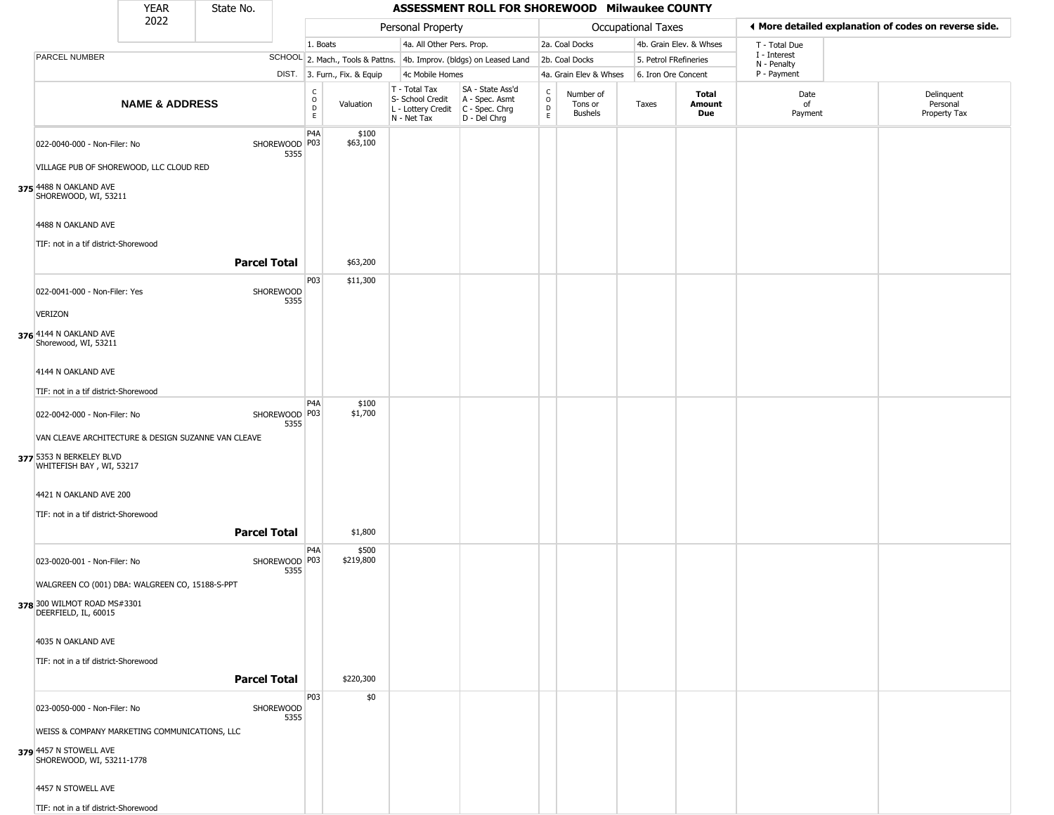|                                                            | <b>YEAR</b>               | State No.           |                         |                         |                              |                                                                                         | ASSESSMENT ROLL FOR SHOREWOOD Milwaukee COUNTY                      |                                                 |                                        |                       |                         |                             |                                                       |
|------------------------------------------------------------|---------------------------|---------------------|-------------------------|-------------------------|------------------------------|-----------------------------------------------------------------------------------------|---------------------------------------------------------------------|-------------------------------------------------|----------------------------------------|-----------------------|-------------------------|-----------------------------|-------------------------------------------------------|
|                                                            | 2022                      |                     |                         |                         |                              | Personal Property                                                                       |                                                                     |                                                 |                                        | Occupational Taxes    |                         |                             | ♦ More detailed explanation of codes on reverse side. |
|                                                            |                           |                     |                         | 1. Boats                |                              | 4a. All Other Pers. Prop.                                                               |                                                                     |                                                 | 2a. Coal Docks                         |                       | 4b. Grain Elev. & Whses | T - Total Due               |                                                       |
| PARCEL NUMBER                                              |                           |                     |                         |                         |                              |                                                                                         | SCHOOL 2. Mach., Tools & Pattns. 4b. Improv. (bldgs) on Leased Land |                                                 | 2b. Coal Docks                         | 5. Petrol FRefineries |                         | I - Interest<br>N - Penalty |                                                       |
|                                                            |                           |                     |                         |                         | DIST. 3. Furn., Fix. & Equip | 4c Mobile Homes                                                                         |                                                                     |                                                 | 4a. Grain Elev & Whses                 | 6. Iron Ore Concent   |                         | P - Payment                 |                                                       |
|                                                            | <b>NAME &amp; ADDRESS</b> |                     |                         | C<br>$\circ$<br>D<br>E. | Valuation                    | T - Total Tax<br>S- School Credit<br>L - Lottery Credit   C - Spec. Chrg<br>N - Net Tax | SA - State Ass'd<br>A - Spec. Asmt<br>D - Del Chrg                  | $\begin{array}{c} C \\ 0 \\ D \\ E \end{array}$ | Number of<br>Tons or<br><b>Bushels</b> | Taxes                 | Total<br>Amount<br>Due  | Date<br>of<br>Payment       | Delinquent<br>Personal<br>Property Tax                |
| 022-0040-000 - Non-Filer: No                               |                           |                     | SHOREWOOD P03<br>5355   | P4A                     | \$100<br>\$63,100            |                                                                                         |                                                                     |                                                 |                                        |                       |                         |                             |                                                       |
| VILLAGE PUB OF SHOREWOOD, LLC CLOUD RED                    |                           |                     |                         |                         |                              |                                                                                         |                                                                     |                                                 |                                        |                       |                         |                             |                                                       |
| 375 4488 N OAKLAND AVE<br>SHOREWOOD, WI, 53211             |                           |                     |                         |                         |                              |                                                                                         |                                                                     |                                                 |                                        |                       |                         |                             |                                                       |
| 4488 N OAKLAND AVE<br>TIF: not in a tif district-Shorewood |                           |                     |                         |                         |                              |                                                                                         |                                                                     |                                                 |                                        |                       |                         |                             |                                                       |
|                                                            |                           | <b>Parcel Total</b> |                         |                         | \$63,200                     |                                                                                         |                                                                     |                                                 |                                        |                       |                         |                             |                                                       |
| 022-0041-000 - Non-Filer: Yes                              |                           |                     | SHOREWOOD<br>5355       | P <sub>0</sub> 3        | \$11,300                     |                                                                                         |                                                                     |                                                 |                                        |                       |                         |                             |                                                       |
| <b>VERIZON</b>                                             |                           |                     |                         |                         |                              |                                                                                         |                                                                     |                                                 |                                        |                       |                         |                             |                                                       |
| 376 4144 N OAKLAND AVE<br>Shorewood, WI, 53211             |                           |                     |                         |                         |                              |                                                                                         |                                                                     |                                                 |                                        |                       |                         |                             |                                                       |
| 4144 N OAKLAND AVE                                         |                           |                     |                         |                         |                              |                                                                                         |                                                                     |                                                 |                                        |                       |                         |                             |                                                       |
| TIF: not in a tif district-Shorewood                       |                           |                     |                         |                         |                              |                                                                                         |                                                                     |                                                 |                                        |                       |                         |                             |                                                       |
| 022-0042-000 - Non-Filer: No                               |                           |                     | SHOREWOOD P03<br>5355   | P <sub>4</sub> A        | \$100<br>\$1,700             |                                                                                         |                                                                     |                                                 |                                        |                       |                         |                             |                                                       |
| VAN CLEAVE ARCHITECTURE & DESIGN SUZANNE VAN CLEAVE        |                           |                     |                         |                         |                              |                                                                                         |                                                                     |                                                 |                                        |                       |                         |                             |                                                       |
| 377 5353 N BERKELEY BLVD<br>WHITEFISH BAY, WI, 53217       |                           |                     |                         |                         |                              |                                                                                         |                                                                     |                                                 |                                        |                       |                         |                             |                                                       |
| 4421 N OAKLAND AVE 200                                     |                           |                     |                         |                         |                              |                                                                                         |                                                                     |                                                 |                                        |                       |                         |                             |                                                       |
| TIF: not in a tif district-Shorewood                       |                           |                     |                         |                         |                              |                                                                                         |                                                                     |                                                 |                                        |                       |                         |                             |                                                       |
|                                                            |                           | <b>Parcel Total</b> |                         |                         | \$1,800                      |                                                                                         |                                                                     |                                                 |                                        |                       |                         |                             |                                                       |
| 023-0020-001 - Non-Filer: No                               |                           |                     | SHOREWOOD   P03<br>5355 | P4A                     | \$500<br>\$219,800           |                                                                                         |                                                                     |                                                 |                                        |                       |                         |                             |                                                       |
| WALGREEN CO (001) DBA: WALGREEN CO, 15188-S-PPT            |                           |                     |                         |                         |                              |                                                                                         |                                                                     |                                                 |                                        |                       |                         |                             |                                                       |
| 378 300 WILMOT ROAD MS#3301<br>DEERFIELD, IL, 60015        |                           |                     |                         |                         |                              |                                                                                         |                                                                     |                                                 |                                        |                       |                         |                             |                                                       |
| 4035 N OAKLAND AVE                                         |                           |                     |                         |                         |                              |                                                                                         |                                                                     |                                                 |                                        |                       |                         |                             |                                                       |
| TIF: not in a tif district-Shorewood                       |                           |                     |                         |                         |                              |                                                                                         |                                                                     |                                                 |                                        |                       |                         |                             |                                                       |
|                                                            |                           | <b>Parcel Total</b> |                         |                         | \$220,300                    |                                                                                         |                                                                     |                                                 |                                        |                       |                         |                             |                                                       |
| 023-0050-000 - Non-Filer: No                               |                           |                     | SHOREWOOD<br>5355       | P03                     | \$0                          |                                                                                         |                                                                     |                                                 |                                        |                       |                         |                             |                                                       |
| WEISS & COMPANY MARKETING COMMUNICATIONS, LLC              |                           |                     |                         |                         |                              |                                                                                         |                                                                     |                                                 |                                        |                       |                         |                             |                                                       |
| 379 4457 N STOWELL AVE<br>SHOREWOOD, WI, 53211-1778        |                           |                     |                         |                         |                              |                                                                                         |                                                                     |                                                 |                                        |                       |                         |                             |                                                       |
| 4457 N STOWELL AVE                                         |                           |                     |                         |                         |                              |                                                                                         |                                                                     |                                                 |                                        |                       |                         |                             |                                                       |
| TIF: not in a tif district-Shorewood                       |                           |                     |                         |                         |                              |                                                                                         |                                                                     |                                                 |                                        |                       |                         |                             |                                                       |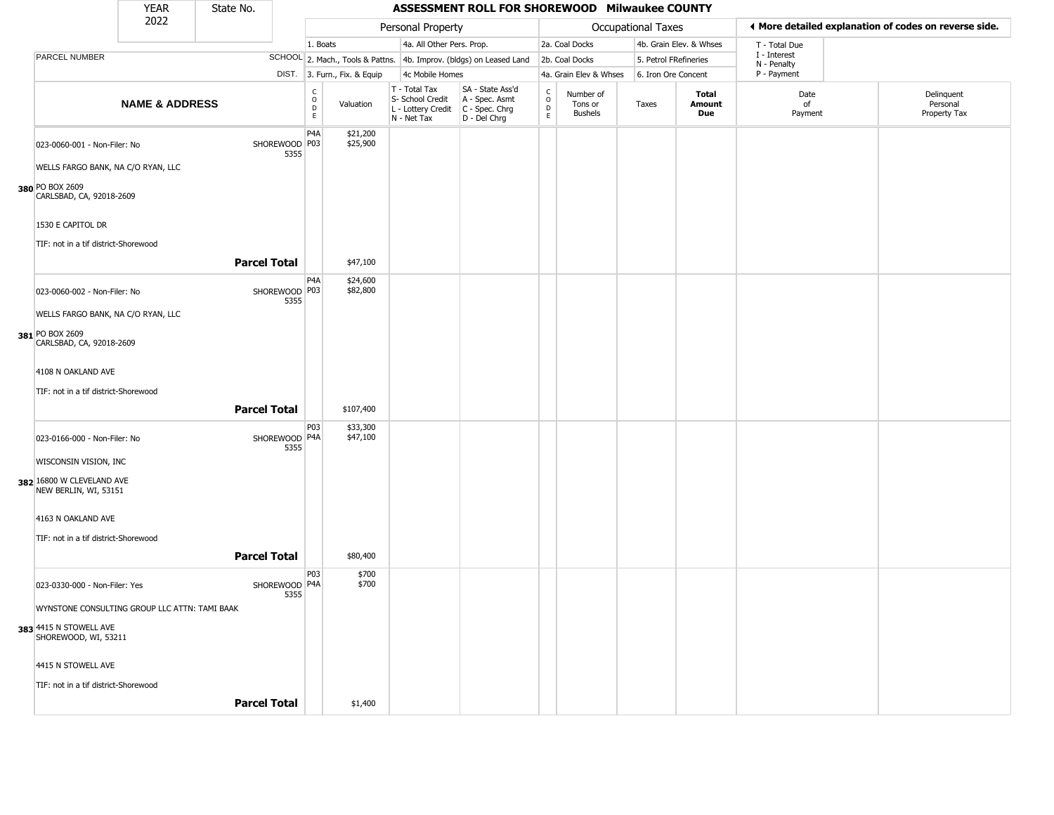|                                                    | <b>YEAR</b>               | State No.           |                         |                        |                              |                                                                        | ASSESSMENT ROLL FOR SHOREWOOD Milwaukee COUNTY                       |                                 |                                        |                           |                         |                             |                                                       |
|----------------------------------------------------|---------------------------|---------------------|-------------------------|------------------------|------------------------------|------------------------------------------------------------------------|----------------------------------------------------------------------|---------------------------------|----------------------------------------|---------------------------|-------------------------|-----------------------------|-------------------------------------------------------|
|                                                    | 2022                      |                     |                         |                        |                              | Personal Property                                                      |                                                                      |                                 |                                        | <b>Occupational Taxes</b> |                         |                             | 4 More detailed explanation of codes on reverse side. |
|                                                    |                           |                     |                         | 1. Boats               |                              | 4a. All Other Pers. Prop.                                              |                                                                      |                                 | 2a. Coal Docks                         |                           | 4b. Grain Elev. & Whses | T - Total Due               |                                                       |
| PARCEL NUMBER                                      |                           |                     |                         |                        |                              |                                                                        | SCHOOL 2. Mach., Tools & Pattns. 4b. Improv. (bldgs) on Leased Land  |                                 | 2b. Coal Docks                         | 5. Petrol FRefineries     |                         | I - Interest<br>N - Penalty |                                                       |
|                                                    |                           |                     |                         |                        | DIST. 3. Furn., Fix. & Equip | 4c Mobile Homes                                                        |                                                                      |                                 | 4a. Grain Elev & Whses                 | 6. Iron Ore Concent       |                         | P - Payment                 |                                                       |
|                                                    | <b>NAME &amp; ADDRESS</b> |                     |                         | C<br>$\circ$<br>D<br>E | Valuation                    | T - Total Tax<br>S- School Credit<br>L - Lottery Credit<br>N - Net Tax | SA - State Ass'd<br>A - Spec. Asmt<br>C - Spec. Chrg<br>D - Del Chrg | $\rm _o^c$<br>$\mathsf{D}$<br>E | Number of<br>Tons or<br><b>Bushels</b> | Taxes                     | Total<br>Amount<br>Due  | Date<br>of<br>Payment       | Delinquent<br>Personal<br>Property Tax                |
| 023-0060-001 - Non-Filer: No                       |                           |                     | SHOREWOOD   P03<br>5355 | P4A                    | \$21,200<br>\$25,900         |                                                                        |                                                                      |                                 |                                        |                           |                         |                             |                                                       |
| WELLS FARGO BANK, NA C/O RYAN, LLC                 |                           |                     |                         |                        |                              |                                                                        |                                                                      |                                 |                                        |                           |                         |                             |                                                       |
| 380 PO BOX 2609<br>CARLSBAD, CA, 92018-2609        |                           |                     |                         |                        |                              |                                                                        |                                                                      |                                 |                                        |                           |                         |                             |                                                       |
| 1530 E CAPITOL DR                                  |                           |                     |                         |                        |                              |                                                                        |                                                                      |                                 |                                        |                           |                         |                             |                                                       |
| TIF: not in a tif district-Shorewood               |                           |                     |                         |                        |                              |                                                                        |                                                                      |                                 |                                        |                           |                         |                             |                                                       |
|                                                    |                           | <b>Parcel Total</b> |                         |                        | \$47,100                     |                                                                        |                                                                      |                                 |                                        |                           |                         |                             |                                                       |
| 023-0060-002 - Non-Filer: No                       |                           |                     | SHOREWOOD   P03<br>5355 | P <sub>4</sub> A       | \$24,600<br>\$82,800         |                                                                        |                                                                      |                                 |                                        |                           |                         |                             |                                                       |
| WELLS FARGO BANK, NA C/O RYAN, LLC                 |                           |                     |                         |                        |                              |                                                                        |                                                                      |                                 |                                        |                           |                         |                             |                                                       |
| 381 PO BOX 2609<br>CARLSBAD, CA, 92018-2609        |                           |                     |                         |                        |                              |                                                                        |                                                                      |                                 |                                        |                           |                         |                             |                                                       |
| 4108 N OAKLAND AVE                                 |                           |                     |                         |                        |                              |                                                                        |                                                                      |                                 |                                        |                           |                         |                             |                                                       |
|                                                    |                           |                     |                         |                        |                              |                                                                        |                                                                      |                                 |                                        |                           |                         |                             |                                                       |
| TIF: not in a tif district-Shorewood               |                           |                     |                         |                        |                              |                                                                        |                                                                      |                                 |                                        |                           |                         |                             |                                                       |
|                                                    |                           | <b>Parcel Total</b> |                         |                        | \$107,400                    |                                                                        |                                                                      |                                 |                                        |                           |                         |                             |                                                       |
| 023-0166-000 - Non-Filer: No                       |                           |                     | SHOREWOOD P4A<br>5355   | P03                    | \$33,300<br>\$47,100         |                                                                        |                                                                      |                                 |                                        |                           |                         |                             |                                                       |
| WISCONSIN VISION, INC                              |                           |                     |                         |                        |                              |                                                                        |                                                                      |                                 |                                        |                           |                         |                             |                                                       |
| 382 16800 W CLEVELAND AVE<br>NEW BERLIN, WI, 53151 |                           |                     |                         |                        |                              |                                                                        |                                                                      |                                 |                                        |                           |                         |                             |                                                       |
| 4163 N OAKLAND AVE                                 |                           |                     |                         |                        |                              |                                                                        |                                                                      |                                 |                                        |                           |                         |                             |                                                       |
| TIF: not in a tif district-Shorewood               |                           |                     |                         |                        |                              |                                                                        |                                                                      |                                 |                                        |                           |                         |                             |                                                       |
|                                                    |                           |                     |                         |                        |                              |                                                                        |                                                                      |                                 |                                        |                           |                         |                             |                                                       |
|                                                    |                           | <b>Parcel Total</b> |                         |                        | \$80,400                     |                                                                        |                                                                      |                                 |                                        |                           |                         |                             |                                                       |
| 023-0330-000 - Non-Filer: Yes                      |                           |                     | SHOREWOOD   P4A<br>5355 | P03                    | \$700<br>\$700               |                                                                        |                                                                      |                                 |                                        |                           |                         |                             |                                                       |
| WYNSTONE CONSULTING GROUP LLC ATTN: TAMI BAAK      |                           |                     |                         |                        |                              |                                                                        |                                                                      |                                 |                                        |                           |                         |                             |                                                       |
| 383 4415 N STOWELL AVE<br>SHOREWOOD, WI, 53211     |                           |                     |                         |                        |                              |                                                                        |                                                                      |                                 |                                        |                           |                         |                             |                                                       |
| 4415 N STOWELL AVE                                 |                           |                     |                         |                        |                              |                                                                        |                                                                      |                                 |                                        |                           |                         |                             |                                                       |
| TIF: not in a tif district-Shorewood               |                           |                     |                         |                        |                              |                                                                        |                                                                      |                                 |                                        |                           |                         |                             |                                                       |
|                                                    |                           | <b>Parcel Total</b> |                         |                        | \$1,400                      |                                                                        |                                                                      |                                 |                                        |                           |                         |                             |                                                       |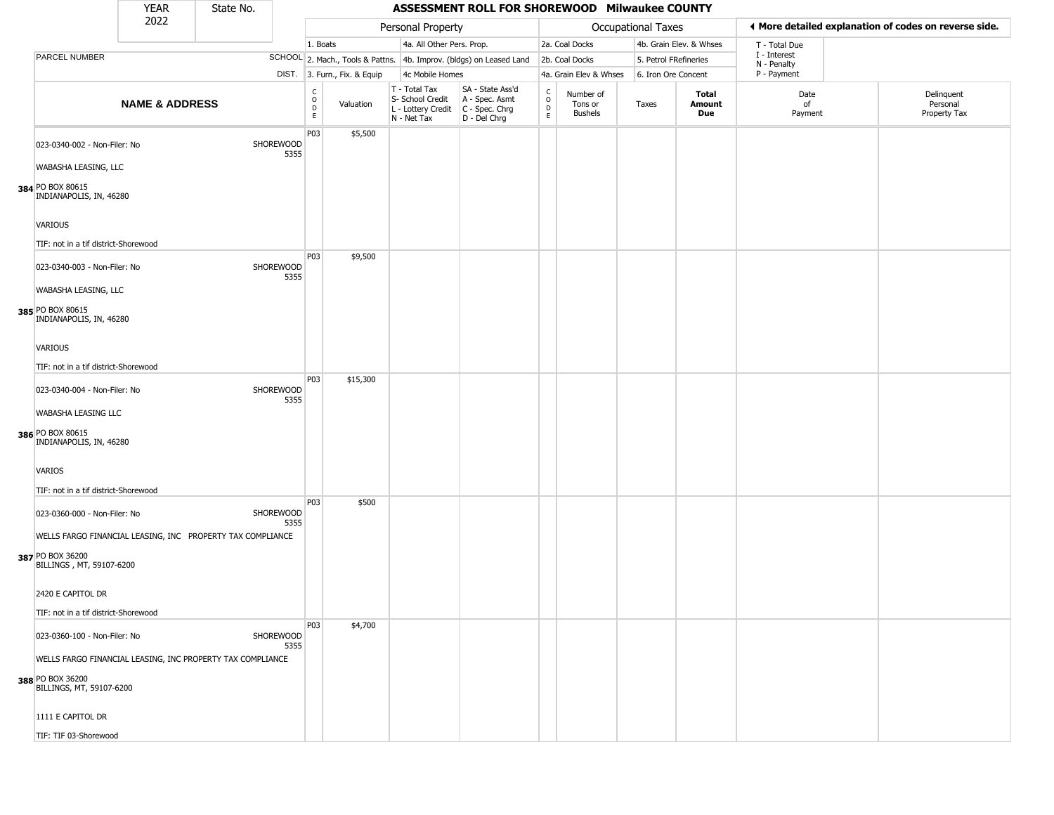|                                                                                                            | <b>YEAR</b>               | State No. |                   |                      |                              |                                                                        | ASSESSMENT ROLL FOR SHOREWOOD Milwaukee COUNTY                       |                        |                                 |                           |                         |                             |                                                        |
|------------------------------------------------------------------------------------------------------------|---------------------------|-----------|-------------------|----------------------|------------------------------|------------------------------------------------------------------------|----------------------------------------------------------------------|------------------------|---------------------------------|---------------------------|-------------------------|-----------------------------|--------------------------------------------------------|
|                                                                                                            | 2022                      |           |                   |                      |                              | Personal Property                                                      |                                                                      |                        |                                 | <b>Occupational Taxes</b> |                         |                             | If More detailed explanation of codes on reverse side. |
|                                                                                                            |                           |           |                   | 1. Boats             |                              | 4a. All Other Pers. Prop.                                              |                                                                      |                        | 2a. Coal Docks                  |                           | 4b. Grain Elev. & Whses | T - Total Due               |                                                        |
| PARCEL NUMBER                                                                                              |                           |           |                   |                      |                              |                                                                        | SCHOOL 2. Mach., Tools & Pattns. 4b. Improv. (bldgs) on Leased Land  |                        | 2b. Coal Docks                  |                           | 5. Petrol FRefineries   | I - Interest<br>N - Penalty |                                                        |
|                                                                                                            |                           |           |                   |                      | DIST. 3. Furn., Fix. & Equip | 4c Mobile Homes                                                        |                                                                      |                        | 4a. Grain Elev & Whses          |                           | 6. Iron Ore Concent     | P - Payment                 |                                                        |
|                                                                                                            | <b>NAME &amp; ADDRESS</b> |           |                   | $\rm _o^C$<br>D<br>E | Valuation                    | T - Total Tax<br>S- School Credit<br>L - Lottery Credit<br>N - Net Tax | SA - State Ass'd<br>A - Spec. Asmt<br>C - Spec. Chrg<br>D - Del Chrg | C<br>$\circ$<br>D<br>E | Number of<br>Tons or<br>Bushels | Taxes                     | Total<br>Amount<br>Due  | Date<br>of<br>Payment       | Delinquent<br>Personal<br>Property Tax                 |
| 023-0340-002 - Non-Filer: No<br>WABASHA LEASING, LLC                                                       |                           |           | SHOREWOOD<br>5355 | P03                  | \$5,500                      |                                                                        |                                                                      |                        |                                 |                           |                         |                             |                                                        |
| 384 PO BOX 80615<br>INDIANAPOLIS, IN, 46280<br><b>VARIOUS</b>                                              |                           |           |                   |                      |                              |                                                                        |                                                                      |                        |                                 |                           |                         |                             |                                                        |
| TIF: not in a tif district-Shorewood                                                                       |                           |           |                   |                      |                              |                                                                        |                                                                      |                        |                                 |                           |                         |                             |                                                        |
| 023-0340-003 - Non-Filer: No                                                                               |                           |           | SHOREWOOD<br>5355 | P03                  | \$9,500                      |                                                                        |                                                                      |                        |                                 |                           |                         |                             |                                                        |
| WABASHA LEASING, LLC<br>385 PO BOX 80615<br>INDIANAPOLIS, IN, 46280                                        |                           |           |                   |                      |                              |                                                                        |                                                                      |                        |                                 |                           |                         |                             |                                                        |
| <b>VARIOUS</b>                                                                                             |                           |           |                   |                      |                              |                                                                        |                                                                      |                        |                                 |                           |                         |                             |                                                        |
|                                                                                                            |                           |           |                   |                      |                              |                                                                        |                                                                      |                        |                                 |                           |                         |                             |                                                        |
| TIF: not in a tif district-Shorewood                                                                       |                           |           |                   | P03                  | \$15,300                     |                                                                        |                                                                      |                        |                                 |                           |                         |                             |                                                        |
| 023-0340-004 - Non-Filer: No                                                                               |                           |           | SHOREWOOD<br>5355 |                      |                              |                                                                        |                                                                      |                        |                                 |                           |                         |                             |                                                        |
| WABASHA LEASING LLC<br>386 PO BOX 80615<br>INDIANAPOLIS, IN, 46280                                         |                           |           |                   |                      |                              |                                                                        |                                                                      |                        |                                 |                           |                         |                             |                                                        |
| <b>VARIOS</b>                                                                                              |                           |           |                   |                      |                              |                                                                        |                                                                      |                        |                                 |                           |                         |                             |                                                        |
| TIF: not in a tif district-Shorewood                                                                       |                           |           |                   | P03                  | \$500                        |                                                                        |                                                                      |                        |                                 |                           |                         |                             |                                                        |
| 023-0360-000 - Non-Filer: No                                                                               |                           |           | SHOREWOOD<br>5355 |                      |                              |                                                                        |                                                                      |                        |                                 |                           |                         |                             |                                                        |
| WELLS FARGO FINANCIAL LEASING, INC PROPERTY TAX COMPLIANCE<br>387 PO BOX 36200<br>BILLINGS, MT, 59107-6200 |                           |           |                   |                      |                              |                                                                        |                                                                      |                        |                                 |                           |                         |                             |                                                        |
| 2420 E CAPITOL DR                                                                                          |                           |           |                   |                      |                              |                                                                        |                                                                      |                        |                                 |                           |                         |                             |                                                        |
| TIF: not in a tif district-Shorewood                                                                       |                           |           |                   |                      |                              |                                                                        |                                                                      |                        |                                 |                           |                         |                             |                                                        |
| 023-0360-100 - Non-Filer: No                                                                               |                           |           | SHOREWOOD<br>5355 | P03                  | \$4,700                      |                                                                        |                                                                      |                        |                                 |                           |                         |                             |                                                        |
| WELLS FARGO FINANCIAL LEASING, INC PROPERTY TAX COMPLIANCE                                                 |                           |           |                   |                      |                              |                                                                        |                                                                      |                        |                                 |                           |                         |                             |                                                        |
| 388 PO BOX 36200<br>BILLINGS, MT, 59107-6200                                                               |                           |           |                   |                      |                              |                                                                        |                                                                      |                        |                                 |                           |                         |                             |                                                        |
| 1111 E CAPITOL DR                                                                                          |                           |           |                   |                      |                              |                                                                        |                                                                      |                        |                                 |                           |                         |                             |                                                        |
| TIF: TIF 03-Shorewood                                                                                      |                           |           |                   |                      |                              |                                                                        |                                                                      |                        |                                 |                           |                         |                             |                                                        |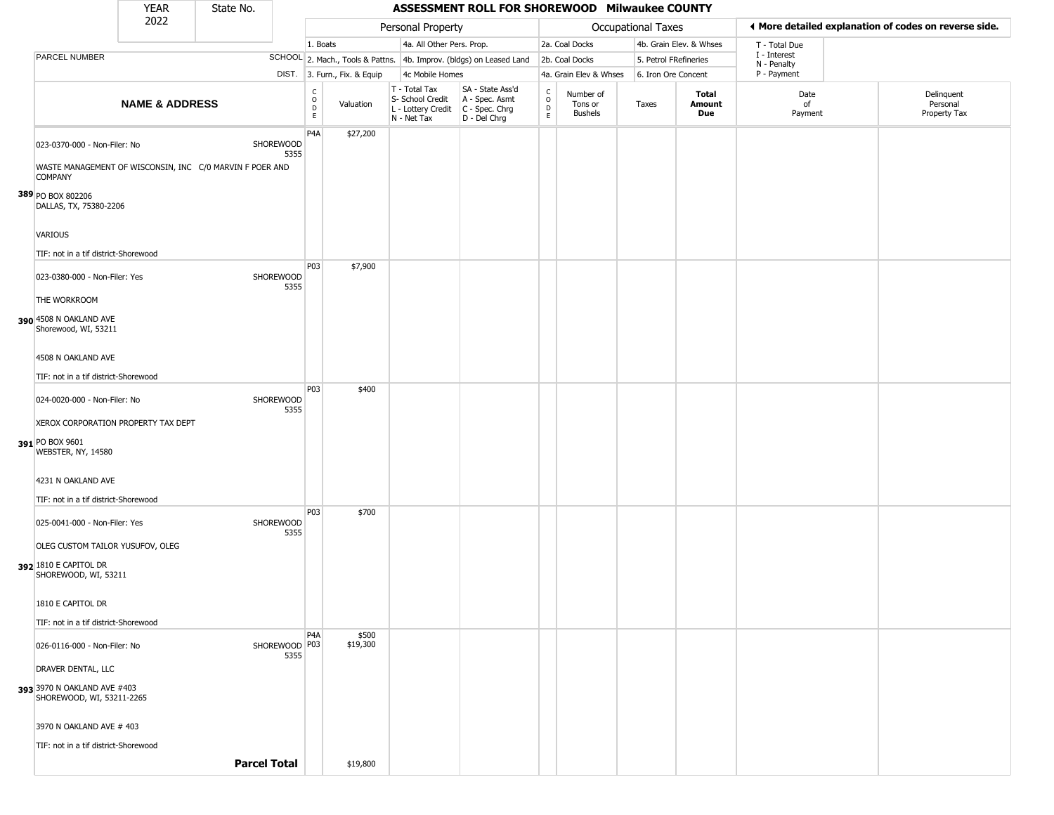|                                                                                          | <b>YEAR</b>               | State No. |                       |                                   |                              |                                                                        | ASSESSMENT ROLL FOR SHOREWOOD Milwaukee COUNTY                       |                                                |                                        |                           |                         |                             |                                                       |
|------------------------------------------------------------------------------------------|---------------------------|-----------|-----------------------|-----------------------------------|------------------------------|------------------------------------------------------------------------|----------------------------------------------------------------------|------------------------------------------------|----------------------------------------|---------------------------|-------------------------|-----------------------------|-------------------------------------------------------|
|                                                                                          | 2022                      |           |                       |                                   |                              | Personal Property                                                      |                                                                      |                                                |                                        | <b>Occupational Taxes</b> |                         |                             | ♦ More detailed explanation of codes on reverse side. |
|                                                                                          |                           |           |                       | 1. Boats                          |                              | 4a. All Other Pers. Prop.                                              |                                                                      |                                                | 2a. Coal Docks                         |                           | 4b. Grain Elev. & Whses | T - Total Due               |                                                       |
| PARCEL NUMBER                                                                            |                           |           |                       |                                   |                              |                                                                        | SCHOOL 2. Mach., Tools & Pattns. 4b. Improv. (bldgs) on Leased Land  |                                                | 2b. Coal Docks                         | 5. Petrol FRefineries     |                         | I - Interest<br>N - Penalty |                                                       |
|                                                                                          |                           |           |                       |                                   | DIST. 3. Furn., Fix. & Equip | 4c Mobile Homes                                                        |                                                                      |                                                | 4a. Grain Elev & Whses                 | 6. Iron Ore Concent       |                         | P - Payment                 |                                                       |
|                                                                                          | <b>NAME &amp; ADDRESS</b> |           |                       | C<br>$\circ$<br>$\mathsf{D}$<br>E | Valuation                    | T - Total Tax<br>S- School Credit<br>L - Lottery Credit<br>N - Net Tax | SA - State Ass'd<br>A - Spec. Asmt<br>C - Spec. Chrg<br>D - Del Chrg | $\begin{matrix} 0 \\ 0 \\ D \end{matrix}$<br>E | Number of<br>Tons or<br><b>Bushels</b> | Taxes                     | Total<br>Amount<br>Due  | Date<br>of<br>Payment       | Delinquent<br>Personal<br>Property Tax                |
| 023-0370-000 - Non-Filer: No<br>WASTE MANAGEMENT OF WISCONSIN, INC C/0 MARVIN F POER AND |                           |           | SHOREWOOD<br>5355     | P4A                               | \$27,200                     |                                                                        |                                                                      |                                                |                                        |                           |                         |                             |                                                       |
| <b>COMPANY</b><br>389 PO BOX 802206<br>DALLAS, TX, 75380-2206                            |                           |           |                       |                                   |                              |                                                                        |                                                                      |                                                |                                        |                           |                         |                             |                                                       |
| VARIOUS                                                                                  |                           |           |                       |                                   |                              |                                                                        |                                                                      |                                                |                                        |                           |                         |                             |                                                       |
| TIF: not in a tif district-Shorewood<br>023-0380-000 - Non-Filer: Yes                    |                           |           | SHOREWOOD<br>5355     | P03                               | \$7,900                      |                                                                        |                                                                      |                                                |                                        |                           |                         |                             |                                                       |
| THE WORKROOM<br>390 4508 N OAKLAND AVE<br>Shorewood, WI, 53211                           |                           |           |                       |                                   |                              |                                                                        |                                                                      |                                                |                                        |                           |                         |                             |                                                       |
| 4508 N OAKLAND AVE                                                                       |                           |           |                       |                                   |                              |                                                                        |                                                                      |                                                |                                        |                           |                         |                             |                                                       |
| TIF: not in a tif district-Shorewood                                                     |                           |           |                       | P03                               | \$400                        |                                                                        |                                                                      |                                                |                                        |                           |                         |                             |                                                       |
| 024-0020-000 - Non-Filer: No                                                             |                           |           | SHOREWOOD<br>5355     |                                   |                              |                                                                        |                                                                      |                                                |                                        |                           |                         |                             |                                                       |
| XEROX CORPORATION PROPERTY TAX DEPT<br>391 PO BOX 9601<br>WEBSTER, NY, 14580             |                           |           |                       |                                   |                              |                                                                        |                                                                      |                                                |                                        |                           |                         |                             |                                                       |
| 4231 N OAKLAND AVE<br>TIF: not in a tif district-Shorewood                               |                           |           |                       |                                   |                              |                                                                        |                                                                      |                                                |                                        |                           |                         |                             |                                                       |
| 025-0041-000 - Non-Filer: Yes                                                            |                           |           | SHOREWOOD<br>5355     | P03                               | \$700                        |                                                                        |                                                                      |                                                |                                        |                           |                         |                             |                                                       |
| OLEG CUSTOM TAILOR YUSUFOV, OLEG<br>392 1810 E CAPITOL DR<br>SHOREWOOD, WI, 53211        |                           |           |                       |                                   |                              |                                                                        |                                                                      |                                                |                                        |                           |                         |                             |                                                       |
| 1810 E CAPITOL DR                                                                        |                           |           |                       |                                   |                              |                                                                        |                                                                      |                                                |                                        |                           |                         |                             |                                                       |
| TIF: not in a tif district-Shorewood                                                     |                           |           |                       | P <sub>4</sub> A                  | \$500                        |                                                                        |                                                                      |                                                |                                        |                           |                         |                             |                                                       |
| 026-0116-000 - Non-Filer: No                                                             |                           |           | SHOREWOOD P03<br>5355 |                                   | \$19,300                     |                                                                        |                                                                      |                                                |                                        |                           |                         |                             |                                                       |
| DRAVER DENTAL, LLC                                                                       |                           |           |                       |                                   |                              |                                                                        |                                                                      |                                                |                                        |                           |                         |                             |                                                       |
| 393 3970 N OAKLAND AVE #403<br>SHOREWOOD, WI, 53211-2265                                 |                           |           |                       |                                   |                              |                                                                        |                                                                      |                                                |                                        |                           |                         |                             |                                                       |
| 3970 N OAKLAND AVE # 403                                                                 |                           |           |                       |                                   |                              |                                                                        |                                                                      |                                                |                                        |                           |                         |                             |                                                       |
| TIF: not in a tif district-Shorewood                                                     |                           |           |                       |                                   |                              |                                                                        |                                                                      |                                                |                                        |                           |                         |                             |                                                       |
|                                                                                          |                           |           | <b>Parcel Total</b>   |                                   | \$19,800                     |                                                                        |                                                                      |                                                |                                        |                           |                         |                             |                                                       |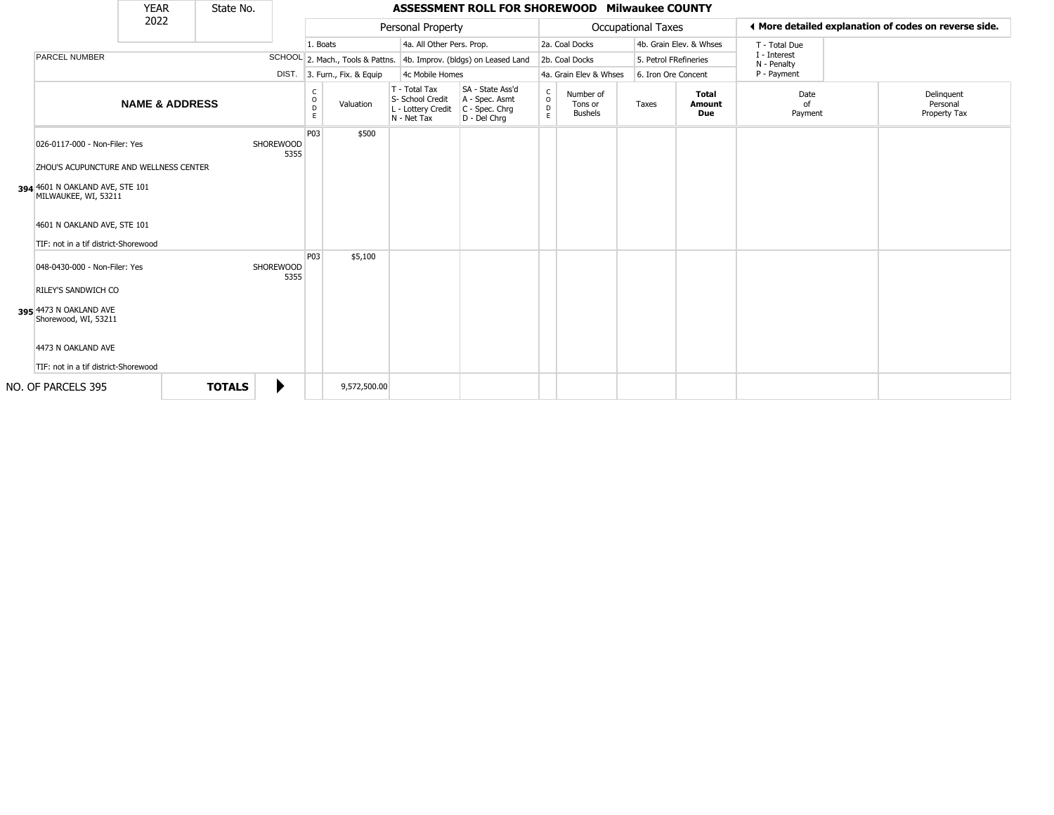|                                                                                | <b>YEAR</b>               | State No.     |                          |                         |                              |                                                                        | ASSESSMENT ROLL FOR SHOREWOOD Milwaukee COUNTY                         |                                             |                                        |                       |                               |                             |                                                       |
|--------------------------------------------------------------------------------|---------------------------|---------------|--------------------------|-------------------------|------------------------------|------------------------------------------------------------------------|------------------------------------------------------------------------|---------------------------------------------|----------------------------------------|-----------------------|-------------------------------|-----------------------------|-------------------------------------------------------|
|                                                                                | 2022                      |               |                          |                         |                              | Personal Property                                                      |                                                                        |                                             |                                        | Occupational Taxes    |                               |                             | ♦ More detailed explanation of codes on reverse side. |
|                                                                                |                           |               |                          |                         | 1. Boats                     | 4a. All Other Pers. Prop.                                              |                                                                        |                                             | 2a. Coal Docks                         |                       | 4b. Grain Elev. & Whses       | T - Total Due               |                                                       |
| PARCEL NUMBER                                                                  |                           |               |                          |                         |                              |                                                                        | SCHOOL 2. Mach., Tools & Pattns. 4b. Improv. (bldgs) on Leased Land    |                                             | 2b. Coal Docks                         | 5. Petrol FRefineries |                               | I - Interest<br>N - Penalty |                                                       |
|                                                                                |                           |               |                          |                         | DIST. 3. Furn., Fix. & Equip | 4c Mobile Homes                                                        |                                                                        |                                             | 4a. Grain Elev & Whses                 | 6. Iron Ore Concent   |                               | P - Payment                 |                                                       |
|                                                                                | <b>NAME &amp; ADDRESS</b> |               |                          | C<br>$\circ$<br>D<br>E. | Valuation                    | T - Total Tax<br>S- School Credit<br>L - Lottery Credit<br>N - Net Tax | SA - State Ass'd<br>A - Spec. Asmt<br>$C - Spec. Chrg$<br>D - Del Chrq | $\mathsf{C}$<br>$\circ$<br>$\mathsf D$<br>E | Number of<br>Tons or<br><b>Bushels</b> | Taxes                 | <b>Total</b><br>Amount<br>Due | Date<br>Ωf<br>Payment       | Delinquent<br>Personal<br>Property Tax                |
| 026-0117-000 - Non-Filer: Yes<br><b>ZHOU'S ACUPUNCTURE AND WELLNESS CENTER</b> |                           |               | <b>SHOREWOOD</b><br>5355 | P03                     | \$500                        |                                                                        |                                                                        |                                             |                                        |                       |                               |                             |                                                       |
| 394 4601 N OAKLAND AVE, STE 101<br>MILWAUKEE, WI, 53211                        |                           |               |                          |                         |                              |                                                                        |                                                                        |                                             |                                        |                       |                               |                             |                                                       |
| 4601 N OAKLAND AVE, STE 101<br>TIF: not in a tif district-Shorewood            |                           |               |                          |                         |                              |                                                                        |                                                                        |                                             |                                        |                       |                               |                             |                                                       |
| 048-0430-000 - Non-Filer: Yes<br><b>RILEY'S SANDWICH CO</b>                    |                           |               | <b>SHOREWOOD</b><br>5355 | <b>P03</b>              | \$5,100                      |                                                                        |                                                                        |                                             |                                        |                       |                               |                             |                                                       |
| 395 4473 N OAKLAND AVE<br>Shorewood, WI, 53211                                 |                           |               |                          |                         |                              |                                                                        |                                                                        |                                             |                                        |                       |                               |                             |                                                       |
| 4473 N OAKLAND AVE<br>TIF: not in a tif district-Shorewood                     |                           |               |                          |                         |                              |                                                                        |                                                                        |                                             |                                        |                       |                               |                             |                                                       |
| NO. OF PARCELS 395                                                             |                           | <b>TOTALS</b> | ▶                        |                         | 9,572,500.00                 |                                                                        |                                                                        |                                             |                                        |                       |                               |                             |                                                       |